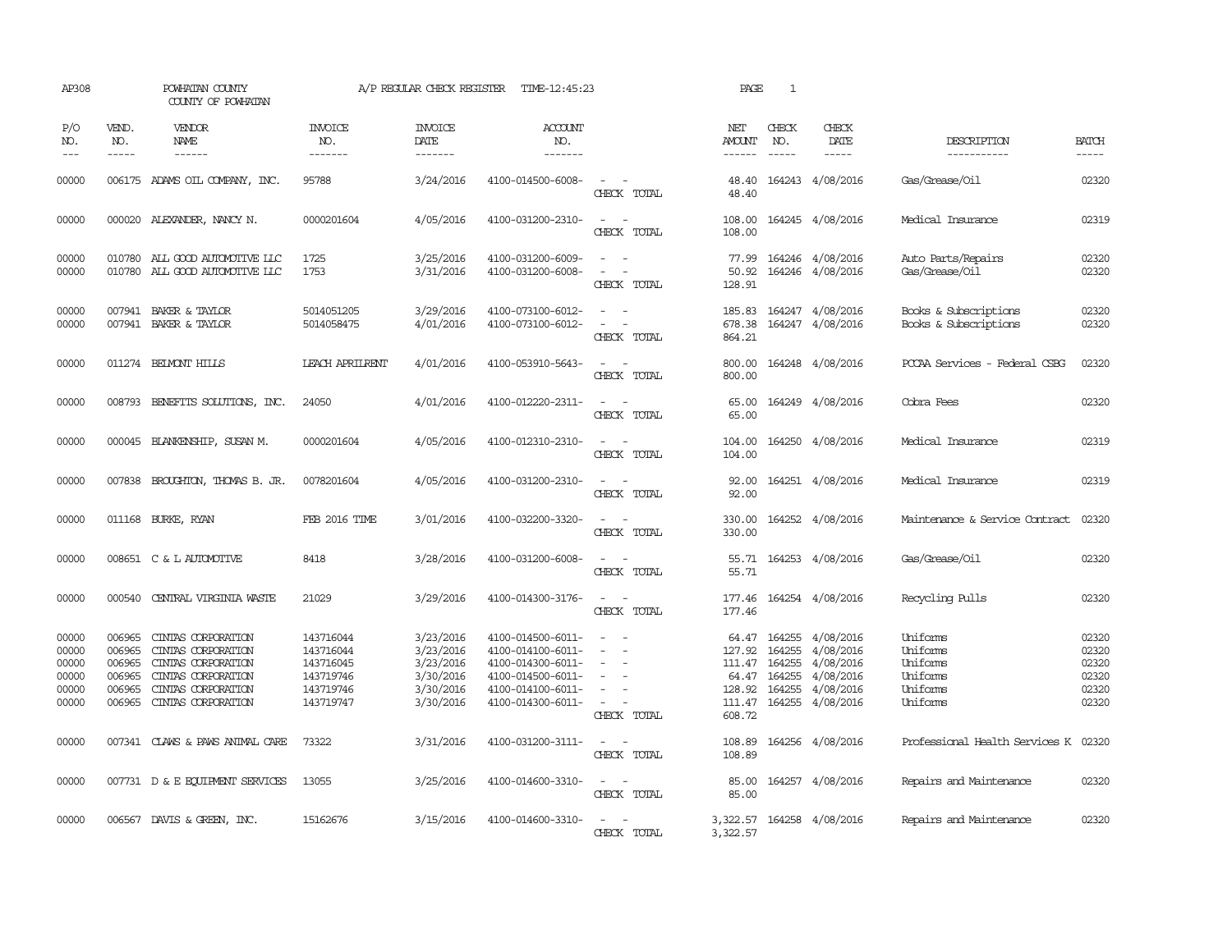| AP308                                              |                                                          | POWHATAN COUNTY<br>COUNTY OF POWHATAN                                                                                            |                                                                            | A/P REGULAR CHECK REGISTER                                                 | TIME-12:45:23                                                                                                              |                                                                                                                                          | PAGE                                                           | 1                                                    |                                                                            |                                                                      |                                                    |
|----------------------------------------------------|----------------------------------------------------------|----------------------------------------------------------------------------------------------------------------------------------|----------------------------------------------------------------------------|----------------------------------------------------------------------------|----------------------------------------------------------------------------------------------------------------------------|------------------------------------------------------------------------------------------------------------------------------------------|----------------------------------------------------------------|------------------------------------------------------|----------------------------------------------------------------------------|----------------------------------------------------------------------|----------------------------------------------------|
| P/O<br>NO.<br>$---$                                | VEND.<br>NO.<br>$- - - - -$                              | VENDOR<br>NAME<br>------                                                                                                         | <b>INVOICE</b><br>NO.<br>-------                                           | <b>INVOICE</b><br>DATE<br>$- - - - - - -$                                  | <b>ACCOUNT</b><br>NO.<br>-------                                                                                           |                                                                                                                                          | NET<br>AMOUNT<br>$- - - - - -$                                 | CHECK<br>NO.<br>$\frac{1}{2}$                        | CHECK<br>DATE                                                              | DESCRIPTION<br>-----------                                           | <b>BATCH</b><br>-----                              |
| 00000                                              |                                                          | 006175 ADAMS OIL COMPANY, INC.                                                                                                   | 95788                                                                      | 3/24/2016                                                                  | 4100-014500-6008-                                                                                                          | $\sim$<br>CHECK TOTAL                                                                                                                    | 48.40<br>48.40                                                 |                                                      | 164243 4/08/2016                                                           | Gas/Grease/Oil                                                       | 02320                                              |
| 00000                                              |                                                          | 000020 ALEXANDER, NANCY N.                                                                                                       | 0000201604                                                                 | 4/05/2016                                                                  | 4100-031200-2310-                                                                                                          | $\overline{\phantom{a}}$<br>$\sim$<br>CHECK TOTAL                                                                                        | 108.00<br>108.00                                               |                                                      | 164245 4/08/2016                                                           | Medical Insurance                                                    | 02319                                              |
| 00000<br>00000                                     |                                                          | 010780 ALL GOOD AUTOMOTIVE LLC<br>010780 ALL GOOD AUTOMOTIVE LLC                                                                 | 1725<br>1753                                                               | 3/25/2016<br>3/31/2016                                                     | 4100-031200-6009-<br>4100-031200-6008-                                                                                     | $\sim$<br>$\sim$<br>CHECK TOTAL                                                                                                          | 77.99<br>50.92<br>128.91                                       |                                                      | 164246 4/08/2016<br>164246 4/08/2016                                       | Auto Parts/Repairs<br>Gas/Grease/Oil                                 | 02320<br>02320                                     |
| 00000<br>00000                                     |                                                          | 007941 BAKER & TAYLOR<br>007941 BAKER & TAYLOR                                                                                   | 5014051205<br>5014058475                                                   | 3/29/2016<br>4/01/2016                                                     | 4100-073100-6012-<br>4100-073100-6012-                                                                                     | $\sim$<br>$\equiv$<br>CHECK TOTAL                                                                                                        | 185.83<br>678.38<br>864.21                                     |                                                      | 164247 4/08/2016<br>164247 4/08/2016                                       | Books & Subscriptions<br>Books & Subscriptions                       | 02320<br>02320                                     |
| 00000                                              |                                                          | 011274 BELMONT HILLS                                                                                                             | <b>LEACH APRILRENT</b>                                                     | 4/01/2016                                                                  | 4100-053910-5643-                                                                                                          | $\frac{1}{2} \left( \frac{1}{2} \right) \left( \frac{1}{2} \right) \left( \frac{1}{2} \right) \left( \frac{1}{2} \right)$<br>CHECK TOTAL | 800.00<br>800.00                                               |                                                      | 164248 4/08/2016                                                           | PCCAA Services - Federal CSBG                                        | 02320                                              |
| 00000                                              |                                                          | 008793 BENEFITS SOLUTIONS, INC.                                                                                                  | 24050                                                                      | 4/01/2016                                                                  | 4100-012220-2311-                                                                                                          | $\sim$<br>$\sim$<br>CHECK TOTAL                                                                                                          | 65.00<br>65.00                                                 |                                                      | 164249 4/08/2016                                                           | Cobra Fees                                                           | 02320                                              |
| 00000                                              |                                                          | 000045 BLANKENSHIP, SUSAN M.                                                                                                     | 0000201604                                                                 | 4/05/2016                                                                  | 4100-012310-2310-                                                                                                          | $ -$<br>CHECK TOTAL                                                                                                                      | 104.00<br>104.00                                               |                                                      | 164250 4/08/2016                                                           | Medical Insurance                                                    | 02319                                              |
| 00000                                              |                                                          | 007838 BROUGHTON, THOMAS B. JR.                                                                                                  | 0078201604                                                                 | 4/05/2016                                                                  | 4100-031200-2310-                                                                                                          | $\overline{\phantom{a}}$<br>$\sim$<br>CHECK TOTAL                                                                                        | 92.00<br>92.00                                                 |                                                      | 164251 4/08/2016                                                           | Medical Insurance                                                    | 02319                                              |
| 00000                                              |                                                          | 011168 BURKE, RYAN                                                                                                               | <b>FEB 2016 TIME</b>                                                       | 3/01/2016                                                                  | 4100-032200-3320-                                                                                                          | $\overline{\phantom{a}}$<br>CHECK TOTAL                                                                                                  | 330.00<br>330.00                                               |                                                      | 164252 4/08/2016                                                           | Maintenance & Service Contract                                       | 02320                                              |
| 00000                                              |                                                          | 008651 C & L AUTOMOTTVE                                                                                                          | 8418                                                                       | 3/28/2016                                                                  | 4100-031200-6008-                                                                                                          | $\sim$<br>$\sim$<br>CHECK TOTAL                                                                                                          | 55.71<br>55.71                                                 |                                                      | 164253 4/08/2016                                                           | Gas/Grease/Oil                                                       | 02320                                              |
| 00000                                              |                                                          | 000540 CENTRAL VIRGINIA WASTE                                                                                                    | 21029                                                                      | 3/29/2016                                                                  | 4100-014300-3176-                                                                                                          | $\overline{\phantom{a}}$<br>CHECK TOTAL                                                                                                  | 177.46<br>177.46                                               |                                                      | 164254 4/08/2016                                                           | Recycling Pulls                                                      | 02320                                              |
| 00000<br>00000<br>00000<br>00000<br>00000<br>00000 | 006965<br>006965<br>006965<br>006965<br>006965<br>006965 | CINIAS CORPORATION<br>CINIAS CORPORATION<br>CINTAS CORPORATION<br>CINIAS CORPORATION<br>CINIAS CORPORATION<br>CINIAS CORPORATION | 143716044<br>143716044<br>143716045<br>143719746<br>143719746<br>143719747 | 3/23/2016<br>3/23/2016<br>3/23/2016<br>3/30/2016<br>3/30/2016<br>3/30/2016 | 4100-014500-6011-<br>4100-014100-6011-<br>4100-014300-6011-<br>4100-014500-6011-<br>4100-014100-6011-<br>4100-014300-6011- | $\sim$<br>$\equiv$<br>$\overline{\phantom{a}}$<br>$\overline{\phantom{a}}$<br>$\sim$<br>CHECK TOTAL                                      | 127.92<br>111.47 164255<br>64.47<br>128.92<br>111.47<br>608.72 | 64.47 164255<br>164255<br>164255<br>164255<br>164255 | 4/08/2016<br>4/08/2016<br>4/08/2016<br>4/08/2016<br>4/08/2016<br>4/08/2016 | Uniforms<br>Uniforms<br>Uniforms<br>Uniforms<br>Uniforms<br>Uniforms | 02320<br>02320<br>02320<br>02320<br>02320<br>02320 |
| 00000                                              |                                                          | 007341 CLAWS & PAWS ANIMAL CARE                                                                                                  | 73322                                                                      | 3/31/2016                                                                  | 4100-031200-3111-                                                                                                          | $\sim$<br>$\sim$<br>CHECK TOTAL                                                                                                          | 108.89<br>108.89                                               |                                                      | 164256 4/08/2016                                                           | Professional Health Services K 02320                                 |                                                    |
| 00000                                              |                                                          | 007731 D & E EQUIPMENT SERVICES                                                                                                  | 13055                                                                      | 3/25/2016                                                                  | 4100-014600-3310-                                                                                                          | $\frac{1}{2} \left( \frac{1}{2} \right) \left( \frac{1}{2} \right) \left( \frac{1}{2} \right) \left( \frac{1}{2} \right)$<br>CHECK TOTAL | 85.00<br>85.00                                                 |                                                      | 164257 4/08/2016                                                           | Repairs and Maintenance                                              | 02320                                              |
| 00000                                              |                                                          | 006567 DAVIS & GREEN, INC.                                                                                                       | 15162676                                                                   | 3/15/2016                                                                  | 4100-014600-3310-                                                                                                          | CHECK TOTAL                                                                                                                              | 3,322.57                                                       |                                                      | 3,322.57 164258 4/08/2016                                                  | Repairs and Maintenance                                              | 02320                                              |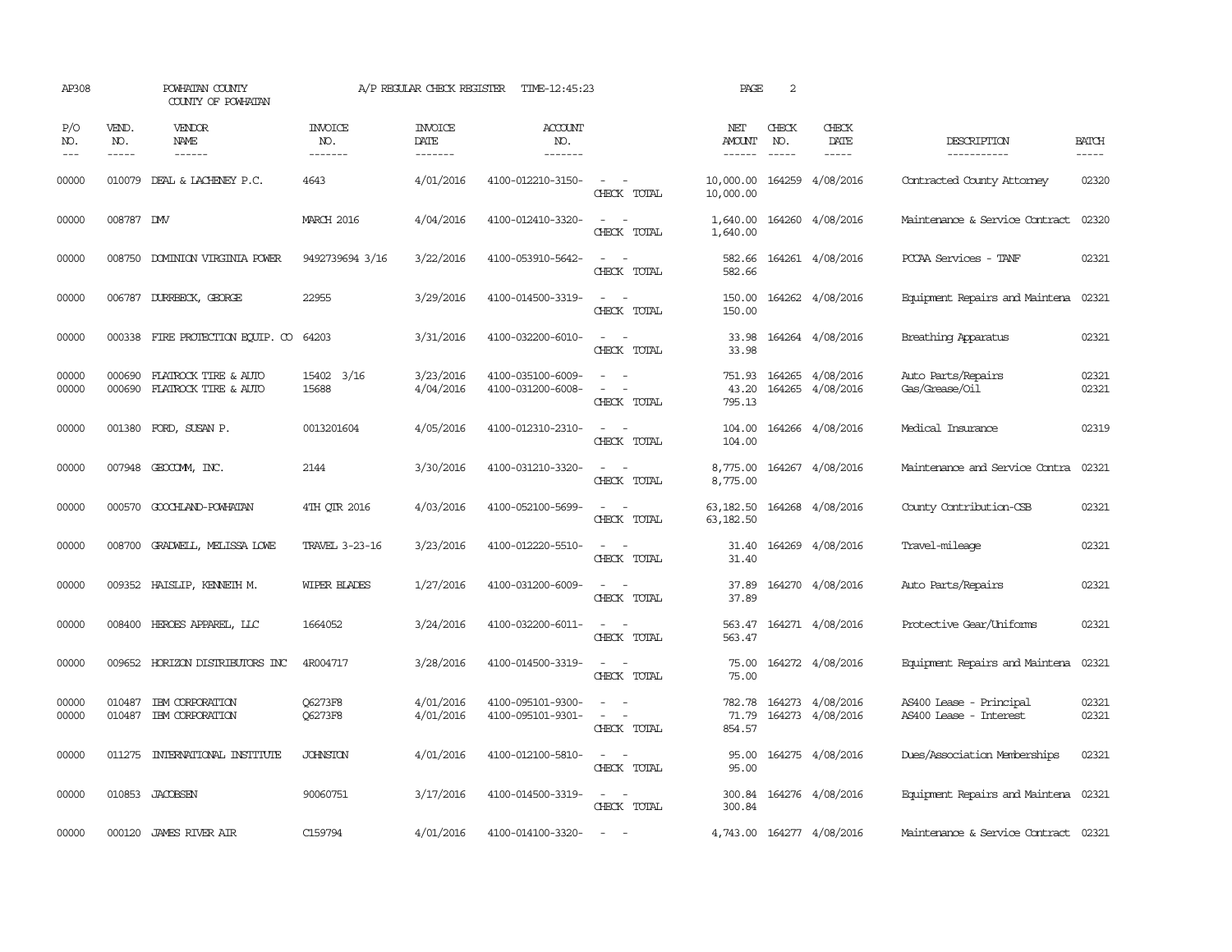| AP308               |                       | POWHATAN COUNTY<br>COUNTY OF POWHATAN        |                                  | A/P REGULAR CHECK REGISTER         | TIME-12:45:23                          |                                                                                                                             | PAGE                      | 2            |                                      |                                                   |                       |
|---------------------|-----------------------|----------------------------------------------|----------------------------------|------------------------------------|----------------------------------------|-----------------------------------------------------------------------------------------------------------------------------|---------------------------|--------------|--------------------------------------|---------------------------------------------------|-----------------------|
| P/O<br>NO.<br>$---$ | VEND.<br>NO.<br>----- | <b>VENDOR</b><br>NAME<br>$- - - - - -$       | <b>INVOICE</b><br>NO.<br>------- | <b>INVOICE</b><br>DATE<br>-------- | <b>ACCOUNT</b><br>NO.<br>-------       |                                                                                                                             | NET<br>AMOUNT             | CHECK<br>NO. | CHECK<br>DATE                        | DESCRIPTION<br>-----------                        | <b>BATCH</b><br>----- |
| 00000               | 010079                | DEAL & LACHENEY P.C.                         | 4643                             | 4/01/2016                          | 4100-012210-3150-                      | $\sim$ $ -$<br>CHECK TOTAL                                                                                                  | 10,000.00<br>10,000.00    |              | 164259 4/08/2016                     | Contracted County Attorney                        | 02320                 |
| 00000               | 008787 DMV            |                                              | <b>MARCH 2016</b>                | 4/04/2016                          | 4100-012410-3320-                      | $\sim$<br>$\sim$<br>CHECK TOTAL                                                                                             | 1,640.00<br>1,640.00      |              | 164260 4/08/2016                     | Maintenance & Service Contract                    | 02320                 |
| 00000               |                       | 008750 DOMINION VIRGINIA POWER               | 9492739694 3/16                  | 3/22/2016                          | 4100-053910-5642-                      | $\equiv$<br>CHECK TOTAL                                                                                                     | 582.66<br>582.66          |              | 164261 4/08/2016                     | PCCAA Services - TANF                             | 02321                 |
| 00000               |                       | 006787 DURRBECK, GEORGE                      | 22955                            | 3/29/2016                          | 4100-014500-3319-                      | $ -$<br>CHECK TOTAL                                                                                                         | 150.00<br>150.00          |              | 164262 4/08/2016                     | Equipment Repairs and Maintena                    | 02321                 |
| 00000               |                       | 000338 FIRE PROTECTION EQUIP. CO             | 64203                            | 3/31/2016                          | 4100-032200-6010-                      | $\frac{1}{2} \left( \frac{1}{2} \right) \left( \frac{1}{2} \right) = \frac{1}{2} \left( \frac{1}{2} \right)$<br>CHECK TOTAL | 33.98<br>33.98            |              | 164264 4/08/2016                     | Breathing Apparatus                               | 02321                 |
| 00000<br>00000      | 000690<br>000690      | FLATROCK TIRE & AUTO<br>FLATROCK TIRE & AUTO | 15402 3/16<br>15688              | 3/23/2016<br>4/04/2016             | 4100-035100-6009-<br>4100-031200-6008- | $\equiv$<br>$\equiv$<br>CHECK TOTAL                                                                                         | 751.93<br>43.20<br>795.13 |              | 164265 4/08/2016<br>164265 4/08/2016 | Auto Parts/Repairs<br>Gas/Grease/Oil              | 02321<br>02321        |
| 00000               |                       | 001380 FORD, SUSAN P.                        | 0013201604                       | 4/05/2016                          | 4100-012310-2310-                      | CHECK TOTAL                                                                                                                 | 104.00<br>104.00          |              | 164266 4/08/2016                     | Medical Insurance                                 | 02319                 |
| 00000               | 007948                | GEOCOMM, INC.                                | 2144                             | 3/30/2016                          | 4100-031210-3320-                      | $\overline{\phantom{a}}$<br>$\sim$<br>CHECK TOTAL                                                                           | 8,775.00<br>8,775.00      |              | 164267 4/08/2016                     | Maintenance and Service Contra                    | 02321                 |
| 00000               | 000570                | GOOCHLAND-POWHATAN                           | 4TH QTR 2016                     | 4/03/2016                          | 4100-052100-5699-                      | CHECK TOTAL                                                                                                                 | 63,182.50<br>63,182.50    |              | 164268 4/08/2016                     | County Contribution-CSB                           | 02321                 |
| 00000               | 008700                | GRADWELL, MELISSA LOWE                       | TRAVEL 3-23-16                   | 3/23/2016                          | 4100-012220-5510-                      | $\overline{\phantom{a}}$<br>CHECK TOTAL                                                                                     | 31.40<br>31.40            |              | 164269 4/08/2016                     | Travel-mileage                                    | 02321                 |
| 00000               |                       | 009352 HAISLIP, KENNETH M.                   | WIPER BLADES                     | 1/27/2016                          | 4100-031200-6009-                      | $\overline{\phantom{a}}$<br>CHECK TOTAL                                                                                     | 37.89<br>37.89            |              | 164270 4/08/2016                     | Auto Parts/Repairs                                | 02321                 |
| 00000               |                       | 008400 HEROES APPAREL, LLC                   | 1664052                          | 3/24/2016                          | 4100-032200-6011-                      | $\frac{1}{2} \left( \frac{1}{2} \right) \left( \frac{1}{2} \right) = \frac{1}{2} \left( \frac{1}{2} \right)$<br>CHECK TOTAL | 563.47                    |              | 563.47 164271 4/08/2016              | Protective Gear/Uniforms                          | 02321                 |
| 00000               |                       | 009652 HORIZON DISTRIBUTORS INC              | 4R004717                         | 3/28/2016                          | 4100-014500-3319-                      | $\sim$<br>CHECK TOTAL                                                                                                       | 75.00<br>75.00            |              | 164272 4/08/2016                     | Equipment Repairs and Maintena                    | 02321                 |
| 00000<br>00000      | 010487                | IBM CORPORATION<br>010487 IBM CORPORATION    | <b>O6273F8</b><br><b>O6273F8</b> | 4/01/2016<br>4/01/2016             | 4100-095101-9300-<br>4100-095101-9301- | $\sim$<br>$\overline{a}$<br>$\equiv$<br>CHECK TOTAL                                                                         | 782.78<br>71.79<br>854.57 |              | 164273 4/08/2016<br>164273 4/08/2016 | AS400 Lease - Principal<br>AS400 Lease - Interest | 02321<br>02321        |
| 00000               |                       | 011275 INTERNATIONAL INSTITUTE               | <b>JOHNSTON</b>                  | 4/01/2016                          | 4100-012100-5810-                      | $\sim$<br>CHECK TOTAL                                                                                                       | 95.00<br>95.00            |              | 164275 4/08/2016                     | Dues/Association Memberships                      | 02321                 |
| 00000               |                       | 010853 JACOBSEN                              | 90060751                         | 3/17/2016                          | 4100-014500-3319-                      | $\sim$ $ \sim$<br>CHECK TOTAL                                                                                               | 300.84<br>300.84          |              | 164276 4/08/2016                     | Equipment Repairs and Maintena                    | 02321                 |
| 00000               |                       | 000120 JAMES RIVER AIR                       | C159794                          | 4/01/2016                          | 4100-014100-3320-                      | $\sim$                                                                                                                      |                           |              | 4,743.00 164277 4/08/2016            | Maintenance & Service Contract 02321              |                       |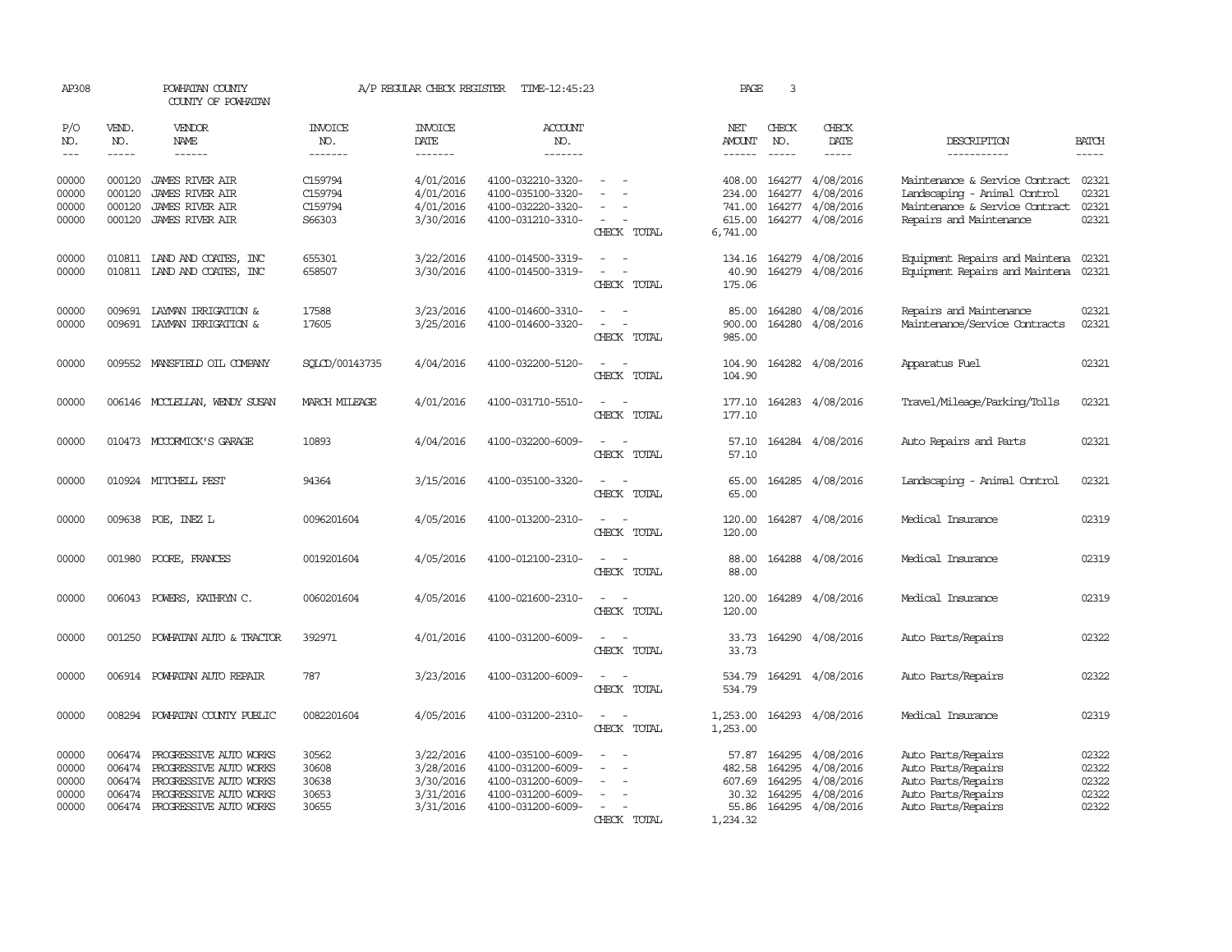| AP308                                     |                                      | POWHATAN COUNTY<br>COUNTY OF POWHATAN                                                                                                 |                                           | A/P REGULAR CHECK REGISTER                                    | TIME-12:45:23                                                                                         |                                                                                 | PAGE                                             | 3                                    |                                                                              |                                                                                                                             |                                           |
|-------------------------------------------|--------------------------------------|---------------------------------------------------------------------------------------------------------------------------------------|-------------------------------------------|---------------------------------------------------------------|-------------------------------------------------------------------------------------------------------|---------------------------------------------------------------------------------|--------------------------------------------------|--------------------------------------|------------------------------------------------------------------------------|-----------------------------------------------------------------------------------------------------------------------------|-------------------------------------------|
| P/O<br>NO.<br>$---$                       | VEND.<br>NO.<br>$- - - - -$          | VENDOR<br>NAME<br>------                                                                                                              | INVOICE<br>NO.<br>-------                 | <b>INVOICE</b><br>DATE<br>-------                             | <b>ACCOUNT</b><br>NO.<br>-------                                                                      |                                                                                 | NET<br><b>AMOUNT</b><br>$- - - - - -$            | CHECK<br>NO.<br>$\frac{1}{2}$        | CHECK<br>DATE<br>-----                                                       | DESCRIPTION<br>-----------                                                                                                  | <b>BATCH</b>                              |
| 00000<br>00000<br>00000<br>00000          | 000120<br>000120<br>000120<br>000120 | <b>JAMES RIVER AIR</b><br><b>JAMES RIVER AIR</b><br><b>JAMES RIVER AIR</b><br><b>JAMES RIVER AIR</b>                                  | C159794<br>C159794<br>C159794<br>S66303   | 4/01/2016<br>4/01/2016<br>4/01/2016<br>3/30/2016              | 4100-032210-3320-<br>4100-035100-3320-<br>4100-032220-3320-<br>4100-031210-3310-                      | $\equiv$<br>$\sim$<br>CHECK TOTAL                                               | 408.00<br>234.00<br>741.00<br>615.00<br>6,741.00 |                                      | 164277 4/08/2016<br>164277 4/08/2016<br>164277 4/08/2016<br>164277 4/08/2016 | Maintenance & Service Contract<br>Landscaping - Animal Control<br>Maintenance & Service Contract<br>Repairs and Maintenance | 02321<br>02321<br>02321<br>02321          |
| 00000<br>00000                            |                                      | 010811 IAND AND COATES, INC<br>010811 LAND AND COATES, INC                                                                            | 655301<br>658507                          | 3/22/2016<br>3/30/2016                                        | 4100-014500-3319-<br>4100-014500-3319-                                                                | $\sim$<br>$\sim$ $-$<br>$\sim$<br>$\overline{\phantom{a}}$<br>CHECK TOTAL       | 40.90<br>175.06                                  |                                      | 134.16 164279 4/08/2016<br>164279 4/08/2016                                  | Equipment Repairs and Maintena<br>Equipment Repairs and Maintena 02321                                                      | 02321                                     |
| 00000<br>00000                            | 009691                               | LAYMAN IRRIGATION &<br>009691 LAYMAN IRRIGATION &                                                                                     | 17588<br>17605                            | 3/23/2016<br>3/25/2016                                        | 4100-014600-3310-<br>4100-014600-3320-                                                                | $\overline{a}$<br>$\sim$<br>CHECK TOTAL                                         | 85.00<br>900.00<br>985.00                        | 164280                               | 4/08/2016<br>164280 4/08/2016                                                | Repairs and Maintenance<br>Maintenance/Service Contracts                                                                    | 02321<br>02321                            |
| 00000                                     |                                      | 009552 MANSFIELD OIL COMPANY                                                                                                          | SQLCD/00143735                            | 4/04/2016                                                     | 4100-032200-5120-                                                                                     | $\sim$<br>CHECK TOTAL                                                           | 104.90<br>104.90                                 |                                      | 164282 4/08/2016                                                             | Apparatus Fuel                                                                                                              | 02321                                     |
| 00000                                     |                                      | 006146 MCCLELLAN, WENDY SUSAN                                                                                                         | MARCH MILEAGE                             | 4/01/2016                                                     | 4100-031710-5510-                                                                                     | $\sim$<br>$\sim$<br>CHECK TOTAL                                                 | 177.10<br>177.10                                 |                                      | 164283 4/08/2016                                                             | Travel/Mileage/Parking/Tolls                                                                                                | 02321                                     |
| 00000                                     |                                      | 010473 MCCORMICK'S GARAGE                                                                                                             | 10893                                     | 4/04/2016                                                     | 4100-032200-6009-                                                                                     | CHECK TOTAL                                                                     | 57.10<br>57.10                                   |                                      | 164284 4/08/2016                                                             | Auto Repairs and Parts                                                                                                      | 02321                                     |
| 00000                                     |                                      | 010924 MITCHELL PEST                                                                                                                  | 94364                                     | 3/15/2016                                                     | 4100-035100-3320-                                                                                     | CHECK TOTAL                                                                     | 65.00<br>65.00                                   |                                      | 164285 4/08/2016                                                             | Landscaping - Animal Control                                                                                                | 02321                                     |
| 00000                                     |                                      | 009638 POE, INEZ L                                                                                                                    | 0096201604                                | 4/05/2016                                                     | 4100-013200-2310-                                                                                     | CHECK TOTAL                                                                     | 120.00<br>120.00                                 |                                      | 164287 4/08/2016                                                             | Medical Insurance                                                                                                           | 02319                                     |
| 00000                                     | 001980                               | POORE, FRANCES                                                                                                                        | 0019201604                                | 4/05/2016                                                     | 4100-012100-2310-                                                                                     | CHECK TOTAL                                                                     | 88.00<br>88.00                                   |                                      | 164288 4/08/2016                                                             | Medical Insurance                                                                                                           | 02319                                     |
| 00000                                     | 006043                               | POWERS, KATHRYN C.                                                                                                                    | 0060201604                                | 4/05/2016                                                     | 4100-021600-2310-                                                                                     | $\overline{\phantom{a}}$<br>CHECK TOTAL                                         | 120.00<br>120.00                                 |                                      | 164289 4/08/2016                                                             | Medical Insurance                                                                                                           | 02319                                     |
| 00000                                     | 001250                               | POWHATAN AUTO & TRACTOR                                                                                                               | 392971                                    | 4/01/2016                                                     | 4100-031200-6009-                                                                                     | CHECK TOTAL                                                                     | 33.73<br>33.73                                   |                                      | 164290 4/08/2016                                                             | Auto Parts/Repairs                                                                                                          | 02322                                     |
| 00000                                     | 006914                               | POWHATAN AUTO REPAIR                                                                                                                  | 787                                       | 3/23/2016                                                     | 4100-031200-6009-                                                                                     | CHECK TOTAL                                                                     | 534.79<br>534.79                                 |                                      | 164291 4/08/2016                                                             | Auto Parts/Repairs                                                                                                          | 02322                                     |
| 00000                                     | 008294                               | POWHATAN COUNTY PUBLIC                                                                                                                | 0082201604                                | 4/05/2016                                                     | 4100-031200-2310-                                                                                     | CHECK TOTAL                                                                     | 1,253.00<br>1,253.00                             |                                      | 164293 4/08/2016                                                             | Medical Insurance                                                                                                           | 02319                                     |
| 00000<br>00000<br>00000<br>00000<br>00000 | 006474<br>006474<br>006474<br>006474 | PROGRESSIVE AUTO WORKS<br>PROGRESSIVE AUTO WORKS<br>PROGRESSIVE AUTO WORKS<br>PROGRESSIVE AUTO WORKS<br>006474 PROGRESSIVE AUTO WORKS | 30562<br>30608<br>30638<br>30653<br>30655 | 3/22/2016<br>3/28/2016<br>3/30/2016<br>3/31/2016<br>3/31/2016 | 4100-035100-6009-<br>4100-031200-6009-<br>4100-031200-6009-<br>4100-031200-6009-<br>4100-031200-6009- | $\overline{\phantom{a}}$<br>$\equiv$<br>$\overline{\phantom{a}}$<br>CHECK TOTAL | 57.87<br>482.58<br>607.69<br>30.32<br>1,234.32   | 164295<br>164295<br>164295<br>164295 | 4/08/2016<br>4/08/2016<br>4/08/2016<br>4/08/2016<br>55.86 164295 4/08/2016   | Auto Parts/Repairs<br>Auto Parts/Repairs<br>Auto Parts/Repairs<br>Auto Parts/Repairs<br>Auto Parts/Repairs                  | 02322<br>02322<br>02322<br>02322<br>02322 |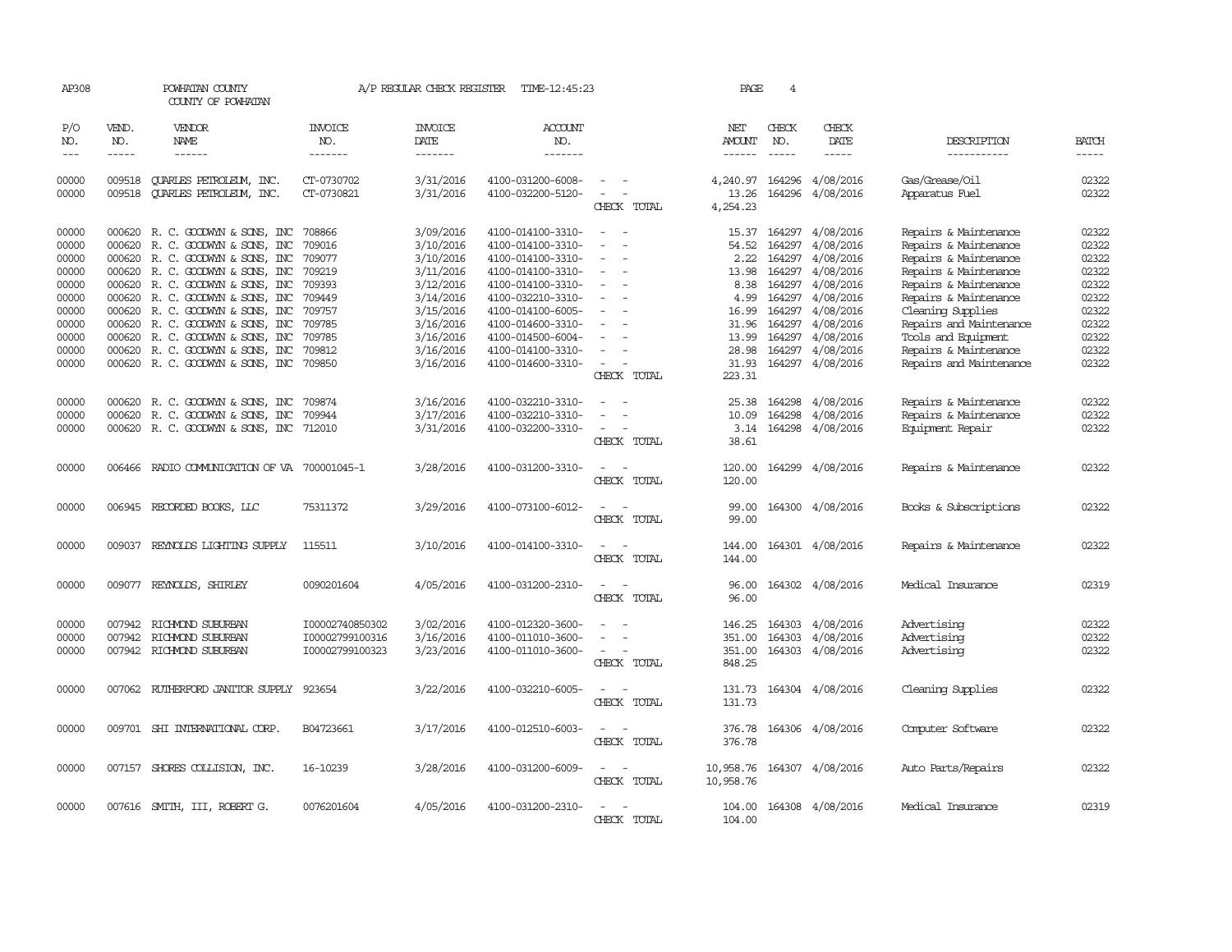| AP308          |                  | POWHATAN COUNTY<br>COUNTY OF POWHATAN                     |                          | A/P REGULAR CHECK REGISTER | TIME-12:45:23                          |                                    | PAGE              | 4                |                            |                                  |                |
|----------------|------------------|-----------------------------------------------------------|--------------------------|----------------------------|----------------------------------------|------------------------------------|-------------------|------------------|----------------------------|----------------------------------|----------------|
| P/O<br>NO.     | VEND.<br>NO.     | VENDOR<br><b>NAME</b>                                     | INVOICE<br>NO.           | <b>INVOICE</b><br>DATE     | <b>ACCOUNT</b><br>NO.                  |                                    | NET<br>AMOUNT     | CHECK<br>NO.     | CHECK<br>DATE              | DESCRIPTION                      | <b>BATCH</b>   |
| $---$          | $- - - - -$      | ------                                                    | -------                  | -------                    | -------                                |                                    | $- - - - - -$     | $- - - - -$      | $- - - - -$                | -----------                      | -----          |
| 00000<br>00000 | 009518<br>009518 | <b>OUARLES PETROLEUM, INC.</b><br>QUARLES PETROLEUM, INC. | CT-0730702<br>CT-0730821 | 3/31/2016<br>3/31/2016     | 4100-031200-6008-<br>4100-032200-5120- | $\overline{\phantom{a}}$           | 4,240.97<br>13.26 | 164296<br>164296 | 4/08/2016<br>4/08/2016     | Gas/Grease/Oil<br>Apparatus Fuel | 02322<br>02322 |
|                |                  |                                                           |                          |                            |                                        | CHECK TOTAL                        | 4,254.23          |                  |                            |                                  |                |
|                |                  |                                                           |                          |                            |                                        |                                    |                   |                  |                            |                                  |                |
| 00000          | 000620           | R. C. GOODWYN & SONS, INC                                 | 708866                   | 3/09/2016                  | 4100-014100-3310-                      | $\overline{a}$                     | 15.37             | 164297           | 4/08/2016                  | Repairs & Maintenance            | 02322          |
| 00000          | 000620           | R. C. GOODWYN & SONS, INC                                 | 709016                   | 3/10/2016                  | 4100-014100-3310-                      |                                    | 54.52             | 164297           | 4/08/2016                  | Repairs & Maintenance            | 02322          |
| 00000          | 000620           | R. C. GOODWYN & SONS, INC                                 | 709077                   | 3/10/2016                  | 4100-014100-3310-                      | $\overline{\phantom{a}}$<br>$\sim$ | 2.22              | 164297           | 4/08/2016                  | Repairs & Maintenance            | 02322          |
| 00000          | 000620           | R. C. GOODWYN & SONS, INC                                 | 709219                   | 3/11/2016                  | 4100-014100-3310-                      | $\sim$                             | 13.98             | 164297           | 4/08/2016                  | Repairs & Maintenance            | 02322          |
| 00000          |                  | 000620 R.C. GOODWYN & SONS, INC                           | 709393                   | 3/12/2016                  | 4100-014100-3310-                      |                                    | 8.38              | 164297           | 4/08/2016                  | Repairs & Maintenance            | 02322          |
| 00000          |                  | 000620 R. C. GOODWYN & SONS, INC                          | 709449                   | 3/14/2016                  | 4100-032210-3310-                      | $\overline{\phantom{a}}$           | 4.99              | 164297           | 4/08/2016                  | Repairs & Maintenance            | 02322          |
| 00000          | 000620           | R. C. GOODWYN & SONS, INC                                 | 709757                   | 3/15/2016                  | 4100-014100-6005-                      |                                    | 16.99             | 164297           | 4/08/2016                  | Cleaning Supplies                | 02322          |
| 00000          |                  | 000620 R.C. GOODWYN & SONS, INC                           | 709785                   | 3/16/2016                  | 4100-014600-3310-                      |                                    | 31.96             | 164297           | 4/08/2016                  | Repairs and Maintenance          | 02322          |
| 00000          | 000620           | R. C. GOODWYN & SONS, INC                                 | 709785                   | 3/16/2016                  | 4100-014500-6004-                      |                                    | 13.99             | 164297           | 4/08/2016                  | Tools and Equipment              | 02322          |
| 00000          | 000620           | R. C. GOODWYN & SONS, INC                                 | 709812                   | 3/16/2016                  | 4100-014100-3310-                      | $\overline{\phantom{a}}$           | 28.98             | 164297           | 4/08/2016                  | Repairs & Maintenance            | 02322          |
| 00000          |                  | 000620 R. C. GOODWYN & SONS, INC                          | 709850                   | 3/16/2016                  | 4100-014600-3310-                      | $\sim$                             | 31.93             | 164297           | 4/08/2016                  | Repairs and Maintenance          | 02322          |
|                |                  |                                                           |                          |                            |                                        | CHECK TOTAL                        | 223.31            |                  |                            |                                  |                |
| 00000          |                  |                                                           |                          | 3/16/2016                  | 4100-032210-3310-                      |                                    |                   | 164298           | 4/08/2016                  |                                  | 02322          |
|                | 000620           | R. C. GOODWYN & SONS, INC                                 | 709874<br>709944         |                            |                                        |                                    | 25.38             |                  |                            | Repairs & Maintenance            | 02322          |
| 00000          | 000620           | R. C. GOODWYN & SONS, INC                                 |                          | 3/17/2016                  | 4100-032210-3310-                      | $\sim$                             | 10.09             | 164298           | 4/08/2016                  | Repairs & Maintenance            |                |
| 00000          |                  | 000620 R. C. GOODWYN & SONS, INC 712010                   |                          | 3/31/2016                  | 4100-032200-3310-                      |                                    |                   |                  | 3.14 164298 4/08/2016      | Equipment Repair                 | 02322          |
|                |                  |                                                           |                          |                            |                                        | CHECK TOTAL                        | 38.61             |                  |                            |                                  |                |
| 00000          | 006466           | RADIO COMMUNICATION OF VA 700001045-1                     |                          | 3/28/2016                  | 4100-031200-3310-                      | $\overline{\phantom{a}}$           | 120.00            |                  | 164299 4/08/2016           | Repairs & Maintenance            | 02322          |
|                |                  |                                                           |                          |                            |                                        | CHECK TOTAL                        | 120.00            |                  |                            |                                  |                |
| 00000          |                  | 006945 RECORDED BOOKS, LLC                                | 75311372                 | 3/29/2016                  | 4100-073100-6012-                      |                                    | 99.00             |                  | 164300 4/08/2016           | Books & Subscriptions            | 02322          |
|                |                  |                                                           |                          |                            |                                        | CHECK TOTAL                        | 99.00             |                  |                            |                                  |                |
|                |                  |                                                           |                          |                            |                                        |                                    |                   |                  |                            |                                  |                |
| 00000          | 009037           | REYNOLDS LIGHTING SUPPLY                                  | 115511                   | 3/10/2016                  | 4100-014100-3310-                      |                                    | 144.00            |                  | 164301 4/08/2016           | Repairs & Maintenance            | 02322          |
|                |                  |                                                           |                          |                            |                                        | CHECK TOTAL                        | 144.00            |                  |                            |                                  |                |
| 00000          |                  |                                                           | 0090201604               | 4/05/2016                  | 4100-031200-2310-                      |                                    | 96.00             |                  | 164302 4/08/2016           | Medical Insurance                | 02319          |
|                |                  | 009077 REYNOLDS, SHIRLEY                                  |                          |                            |                                        |                                    |                   |                  |                            |                                  |                |
|                |                  |                                                           |                          |                            |                                        | CHECK TOTAL                        | 96.00             |                  |                            |                                  |                |
| 00000          |                  | 007942 RICHMOND SUBURBAN                                  | I00002740850302          | 3/02/2016                  | 4100-012320-3600-                      |                                    |                   | 146.25 164303    | 4/08/2016                  | Advertising                      | 02322          |
| 00000          | 007942           | RICHMOND SUBURBAN                                         | I00002799100316          | 3/16/2016                  | 4100-011010-3600-                      | $\sim$                             | 351.00            | 164303           | 4/08/2016                  | Advertising                      | 02322          |
| 00000          |                  | 007942 RICHMOND SUBURBAN                                  | I00002799100323          | 3/23/2016                  | 4100-011010-3600-                      | $\sim$                             | 351.00            | 164303           | 4/08/2016                  | Advertising                      | 02322          |
|                |                  |                                                           |                          |                            |                                        | CHECK TOTAL                        | 848.25            |                  |                            |                                  |                |
|                |                  |                                                           |                          |                            |                                        |                                    |                   |                  |                            |                                  |                |
| 00000          |                  | 007062 RUTHERFORD JANITOR SUPPLY                          | 923654                   | 3/22/2016                  | 4100-032210-6005-                      | $\overline{\phantom{a}}$           |                   |                  | 131.73 164304 4/08/2016    | Cleaning Supplies                | 02322          |
|                |                  |                                                           |                          |                            |                                        | CHECK TOTAL                        | 131.73            |                  |                            |                                  |                |
|                |                  |                                                           |                          |                            |                                        |                                    |                   |                  |                            |                                  |                |
| 00000          |                  | 009701 SHI INTERNATIONAL CORP.                            | B04723661                | 3/17/2016                  | 4100-012510-6003-                      | $\overline{a}$<br>$\overline{a}$   |                   |                  | 376.78 164306 4/08/2016    | Computer Software                | 02322          |
|                |                  |                                                           |                          |                            |                                        | CHECK TOTAL                        | 376.78            |                  |                            |                                  |                |
|                |                  |                                                           |                          |                            |                                        |                                    |                   |                  |                            |                                  |                |
| 00000          |                  | 007157 SHORES COLLISION, INC.                             | 16-10239                 | 3/28/2016                  | 4100-031200-6009-                      | $\sim$<br>$\overline{\phantom{a}}$ |                   |                  | 10,958.76 164307 4/08/2016 | Auto Parts/Repairs               | 02322          |
|                |                  |                                                           |                          |                            |                                        | CHECK TOTAL                        | 10,958.76         |                  |                            |                                  |                |
| 00000          |                  |                                                           | 0076201604               | 4/05/2016                  | 4100-031200-2310-                      |                                    |                   |                  | 164308 4/08/2016           | Medical Insurance                | 02319          |
|                |                  | 007616 SMITH, III, ROBERT G.                              |                          |                            |                                        |                                    | 104.00            |                  |                            |                                  |                |
|                |                  |                                                           |                          |                            |                                        | CHECK TOTAL                        | 104.00            |                  |                            |                                  |                |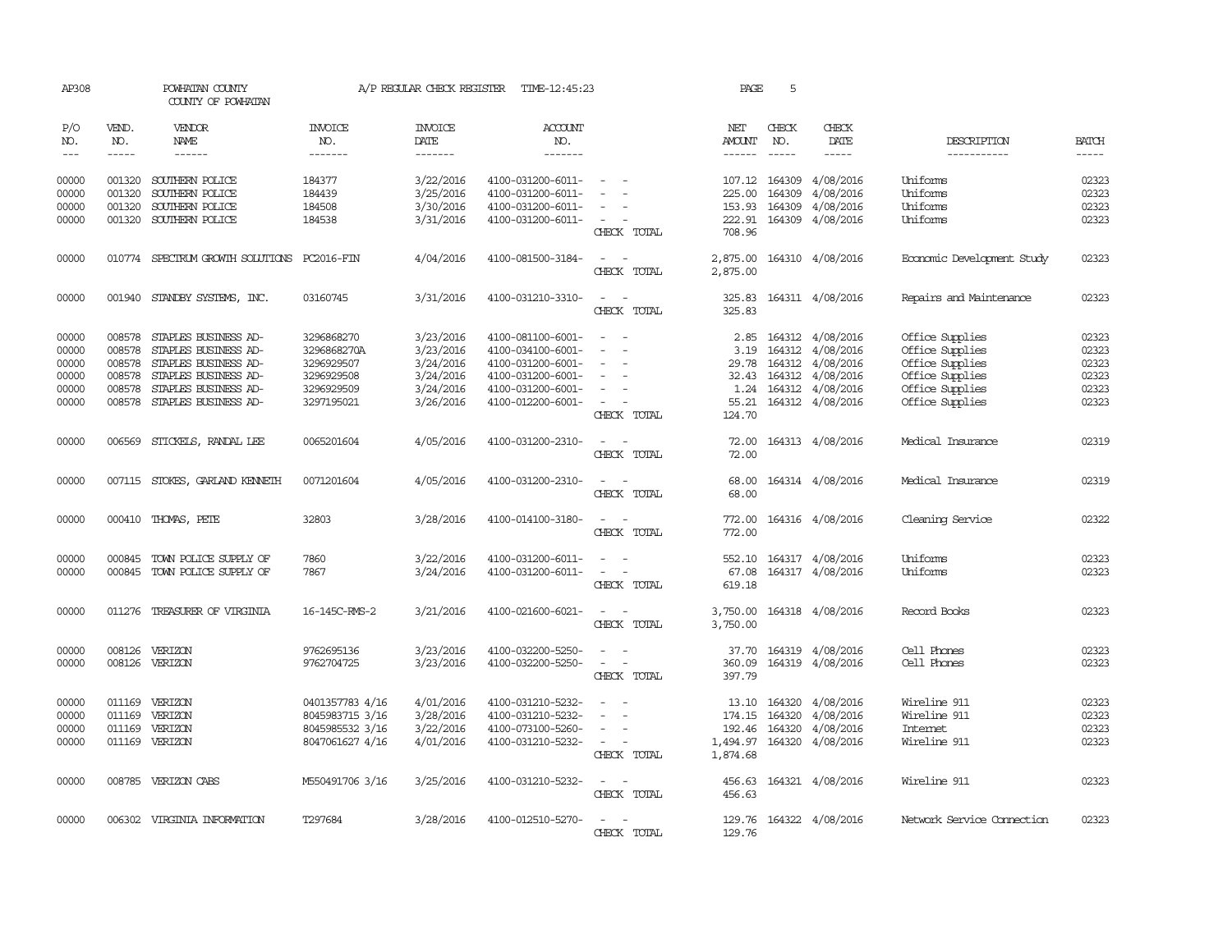| AP308          |                  | POWHATAN COUNTY<br>COUNTY OF POWHATAN                                                                                                                                                                                                                                                                                                                                                                                                                                      |                       | A/P REGULAR CHECK REGISTER | TIME-12:45:23                          |                                         | PAGE                 | 5                       |                        |                            |                |
|----------------|------------------|----------------------------------------------------------------------------------------------------------------------------------------------------------------------------------------------------------------------------------------------------------------------------------------------------------------------------------------------------------------------------------------------------------------------------------------------------------------------------|-----------------------|----------------------------|----------------------------------------|-----------------------------------------|----------------------|-------------------------|------------------------|----------------------------|----------------|
| P/O<br>NO.     | VEND.<br>NO.     | <b>VENDOR</b><br>NAME                                                                                                                                                                                                                                                                                                                                                                                                                                                      | <b>INVOICE</b><br>NO. | <b>INVOICE</b><br>DATE     | ACCOUNT<br>NO.                         |                                         | NET<br>AMOUNT        | CHECK<br>NO.            | CHECK<br>DATE          | DESCRIPTION                | <b>BATCH</b>   |
| $---$          | $\frac{1}{2}$    | $\frac{1}{2} \left( \frac{1}{2} \right) \left( \frac{1}{2} \right) \left( \frac{1}{2} \right) \left( \frac{1}{2} \right) \left( \frac{1}{2} \right) \left( \frac{1}{2} \right) \left( \frac{1}{2} \right) \left( \frac{1}{2} \right) \left( \frac{1}{2} \right) \left( \frac{1}{2} \right) \left( \frac{1}{2} \right) \left( \frac{1}{2} \right) \left( \frac{1}{2} \right) \left( \frac{1}{2} \right) \left( \frac{1}{2} \right) \left( \frac{1}{2} \right) \left( \frac$ | -------               | --------                   | -------                                |                                         |                      | $\frac{1}{2}$           | $\frac{1}{2}$          | -----------                | $\frac{1}{2}$  |
| 00000<br>00000 | 001320<br>001320 | SOUTHERN POLICE<br>SOUTHERN POLICE                                                                                                                                                                                                                                                                                                                                                                                                                                         | 184377<br>184439      | 3/22/2016<br>3/25/2016     | 4100-031200-6011-<br>4100-031200-6011- | $\overline{\phantom{a}}$                | 225.00               | 107.12 164309<br>164309 | 4/08/2016<br>4/08/2016 | Uniforms<br>Uniforms       | 02323<br>02323 |
| 00000          | 001320           | SOUTHERN POLICE                                                                                                                                                                                                                                                                                                                                                                                                                                                            | 184508                | 3/30/2016                  | 4100-031200-6011-                      |                                         | 153.93               | 164309                  | 4/08/2016              | Uniforms                   | 02323          |
| 00000          |                  | 001320 SOUTHERN POLICE                                                                                                                                                                                                                                                                                                                                                                                                                                                     | 184538                | 3/31/2016                  | 4100-031200-6011-                      | $\overline{\phantom{a}}$                | 222.91               |                         | 164309 4/08/2016       | Uniforms                   | 02323          |
|                |                  |                                                                                                                                                                                                                                                                                                                                                                                                                                                                            |                       |                            |                                        | CHECK TOTAL                             | 708.96               |                         |                        |                            |                |
| 00000          |                  | 010774 SPECTRUM GROWTH SOLUTIONS PC2016-FIN                                                                                                                                                                                                                                                                                                                                                                                                                                |                       | 4/04/2016                  | 4100-081500-3184-                      | $\sim$ $ \sim$<br>CHECK TOTAL           | 2,875.00<br>2,875.00 |                         | 164310 4/08/2016       | Economic Development Study | 02323          |
| 00000          |                  | 001940 STANDBY SYSTEMS, INC.                                                                                                                                                                                                                                                                                                                                                                                                                                               | 03160745              | 3/31/2016                  | 4100-031210-3310-                      | $\sim$ $\sim$<br>CHECK TOTAL            | 325.83<br>325.83     |                         | 164311 4/08/2016       | Repairs and Maintenance    | 02323          |
| 00000          | 008578           | STAPLES BUSINESS AD-                                                                                                                                                                                                                                                                                                                                                                                                                                                       | 3296868270            | 3/23/2016                  | 4100-081100-6001-                      |                                         | 2.85                 |                         | 164312 4/08/2016       | Office Supplies            | 02323          |
| 00000          | 008578           | STAPLES BUSINESS AD-                                                                                                                                                                                                                                                                                                                                                                                                                                                       | 3296868270A           | 3/23/2016                  | 4100-034100-6001-                      |                                         | 3.19                 |                         | 164312 4/08/2016       | Office Supplies            | 02323          |
| 00000          | 008578           | STAPLES BUSINESS AD-                                                                                                                                                                                                                                                                                                                                                                                                                                                       | 3296929507            | 3/24/2016                  | 4100-031200-6001-                      | $\overline{\phantom{a}}$                |                      |                         | 29.78 164312 4/08/2016 | Office Supplies            | 02323          |
| 00000          | 008578           | STAPLES BUSINESS AD-                                                                                                                                                                                                                                                                                                                                                                                                                                                       | 3296929508            | 3/24/2016                  | 4100-031200-6001-                      |                                         | 32.43                |                         | 164312 4/08/2016       | Office Supplies            | 02323          |
| 00000          | 008578           | STAPLES BUSINESS AD-                                                                                                                                                                                                                                                                                                                                                                                                                                                       | 3296929509            | 3/24/2016                  | 4100-031200-6001-                      |                                         | 1.24                 |                         | 164312 4/08/2016       | Office Supplies            | 02323          |
| 00000          |                  | 008578 STAPLES BUSINESS AD-                                                                                                                                                                                                                                                                                                                                                                                                                                                | 3297195021            | 3/26/2016                  | 4100-012200-6001-                      |                                         | 55.21                |                         | 164312 4/08/2016       | Office Supplies            | 02323          |
|                |                  |                                                                                                                                                                                                                                                                                                                                                                                                                                                                            |                       |                            |                                        | CHECK TOTAL                             | 124.70               |                         |                        |                            |                |
| 00000          |                  | 006569 STICKELS, RANDAL LEE                                                                                                                                                                                                                                                                                                                                                                                                                                                | 0065201604            | 4/05/2016                  | 4100-031200-2310-                      | $\sim$ $\sim$<br>CHECK TOTAL            | 72.00<br>72.00       |                         | 164313 4/08/2016       | Medical Insurance          | 02319          |
| 00000          |                  | 007115 STOKES, GARLAND KENNETH                                                                                                                                                                                                                                                                                                                                                                                                                                             | 0071201604            | 4/05/2016                  | 4100-031200-2310-                      | $\sim$<br>$\sim$<br>CHECK TOTAL         | 68.00<br>68.00       |                         | 164314 4/08/2016       | Medical Insurance          | 02319          |
| 00000          |                  | 000410 THOMAS, PETE                                                                                                                                                                                                                                                                                                                                                                                                                                                        | 32803                 | 3/28/2016                  | 4100-014100-3180-                      | CHECK TOTAL                             | 772.00<br>772.00     |                         | 164316 4/08/2016       | Cleaning Service           | 02322          |
| 00000          | 000845           | TOWN POLICE SUPPLY OF                                                                                                                                                                                                                                                                                                                                                                                                                                                      | 7860                  | 3/22/2016                  | 4100-031200-6011-                      |                                         | 552.10               |                         | 164317 4/08/2016       | Uniforms                   | 02323          |
| 00000          |                  | 000845 TOWN POLICE SUPPLY OF                                                                                                                                                                                                                                                                                                                                                                                                                                               | 7867                  | 3/24/2016                  | 4100-031200-6011-                      |                                         | 67.08                |                         | 164317 4/08/2016       | Uniforms                   | 02323          |
|                |                  |                                                                                                                                                                                                                                                                                                                                                                                                                                                                            |                       |                            |                                        | CHECK TOTAL                             | 619.18               |                         |                        |                            |                |
| 00000          | 011276           | TREASURER OF VIRGINIA                                                                                                                                                                                                                                                                                                                                                                                                                                                      | 16-145C-RMS-2         | 3/21/2016                  | 4100-021600-6021-                      | CHECK TOTAL                             | 3,750.00<br>3,750.00 |                         | 164318 4/08/2016       | Record Books               | 02323          |
| 00000          |                  | 008126 VERIZON                                                                                                                                                                                                                                                                                                                                                                                                                                                             | 9762695136            | 3/23/2016                  | 4100-032200-5250-                      |                                         | 37.70                |                         | 164319 4/08/2016       | Cell Phones                | 02323          |
| 00000          |                  | 008126 VERIZON                                                                                                                                                                                                                                                                                                                                                                                                                                                             | 9762704725            | 3/23/2016                  | 4100-032200-5250-                      | $\sim$<br>$\sim$<br>CHECK TOTAL         | 360.09<br>397.79     |                         | 164319 4/08/2016       | Cell Phones                | 02323          |
| 00000          | 011169           | VERIZON                                                                                                                                                                                                                                                                                                                                                                                                                                                                    | 0401357783 4/16       | 4/01/2016                  | 4100-031210-5232-                      |                                         | 13.10                | 164320                  | 4/08/2016              | Wireline 911               | 02323          |
| 00000          | 011169           | VERIZON                                                                                                                                                                                                                                                                                                                                                                                                                                                                    | 8045983715 3/16       | 3/28/2016                  | 4100-031210-5232-                      |                                         | 174.15               | 164320                  | 4/08/2016              | Wireline 911               | 02323          |
| 00000          | 011169           | VERIZON                                                                                                                                                                                                                                                                                                                                                                                                                                                                    | 8045985532 3/16       | 3/22/2016                  | 4100-073100-5260-                      | $\equiv$                                | 192.46               | 164320                  | 4/08/2016              | <b>Internet</b>            | 02323          |
| 00000          |                  | 011169 VERIZON                                                                                                                                                                                                                                                                                                                                                                                                                                                             | 8047061627 4/16       | 4/01/2016                  | 4100-031210-5232-                      | CHECK TOTAL                             | 1,494.97<br>1,874.68 | 164320                  | 4/08/2016              | Wireline 911               | 02323          |
| 00000          |                  | 008785 VERIZON CABS                                                                                                                                                                                                                                                                                                                                                                                                                                                        | M550491706 3/16       | 3/25/2016                  | 4100-031210-5232-                      | $\sim$ 10 $\,$<br>CHECK TOTAL           | 456.63<br>456.63     |                         | 164321 4/08/2016       | Wireline 911               | 02323          |
| 00000          |                  | 006302 VIRGINIA INFORMATION                                                                                                                                                                                                                                                                                                                                                                                                                                                | T297684               | 3/28/2016                  | 4100-012510-5270-                      | $\overline{\phantom{a}}$<br>CHECK TOTAL | 129.76<br>129.76     |                         | 164322 4/08/2016       | Network Service Connection | 02323          |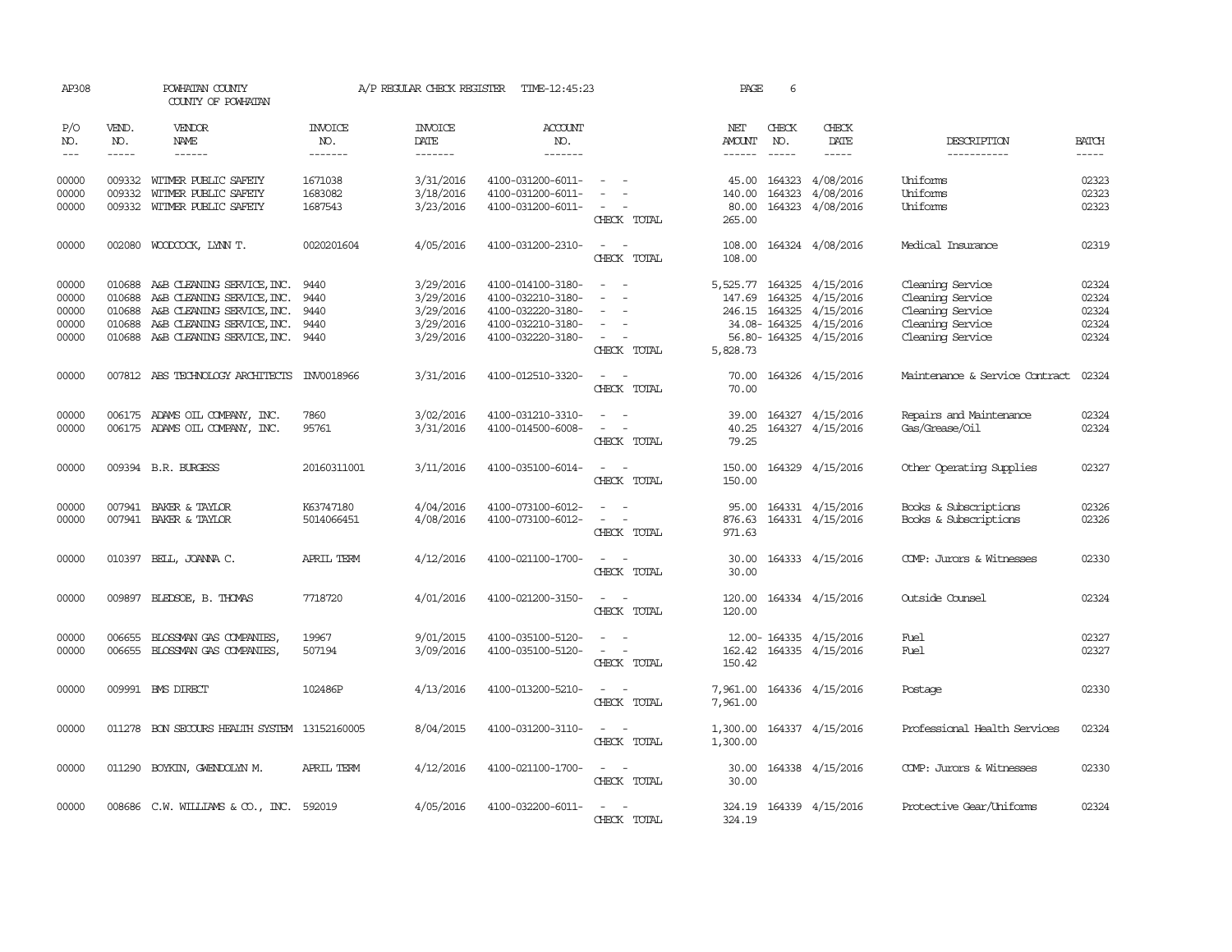| AP308                                     |                                      | POWHATAN COUNTY<br>COUNTY OF POWHATAN                                                                                                                          |                               | A/P REGULAR CHECK REGISTER                                    | TIME-12:45:23                                                                                         |                                                                                 | PAGE                           | 6                              |                                                                                                                                                                                                                                                                                                                                                                                                                                                                                                      |                                                                                                  |                                           |
|-------------------------------------------|--------------------------------------|----------------------------------------------------------------------------------------------------------------------------------------------------------------|-------------------------------|---------------------------------------------------------------|-------------------------------------------------------------------------------------------------------|---------------------------------------------------------------------------------|--------------------------------|--------------------------------|------------------------------------------------------------------------------------------------------------------------------------------------------------------------------------------------------------------------------------------------------------------------------------------------------------------------------------------------------------------------------------------------------------------------------------------------------------------------------------------------------|--------------------------------------------------------------------------------------------------|-------------------------------------------|
| P/O<br>NO.<br>$\frac{1}{2}$               | VEND.<br>NO.<br>$- - - - -$          | VENDOR<br>NAME                                                                                                                                                 | INVOICE<br>NO.<br>-------     | <b>INVOICE</b><br><b>DATE</b><br>-------                      | ACCOUNT<br>NO.<br>-------                                                                             |                                                                                 | NET<br>AMOUNT<br>$- - - - - -$ | CHECK<br>NO.<br>$- - - - -$    | CHECK<br>DATE<br>$\begin{tabular}{ccccc} \multicolumn{2}{c}{} & \multicolumn{2}{c}{} & \multicolumn{2}{c}{} & \multicolumn{2}{c}{} & \multicolumn{2}{c}{} & \multicolumn{2}{c}{} & \multicolumn{2}{c}{} & \multicolumn{2}{c}{} & \multicolumn{2}{c}{} & \multicolumn{2}{c}{} & \multicolumn{2}{c}{} & \multicolumn{2}{c}{} & \multicolumn{2}{c}{} & \multicolumn{2}{c}{} & \multicolumn{2}{c}{} & \multicolumn{2}{c}{} & \multicolumn{2}{c}{} & \multicolumn{2}{c}{} & \multicolumn{2}{c}{} & \mult$ | DESCRIPTION<br>-----------                                                                       | <b>BATCH</b><br>$- - - - -$               |
| 00000<br>00000<br>00000                   | 009332                               | 009332 WITMER PUBLIC SAFETY<br>WITMER PUBLIC SAFETY<br>009332 WITMER PUBLIC SAFETY                                                                             | 1671038<br>1683082<br>1687543 | 3/31/2016<br>3/18/2016<br>3/23/2016                           | 4100-031200-6011-<br>4100-031200-6011-<br>4100-031200-6011-                                           | $\sim$                                                                          | 45.00<br>140.00<br>80.00       | 164323                         | 164323 4/08/2016<br>4/08/2016<br>164323 4/08/2016                                                                                                                                                                                                                                                                                                                                                                                                                                                    | Uniforms<br>Uniforms<br>Uniforms                                                                 | 02323<br>02323<br>02323                   |
|                                           |                                      |                                                                                                                                                                |                               |                                                               |                                                                                                       | CHECK TOTAL                                                                     | 265.00                         |                                |                                                                                                                                                                                                                                                                                                                                                                                                                                                                                                      |                                                                                                  |                                           |
| 00000                                     |                                      | 002080 WOODCOCK, LYNN T.                                                                                                                                       | 0020201604                    | 4/05/2016                                                     | 4100-031200-2310-                                                                                     | $\sim$ $ \sim$<br>CHECK TOTAL                                                   | 108.00<br>108.00               |                                | 164324 4/08/2016                                                                                                                                                                                                                                                                                                                                                                                                                                                                                     | Medical Insurance                                                                                | 02319                                     |
| 00000<br>00000<br>00000<br>00000<br>00000 | 010688<br>010688<br>010688<br>010688 | A&B CLEANING SERVICE, INC.<br>A&B CLEANING SERVICE, INC.<br>A&B CLEANING SERVICE, INC.<br>A&B CLEANING SERVICE, INC.<br>010688 A&B CLEANING SERVICE, INC. 9440 | 9440<br>9440<br>9440<br>9440  | 3/29/2016<br>3/29/2016<br>3/29/2016<br>3/29/2016<br>3/29/2016 | 4100-014100-3180-<br>4100-032210-3180-<br>4100-032220-3180-<br>4100-032210-3180-<br>4100-032220-3180- | $\sim$<br>$\overline{a}$<br>$\hspace{0.1mm}-\hspace{0.1mm}$<br>$\sim$<br>$\sim$ |                                | 147.69 164325<br>246.15 164325 | 5,525.77 164325 4/15/2016<br>4/15/2016<br>4/15/2016<br>34.08-164325 4/15/2016<br>56.80-164325 4/15/2016                                                                                                                                                                                                                                                                                                                                                                                              | Cleaning Service<br>Cleaning Service<br>Cleaning Service<br>Cleaning Service<br>Cleaning Service | 02324<br>02324<br>02324<br>02324<br>02324 |
| 00000                                     |                                      | 007812 ABS TECHNOLOGY ARCHITECTS                                                                                                                               | INV0018966                    | 3/31/2016                                                     | 4100-012510-3320-                                                                                     | CHECK TOTAL<br>$\omega_{\rm{max}}$ and $\omega_{\rm{max}}$<br>CHECK TOTAL       | 5,828.73<br>70.00              |                                | 70.00 164326 4/15/2016                                                                                                                                                                                                                                                                                                                                                                                                                                                                               | Maintenance & Service Contract                                                                   | 02324                                     |
| 00000<br>00000                            |                                      | 006175 ADAMS OIL COMPANY, INC.<br>006175 ADAMS OIL COMPANY, INC.                                                                                               | 7860<br>95761                 | 3/02/2016<br>3/31/2016                                        | 4100-031210-3310-<br>4100-014500-6008-                                                                | $\sim$<br>$\sim$<br>$\overline{\phantom{0}}$<br>$\sim$<br>CHECK TOTAL           | 39.00<br>40.25<br>79.25        |                                | 164327 4/15/2016<br>164327 4/15/2016                                                                                                                                                                                                                                                                                                                                                                                                                                                                 | Repairs and Maintenance<br>Gas/Grease/Oil                                                        | 02324<br>02324                            |
| 00000                                     |                                      | 009394 B.R. BURGESS                                                                                                                                            | 20160311001                   | 3/11/2016                                                     | 4100-035100-6014-                                                                                     | $\overline{\phantom{a}}$<br>CHECK TOTAL                                         | 150.00<br>150.00               | 164329                         | 4/15/2016                                                                                                                                                                                                                                                                                                                                                                                                                                                                                            | Other Operating Supplies                                                                         | 02327                                     |
| 00000<br>00000                            | 007941                               | BAKER & TAYLOR<br>007941 BAKER & TAYLOR                                                                                                                        | K63747180<br>5014066451       | 4/04/2016<br>4/08/2016                                        | 4100-073100-6012-<br>4100-073100-6012-                                                                | $\overline{\phantom{a}}$<br>$\sim$<br>$\overline{\phantom{0}}$<br>CHECK TOTAL   | 95.00<br>876.63<br>971.63      |                                | 164331 4/15/2016<br>164331 4/15/2016                                                                                                                                                                                                                                                                                                                                                                                                                                                                 | Books & Subscriptions<br>Books & Subscriptions                                                   | 02326<br>02326                            |
| 00000                                     |                                      | 010397 BELL, JOANNA C.                                                                                                                                         | APRIL TERM                    | 4/12/2016                                                     | 4100-021100-1700-                                                                                     | - -<br>CHECK TOTAL                                                              | 30.00<br>30.00                 |                                | 164333 4/15/2016                                                                                                                                                                                                                                                                                                                                                                                                                                                                                     | COMP: Jurors & Witnesses                                                                         | 02330                                     |
| 00000                                     |                                      | 009897 BLEDSOE, B. THOMAS                                                                                                                                      | 7718720                       | 4/01/2016                                                     | 4100-021200-3150-                                                                                     | $\sim$<br>$\sim$<br>CHECK TOTAL                                                 | 120.00<br>120.00               |                                | 164334 4/15/2016                                                                                                                                                                                                                                                                                                                                                                                                                                                                                     | Outside Counsel                                                                                  | 02324                                     |
| 00000<br>00000                            | 006655                               | BLOSSMAN GAS COMPANIES,<br>006655 BLOSSMAN GAS COMPANIES,                                                                                                      | 19967<br>507194               | 9/01/2015<br>3/09/2016                                        | 4100-035100-5120-<br>4100-035100-5120-                                                                | $\sim$<br>$\sim$<br>$\sim 100$ km s $^{-1}$<br>CHECK TOTAL                      | 150.42                         |                                | 12.00-164335 4/15/2016<br>162.42 164335 4/15/2016                                                                                                                                                                                                                                                                                                                                                                                                                                                    | Fuel<br>Fuel                                                                                     | 02327<br>02327                            |
| 00000                                     |                                      | 009991 BMS DIRECT                                                                                                                                              | 102486P                       | 4/13/2016                                                     | 4100-013200-5210-                                                                                     | CHECK TOTAL                                                                     | 7,961.00                       |                                | 7,961.00 164336 4/15/2016                                                                                                                                                                                                                                                                                                                                                                                                                                                                            | Postage                                                                                          | 02330                                     |
| 00000                                     |                                      | 011278 BON SECOURS HEALTH SYSTEM 13152160005                                                                                                                   |                               | 8/04/2015                                                     | 4100-031200-3110-                                                                                     | $\sim$<br>CHECK TOTAL                                                           | 1,300.00<br>1,300.00           |                                | 164337 4/15/2016                                                                                                                                                                                                                                                                                                                                                                                                                                                                                     | Professional Health Services                                                                     | 02324                                     |
| 00000                                     |                                      | 011290 BOYKIN, GWENDOLYN M.                                                                                                                                    | APRIL TERM                    | 4/12/2016                                                     | 4100-021100-1700-                                                                                     | $\overline{\phantom{0}}$<br>$\sim$<br>CHECK TOTAL                               | 30.00<br>30.00                 |                                | 164338 4/15/2016                                                                                                                                                                                                                                                                                                                                                                                                                                                                                     | COMP: Jurors & Witnesses                                                                         | 02330                                     |
| 00000                                     |                                      | 008686 C.W. WILLIAMS & CO., INC. 592019                                                                                                                        |                               | 4/05/2016                                                     | 4100-032200-6011-                                                                                     | $\overline{a}$<br>$\sim$<br>CHECK TOTAL                                         | 324.19<br>324.19               |                                | 164339 4/15/2016                                                                                                                                                                                                                                                                                                                                                                                                                                                                                     | Protective Gear/Uniforms                                                                         | 02324                                     |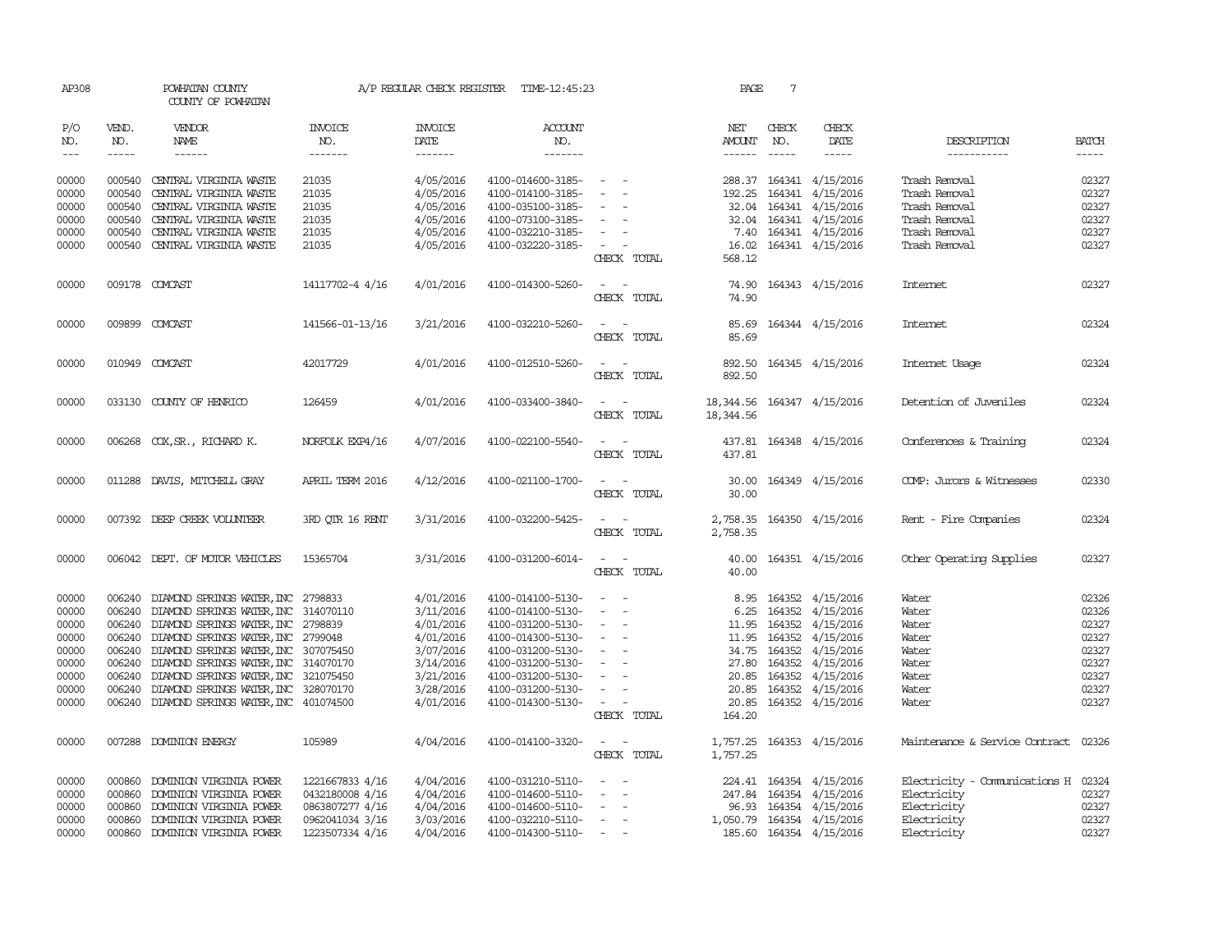| AP308               |                             | POWHATAN COUNTY<br>COUNTY OF POWHATAN       |                                  | A/P REGULAR CHECK REGISTER                | TIME-12:45:23                    |                                                       | PAGE                                      | 7                             |                           |                                      |                               |
|---------------------|-----------------------------|---------------------------------------------|----------------------------------|-------------------------------------------|----------------------------------|-------------------------------------------------------|-------------------------------------------|-------------------------------|---------------------------|--------------------------------------|-------------------------------|
| P/O<br>NO.<br>$---$ | VEND.<br>NO.<br>$- - - - -$ | VENDOR<br>NAME<br>$- - - - - -$             | <b>INVOICE</b><br>NO.<br>------- | <b>INVOICE</b><br>DATE<br>$- - - - - - -$ | <b>ACCOUNT</b><br>NO.<br>------- |                                                       | NET<br>AMOUNT                             | CHECK<br>NO.<br>$\frac{1}{2}$ | CHECK<br>DATE<br>-----    | DESCRIPTION<br>-----------           | <b>BATCH</b><br>$\frac{1}{2}$ |
|                     |                             |                                             |                                  |                                           |                                  |                                                       |                                           |                               |                           |                                      |                               |
| 00000               |                             | 000540 CENTRAL VIRGINIA WASTE               | 21035                            | 4/05/2016                                 | 4100-014600-3185-                | $\sim$                                                |                                           |                               | 288.37 164341 4/15/2016   | Trash Removal                        | 02327                         |
| 00000               | 000540                      | CENTRAL VIRGINIA WASTE                      | 21035                            | 4/05/2016                                 | 4100-014100-3185-                | $\sim$                                                | 192.25                                    |                               | 164341 4/15/2016          | Trash Removal                        | 02327                         |
| 00000               | 000540                      | CENTRAL VIRGINIA WASTE                      | 21035                            | 4/05/2016                                 | 4100-035100-3185-                |                                                       |                                           |                               | 32.04 164341 4/15/2016    | Trash Removal                        | 02327                         |
| 00000               |                             | 000540 CENTRAL VIRGINIA WASTE               | 21035                            | 4/05/2016                                 | 4100-073100-3185-                | $\overline{\phantom{a}}$                              |                                           |                               | 32.04 164341 4/15/2016    | Trash Removal                        | 02327                         |
| 00000               |                             | 000540 CENTRAL VIRGINIA WASTE               | 21035                            | 4/05/2016                                 | 4100-032210-3185-                | $\overline{\phantom{a}}$                              |                                           |                               | 7.40 164341 4/15/2016     | Trash Removal                        | 02327                         |
| 00000               |                             | 000540 CENTRAL VIRGINIA WASTE               | 21035                            | 4/05/2016                                 | 4100-032220-3185-                | $\sim$ $\sim$<br>CHECK TOTAL                          | 568.12                                    |                               | 16.02 164341 4/15/2016    | Trash Removal                        | 02327                         |
| 00000               |                             | 009178 COMCAST                              | 14117702-4 4/16                  | 4/01/2016                                 | 4100-014300-5260-                | CHECK TOTAL                                           | 74.90<br>74.90                            |                               | 164343 4/15/2016          | Internet                             | 02327                         |
|                     |                             |                                             |                                  |                                           |                                  |                                                       |                                           |                               |                           |                                      |                               |
| 00000               |                             | 009899 COMCAST                              | 141566-01-13/16                  | 3/21/2016                                 | 4100-032210-5260-                | $\sim$<br>CHECK TOTAL                                 | 85.69<br>85.69                            |                               | 164344 4/15/2016          | Internet                             | 02324                         |
| 00000               |                             | 010949 COMCAST                              | 42017729                         | 4/01/2016                                 | 4100-012510-5260-                | $\sim$                                                | 892.50                                    |                               | 164345 4/15/2016          | Internet Usage                       | 02324                         |
|                     |                             |                                             |                                  |                                           |                                  | CHECK TOTAL                                           | 892.50                                    |                               |                           |                                      |                               |
| 00000               |                             | 033130 COUNTY OF HENRICO                    | 126459                           | 4/01/2016                                 | 4100-033400-3840-                | $\sim$ $ \sim$<br>CHECK TOTAL                         | 18, 344.56 164347 4/15/2016<br>18, 344.56 |                               |                           | Detention of Juveniles               | 02324                         |
| 00000               |                             | 006268 COX, SR., RICHARD K.                 | NORFOLK EXP4/16                  | 4/07/2016                                 | 4100-022100-5540-                | $\sim$ $-$<br>$\overline{\phantom{0}}$<br>CHECK TOTAL | 437.81                                    |                               | 437.81 164348 4/15/2016   | Conferences & Training               | 02324                         |
| 00000               |                             | 011288 DAVIS, MITCHELL GRAY                 | APRIL TERM 2016                  | 4/12/2016                                 | 4100-021100-1700-                | $\sim$ $ \sim$<br>CHECK TOTAL                         | 30.00                                     |                               | 30.00 164349 4/15/2016    | COMP: Jurors & Witnesses             | 02330                         |
| 00000               |                             | 007392 DEEP CREEK VOLUNTEER                 | 3RD OTR 16 RENT                  | 3/31/2016                                 | 4100-032200-5425-                | $\sim$ $ \sim$<br>CHECK TOTAL                         | 2,758.35                                  |                               | 2,758.35 164350 4/15/2016 | Rent - Fire Companies                | 02324                         |
| 00000               |                             | 006042 DEPT. OF MOTOR VEHICLES              | 15365704                         | 3/31/2016                                 | 4100-031200-6014-                | $\sim$<br>CHECK TOTAL                                 | 40.00                                     |                               | 40.00 164351 4/15/2016    | Other Operating Supplies             | 02327                         |
| 00000               |                             | 006240 DIAMOND SPRINGS WATER, INC 2798833   |                                  | 4/01/2016                                 | 4100-014100-5130-                | $\overline{\phantom{a}}$                              |                                           | 8.95 164352                   | 4/15/2016                 | Water                                | 02326                         |
| 00000               |                             | 006240 DIAMOND SPRINGS WATER, INC 314070110 |                                  | 3/11/2016                                 | 4100-014100-5130-                | $\sim$                                                |                                           | 6.25 164352                   | 4/15/2016                 | Water                                | 02326                         |
| 00000               |                             | 006240 DIAMOND SPRINGS WATER, INC 2798839   |                                  | 4/01/2016                                 | 4100-031200-5130-                | $\overline{\phantom{a}}$                              |                                           |                               | 11.95 164352 4/15/2016    | Water                                | 02327                         |
| 00000               |                             | 006240 DIAMOND SPRINGS WATER, INC 2799048   |                                  | 4/01/2016                                 | 4100-014300-5130-                | $\sim$                                                |                                           | 11.95 164352                  | 4/15/2016                 | Water                                | 02327                         |
| 00000               |                             | 006240 DIAMOND SPRINGS WATER, INC 307075450 |                                  | 3/07/2016                                 | 4100-031200-5130-                | $\sim$                                                |                                           | 34.75 164352                  | 4/15/2016                 | Water                                | 02327                         |
| 00000               |                             | 006240 DIAMOND SPRINGS WATER, INC 314070170 |                                  | 3/14/2016                                 | 4100-031200-5130-                | $\sim$                                                |                                           | 27.80 164352                  | 4/15/2016                 | Water                                | 02327                         |
| 00000               |                             | 006240 DIAMOND SPRINGS WATER, INC 321075450 |                                  | 3/21/2016                                 | 4100-031200-5130-                | $\sim$                                                |                                           | 20.85 164352                  | 4/15/2016                 | Water                                | 02327                         |
| 00000               |                             | 006240 DIAMOND SPRINGS WATER, INC 328070170 |                                  | 3/28/2016                                 | 4100-031200-5130-                | $\sim$                                                |                                           | 20.85 164352                  | 4/15/2016                 | Water                                | 02327                         |
| 00000               |                             | 006240 DIAMOND SPRINGS WATER, INC 401074500 |                                  | 4/01/2016                                 | 4100-014300-5130-                | $\sim$ $\sim$<br>CHECK TOTAL                          | 164.20                                    |                               | 20.85 164352 4/15/2016    | Water                                | 02327                         |
| 00000               |                             | 007288 DOMINION ENERGY                      | 105989                           | 4/04/2016                                 | 4100-014100-3320-                | $\sim$ $  -$                                          |                                           |                               | 1,757.25 164353 4/15/2016 | Maintenance & Service Contract 02326 |                               |
|                     |                             |                                             |                                  |                                           |                                  | CHECK TOTAL                                           | 1,757.25                                  |                               |                           |                                      |                               |
| 00000               | 000860                      | DOMINION VIRGINIA POWER                     | 1221667833 4/16                  | 4/04/2016                                 | 4100-031210-5110-                |                                                       |                                           |                               | 224.41 164354 4/15/2016   | Electricity - Communications H 02324 |                               |
| 00000               | 000860                      | DOMINION VIRGINIA POWER                     | 0432180008 4/16                  | 4/04/2016                                 | 4100-014600-5110-                | $\overline{\phantom{a}}$                              |                                           |                               | 247.84 164354 4/15/2016   | Electricity                          | 02327                         |
| 00000               |                             | 000860 DOMINION VIRGINIA POWER              | 0863807277 4/16                  | 4/04/2016                                 | 4100-014600-5110-                | $\sim$                                                |                                           |                               | 96.93 164354 4/15/2016    | Electricity                          | 02327                         |
| 00000               |                             | 000860 DOMINION VIRGINIA POWER              | 0962041034 3/16                  | 3/03/2016                                 | 4100-032210-5110-                | $\sim$                                                |                                           |                               | 1,050.79 164354 4/15/2016 | Electricity                          | 02327                         |
| 00000               |                             | 000860 DOMINION VIRGINIA POWER              | 1223507334 4/16                  | 4/04/2016                                 | 4100-014300-5110-                | $\sim$<br>$\sim$                                      |                                           |                               | 185.60 164354 4/15/2016   | Electricity                          | 02327                         |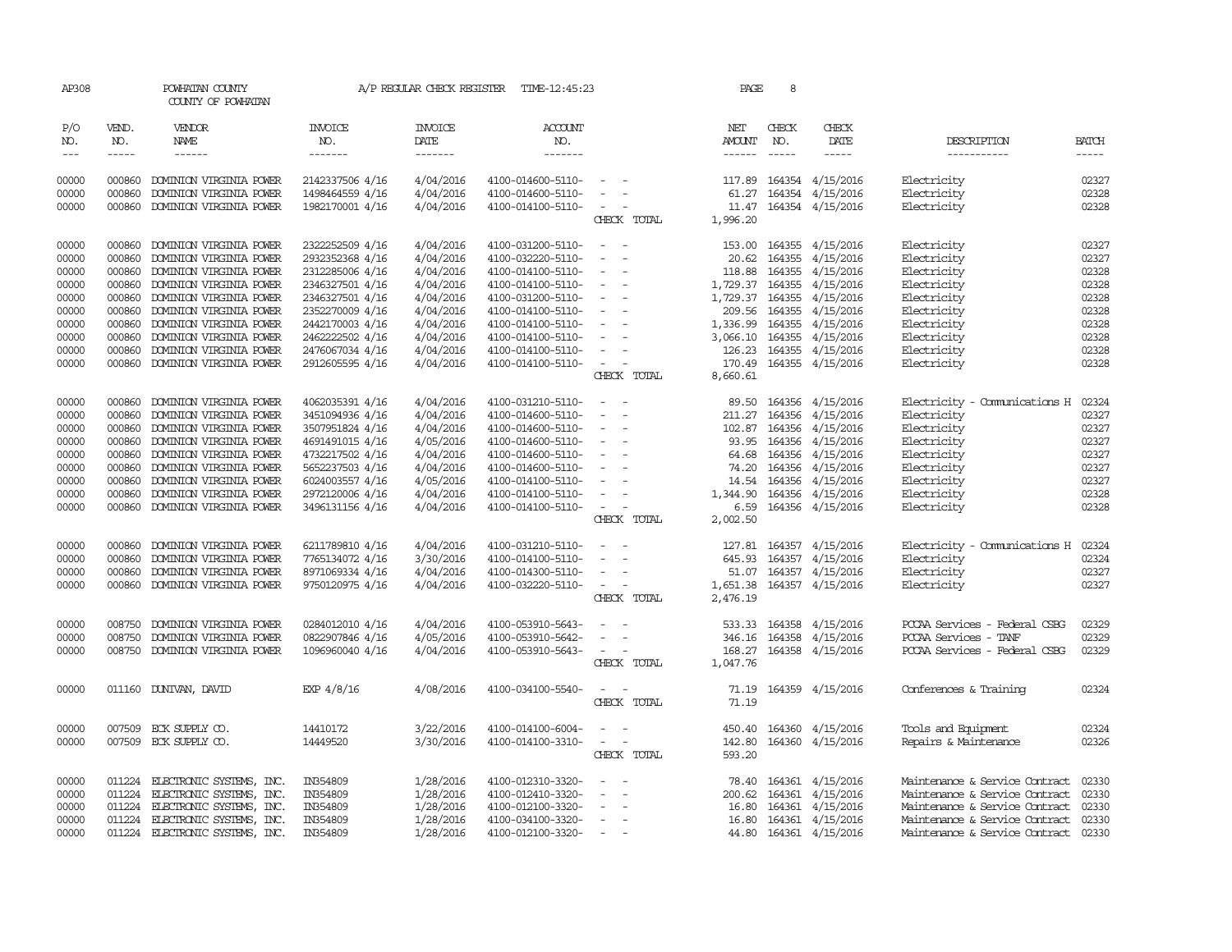| AP308                                                                         |                                                                              | POWHATAN COUNTY<br>COUNTY OF POWHATAN                                                                                                                                                                                                                  |                                                                                                                                                                         |                                                                                                                   | A/P REGULAR CHECK REGISTER TIME-12:45:23                                                                                                                                                  |                                                                                                                                                                           | PAGE                                  | 8            |                                                                                                                                                                                                                        |                                                                                                                                                                              |                                                                               |
|-------------------------------------------------------------------------------|------------------------------------------------------------------------------|--------------------------------------------------------------------------------------------------------------------------------------------------------------------------------------------------------------------------------------------------------|-------------------------------------------------------------------------------------------------------------------------------------------------------------------------|-------------------------------------------------------------------------------------------------------------------|-------------------------------------------------------------------------------------------------------------------------------------------------------------------------------------------|---------------------------------------------------------------------------------------------------------------------------------------------------------------------------|---------------------------------------|--------------|------------------------------------------------------------------------------------------------------------------------------------------------------------------------------------------------------------------------|------------------------------------------------------------------------------------------------------------------------------------------------------------------------------|-------------------------------------------------------------------------------|
| P/O<br>NO.<br>$\sim$ $\sim$ $\sim$                                            | VEND.<br>NO.                                                                 | VENDOR<br>NAME<br>$- - - - - -$                                                                                                                                                                                                                        | INVOICE<br>NO.<br>-------                                                                                                                                               | <b>INVOICE</b><br>DATE<br>$- - - - - - -$                                                                         | <b>ACCOUNT</b><br>NO.<br>$- - - - - - -$                                                                                                                                                  |                                                                                                                                                                           | NET<br>AMOUNT                         | CHECK<br>NO. | CHECK<br>DATE<br>$- - - - -$                                                                                                                                                                                           | DESCRIPTION<br>-----------                                                                                                                                                   | <b>BATCH</b><br>-----                                                         |
| 00000<br>00000<br>00000                                                       | 000860<br>000860                                                             | DOMINION VIRGINIA POWER<br>DOMINION VIRGINIA POWER<br>000860 DOMINION VIRGINIA POWER                                                                                                                                                                   | 2142337506 4/16<br>1498464559 4/16<br>1982170001 4/16                                                                                                                   | 4/04/2016<br>4/04/2016<br>4/04/2016                                                                               | 4100-014600-5110-<br>4100-014600-5110-<br>4100-014100-5110-                                                                                                                               | $\sim$<br>$\sim$<br>$\sim$                                                                                                                                                | 61.27                                 |              | 117.89 164354 4/15/2016<br>164354 4/15/2016<br>11.47 164354 4/15/2016                                                                                                                                                  | Electricity<br>Electricity<br>Electricity                                                                                                                                    | 02327<br>02328<br>02328                                                       |
|                                                                               |                                                                              |                                                                                                                                                                                                                                                        |                                                                                                                                                                         |                                                                                                                   |                                                                                                                                                                                           | CHECK TOTAL                                                                                                                                                               | 1,996.20                              |              |                                                                                                                                                                                                                        |                                                                                                                                                                              |                                                                               |
| 00000<br>00000<br>00000<br>00000<br>00000                                     | 000860<br>000860<br>000860<br>000860<br>000860                               | DOMINION VIRGINIA POWER<br>DOMINION VIRGINIA POWER<br>DOMINION VIRGINIA POWER<br>DOMINION VIRGINIA POWER<br>DOMINION VIRGINIA POWER                                                                                                                    | 2322252509 4/16<br>2932352368 4/16<br>2312285006 4/16<br>2346327501 4/16<br>2346327501 4/16                                                                             | 4/04/2016<br>4/04/2016<br>4/04/2016<br>4/04/2016<br>4/04/2016                                                     | 4100-031200-5110-<br>4100-032220-5110-<br>4100-014100-5110-<br>4100-014100-5110-<br>4100-031200-5110-                                                                                     | $\sim$<br>$\sim$<br>$\sim$<br>$\sim$<br>$\sim$ $-$<br>$\overline{\phantom{a}}$                                                                                            | 20.62                                 |              | 153.00 164355 4/15/2016<br>164355 4/15/2016<br>118.88 164355 4/15/2016<br>1,729.37 164355 4/15/2016<br>1,729.37 164355 4/15/2016                                                                                       | Electricity<br>Electricity<br>Electricity<br>Electricity<br>Electricity                                                                                                      | 02327<br>02327<br>02328<br>02328<br>02328                                     |
| 00000<br>00000<br>00000<br>00000<br>00000                                     | 000860<br>000860<br>000860<br>000860                                         | DOMINION VIRGINIA POWER<br>DOMINION VIRGINIA POWER<br>DOMINION VIRGINIA POWER<br>DOMINION VIRGINIA POWER<br>000860 DOMINION VIRGINIA POWER                                                                                                             | 2352270009 4/16<br>2442170003 4/16<br>2462222502 4/16<br>2476067034 4/16<br>2912605595 4/16                                                                             | 4/04/2016<br>4/04/2016<br>4/04/2016<br>4/04/2016<br>4/04/2016                                                     | 4100-014100-5110-<br>4100-014100-5110-<br>4100-014100-5110-<br>4100-014100-5110-<br>4100-014100-5110-                                                                                     | $\sim$ $-$<br>$\sim$ $-$<br>$\sim$ $-$<br>$\overline{\phantom{a}}$<br>$\sim$<br>$\sim$ $ -$                                                                               | 1,336.99<br>170.49                    |              | 209.56 164355 4/15/2016<br>164355 4/15/2016<br>3,066.10 164355 4/15/2016<br>126.23 164355 4/15/2016<br>164355 4/15/2016                                                                                                | Electricity<br>Electricity<br>Electricity<br>Electricity<br>Electricity                                                                                                      | 02328<br>02328<br>02328<br>02328<br>02328                                     |
|                                                                               |                                                                              |                                                                                                                                                                                                                                                        |                                                                                                                                                                         |                                                                                                                   |                                                                                                                                                                                           | CHECK TOTAL                                                                                                                                                               | 8,660.61                              |              |                                                                                                                                                                                                                        |                                                                                                                                                                              |                                                                               |
| 00000<br>00000<br>00000<br>00000<br>00000<br>00000<br>00000<br>00000<br>00000 | 000860<br>000860<br>000860<br>000860<br>000860<br>000860<br>000860<br>000860 | DOMINION VIRGINIA POWER<br>DOMINION VIRGINIA POWER<br>DOMINION VIRGINIA POWER<br>DOMINION VIRGINIA POWER<br>DOMINION VIRGINIA POWER<br>DOMINION VIRGINIA POWER<br>DOMINION VIRGINIA POWER<br>DOMINION VIRGINIA POWER<br>000860 DOMINION VIRGINIA POWER | 4062035391 4/16<br>3451094936 4/16<br>3507951824 4/16<br>4691491015 4/16<br>4732217502 4/16<br>5652237503 4/16<br>6024003557 4/16<br>2972120006 4/16<br>3496131156 4/16 | 4/04/2016<br>4/04/2016<br>4/04/2016<br>4/05/2016<br>4/04/2016<br>4/04/2016<br>4/05/2016<br>4/04/2016<br>4/04/2016 | 4100-031210-5110-<br>4100-014600-5110-<br>4100-014600-5110-<br>4100-014600-5110-<br>4100-014600-5110-<br>4100-014600-5110-<br>4100-014100-5110-<br>4100-014100-5110-<br>4100-014100-5110- | $\overline{\phantom{a}}$<br>$\overline{\phantom{a}}$<br>$\sim$ $-$<br>$\sim$ $-$<br>$\sim$ $ \sim$<br>$\sim$ $-$<br>$\sim$ $-$<br>$\sim$<br>$\sim$ $ \sim$<br>CHECK TOTAL | 74.20<br>1,344.90<br>6.59<br>2,002.50 |              | 89.50 164356 4/15/2016<br>211.27 164356 4/15/2016<br>102.87 164356 4/15/2016<br>93.95 164356 4/15/2016<br>64.68 164356 4/15/2016<br>164356 4/15/2016<br>14.54 164356 4/15/2016<br>164356 4/15/2016<br>164356 4/15/2016 | Electricity - Comunications H<br>Electricity<br>Electricity<br>Electricity<br>Electricity<br>Electricity<br>Electricity<br>Electricity<br>Electricity                        | 02324<br>02327<br>02327<br>02327<br>02327<br>02327<br>02327<br>02328<br>02328 |
| 00000<br>00000<br>00000<br>00000                                              | 000860<br>000860<br>000860<br>000860                                         | DOMINION VIRGINIA POWER<br>DOMINION VIRGINIA POWER<br>DOMINION VIRGINIA POWER<br>DOMINION VIRGINIA POWER                                                                                                                                               | 6211789810 4/16<br>7765134072 4/16<br>8971069334 4/16<br>9750120975 4/16                                                                                                | 4/04/2016<br>3/30/2016<br>4/04/2016<br>4/04/2016                                                                  | 4100-031210-5110-<br>4100-014100-5110-<br>4100-014300-5110-<br>4100-032220-5110-                                                                                                          | $\sim$<br>$\sim$ $ \sim$<br>CHECK TOTAL                                                                                                                                   | 645.93<br>1,651.38<br>2,476.19        |              | 127.81 164357 4/15/2016<br>164357 4/15/2016<br>51.07 164357 4/15/2016<br>164357 4/15/2016                                                                                                                              | Electricity - Communications H 02324<br>Electricity<br>Electricity<br>Electricity                                                                                            | 02324<br>02327<br>02327                                                       |
| 00000<br>00000<br>00000                                                       | 008750<br>008750                                                             | DOMINION VIRGINIA POWER<br>DOMINION VIRGINIA POWER<br>008750 DOMINION VIRGINIA POWER                                                                                                                                                                   | 0284012010 4/16<br>0822907846 4/16<br>1096960040 4/16                                                                                                                   | 4/04/2016<br>4/05/2016<br>4/04/2016                                                                               | 4100-053910-5643-<br>4100-053910-5642-<br>4100-053910-5643-                                                                                                                               | $\overline{\phantom{a}}$<br>$\sim$ 100 $\sim$<br>CHECK TOTAL                                                                                                              | 346.16<br>1,047.76                    |              | 533.33 164358 4/15/2016<br>164358 4/15/2016<br>168.27 164358 4/15/2016                                                                                                                                                 | PCCAA Services - Federal CSBG<br>PCCAA Services - TANF<br>PCCAA Services - Federal CSBG                                                                                      | 02329<br>02329<br>02329                                                       |
| 00000                                                                         |                                                                              | 011160 DUNIVAN, DAVID                                                                                                                                                                                                                                  | EXP $4/8/16$                                                                                                                                                            | 4/08/2016                                                                                                         | 4100-034100-5540-                                                                                                                                                                         | $\frac{1}{2} \left( \frac{1}{2} \right) \left( \frac{1}{2} \right) = \frac{1}{2} \left( \frac{1}{2} \right)$<br>CHECK TOTAL                                               | 71.19                                 |              | 71.19 164359 4/15/2016                                                                                                                                                                                                 | Conferences & Training                                                                                                                                                       | 02324                                                                         |
| 00000<br>00000                                                                | 007509                                                                       | ECK SUPPLY CO.<br>007509 ECK SUPPLY CO.                                                                                                                                                                                                                | 14410172<br>14449520                                                                                                                                                    | 3/22/2016<br>3/30/2016                                                                                            | 4100-014100-6004-<br>4100-014100-3310-                                                                                                                                                    | $\overline{\phantom{a}}$<br>$\omega_{\rm{max}}$ and $\omega_{\rm{max}}$<br>CHECK TOTAL                                                                                    | 593.20                                |              | 450.40 164360 4/15/2016<br>142.80 164360 4/15/2016                                                                                                                                                                     | Tools and Equipment<br>Repairs & Maintenance                                                                                                                                 | 02324<br>02326                                                                |
| 00000<br>00000<br>00000<br>00000<br>00000                                     | 011224<br>011224<br>011224                                                   | ELECTRONIC SYSTEMS, INC.<br>ELECTRONIC SYSTEMS, INC.<br>ELECTRONIC SYSTEMS, INC.<br>011224 ELECTRONIC SYSTEMS, INC.<br>011224 ELECTRONIC SYSTEMS, INC.                                                                                                 | IN354809<br>IN354809<br>IN354809<br>IN354809<br>IN354809                                                                                                                | 1/28/2016<br>1/28/2016<br>1/28/2016<br>1/28/2016<br>1/28/2016                                                     | 4100-012310-3320-<br>4100-012410-3320-<br>4100-012100-3320-<br>4100-034100-3320-<br>4100-012100-3320-                                                                                     | $\overline{\phantom{a}}$<br>$\overline{\phantom{a}}$<br>$\overline{\phantom{a}}$<br>$\sim$                                                                                | 200.62                                | 164361       | 78.40 164361 4/15/2016<br>4/15/2016<br>16.80 164361 4/15/2016<br>16.80 164361 4/15/2016<br>44.80 164361 4/15/2016                                                                                                      | Maintenance & Service Contract<br>Maintenance & Service Contract<br>Maintenance & Service Contract<br>Maintenance & Service Contract<br>Maintenance & Service Contract 02330 | 02330<br>02330<br>02330<br>02330                                              |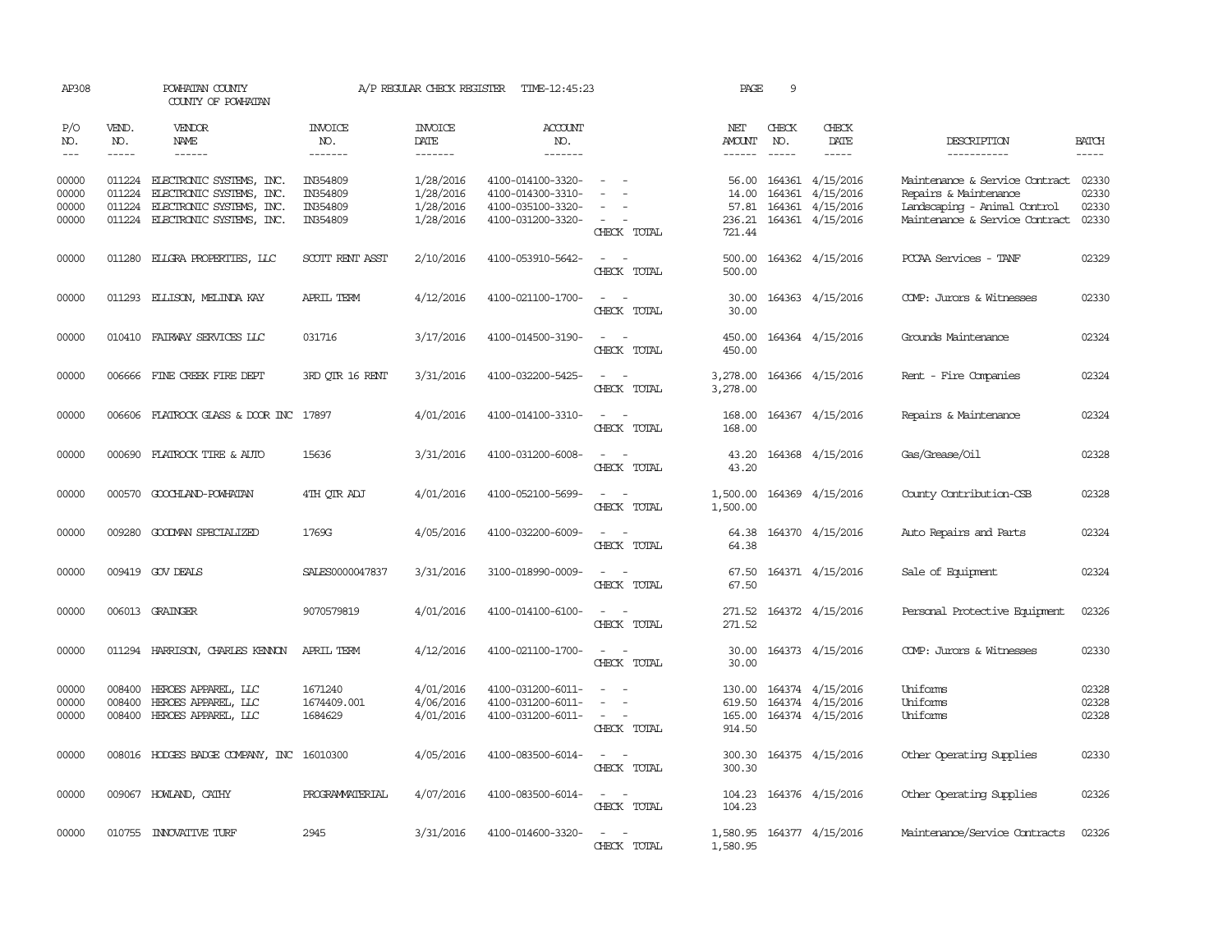| AP308                            |                             | POWHATAN COUNTY<br>COUNTY OF POWHATAN                                                                               |                                              | A/P REGULAR CHECK REGISTER                       | TIME-12:45:23                                                                    |                                                                                                                                       | PAGE                               | 9                           |                                                                             |                                                                                                                                 |                         |
|----------------------------------|-----------------------------|---------------------------------------------------------------------------------------------------------------------|----------------------------------------------|--------------------------------------------------|----------------------------------------------------------------------------------|---------------------------------------------------------------------------------------------------------------------------------------|------------------------------------|-----------------------------|-----------------------------------------------------------------------------|---------------------------------------------------------------------------------------------------------------------------------|-------------------------|
| P/O<br>NO.<br>$---$              | VEND.<br>NO.<br>$- - - - -$ | VENDOR<br>NAME<br>$- - - - - -$                                                                                     | INVOICE<br>NO.<br>-------                    | <b>INVOICE</b><br>DATE<br>-------                | <b>ACCOUNT</b><br>NO.<br>$- - - - - - -$                                         |                                                                                                                                       | NET<br>AMOUNT<br>$- - - - - -$     | CHECK<br>NO.<br>$- - - - -$ | CHECK<br>DATE<br>$- - - - -$                                                | DESCRIPTION<br>-----------                                                                                                      | <b>BATCH</b><br>-----   |
| 00000<br>00000<br>00000<br>00000 | 011224<br>011224<br>011224  | ELECTRONIC SYSTEMS, INC.<br>ELECTRONIC SYSTEMS, INC.<br>ELECTRONIC SYSTEMS, INC.<br>011224 ELECTRONIC SYSTEMS, INC. | IN354809<br>IN354809<br>IN354809<br>IN354809 | 1/28/2016<br>1/28/2016<br>1/28/2016<br>1/28/2016 | 4100-014100-3320-<br>4100-014300-3310-<br>4100-035100-3320-<br>4100-031200-3320- | $\equiv$<br>CHECK TOTAL                                                                                                               | 56.00<br>14.00<br>236.21<br>721.44 | 164361                      | 164361 4/15/2016<br>4/15/2016<br>57.81 164361 4/15/2016<br>164361 4/15/2016 | Maintenance & Service Contract<br>Repairs & Maintenance<br>Landscaping - Animal Control<br>Maintenance & Service Contract 02330 | 02330<br>02330<br>02330 |
| 00000                            |                             | 011280 ELIGRA PROPERTIES, LLC                                                                                       | SCOTT RENT ASST                              | 2/10/2016                                        | 4100-053910-5642-                                                                | CHECK TOTAL                                                                                                                           | 500.00<br>500.00                   |                             | 164362 4/15/2016                                                            | PCCAA Services - TANF                                                                                                           | 02329                   |
| 00000                            |                             | 011293 ELLISON, MELINDA KAY                                                                                         | APRIL TERM                                   | 4/12/2016                                        | 4100-021100-1700-                                                                | $\sim$<br>CHECK TOTAL                                                                                                                 | 30.00<br>30.00                     |                             | 164363 4/15/2016                                                            | COMP: Jurors & Witnesses                                                                                                        | 02330                   |
| 00000                            |                             | 010410 FAIRWAY SERVICES LLC                                                                                         | 031716                                       | 3/17/2016                                        | 4100-014500-3190-                                                                | $\sim$ $\sim$<br>CHECK TOTAL                                                                                                          | 450.00<br>450.00                   |                             | 164364 4/15/2016                                                            | Grounds Maintenance                                                                                                             | 02324                   |
| 00000                            |                             | 006666 FINE CREEK FIRE DEPT                                                                                         | 3RD OTR 16 RENT                              | 3/31/2016                                        | 4100-032200-5425-                                                                | CHECK TOTAL                                                                                                                           | 3,278.00<br>3,278.00               |                             | 164366 4/15/2016                                                            | Rent - Fire Companies                                                                                                           | 02324                   |
| 00000                            |                             | 006606 FLATROCK GLASS & DOOR INC 17897                                                                              |                                              | 4/01/2016                                        | 4100-014100-3310-                                                                | $ -$<br>CHECK TOTAL                                                                                                                   | 168.00                             |                             | 168.00 164367 4/15/2016                                                     | Repairs & Maintenance                                                                                                           | 02324                   |
| 00000                            | 000690                      | FLATROCK TIRE & AUTO                                                                                                | 15636                                        | 3/31/2016                                        | 4100-031200-6008-                                                                | CHECK TOTAL                                                                                                                           | 43.20<br>43.20                     |                             | 164368 4/15/2016                                                            | Gas/Grease/Oil                                                                                                                  | 02328                   |
| 00000                            |                             | 000570 GOOCHLAND-POWHATAN                                                                                           | 4TH OTR ADJ                                  | 4/01/2016                                        | 4100-052100-5699-                                                                | $\sim$ 10 $\sim$<br>CHECK TOTAL                                                                                                       | 1,500.00<br>1,500.00               |                             | 164369 4/15/2016                                                            | County Contribution-CSB                                                                                                         | 02328                   |
| 00000                            |                             | 009280 GOODMAN SPECIALIZED                                                                                          | 1769G                                        | 4/05/2016                                        | 4100-032200-6009-                                                                | $\equiv$<br>$\sim$<br>CHECK TOTAL                                                                                                     | 64.38<br>64.38                     |                             | 164370 4/15/2016                                                            | Auto Repairs and Parts                                                                                                          | 02324                   |
| 00000                            |                             | 009419 GOV DEALS                                                                                                    | SALES0000047837                              | 3/31/2016                                        | 3100-018990-0009-                                                                | $\sim$<br>CHECK TOTAL                                                                                                                 | 67.50<br>67.50                     |                             | 164371 4/15/2016                                                            | Sale of Equipment                                                                                                               | 02324                   |
| 00000                            |                             | 006013 GRAINGER                                                                                                     | 9070579819                                   | 4/01/2016                                        | 4100-014100-6100-                                                                | CHECK TOTAL                                                                                                                           | 271.52<br>271.52                   |                             | 164372 4/15/2016                                                            | Personal Protective Equipment                                                                                                   | 02326                   |
| 00000                            |                             | 011294 HARRISON, CHARLES KENNON                                                                                     | APRIL TERM                                   | 4/12/2016                                        | 4100-021100-1700-                                                                | $\sim$<br>CHECK TOTAL                                                                                                                 | 30.00<br>30.00                     |                             | 164373 4/15/2016                                                            | COMP: Jurors & Witnesses                                                                                                        | 02330                   |
| 00000<br>00000<br>00000          | 008400<br>008400            | HEROES APPAREL, LLC<br>HEROES APPAREL, LLC<br>008400 HEROES APPAREL, LLC                                            | 1671240<br>1674409.001<br>1684629            | 4/01/2016<br>4/06/2016<br>4/01/2016              | 4100-031200-6011-<br>4100-031200-6011-<br>4100-031200-6011-                      | $\sim$<br>$\frac{1}{2} \left( \frac{1}{2} \right) \left( \frac{1}{2} \right) = \frac{1}{2} \left( \frac{1}{2} \right)$<br>CHECK TOTAL | 619.50<br>914.50                   |                             | 130.00 164374 4/15/2016<br>164374 4/15/2016<br>165.00 164374 4/15/2016      | <b>Iniforms</b><br>Uniforms<br>Uniforms                                                                                         | 02328<br>02328<br>02328 |
| 00000                            |                             | 008016 HODGES BADGE COMPANY, INC 16010300                                                                           |                                              | 4/05/2016                                        | 4100-083500-6014-                                                                | $\sim$<br>$\overline{\phantom{a}}$<br>CHECK TOTAL                                                                                     | 300.30<br>300.30                   |                             | 164375 4/15/2016                                                            | Other Operating Supplies                                                                                                        | 02330                   |
| 00000                            |                             | 009067 HOWLAND, CATHY                                                                                               | PROGRAMMATERIAL                              | 4/07/2016                                        | 4100-083500-6014-                                                                | $ -$<br>CHECK TOTAL                                                                                                                   | 104.23                             |                             | 104.23 164376 4/15/2016                                                     | Other Operating Supplies                                                                                                        | 02326                   |
| 00000                            |                             | 010755 INNOVATIVE TURF                                                                                              | 2945                                         | 3/31/2016                                        | 4100-014600-3320-                                                                | $\frac{1}{2} \left( \frac{1}{2} \right) \left( \frac{1}{2} \right) = \frac{1}{2} \left( \frac{1}{2} \right)$<br>CHECK TOTAL           | 1,580.95                           |                             | 1,580.95 164377 4/15/2016                                                   | Maintenance/Service Contracts                                                                                                   | 02326                   |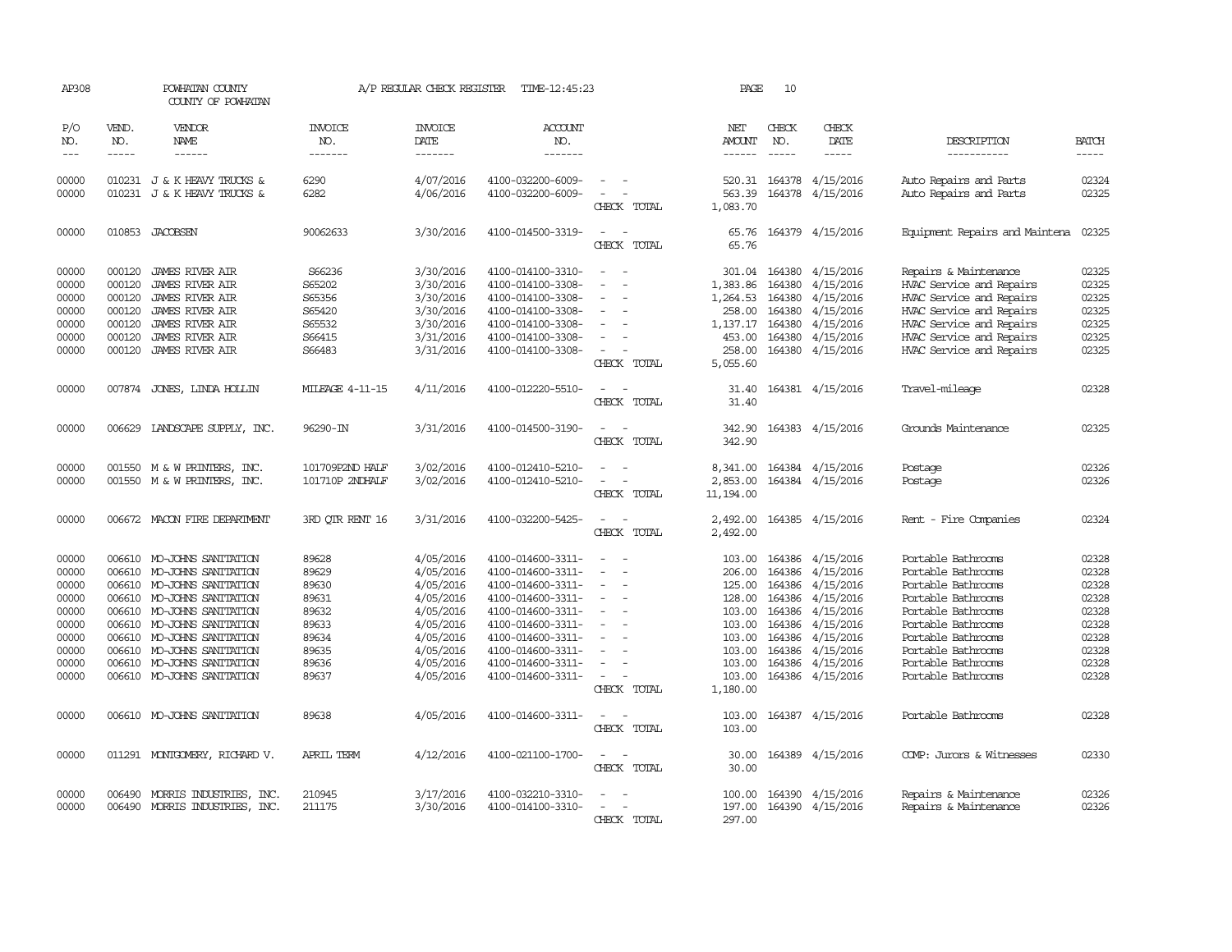| AP308                                                                                  |                                                                    | POWHATAN COUNTY<br>COUNTY OF POWHATAN                                                                                                                                                                                                                                 |                                                                                        | A/P REGULAR CHECK REGISTER                                                                                                     | TIME-12:45:23                                                                                                                                                                                                  |                                                                     | PAGE                                                                                                         | 10                                                                                     |                                                                                                                                       |                                                                                                                                                                                                                          |                                                                                        |
|----------------------------------------------------------------------------------------|--------------------------------------------------------------------|-----------------------------------------------------------------------------------------------------------------------------------------------------------------------------------------------------------------------------------------------------------------------|----------------------------------------------------------------------------------------|--------------------------------------------------------------------------------------------------------------------------------|----------------------------------------------------------------------------------------------------------------------------------------------------------------------------------------------------------------|---------------------------------------------------------------------|--------------------------------------------------------------------------------------------------------------|----------------------------------------------------------------------------------------|---------------------------------------------------------------------------------------------------------------------------------------|--------------------------------------------------------------------------------------------------------------------------------------------------------------------------------------------------------------------------|----------------------------------------------------------------------------------------|
| P/O<br>NO.<br>$\frac{1}{2}$                                                            | VEND.<br>NO.<br>-----                                              | <b>VENDOR</b><br><b>NAME</b><br>------                                                                                                                                                                                                                                | <b>INVOICE</b><br>NO.<br>-------                                                       | <b>INVOICE</b><br>DATE<br>-------                                                                                              | <b>ACCOUNT</b><br>NO.<br>-------                                                                                                                                                                               |                                                                     | NET<br>AMOUNT<br>$- - - - - -$                                                                               | CHECK<br>NO.<br>$- - - - -$                                                            | CHECK<br><b>DATE</b><br>-----                                                                                                         | DESCRIPTION<br>-----------                                                                                                                                                                                               | <b>BATCH</b><br>-----                                                                  |
| 00000<br>00000                                                                         |                                                                    | 010231 J & K HEAVY TRUCKS &<br>010231 J & K HEAVY TRUCKS &                                                                                                                                                                                                            | 6290<br>6282                                                                           | 4/07/2016<br>4/06/2016                                                                                                         | 4100-032200-6009-<br>4100-032200-6009-                                                                                                                                                                         | $\overline{\phantom{a}}$<br>$\overline{\phantom{a}}$<br>CHECK TOTAL | 520.31<br>563.39<br>1,083.70                                                                                 |                                                                                        | 164378 4/15/2016<br>164378 4/15/2016                                                                                                  | Auto Repairs and Parts<br>Auto Repairs and Parts                                                                                                                                                                         | 02324<br>02325                                                                         |
| 00000                                                                                  |                                                                    | 010853 JACOBSEN                                                                                                                                                                                                                                                       | 90062633                                                                               | 3/30/2016                                                                                                                      | 4100-014500-3319-                                                                                                                                                                                              | CHECK TOTAL                                                         | 65.76<br>65.76                                                                                               |                                                                                        | 164379 4/15/2016                                                                                                                      | Equipment Repairs and Maintena                                                                                                                                                                                           | 02325                                                                                  |
| 00000<br>00000<br>00000<br>00000<br>00000<br>00000<br>00000                            | 000120<br>000120<br>000120<br>000120<br>000120<br>000120<br>000120 | <b>JAMES RIVER AIR</b><br><b>JAMES RIVER AIR</b><br><b>JAMES RIVER AIR</b><br><b>JAMES RIVER AIR</b><br><b>JAMES RIVER AIR</b><br><b>JAMES RIVER AIR</b><br><b>JAMES RIVER AIR</b>                                                                                    | S66236<br>S65202<br>S65356<br>S65420<br>S65532<br>S66415<br>S66483                     | 3/30/2016<br>3/30/2016<br>3/30/2016<br>3/30/2016<br>3/30/2016<br>3/31/2016<br>3/31/2016                                        | 4100-014100-3310-<br>4100-014100-3308-<br>4100-014100-3308-<br>4100-014100-3308-<br>4100-014100-3308-<br>4100-014100-3308-<br>4100-014100-3308-                                                                | $\sim$<br>$\equiv$<br>$\sim$<br>CHECK TOTAL                         | 301.04<br>1,383.86<br>1,264.53<br>258.00<br>1,137.17<br>453.00<br>258.00<br>5,055.60                         | 164380<br>164380<br>164380<br>164380<br>164380<br>164380                               | 164380 4/15/2016<br>4/15/2016<br>4/15/2016<br>4/15/2016<br>4/15/2016<br>4/15/2016<br>4/15/2016                                        | Repairs & Maintenance<br>HVAC Service and Repairs<br>HVAC Service and Repairs<br>HVAC Service and Repairs<br>HVAC Service and Repairs<br>HVAC Service and Repairs<br>HVAC Service and Repairs                            | 02325<br>02325<br>02325<br>02325<br>02325<br>02325<br>02325                            |
| 00000                                                                                  |                                                                    | 007874 JONES, LINDA HOLLIN                                                                                                                                                                                                                                            | <b>MILEAGE 4-11-15</b>                                                                 | 4/11/2016                                                                                                                      | 4100-012220-5510-                                                                                                                                                                                              | CHECK TOTAL                                                         | 31.40<br>31.40                                                                                               |                                                                                        | 164381 4/15/2016                                                                                                                      | Travel-mileage                                                                                                                                                                                                           | 02328                                                                                  |
| 00000                                                                                  | 006629                                                             | LANDSCAPE SUPPLY, INC.                                                                                                                                                                                                                                                | 96290-IN                                                                               | 3/31/2016                                                                                                                      | 4100-014500-3190-                                                                                                                                                                                              | CHECK TOTAL                                                         | 342.90<br>342.90                                                                                             |                                                                                        | 164383 4/15/2016                                                                                                                      | Grounds Maintenance                                                                                                                                                                                                      | 02325                                                                                  |
| 00000<br>00000                                                                         |                                                                    | 001550 M & W PRINTERS, INC.<br>001550 M & W PRINTERS, INC.                                                                                                                                                                                                            | 101709P2ND HALF<br>101710P 2NDHALF                                                     | 3/02/2016<br>3/02/2016                                                                                                         | 4100-012410-5210-<br>4100-012410-5210-                                                                                                                                                                         | CHECK TOTAL                                                         | 8,341.00<br>2,853.00<br>11, 194.00                                                                           | 164384<br>164384                                                                       | 4/15/2016<br>4/15/2016                                                                                                                | Postage<br>Postage                                                                                                                                                                                                       | 02326<br>02326                                                                         |
| 00000                                                                                  |                                                                    | 006672 MACON FIRE DEPARIMENT                                                                                                                                                                                                                                          | 3RD OTR RENT 16                                                                        | 3/31/2016                                                                                                                      | 4100-032200-5425-                                                                                                                                                                                              | $\equiv$<br>CHECK TOTAL                                             | 2,492.00<br>2,492.00                                                                                         |                                                                                        | 164385 4/15/2016                                                                                                                      | Rent - Fire Companies                                                                                                                                                                                                    | 02324                                                                                  |
| 00000<br>00000<br>00000<br>00000<br>00000<br>00000<br>00000<br>00000<br>00000<br>00000 | 006610<br>006610<br>006610<br>006610<br>006610                     | 006610 MO-JOHNS SANITATION<br>MO-JOHNS SANITATION<br>006610 MO-JOHNS SANITATION<br>006610 MO-JOHNS SANITATION<br>MO-JOHNS SANITATION<br>MO-JOHNS SANITATION<br>006610 MO-JOHNS SANITATION<br>MO-JOHNS SANITATION<br>MO-JOHNS SANITATION<br>006610 MO-JOHNS SANITATION | 89628<br>89629<br>89630<br>89631<br>89632<br>89633<br>89634<br>89635<br>89636<br>89637 | 4/05/2016<br>4/05/2016<br>4/05/2016<br>4/05/2016<br>4/05/2016<br>4/05/2016<br>4/05/2016<br>4/05/2016<br>4/05/2016<br>4/05/2016 | 4100-014600-3311-<br>4100-014600-3311-<br>4100-014600-3311-<br>4100-014600-3311-<br>4100-014600-3311-<br>4100-014600-3311-<br>4100-014600-3311-<br>4100-014600-3311-<br>4100-014600-3311-<br>4100-014600-3311- | $\equiv$<br>$\overline{\phantom{a}}$<br>$\sim$<br>CHECK TOTAL       | 103.00<br>206.00<br>125.00<br>128.00<br>103.00<br>103.00<br>103.00<br>103.00<br>103.00<br>103.00<br>1,180.00 | 164386<br>164386<br>164386<br>164386<br>164386<br>164386<br>164386<br>164386<br>164386 | 4/15/2016<br>4/15/2016<br>4/15/2016<br>4/15/2016<br>4/15/2016<br>4/15/2016<br>4/15/2016<br>4/15/2016<br>4/15/2016<br>164386 4/15/2016 | Portable Bathrooms<br>Portable Bathrooms<br>Portable Bathrooms<br>Portable Bathrooms<br>Portable Bathrooms<br>Portable Bathrooms<br>Portable Bathrooms<br>Portable Bathrooms<br>Portable Bathrooms<br>Portable Bathrooms | 02328<br>02328<br>02328<br>02328<br>02328<br>02328<br>02328<br>02328<br>02328<br>02328 |
| 00000                                                                                  |                                                                    | 006610 MO-JOHNS SANITATION                                                                                                                                                                                                                                            | 89638                                                                                  | 4/05/2016                                                                                                                      | 4100-014600-3311-                                                                                                                                                                                              | CHECK TOTAL                                                         | 103.00<br>103.00                                                                                             |                                                                                        | 164387 4/15/2016                                                                                                                      | Portable Bathrooms                                                                                                                                                                                                       | 02328                                                                                  |
| 00000                                                                                  |                                                                    | 011291 MONTGOMERY, RICHARD V.                                                                                                                                                                                                                                         | <b>APRIL TERM</b>                                                                      | 4/12/2016                                                                                                                      | 4100-021100-1700-                                                                                                                                                                                              | $ -$<br>CHECK TOTAL                                                 | 30.00<br>30.00                                                                                               |                                                                                        | 164389 4/15/2016                                                                                                                      | COMP: Jurors & Witnesses                                                                                                                                                                                                 | 02330                                                                                  |
| 00000<br>00000                                                                         | 006490                                                             | MORRIS INDUSTRIES, INC.<br>006490 MORRIS INDUSTRIES, INC.                                                                                                                                                                                                             | 210945<br>211175                                                                       | 3/17/2016<br>3/30/2016                                                                                                         | 4100-032210-3310-<br>4100-014100-3310-                                                                                                                                                                         | CHECK TOTAL                                                         | 100.00<br>197.00<br>297.00                                                                                   |                                                                                        | 164390 4/15/2016<br>164390 4/15/2016                                                                                                  | Repairs & Maintenance<br>Repairs & Maintenance                                                                                                                                                                           | 02326<br>02326                                                                         |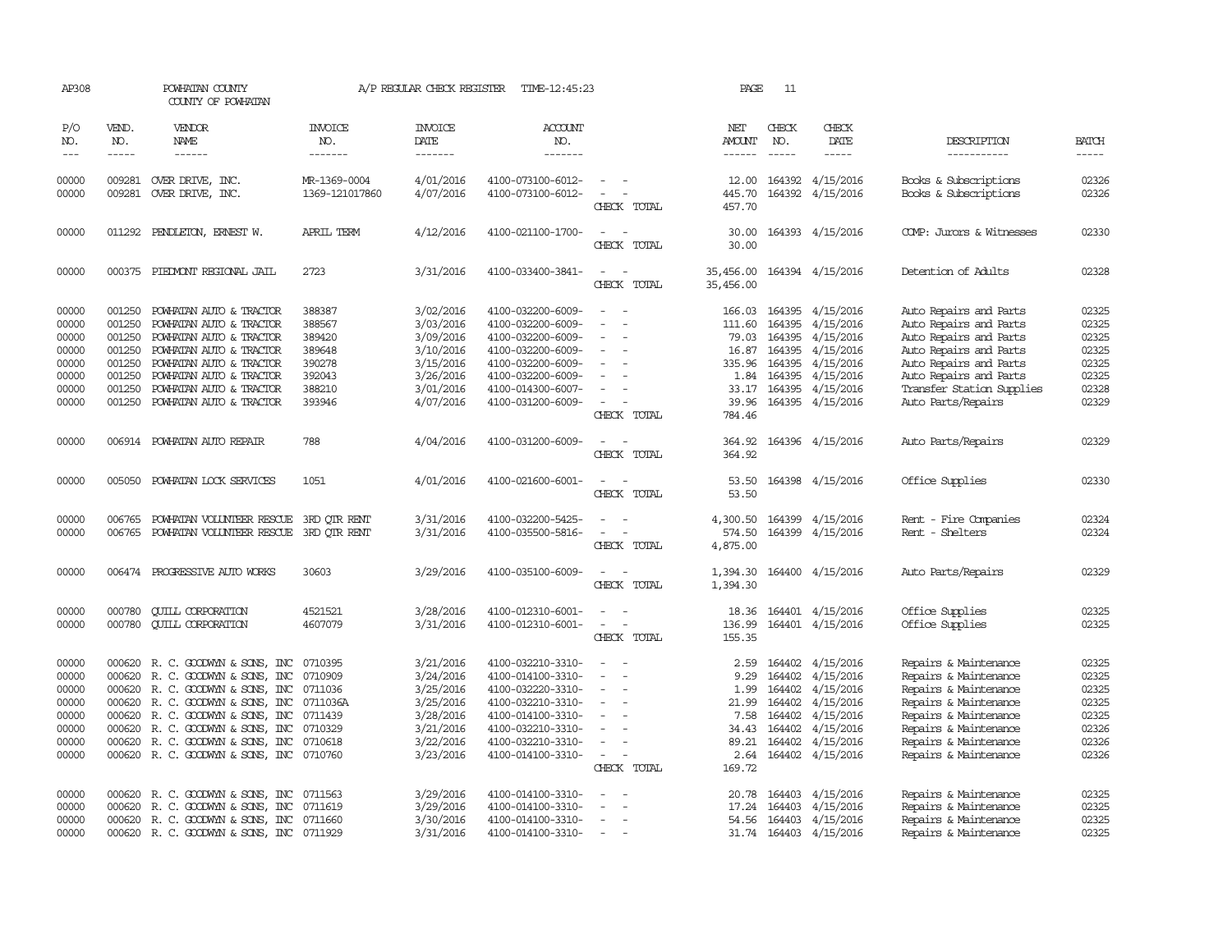| AP308                                                                |                                                                                                                                                                                                                                                                                                                                                                                                                                                                         | POWHATAN COUNTY<br>COUNTY OF POWHATAN                                                                                                                                                                                                                                           |                                                                              | A/P REGULAR CHECK REGISTER                                                                           | TIME-12:45:23                                                                                                                                                        |                                                                                                                                   | PAGE                                                                             | 11                                                       |                                                                                                                                  |                                                                                                                                                                                                             |                                                                                                                                                                                                                                                                                                                                                                                                                                                                         |
|----------------------------------------------------------------------|-------------------------------------------------------------------------------------------------------------------------------------------------------------------------------------------------------------------------------------------------------------------------------------------------------------------------------------------------------------------------------------------------------------------------------------------------------------------------|---------------------------------------------------------------------------------------------------------------------------------------------------------------------------------------------------------------------------------------------------------------------------------|------------------------------------------------------------------------------|------------------------------------------------------------------------------------------------------|----------------------------------------------------------------------------------------------------------------------------------------------------------------------|-----------------------------------------------------------------------------------------------------------------------------------|----------------------------------------------------------------------------------|----------------------------------------------------------|----------------------------------------------------------------------------------------------------------------------------------|-------------------------------------------------------------------------------------------------------------------------------------------------------------------------------------------------------------|-------------------------------------------------------------------------------------------------------------------------------------------------------------------------------------------------------------------------------------------------------------------------------------------------------------------------------------------------------------------------------------------------------------------------------------------------------------------------|
| P/O<br>NO.<br>$---$                                                  | VEND.<br>NO.<br>$\begin{tabular}{ccccc} \multicolumn{2}{c }{\multicolumn{2}{c }{\multicolumn{2}{c }{\multicolumn{2}{c}}{\hspace{-2.2cm}}}} \multicolumn{2}{c }{\multicolumn{2}{c }{\hspace{-2.2cm}}\hline} \multicolumn{2}{c }{\hspace{-2.2cm}}\hline \multicolumn{2}{c }{\hspace{-2.2cm}}\hline \multicolumn{2}{c }{\hspace{-2.2cm}}\hline \multicolumn{2}{c }{\hspace{-2.2cm}}\hline \multicolumn{2}{c }{\hspace{-2.2cm}}\hline \multicolumn{2}{c }{\hspace{-2.2cm}}$ | <b>VENDOR</b><br>NAME<br>------                                                                                                                                                                                                                                                 | <b>INVOICE</b><br>NO.<br>-------                                             | <b>INVOICE</b><br>DATE<br>-------                                                                    | ACCOUNT<br>NO.<br>-------                                                                                                                                            |                                                                                                                                   | NET<br>AMOUNT                                                                    | CHECK<br>NO.                                             | CHECK<br>DATE                                                                                                                    | DESCRIPTION<br>-----------                                                                                                                                                                                  | <b>BATCH</b><br>$\begin{tabular}{ccccc} \multicolumn{2}{c }{\multicolumn{2}{c }{\multicolumn{2}{c }{\multicolumn{2}{c}}{\hspace{-2.2cm}}}} \multicolumn{2}{c }{\multicolumn{2}{c }{\hspace{-2.2cm}}\hline} \multicolumn{2}{c }{\hspace{-2.2cm}}\hline \multicolumn{2}{c }{\hspace{-2.2cm}}\hline \multicolumn{2}{c }{\hspace{-2.2cm}}\hline \multicolumn{2}{c }{\hspace{-2.2cm}}\hline \multicolumn{2}{c }{\hspace{-2.2cm}}\hline \multicolumn{2}{c }{\hspace{-2.2cm}}$ |
| 00000<br>00000                                                       |                                                                                                                                                                                                                                                                                                                                                                                                                                                                         | 009281 OVER DRIVE, INC.<br>009281 OVER DRIVE, INC.                                                                                                                                                                                                                              | MR-1369-0004<br>1369-121017860                                               | 4/01/2016<br>4/07/2016                                                                               | 4100-073100-6012-<br>4100-073100-6012-                                                                                                                               | $\sim$<br>CHECK TOTAL                                                                                                             | 12.00<br>445.70<br>457.70                                                        |                                                          | 164392 4/15/2016<br>164392 4/15/2016                                                                                             | Books & Subscriptions<br>Books & Subscriptions                                                                                                                                                              | 02326<br>02326                                                                                                                                                                                                                                                                                                                                                                                                                                                          |
| 00000                                                                |                                                                                                                                                                                                                                                                                                                                                                                                                                                                         | 011292 PENDLETON, ERNEST W.                                                                                                                                                                                                                                                     | APRIL TERM                                                                   | 4/12/2016                                                                                            | 4100-021100-1700-                                                                                                                                                    | CHECK TOTAL                                                                                                                       | 30.00<br>30.00                                                                   |                                                          | 164393 4/15/2016                                                                                                                 | COMP: Jurors & Witnesses                                                                                                                                                                                    | 02330                                                                                                                                                                                                                                                                                                                                                                                                                                                                   |
| 00000                                                                |                                                                                                                                                                                                                                                                                                                                                                                                                                                                         | 000375 PIEDMONT REGIONAL JAIL                                                                                                                                                                                                                                                   | 2723                                                                         | 3/31/2016                                                                                            | 4100-033400-3841-                                                                                                                                                    | CHECK TOTAL                                                                                                                       | 35,456.00<br>35,456.00                                                           |                                                          | 164394 4/15/2016                                                                                                                 | Detention of Adults                                                                                                                                                                                         | 02328                                                                                                                                                                                                                                                                                                                                                                                                                                                                   |
| 00000<br>00000<br>00000<br>00000<br>00000<br>00000<br>00000<br>00000 | 001250<br>001250<br>001250<br>001250<br>001250<br>001250<br>001250                                                                                                                                                                                                                                                                                                                                                                                                      | POWHATAN AUTO & TRACTOR<br>POWHATAN AUTO & TRACTOR<br>POWHATAN AUTO & TRACTOR<br>POWHATAN AUTO & TRACTOR<br>POWHATAN AUTO & TRACTOR<br>POWHATAN AUTO & TRACTOR<br>POWHATAN AUTO & TRACTOR<br>001250 POWHATAN AUTO & TRACTOR                                                     | 388387<br>388567<br>389420<br>389648<br>390278<br>392043<br>388210<br>393946 | 3/02/2016<br>3/03/2016<br>3/09/2016<br>3/10/2016<br>3/15/2016<br>3/26/2016<br>3/01/2016<br>4/07/2016 | 4100-032200-6009-<br>4100-032200-6009-<br>4100-032200-6009-<br>4100-032200-6009-<br>4100-032200-6009-<br>4100-032200-6009-<br>4100-014300-6007-<br>4100-031200-6009- | $\overline{\phantom{a}}$<br>$\equiv$<br>$\sim$<br>$\overline{\phantom{0}}$<br>$\equiv$<br>$\overline{\phantom{a}}$<br>CHECK TOTAL | 166.03<br>111.60<br>79.03<br>16.87<br>335.96<br>1.84<br>33.17<br>39.96<br>784.46 | 164395<br>164395<br>164395<br>164395                     | 4/15/2016<br>4/15/2016<br>164395 4/15/2016<br>164395 4/15/2016<br>4/15/2016<br>4/15/2016<br>164395 4/15/2016<br>164395 4/15/2016 | Auto Repairs and Parts<br>Auto Repairs and Parts<br>Auto Repairs and Parts<br>Auto Repairs and Parts<br>Auto Repairs and Parts<br>Auto Repairs and Parts<br>Transfer Station Supplies<br>Auto Parts/Repairs | 02325<br>02325<br>02325<br>02325<br>02325<br>02325<br>02328<br>02329                                                                                                                                                                                                                                                                                                                                                                                                    |
| 00000                                                                |                                                                                                                                                                                                                                                                                                                                                                                                                                                                         | 006914 POWHATAN AUTO REPAIR                                                                                                                                                                                                                                                     | 788                                                                          | 4/04/2016                                                                                            | 4100-031200-6009-                                                                                                                                                    | $\sim$<br>CHECK TOTAL                                                                                                             | 364.92                                                                           |                                                          | 364.92 164396 4/15/2016                                                                                                          | Auto Parts/Repairs                                                                                                                                                                                          | 02329                                                                                                                                                                                                                                                                                                                                                                                                                                                                   |
| 00000                                                                |                                                                                                                                                                                                                                                                                                                                                                                                                                                                         | 005050 POWHATAN LOCK SERVICES                                                                                                                                                                                                                                                   | 1051                                                                         | 4/01/2016                                                                                            | 4100-021600-6001-                                                                                                                                                    | $\sim$<br>$\sim$<br>CHECK TOTAL                                                                                                   | 53.50<br>53.50                                                                   |                                                          | 164398 4/15/2016                                                                                                                 | Office Supplies                                                                                                                                                                                             | 02330                                                                                                                                                                                                                                                                                                                                                                                                                                                                   |
| 00000<br>00000                                                       | 006765                                                                                                                                                                                                                                                                                                                                                                                                                                                                  | POWHATAN VOLUNTEER RESCUE<br>006765 POWHATAN VOLUNTEER RESCUE                                                                                                                                                                                                                   | 3RD OTR RENT<br>3RD OTR RENT                                                 | 3/31/2016<br>3/31/2016                                                                               | 4100-032200-5425-<br>4100-035500-5816-                                                                                                                               | $\equiv$<br>CHECK TOTAL                                                                                                           | 4,300.50<br>574.50<br>4,875.00                                                   | 164399                                                   | 4/15/2016<br>164399 4/15/2016                                                                                                    | Rent - Fire Companies<br>Rent - Shelters                                                                                                                                                                    | 02324<br>02324                                                                                                                                                                                                                                                                                                                                                                                                                                                          |
| 00000                                                                |                                                                                                                                                                                                                                                                                                                                                                                                                                                                         | 006474 PROGRESSIVE AUTO WORKS                                                                                                                                                                                                                                                   | 30603                                                                        | 3/29/2016                                                                                            | 4100-035100-6009-                                                                                                                                                    | CHECK TOTAL                                                                                                                       | 1,394.30<br>1,394.30                                                             |                                                          | 164400 4/15/2016                                                                                                                 | Auto Parts/Repairs                                                                                                                                                                                          | 02329                                                                                                                                                                                                                                                                                                                                                                                                                                                                   |
| 00000<br>00000                                                       | 000780                                                                                                                                                                                                                                                                                                                                                                                                                                                                  | <b>CUILL CORPORATION</b><br>000780 CUILL CORPORATION                                                                                                                                                                                                                            | 4521521<br>4607079                                                           | 3/28/2016<br>3/31/2016                                                                               | 4100-012310-6001-<br>4100-012310-6001-                                                                                                                               | $\sim$<br>$\overline{\phantom{a}}$<br>CHECK TOTAL                                                                                 | 18.36<br>136.99<br>155.35                                                        |                                                          | 164401 4/15/2016<br>164401 4/15/2016                                                                                             | Office Supplies<br>Office Supplies                                                                                                                                                                          | 02325<br>02325                                                                                                                                                                                                                                                                                                                                                                                                                                                          |
| 00000<br>00000<br>00000<br>00000<br>00000<br>00000<br>00000<br>00000 | 000620<br>000620<br>000620                                                                                                                                                                                                                                                                                                                                                                                                                                              | 000620 R. C. GOODWYN & SONS, INC<br>R. C. GOODWYN & SONS, INC<br>000620 R. C. GOODWYN & SONS, INC<br>R. C. GOODWYN & SONS, INC<br>000620 R. C. GOODWYN & SONS, INC<br>000620 R. C. GOODWYN & SONS, INC<br>R. C. GOODWYN & SONS, INC<br>000620 R. C. GOODWYN & SONS, INC 0710760 | 0710395<br>0710909<br>0711036<br>0711036A<br>0711439<br>0710329<br>0710618   | 3/21/2016<br>3/24/2016<br>3/25/2016<br>3/25/2016<br>3/28/2016<br>3/21/2016<br>3/22/2016<br>3/23/2016 | 4100-032210-3310-<br>4100-014100-3310-<br>4100-032220-3310-<br>4100-032210-3310-<br>4100-014100-3310-<br>4100-032210-3310-<br>4100-032210-3310-<br>4100-014100-3310- | $\equiv$<br>$\equiv$<br>$\overline{\phantom{0}}$<br>$\equiv$<br>$\equiv$<br>$\sim$<br>CHECK TOTAL                                 | 2.59<br>9.29<br>1.99<br>21.99<br>7.58<br>34.43<br>89.21<br>2.64<br>169.72        | 164402<br>164402<br>164402<br>164402<br>164402<br>164402 | 164402 4/15/2016<br>4/15/2016<br>4/15/2016<br>4/15/2016<br>4/15/2016<br>4/15/2016<br>4/15/2016<br>164402 4/15/2016               | Repairs & Maintenance<br>Repairs & Maintenance<br>Repairs & Maintenance<br>Repairs & Maintenance<br>Repairs & Maintenance<br>Repairs & Maintenance<br>Repairs & Maintenance<br>Repairs & Maintenance        | 02325<br>02325<br>02325<br>02325<br>02325<br>02326<br>02326<br>02326                                                                                                                                                                                                                                                                                                                                                                                                    |
| 00000<br>00000<br>00000<br>00000                                     | 000620<br>000620                                                                                                                                                                                                                                                                                                                                                                                                                                                        | R. C. GOODWYN & SONS, INC<br>R. C. GOODWYN & SONS, INC<br>000620 R. C. GOODWYN & SONS, INC<br>000620 R. C. GOODWYN & SONS, INC 0711929                                                                                                                                          | 0711563<br>0711619<br>0711660                                                | 3/29/2016<br>3/29/2016<br>3/30/2016<br>3/31/2016                                                     | 4100-014100-3310-<br>4100-014100-3310-<br>4100-014100-3310-<br>4100-014100-3310-                                                                                     | $\overline{\phantom{a}}$                                                                                                          | 20.78<br>17.24<br>54.56                                                          | 164403<br>164403                                         | 4/15/2016<br>4/15/2016<br>164403 4/15/2016<br>31.74 164403 4/15/2016                                                             | Repairs & Maintenance<br>Repairs & Maintenance<br>Repairs & Maintenance<br>Repairs & Maintenance                                                                                                            | 02325<br>02325<br>02325<br>02325                                                                                                                                                                                                                                                                                                                                                                                                                                        |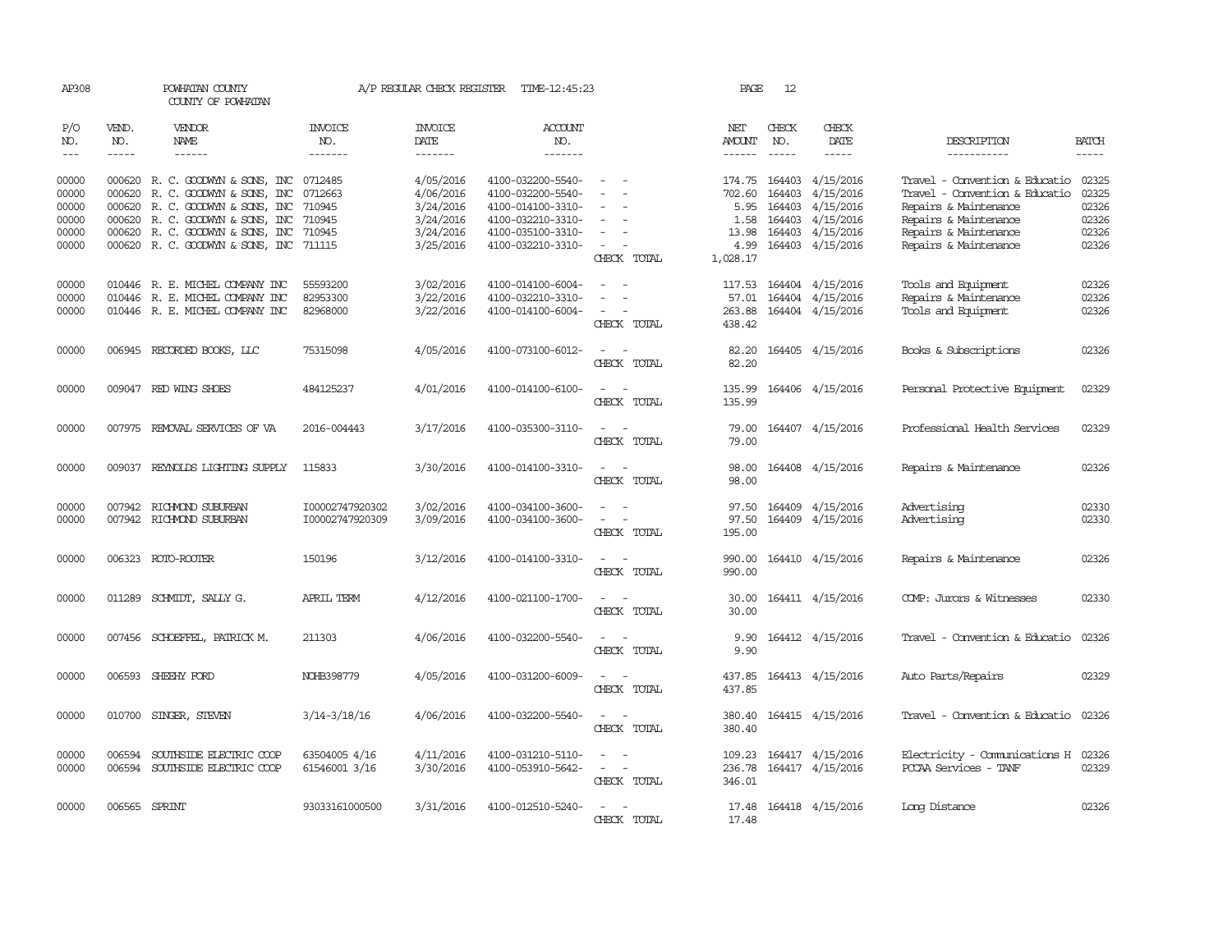| AP308               |                               | POWHATAN COUNTY<br>COUNTY OF POWHATAN                                |                                   |                                    | A/P REGULAR CHECK REGISTER TIME-12:45:23 |                                                                                                                             | PAGE             | 12                          |                                      |                                                                  |                               |
|---------------------|-------------------------------|----------------------------------------------------------------------|-----------------------------------|------------------------------------|------------------------------------------|-----------------------------------------------------------------------------------------------------------------------------|------------------|-----------------------------|--------------------------------------|------------------------------------------------------------------|-------------------------------|
| P/O<br>NO.<br>$---$ | VEND.<br>NO.<br>$\frac{1}{2}$ | <b>VENDOR</b><br>NAME<br>$- - - - - -$                               | <b>INVOICE</b><br>NO.<br>-------- | <b>INVOICE</b><br>DATE<br>-------- | <b>ACCOUNT</b><br>NO.<br>$- - - - - - -$ |                                                                                                                             | NET<br>AMOUNT    | CHECK<br>NO.<br>$- - - - -$ | CHECK<br>DATE<br>$\frac{1}{2}$       | DESCRIPTION<br>-----------                                       | <b>BATCH</b><br>$\frac{1}{2}$ |
|                     |                               |                                                                      |                                   |                                    |                                          |                                                                                                                             |                  |                             |                                      |                                                                  |                               |
| 00000<br>00000      |                               | 000620 R. C. GOODWYN & SONS, INC<br>000620 R. C. GOODWYN & SONS, INC | 0712485<br>0712663                | 4/05/2016<br>4/06/2016             | 4100-032200-5540-<br>4100-032200-5540-   | $\sim$                                                                                                                      | 174.75<br>702.60 | 164403                      | 164403 4/15/2016<br>4/15/2016        | Travel - Convention & Educatio<br>Travel - Convention & Educatio | 02325<br>02325                |
| 00000<br>00000      |                               | 000620 R. C. GOODWYN & SONS, INC<br>000620 R. C. GOODWYN & SONS, INC | 710945<br>710945                  | 3/24/2016<br>3/24/2016             | 4100-014100-3310-<br>4100-032210-3310-   | $\equiv$<br>$\overline{\phantom{a}}$                                                                                        | 5.95             | 164403                      | 4/15/2016<br>4/15/2016               | Repairs & Maintenance<br>Repairs & Maintenance                   | 02326<br>02326                |
| 00000               |                               | 000620 R. C. GOODWYN & SONS, INC                                     | 710945                            | 3/24/2016                          | 4100-035100-3310-                        |                                                                                                                             | 1.58<br>13.98    | 164403                      | 164403 4/15/2016                     | Repairs & Maintenance                                            | 02326                         |
| 00000               |                               | 000620 R. C. GOODWYN & SONS, INC 711115                              |                                   | 3/25/2016                          | 4100-032210-3310-                        | $\overline{\phantom{a}}$<br>CHECK TOTAL                                                                                     | 4.99<br>1,028.17 |                             | 164403 4/15/2016                     | Repairs & Maintenance                                            | 02326                         |
| 00000<br>00000      |                               | 010446 R. E. MICHEL COMPANY INC<br>010446 R. E. MICHEL COMPANY INC   | 55593200<br>82953300              | 3/02/2016<br>3/22/2016             | 4100-014100-6004-<br>4100-032210-3310-   | $\sim$<br>$\sim$                                                                                                            | 117.53<br>57.01  |                             | 164404 4/15/2016<br>164404 4/15/2016 | Tools and Equipment<br>Repairs & Maintenance                     | 02326<br>02326                |
| 00000               |                               | 010446 R. E. MICHEL COMPANY INC                                      | 82968000                          | 3/22/2016                          | 4100-014100-6004-                        | $\sim$ $ \sim$                                                                                                              | 263.88           |                             | 164404 4/15/2016                     | Tools and Equipment                                              | 02326                         |
|                     |                               |                                                                      |                                   |                                    |                                          | CHECK TOTAL                                                                                                                 | 438.42           |                             |                                      |                                                                  |                               |
| 00000               |                               | 006945 RECORDED BOOKS, LLC                                           | 75315098                          | 4/05/2016                          | 4100-073100-6012-                        | $\sim$<br>CHECK TOTAL                                                                                                       | 82.20<br>82.20   |                             | 164405 4/15/2016                     | Books & Subscriptions                                            | 02326                         |
| 00000               |                               | 009047 RED WING SHOES                                                | 484125237                         | 4/01/2016                          | 4100-014100-6100-                        | $\sim$<br>$\sim$<br>CHECK TOTAL                                                                                             | 135.99<br>135.99 |                             | 164406 4/15/2016                     | Personal Protective Equipment                                    | 02329                         |
| 00000               |                               | 007975 REMOVAL SERVICES OF VA                                        | 2016-004443                       | 3/17/2016                          | 4100-035300-3110-                        | $\overline{a}$<br>$\sim$<br>CHECK TOTAL                                                                                     | 79.00<br>79.00   |                             | 164407 4/15/2016                     | Professional Health Services                                     | 02329                         |
| 00000               |                               | 009037 REYNOLDS LIGHTING SUPPLY                                      | 115833                            | 3/30/2016                          | 4100-014100-3310-                        | $\overline{\phantom{a}}$<br>- -<br>CHECK TOTAL                                                                              | 98.00<br>98.00   |                             | 164408 4/15/2016                     | Repairs & Maintenance                                            | 02326                         |
| 00000               |                               | 007942 RICHMOND SUBURBAN                                             | I00002747920302                   | 3/02/2016                          | 4100-034100-3600-                        |                                                                                                                             | 97.50            |                             | 164409 4/15/2016                     | Advertising                                                      | 02330                         |
| 00000               |                               | 007942 RICHMOND SUBURBAN                                             | I00002747920309                   | 3/09/2016                          | 4100-034100-3600-                        | $\sim$<br>CHECK TOTAL                                                                                                       | 97.50<br>195.00  |                             | 164409 4/15/2016                     | Advertising                                                      | 02330                         |
| 00000               |                               | 006323 ROTO-ROOTER                                                   | 150196                            | 3/12/2016                          | 4100-014100-3310-                        | $\frac{1}{2} \left( \frac{1}{2} \right) \left( \frac{1}{2} \right) = \frac{1}{2} \left( \frac{1}{2} \right)$<br>CHECK TOTAL | 990.00<br>990.00 |                             | 164410 4/15/2016                     | Repairs & Maintenance                                            | 02326                         |
| 00000               |                               | 011289 SCHMIDT, SALLY G.                                             | APRIL TERM                        | 4/12/2016                          | 4100-021100-1700-                        | $\overline{\phantom{a}}$<br>CHECK TOTAL                                                                                     | 30.00<br>30.00   |                             | 164411 4/15/2016                     | COMP: Jurors & Witnesses                                         | 02330                         |
| 00000               |                               | 007456 SCHOEFFEL, PATRICK M.                                         | 211303                            | 4/06/2016                          | 4100-032200-5540-                        | CHECK TOTAL                                                                                                                 | 9.90<br>9.90     |                             | 164412 4/15/2016                     | Travel - Convention & Educatio                                   | 02326                         |
| 00000               |                               | 006593 SHEEHY FORD                                                   | NOHB398779                        | 4/05/2016                          | 4100-031200-6009-                        | CHECK TOTAL                                                                                                                 | 437.85<br>437.85 |                             | 164413 4/15/2016                     | Auto Parts/Repairs                                               | 02329                         |
| 00000               | 010700                        | SINGER, STEVEN                                                       | $3/14 - 3/18/16$                  | 4/06/2016                          | 4100-032200-5540-                        | CHECK TOTAL                                                                                                                 | 380.40<br>380.40 |                             | 164415 4/15/2016                     | Travel - Convention & Educatio                                   | 02326                         |
| 00000<br>00000      | 006594                        | SOUTHSIDE ELECTRIC COOP<br>006594 SOUTHSIDE ELECTRIC COOP            | 63504005 4/16<br>61546001 3/16    | 4/11/2016<br>3/30/2016             | 4100-031210-5110-<br>4100-053910-5642-   | $\omega_{\rm{max}}$ and $\omega_{\rm{max}}$                                                                                 | 109.23<br>236.78 |                             | 164417 4/15/2016<br>164417 4/15/2016 | Electricity - Comunications H<br>PCCAA Services - TANF           | 02326<br>02329                |
|                     |                               |                                                                      |                                   |                                    |                                          | CHECK TOTAL                                                                                                                 | 346.01           |                             |                                      |                                                                  |                               |
| 00000               |                               | 006565 SPRINT                                                        | 93033161000500                    | 3/31/2016                          | 4100-012510-5240-                        | CHECK TOTAL                                                                                                                 | 17.48            |                             | 17.48 164418 4/15/2016               | Long Distance                                                    | 02326                         |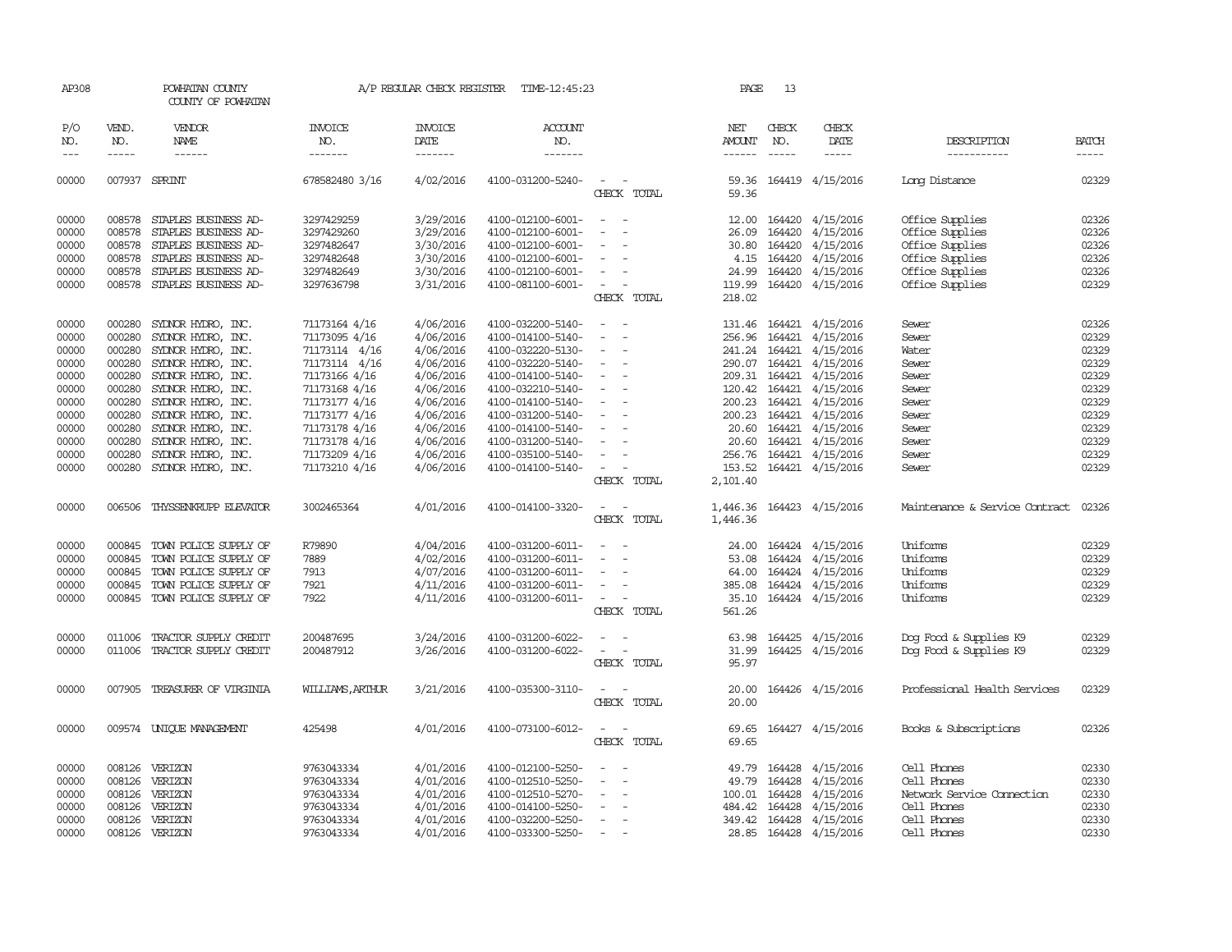| AP308      |               | POWHATAN COUNTY<br>COUNTY OF POWHATAN |                  | A/P REGULAR CHECK REGISTER | TIME-12:45:23         |                                                      | PAGE                                                                                                                                                                                                                                                                                                                                                                                                                    | 13            |                                                                                                                                                                                                                                                                                                                                                                                                                                                                                     |                                |              |
|------------|---------------|---------------------------------------|------------------|----------------------------|-----------------------|------------------------------------------------------|-------------------------------------------------------------------------------------------------------------------------------------------------------------------------------------------------------------------------------------------------------------------------------------------------------------------------------------------------------------------------------------------------------------------------|---------------|-------------------------------------------------------------------------------------------------------------------------------------------------------------------------------------------------------------------------------------------------------------------------------------------------------------------------------------------------------------------------------------------------------------------------------------------------------------------------------------|--------------------------------|--------------|
| P/O<br>NO. | VEND.<br>NO.  | VENDOR<br>NAME                        | INVOICE<br>NO.   | <b>INVOICE</b><br>DATE     | <b>ACCOUNT</b><br>NO. |                                                      | NET<br><b>AMOUNT</b>                                                                                                                                                                                                                                                                                                                                                                                                    | CHECK<br>NO.  | CHECK<br>DATE                                                                                                                                                                                                                                                                                                                                                                                                                                                                       | DESCRIPTION                    | <b>BATCH</b> |
| $- - -$    | $\frac{1}{2}$ | ------                                | -------          | -------                    | -------               |                                                      | $\begin{tabular}{ccccc} \multicolumn{2}{c }{\multicolumn{2}{c }{\multicolumn{2}{c }{\multicolumn{2}{c}}}{\multicolumn{2}{c }{\multicolumn{2}{c}}}\end{tabular} \end{tabular} \begin{tabular}{c c }{\multicolumn{2}{c }{\multicolumn{2}{c }{\multicolumn{2}{c}}}{\multicolumn{2}{c }{\multicolumn{2}{c}}}{\multicolumn{2}{c }{\multicolumn{2}{c}}}{\multicolumn{2}{c }{\multicolumn{2}{c}}}{\end{tabular} \end{tabular}$ | $- - - - -$   | $\begin{tabular}{ccccc} \multicolumn{2}{c}{} & \multicolumn{2}{c}{} & \multicolumn{2}{c}{} & \multicolumn{2}{c}{} & \multicolumn{2}{c}{} & \multicolumn{2}{c}{} & \multicolumn{2}{c}{} & \multicolumn{2}{c}{} & \multicolumn{2}{c}{} & \multicolumn{2}{c}{} & \multicolumn{2}{c}{} & \multicolumn{2}{c}{} & \multicolumn{2}{c}{} & \multicolumn{2}{c}{} & \multicolumn{2}{c}{} & \multicolumn{2}{c}{} & \multicolumn{2}{c}{} & \multicolumn{2}{c}{} & \multicolumn{2}{c}{} & \mult$ | -----------                    | $- - - - -$  |
| 00000      |               | 007937 SPRINT                         | 678582480 3/16   | 4/02/2016                  | 4100-031200-5240-     | $\sim$<br>CHECK TOTAL                                | 59.36                                                                                                                                                                                                                                                                                                                                                                                                                   |               | 59.36 164419 4/15/2016                                                                                                                                                                                                                                                                                                                                                                                                                                                              | Long Distance                  | 02329        |
| 00000      | 008578        | STAPLES BUSINESS AD-                  | 3297429259       | 3/29/2016                  | 4100-012100-6001-     | $\overline{\phantom{a}}$<br>$\sim$                   |                                                                                                                                                                                                                                                                                                                                                                                                                         | 12.00 164420  | 4/15/2016                                                                                                                                                                                                                                                                                                                                                                                                                                                                           | Office Supplies                | 02326        |
| 00000      | 008578        | STAPLES BUSINESS AD-                  | 3297429260       | 3/29/2016                  | 4100-012100-6001-     | $\overline{\phantom{a}}$                             | 26.09                                                                                                                                                                                                                                                                                                                                                                                                                   | 164420        | 4/15/2016                                                                                                                                                                                                                                                                                                                                                                                                                                                                           | Office Supplies                | 02326        |
| 00000      | 008578        | STAPLES BUSINESS AD-                  | 3297482647       | 3/30/2016                  | 4100-012100-6001-     | $\overline{\phantom{a}}$                             | 30.80                                                                                                                                                                                                                                                                                                                                                                                                                   | 164420        | 4/15/2016                                                                                                                                                                                                                                                                                                                                                                                                                                                                           | Office Supplies                | 02326        |
| 00000      | 008578        | STAPLES BUSINESS AD-                  | 3297482648       | 3/30/2016                  | 4100-012100-6001-     | $\overline{\phantom{a}}$                             | 4.15                                                                                                                                                                                                                                                                                                                                                                                                                    | 164420        | 4/15/2016                                                                                                                                                                                                                                                                                                                                                                                                                                                                           | Office Supplies                | 02326        |
| 00000      |               | 008578 STAPLES BUSINESS AD-           | 3297482649       | 3/30/2016                  | 4100-012100-6001-     | $\sim$                                               |                                                                                                                                                                                                                                                                                                                                                                                                                         | 24.99 164420  | 4/15/2016                                                                                                                                                                                                                                                                                                                                                                                                                                                                           | Office Supplies                | 02326        |
| 00000      |               | 008578 STAPLES BUSINESS AD-           | 3297636798       | 3/31/2016                  | 4100-081100-6001-     | $\sim$<br>$\sim$                                     | 119.99                                                                                                                                                                                                                                                                                                                                                                                                                  | 164420        | 4/15/2016                                                                                                                                                                                                                                                                                                                                                                                                                                                                           | Office Supplies                | 02329        |
|            |               |                                       |                  |                            |                       | CHECK TOTAL                                          | 218.02                                                                                                                                                                                                                                                                                                                                                                                                                  |               |                                                                                                                                                                                                                                                                                                                                                                                                                                                                                     |                                |              |
| 00000      |               | 000280 SYDNOR HYDRO, INC.             | 71173164 4/16    | 4/06/2016                  | 4100-032200-5140-     | $\sim$<br>$\sim$                                     |                                                                                                                                                                                                                                                                                                                                                                                                                         |               | 131.46 164421 4/15/2016                                                                                                                                                                                                                                                                                                                                                                                                                                                             | Sewer                          | 02326        |
| 00000      | 000280        | SYLNOR HYDRO, INC.                    | 71173095 4/16    | 4/06/2016                  | 4100-014100-5140-     |                                                      |                                                                                                                                                                                                                                                                                                                                                                                                                         |               | 256.96 164421 4/15/2016                                                                                                                                                                                                                                                                                                                                                                                                                                                             | Sewer                          | 02329        |
| 00000      | 000280        | SYLNOR HYDRO, INC.                    | 71173114 4/16    | 4/06/2016                  | 4100-032220-5130-     | $\overline{\phantom{a}}$                             |                                                                                                                                                                                                                                                                                                                                                                                                                         |               | 241.24 164421 4/15/2016                                                                                                                                                                                                                                                                                                                                                                                                                                                             | Water                          | 02329        |
| 00000      |               | 000280 SYDNOR HYDRO, INC.             | 71173114 4/16    | 4/06/2016                  | 4100-032220-5140-     | $\sim$<br>$\overline{\phantom{a}}$                   |                                                                                                                                                                                                                                                                                                                                                                                                                         |               | 290.07 164421 4/15/2016                                                                                                                                                                                                                                                                                                                                                                                                                                                             | Sewer                          | 02329        |
| 00000      | 000280        | SYLNOR HYDRO, INC.                    | 71173166 4/16    | 4/06/2016                  | 4100-014100-5140-     | $\overline{\phantom{a}}$                             |                                                                                                                                                                                                                                                                                                                                                                                                                         | 209.31 164421 | 4/15/2016                                                                                                                                                                                                                                                                                                                                                                                                                                                                           | Sewer                          | 02329        |
| 00000      | 000280        | SYDNOR HYDRO, INC.                    | 71173168 4/16    | 4/06/2016                  | 4100-032210-5140-     |                                                      |                                                                                                                                                                                                                                                                                                                                                                                                                         |               | 120.42 164421 4/15/2016                                                                                                                                                                                                                                                                                                                                                                                                                                                             | Sewer                          | 02329        |
| 00000      |               | 000280 SYDNOR HYDRO, INC.             | 71173177 4/16    | 4/06/2016                  | 4100-014100-5140-     | $\sim$<br>$\sim$                                     |                                                                                                                                                                                                                                                                                                                                                                                                                         |               | 200.23 164421 4/15/2016                                                                                                                                                                                                                                                                                                                                                                                                                                                             | Sewer                          | 02329        |
| 00000      |               | 000280 SYDNOR HYDRO, INC.             | 71173177 4/16    | 4/06/2016                  | 4100-031200-5140-     | $\sim$                                               |                                                                                                                                                                                                                                                                                                                                                                                                                         |               | 200.23 164421 4/15/2016                                                                                                                                                                                                                                                                                                                                                                                                                                                             | Sewer                          | 02329        |
| 00000      |               | 000280 SYDNOR HYDRO, INC.             | 71173178 4/16    | 4/06/2016                  | 4100-014100-5140-     | $\overline{\phantom{a}}$                             |                                                                                                                                                                                                                                                                                                                                                                                                                         |               | 20.60 164421 4/15/2016                                                                                                                                                                                                                                                                                                                                                                                                                                                              | Sewer                          | 02329        |
| 00000      | 000280        | SYLNOR HYDRO, INC.                    | 71173178 4/16    | 4/06/2016                  | 4100-031200-5140-     | $\overline{\phantom{a}}$<br>$\sim$                   | 20.60                                                                                                                                                                                                                                                                                                                                                                                                                   |               | 164421 4/15/2016                                                                                                                                                                                                                                                                                                                                                                                                                                                                    | Sewer                          | 02329        |
| 00000      | 000280        | SYLNOR HYDRO, INC.                    | 71173209 4/16    | 4/06/2016                  | 4100-035100-5140-     | $\overline{\phantom{a}}$                             |                                                                                                                                                                                                                                                                                                                                                                                                                         |               | 256.76 164421 4/15/2016                                                                                                                                                                                                                                                                                                                                                                                                                                                             | Sewer                          | 02329        |
| 00000      |               | 000280 SYDNOR HYDRO, INC.             | 71173210 4/16    | 4/06/2016                  | 4100-014100-5140-     | $\sim$                                               | 153.52                                                                                                                                                                                                                                                                                                                                                                                                                  |               | 164421 4/15/2016                                                                                                                                                                                                                                                                                                                                                                                                                                                                    | Sewer                          | 02329        |
|            |               |                                       |                  |                            |                       | CHECK TOTAL                                          | 2,101.40                                                                                                                                                                                                                                                                                                                                                                                                                |               |                                                                                                                                                                                                                                                                                                                                                                                                                                                                                     |                                |              |
| 00000      | 006506        | THYSSENKRUPP ELEVATOR                 | 3002465364       | 4/01/2016                  | 4100-014100-3320-     | $\overline{\phantom{0}}$<br>CHECK TOTAL              | 1,446.36<br>1,446.36                                                                                                                                                                                                                                                                                                                                                                                                    |               | 164423 4/15/2016                                                                                                                                                                                                                                                                                                                                                                                                                                                                    | Maintenance & Service Contract | 02326        |
| 00000      |               | 000845 TOWN POLICE SUPPLY OF          | R79890           | 4/04/2016                  | 4100-031200-6011-     |                                                      |                                                                                                                                                                                                                                                                                                                                                                                                                         |               | 24.00 164424 4/15/2016                                                                                                                                                                                                                                                                                                                                                                                                                                                              | Uniforms                       | 02329        |
| 00000      | 000845        | TOWN POLICE SUPPLY OF                 | 7889             | 4/02/2016                  | 4100-031200-6011-     |                                                      | 53.08                                                                                                                                                                                                                                                                                                                                                                                                                   |               | 164424 4/15/2016                                                                                                                                                                                                                                                                                                                                                                                                                                                                    | Uniforms                       | 02329        |
| 00000      | 000845        | TOWN POLICE SUPPLY OF                 | 7913             | 4/07/2016                  | 4100-031200-6011-     | $\sim$                                               | 64.00                                                                                                                                                                                                                                                                                                                                                                                                                   |               | 164424 4/15/2016                                                                                                                                                                                                                                                                                                                                                                                                                                                                    | Uniforms                       | 02329        |
| 00000      | 000845        | TOWN POLICE SUPPLY OF                 | 7921             | 4/11/2016                  | 4100-031200-6011-     | $\sim$                                               |                                                                                                                                                                                                                                                                                                                                                                                                                         |               | 385.08 164424 4/15/2016                                                                                                                                                                                                                                                                                                                                                                                                                                                             | Uniforms                       | 02329        |
| 00000      |               | 000845 TOWN POLICE SUPPLY OF          | 7922             | 4/11/2016                  | 4100-031200-6011-     | $\sim$                                               | 35.10                                                                                                                                                                                                                                                                                                                                                                                                                   |               | 164424 4/15/2016                                                                                                                                                                                                                                                                                                                                                                                                                                                                    | Uniforms                       | 02329        |
|            |               |                                       |                  |                            |                       | CHECK TOTAL                                          | 561.26                                                                                                                                                                                                                                                                                                                                                                                                                  |               |                                                                                                                                                                                                                                                                                                                                                                                                                                                                                     |                                |              |
| 00000      | 011006        | TRACTOR SUPPLY CREDIT                 | 200487695        | 3/24/2016                  | 4100-031200-6022-     | $\sim$                                               | 63.98                                                                                                                                                                                                                                                                                                                                                                                                                   | 164425        | 4/15/2016                                                                                                                                                                                                                                                                                                                                                                                                                                                                           | Dog Food & Supplies K9         | 02329        |
| 00000      |               | 011006 TRACTOR SUPPLY CREDIT          | 200487912        | 3/26/2016                  | 4100-031200-6022-     | $\sim$                                               | 31.99                                                                                                                                                                                                                                                                                                                                                                                                                   | 164425        | 4/15/2016                                                                                                                                                                                                                                                                                                                                                                                                                                                                           | Dog Food & Supplies K9         | 02329        |
|            |               |                                       |                  |                            |                       | CHECK TOTAL                                          | 95.97                                                                                                                                                                                                                                                                                                                                                                                                                   |               |                                                                                                                                                                                                                                                                                                                                                                                                                                                                                     |                                |              |
| 00000      | 007905        | TREASURER OF VIRGINIA                 | WILLIAMS, ARTHUR | 3/21/2016                  | 4100-035300-3110-     | CHECK TOTAL                                          | 20.00<br>20.00                                                                                                                                                                                                                                                                                                                                                                                                          |               | 164426 4/15/2016                                                                                                                                                                                                                                                                                                                                                                                                                                                                    | Professional Health Services   | 02329        |
| 00000      |               | 009574 UNIOUE MANAGEMENT              | 425498           | 4/01/2016                  | 4100-073100-6012-     | $\overline{\phantom{0}}$<br>$\overline{\phantom{a}}$ | 69.65                                                                                                                                                                                                                                                                                                                                                                                                                   |               | 164427 4/15/2016                                                                                                                                                                                                                                                                                                                                                                                                                                                                    | Books & Subscriptions          | 02326        |
|            |               |                                       |                  |                            |                       | CHECK TOTAL                                          | 69.65                                                                                                                                                                                                                                                                                                                                                                                                                   |               |                                                                                                                                                                                                                                                                                                                                                                                                                                                                                     |                                |              |
| 00000      |               | 008126 VERIZON                        | 9763043334       | 4/01/2016                  | 4100-012100-5250-     |                                                      | 49.79                                                                                                                                                                                                                                                                                                                                                                                                                   | 164428        | 4/15/2016                                                                                                                                                                                                                                                                                                                                                                                                                                                                           | Cell Phones                    | 02330        |
| 00000      | 008126        | VERIZON                               | 9763043334       | 4/01/2016                  | 4100-012510-5250-     |                                                      | 49.79                                                                                                                                                                                                                                                                                                                                                                                                                   | 164428        | 4/15/2016                                                                                                                                                                                                                                                                                                                                                                                                                                                                           | Cell Phones                    | 02330        |
| 00000      | 008126        | VERIZON                               | 9763043334       | 4/01/2016                  | 4100-012510-5270-     |                                                      | 100.01                                                                                                                                                                                                                                                                                                                                                                                                                  | 164428        | 4/15/2016                                                                                                                                                                                                                                                                                                                                                                                                                                                                           | Network Service Cornection     | 02330        |
| 00000      |               | 008126 VERIZON                        | 9763043334       | 4/01/2016                  | 4100-014100-5250-     | $\overline{\phantom{a}}$                             |                                                                                                                                                                                                                                                                                                                                                                                                                         | 484.42 164428 | 4/15/2016                                                                                                                                                                                                                                                                                                                                                                                                                                                                           | Cell Phones                    | 02330        |
| 00000      | 008126        | VERIZON                               | 9763043334       | 4/01/2016                  | 4100-032200-5250-     | $\sim$                                               | 349.42                                                                                                                                                                                                                                                                                                                                                                                                                  | 164428        | 4/15/2016                                                                                                                                                                                                                                                                                                                                                                                                                                                                           | Cell Phones                    | 02330        |
| 00000      |               | 008126 VERIZON                        | 9763043334       | 4/01/2016                  | 4100-033300-5250-     | $\hspace{0.1mm}-\hspace{0.1mm}$                      |                                                                                                                                                                                                                                                                                                                                                                                                                         |               | 28.85 164428 4/15/2016                                                                                                                                                                                                                                                                                                                                                                                                                                                              | Cell Phones                    | 02330        |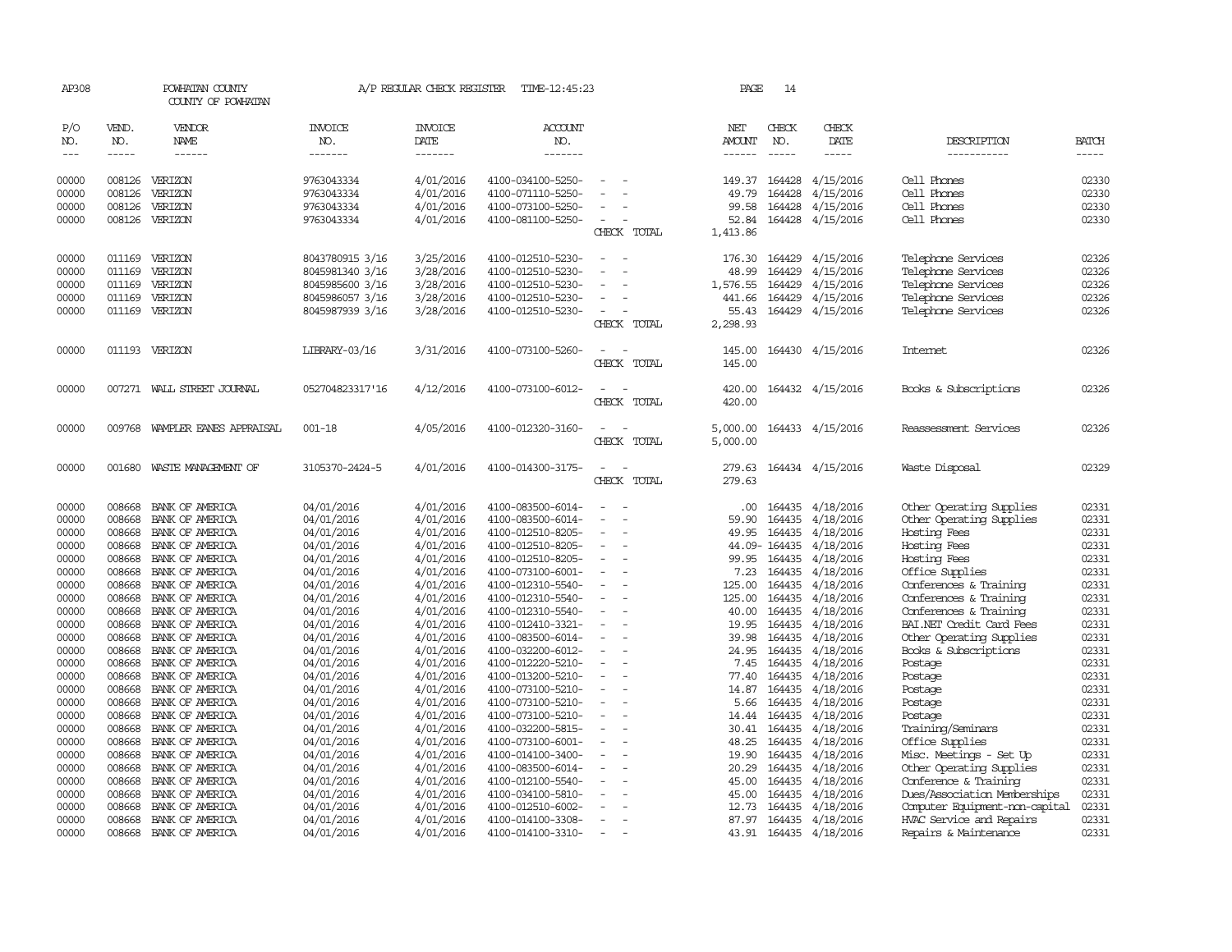| AP308          |                  | POWHATAN COUNTY<br>COUNTY OF POWHATAN |                          | A/P REGULAR CHECK REGISTER | TIME-12:45:23                          |                                                      | PAGE            | 14               |                        |                                                  |                |
|----------------|------------------|---------------------------------------|--------------------------|----------------------------|----------------------------------------|------------------------------------------------------|-----------------|------------------|------------------------|--------------------------------------------------|----------------|
| P/O<br>NO.     | VEND.<br>NO.     | VENDOR<br>NAME                        | <b>INVOICE</b><br>NO.    | <b>INVOICE</b><br>DATE     | <b>ACCOUNT</b><br>NO.                  |                                                      | NET<br>AMOUNT   | CHECK<br>NO.     | CHECK<br>DATE          | DESCRIPTION                                      | <b>BATCH</b>   |
| $---$          | $- - - - -$      | $- - - - - -$                         | --------                 | -------                    | -------                                |                                                      | $- - - - - -$   | $\frac{1}{2}$    | -----                  | -----------                                      | -----          |
| 00000<br>00000 | 008126           | 008126 VERIZON<br>VERIZON             | 9763043334<br>9763043334 | 4/01/2016<br>4/01/2016     | 4100-034100-5250-<br>4100-071110-5250- |                                                      | 149.37<br>49.79 | 164428<br>164428 | 4/15/2016<br>4/15/2016 | Cell Phones<br>Cell Phones                       | 02330<br>02330 |
| 00000          | 008126           | VERIZON                               | 9763043334               | 4/01/2016                  | 4100-073100-5250-                      |                                                      | 99.58           | 164428           | 4/15/2016              | Cell Phones                                      | 02330          |
| 00000          |                  | 008126 VERIZON                        | 9763043334               | 4/01/2016                  | 4100-081100-5250-                      | $\sim$                                               | 52.84           | 164428           | 4/15/2016              | Cell Phones                                      | 02330          |
|                |                  |                                       |                          |                            |                                        | CHECK TOTAL                                          | 1,413.86        |                  |                        |                                                  |                |
| 00000          | 011169           | VERIZON                               | 8043780915 3/16          | 3/25/2016                  | 4100-012510-5230-                      | $\overline{\phantom{a}}$                             | 176.30          | 164429           | 4/15/2016              | Telephone Services                               | 02326          |
| 00000          | 011169           | VERIZON                               | 8045981340 3/16          | 3/28/2016                  | 4100-012510-5230-                      |                                                      | 48.99           | 164429           | 4/15/2016              | Telephone Services                               | 02326          |
| 00000          | 011169           | VERIZON                               | 8045985600 3/16          | 3/28/2016                  | 4100-012510-5230-                      |                                                      | 1,576.55        | 164429           | 4/15/2016              | Telephone Services                               | 02326          |
| 00000          | 011169           | VERIZON                               | 8045986057 3/16          | 3/28/2016                  | 4100-012510-5230-                      |                                                      | 441.66          | 164429           | 4/15/2016              | Telephone Services                               | 02326          |
| 00000          |                  | 011169 VERIZON                        | 8045987939 3/16          | 3/28/2016                  | 4100-012510-5230-                      | $\overline{\phantom{a}}$                             | 55.43           | 164429           | 4/15/2016              | Telephone Services                               | 02326          |
|                |                  |                                       |                          |                            |                                        | CHECK TOTAL                                          | 2,298.93        |                  |                        |                                                  |                |
| 00000          |                  | 011193 VERIZON                        | LIBRARY-03/16            | 3/31/2016                  | 4100-073100-5260-                      |                                                      | 145.00          |                  | 164430 4/15/2016       | <b>Internet</b>                                  | 02326          |
|                |                  |                                       |                          |                            |                                        | CHECK TOTAL                                          | 145.00          |                  |                        |                                                  |                |
| 00000          |                  | 007271 WALL STREET JOURNAL            | 052704823317'16          | 4/12/2016                  | 4100-073100-6012-                      |                                                      | 420.00          |                  | 164432 4/15/2016       | Books & Subscriptions                            | 02326          |
|                |                  |                                       |                          |                            |                                        | CHECK TOTAL                                          | 420.00          |                  |                        |                                                  |                |
| 00000          | 009768           | WAMPLER EANES APPRAISAL               | $001 - 18$               | 4/05/2016                  | 4100-012320-3160-                      |                                                      | 5,000.00        |                  | 164433 4/15/2016       | Reassessment Services                            | 02326          |
|                |                  |                                       |                          |                            |                                        | CHECK TOTAL                                          | 5,000.00        |                  |                        |                                                  |                |
| 00000          | 001680           | WASTE MANAGEMENT OF                   | 3105370-2424-5           | 4/01/2016                  | 4100-014300-3175-                      |                                                      | 279.63          |                  | 164434 4/15/2016       | Waste Disposal                                   | 02329          |
|                |                  |                                       |                          |                            |                                        | CHECK TOTAL                                          | 279.63          |                  |                        |                                                  |                |
| 00000          | 008668           | BANK OF AMERICA                       | 04/01/2016               | 4/01/2016                  | 4100-083500-6014-                      |                                                      | .00             | 164435           | 4/18/2016              | Other Operating Supplies                         | 02331          |
| 00000          | 008668           | BANK OF AMERICA                       | 04/01/2016               | 4/01/2016                  | 4100-083500-6014-                      |                                                      | 59.90           | 164435           | 4/18/2016              | Other Operating Supplies                         | 02331          |
| 00000          | 008668           | BANK OF AMERICA                       | 04/01/2016               | 4/01/2016                  | 4100-012510-8205-                      | $\overline{\phantom{a}}$                             | 49.95           | 164435           | 4/18/2016              | Hosting Fees                                     | 02331          |
| 00000          | 008668           | BANK OF AMERICA                       | 04/01/2016               | 4/01/2016                  | 4100-012510-8205-                      |                                                      |                 | 44.09-164435     | 4/18/2016              | Hosting Fees                                     | 02331          |
| 00000          | 008668           | BANK OF AMERICA                       | 04/01/2016               | 4/01/2016                  | 4100-012510-8205-                      |                                                      | 99.95           | 164435           | 4/18/2016              | Hosting Fees                                     | 02331          |
| 00000          | 008668           | BANK OF AMERICA                       | 04/01/2016               | 4/01/2016                  | 4100-073100-6001-                      | $\equiv$                                             | 7.23            | 164435           | 4/18/2016              | Office Supplies                                  | 02331          |
| 00000          | 008668           | BANK OF AMERICA                       | 04/01/2016               | 4/01/2016                  | 4100-012310-5540-                      |                                                      | 125.00          | 164435           | 4/18/2016              | Conferences & Training                           | 02331          |
| 00000<br>00000 | 008668<br>008668 | BANK OF AMERICA<br>BANK OF AMERICA    | 04/01/2016<br>04/01/2016 | 4/01/2016<br>4/01/2016     | 4100-012310-5540-<br>4100-012310-5540- |                                                      | 125.00<br>40.00 | 164435<br>164435 | 4/18/2016              | Conferences & Training<br>Conferences & Training | 02331<br>02331 |
| 00000          | 008668           | BANK OF AMERICA                       | 04/01/2016               | 4/01/2016                  | 4100-012410-3321-                      | $\overline{\phantom{a}}$                             | 19.95           | 164435           | 4/18/2016<br>4/18/2016 | BAI.NET Credit Card Fees                         | 02331          |
| 00000          | 008668           | BANK OF AMERICA                       | 04/01/2016               | 4/01/2016                  | 4100-083500-6014-                      |                                                      | 39.98           | 164435           | 4/18/2016              | Other Operating Supplies                         | 02331          |
| 00000          | 008668           | BANK OF AMERICA                       | 04/01/2016               | 4/01/2016                  | 4100-032200-6012-                      |                                                      | 24.95           | 164435           | 4/18/2016              | Books & Subscriptions                            | 02331          |
| 00000          | 008668           | BANK OF AMERICA                       | 04/01/2016               | 4/01/2016                  | 4100-012220-5210-                      | $\overline{\phantom{a}}$<br>$\overline{\phantom{a}}$ | 7.45            | 164435           | 4/18/2016              | Postage                                          | 02331          |
| 00000          | 008668           | BANK OF AMERICA                       | 04/01/2016               | 4/01/2016                  | 4100-013200-5210-                      | $\overline{\phantom{a}}$                             | 77.40           | 164435           | 4/18/2016              | Postage                                          | 02331          |
| 00000          | 008668           | BANK OF AMERICA                       | 04/01/2016               | 4/01/2016                  | 4100-073100-5210-                      |                                                      | 14.87           | 164435           | 4/18/2016              | Postage                                          | 02331          |
| 00000          | 008668           | BANK OF AMERICA                       | 04/01/2016               | 4/01/2016                  | 4100-073100-5210-                      |                                                      | 5.66            | 164435           | 4/18/2016              | Postage                                          | 02331          |
| 00000          | 008668           | BANK OF AMERICA                       | 04/01/2016               | 4/01/2016                  | 4100-073100-5210-                      | $\equiv$                                             | 14.44           | 164435           | 4/18/2016              | Postage                                          | 02331          |
| 00000          | 008668           | BANK OF AMERICA                       | 04/01/2016               | 4/01/2016                  | 4100-032200-5815-                      |                                                      | 30.41           | 164435           | 4/18/2016              | Training/Seminars                                | 02331          |
| 00000          | 008668           | BANK OF AMERICA                       | 04/01/2016               | 4/01/2016                  | 4100-073100-6001-                      |                                                      | 48.25           | 164435           | 4/18/2016              | Office Supplies                                  | 02331          |
| 00000          | 008668           | BANK OF AMERICA                       | 04/01/2016               | 4/01/2016                  | 4100-014100-3400-                      | $\equiv$                                             | 19.90           | 164435           | 4/18/2016              | Misc. Meetings - Set Up                          | 02331          |
| 00000          | 008668           | BANK OF AMERICA                       | 04/01/2016               | 4/01/2016                  | 4100-083500-6014-                      |                                                      | 20.29           | 164435           | 4/18/2016              | Other Operating Supplies                         | 02331          |
| 00000          | 008668           | BANK OF AMERICA                       | 04/01/2016               | 4/01/2016                  | 4100-012100-5540-                      |                                                      | 45.00           | 164435           | 4/18/2016              | Conference & Training                            | 02331          |
| 00000          | 008668           | BANK OF AMERICA                       | 04/01/2016               | 4/01/2016                  | 4100-034100-5810-                      |                                                      | 45.00           | 164435           | 4/18/2016              | Dues/Association Memberships                     | 02331          |
| 00000          | 008668           | BANK OF AMERICA                       | 04/01/2016               | 4/01/2016                  | 4100-012510-6002-                      |                                                      | 12.73           | 164435           | 4/18/2016              | Computer Equipment-non-capital                   | 02331          |
| 00000          | 008668           | BANK OF AMERICA                       | 04/01/2016               | 4/01/2016                  | 4100-014100-3308-                      | $\sim$                                               | 87.97           | 164435           | 4/18/2016              | HVAC Service and Repairs                         | 02331          |
| 00000          | 008668           | BANK OF AMERICA                       | 04/01/2016               | 4/01/2016                  | 4100-014100-3310-                      | $\sim$                                               |                 |                  | 43.91 164435 4/18/2016 | Repairs & Maintenance                            | 02331          |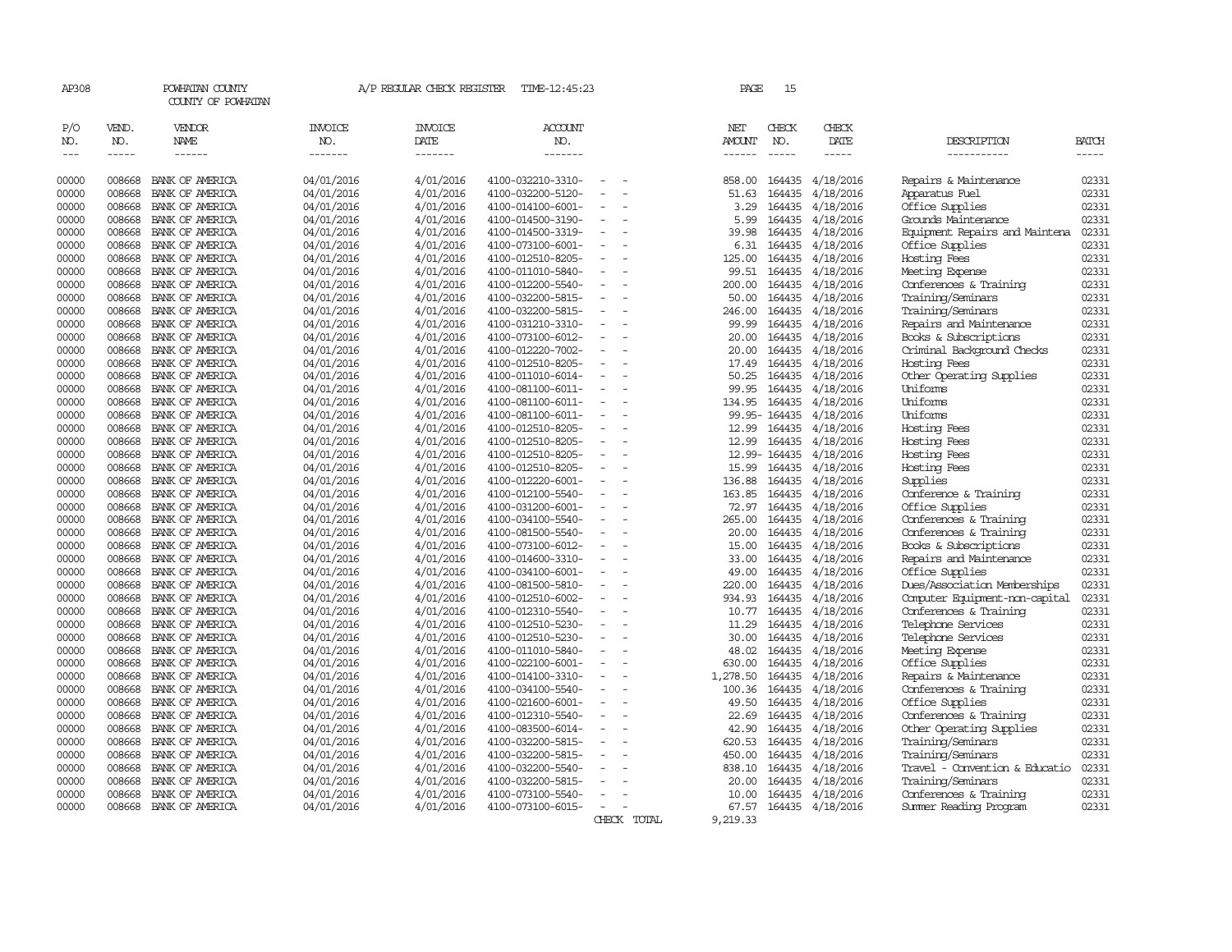| AP308                  |                             | POWHATAN COUNTY<br>COUNTY OF POWHATAN  |                                          | A/P REGULAR CHECK REGISTER                | TIME-12:45:23                          |                          |             | PAGE                           | 15                          |                              |                                                     |                       |
|------------------------|-----------------------------|----------------------------------------|------------------------------------------|-------------------------------------------|----------------------------------------|--------------------------|-------------|--------------------------------|-----------------------------|------------------------------|-----------------------------------------------------|-----------------------|
| P/O<br>NO.<br>$\cdots$ | VEND.<br>NO.<br>$- - - - -$ | VENDOR<br><b>NAME</b><br>$- - - - - -$ | <b>INVOICE</b><br>NO.<br>$- - - - - - -$ | <b>INVOICE</b><br>DATE<br>$- - - - - - -$ | ACCOUNT<br>NO.<br>-------              |                          |             | NET<br><b>AMOUNT</b><br>------ | CHECK<br>NO.<br>$- - - - -$ | CHECK<br>DATE<br>$- - - - -$ | DESCRIPTION<br>-----------                          | <b>BATCH</b><br>----- |
|                        |                             |                                        |                                          |                                           |                                        |                          |             |                                |                             |                              |                                                     |                       |
| 00000                  | 008668                      | BANK OF AMERICA                        | 04/01/2016                               | 4/01/2016                                 | 4100-032210-3310-                      |                          |             | 858.00                         | 164435                      | 4/18/2016                    | Repairs & Maintenance                               | 02331                 |
| 00000                  | 008668                      | BANK OF AMERICA                        | 04/01/2016                               | 4/01/2016                                 | 4100-032200-5120-                      |                          |             | 51.63                          | 164435                      | 4/18/2016                    | Apparatus Fuel                                      | 02331                 |
| 00000                  | 008668                      | BANK OF AMERICA                        | 04/01/2016                               | 4/01/2016                                 | 4100-014100-6001-                      | $\sim$                   |             | 3.29                           | 164435                      | 4/18/2016                    | Office Supplies                                     | 02331                 |
| 00000                  | 008668                      | BANK OF AMERICA                        | 04/01/2016                               | 4/01/2016                                 | 4100-014500-3190-                      |                          |             | 5.99                           | 164435                      | 4/18/2016                    | Grounds Maintenance                                 | 02331                 |
| 00000                  | 008668                      | BANK OF AMERICA                        | 04/01/2016                               | 4/01/2016                                 | 4100-014500-3319-                      |                          |             | 39.98                          | 164435                      | 4/18/2016                    | Equipment Repairs and Maintena                      | 02331                 |
| 00000                  | 008668                      | BANK OF AMERICA                        | 04/01/2016                               | 4/01/2016                                 | 4100-073100-6001-                      | $\equiv$                 |             | 6.31                           | 164435                      | 4/18/2016                    | Office Supplies                                     | 02331                 |
| 00000                  | 008668                      | BANK OF AMERICA                        | 04/01/2016                               | 4/01/2016                                 | 4100-012510-8205-                      |                          |             | 125.00                         | 164435                      | 4/18/2016                    | Hosting Fees                                        | 02331                 |
| 00000                  | 008668                      | BANK OF AMERICA                        | 04/01/2016                               | 4/01/2016                                 | 4100-011010-5840-                      |                          |             | 99.51                          | 164435                      | 4/18/2016                    | Meeting Expense                                     | 02331                 |
| 00000                  | 008668                      | BANK OF AMERICA                        | 04/01/2016                               | 4/01/2016                                 | 4100-012200-5540-                      |                          |             | 200.00                         | 164435                      | 4/18/2016                    | Conferences & Training                              | 02331                 |
| 00000                  | 008668                      | BANK OF AMERICA                        | 04/01/2016                               | 4/01/2016                                 | 4100-032200-5815-                      | $\equiv$                 |             | 50.00                          | 164435                      | 4/18/2016                    | Training/Seminars                                   | 02331                 |
| 00000                  | 008668                      | BANK OF AMERICA                        | 04/01/2016                               | 4/01/2016                                 | 4100-032200-5815-                      |                          |             | 246.00                         | 164435                      | 4/18/2016                    | Training/Seminars                                   | 02331                 |
| 00000                  | 008668                      | BANK OF AMERICA                        | 04/01/2016                               | 4/01/2016                                 | 4100-031210-3310-                      |                          |             | 99.99                          | 164435                      | 4/18/2016                    | Repairs and Maintenance                             | 02331                 |
| 00000                  | 008668                      | BANK OF AMERICA                        | 04/01/2016                               | 4/01/2016                                 | 4100-073100-6012-                      | $\equiv$                 |             | 20.00                          | 164435                      | 4/18/2016                    | Books & Subscriptions                               | 02331                 |
| 00000                  | 008668                      | BANK OF AMERICA                        | 04/01/2016                               | 4/01/2016                                 | 4100-012220-7002-                      |                          |             | 20.00                          | 164435                      | 4/18/2016                    | Criminal Background Checks                          | 02331                 |
| 00000                  | 008668                      | BANK OF AMERICA                        | 04/01/2016                               | 4/01/2016                                 | 4100-012510-8205-                      |                          |             | 17.49                          | 164435                      | 4/18/2016                    | Hosting Fees                                        | 02331                 |
| 00000                  | 008668                      | BANK OF AMERICA                        | 04/01/2016                               | 4/01/2016                                 | 4100-011010-6014-                      | $\overline{\phantom{a}}$ |             | 50.25                          | 164435                      | 4/18/2016                    | Other Operating Supplies                            | 02331                 |
| 00000                  | 008668                      | BANK OF AMERICA                        | 04/01/2016                               | 4/01/2016                                 | 4100-081100-6011-                      |                          |             | 99.95                          | 164435                      | 4/18/2016                    | Uniforms                                            | 02331                 |
| 00000                  | 008668                      | BANK OF AMERICA                        | 04/01/2016                               | 4/01/2016                                 | 4100-081100-6011-                      |                          |             | 134.95                         | 164435                      | 4/18/2016                    | Uniforms                                            | 02331                 |
| 00000                  | 008668                      | BANK OF AMERICA                        | 04/01/2016                               | 4/01/2016                                 | 4100-081100-6011-                      | $\overline{\phantom{a}}$ |             |                                | 99.95-164435                | 4/18/2016                    | Uniforms                                            | 02331                 |
| 00000                  | 008668                      | BANK OF AMERICA                        | 04/01/2016                               | 4/01/2016                                 | 4100-012510-8205-                      |                          |             | 12.99                          | 164435                      | 4/18/2016                    | Hosting Fees                                        | 02331                 |
| 00000                  | 008668                      | BANK OF AMERICA                        | 04/01/2016                               | 4/01/2016                                 | 4100-012510-8205-                      |                          |             | 12.99                          | 164435                      | 4/18/2016                    | Hosting Fees                                        | 02331                 |
| 00000                  | 008668                      | BANK OF AMERICA                        | 04/01/2016                               | 4/01/2016                                 | 4100-012510-8205-                      |                          |             |                                | 12.99-164435                | 4/18/2016                    | Hosting Fees                                        | 02331                 |
| 00000                  | 008668                      | BANK OF AMERICA                        | 04/01/2016                               | 4/01/2016                                 | 4100-012510-8205-                      | $\equiv$                 |             | 15.99                          | 164435                      | 4/18/2016                    | Hosting Fees                                        | 02331                 |
| 00000                  | 008668                      | BANK OF AMERICA                        | 04/01/2016                               | 4/01/2016                                 | 4100-012220-6001-                      | $\sim$                   |             | 136.88                         | 164435                      | 4/18/2016                    | Supplies                                            | 02331                 |
| 00000                  | 008668                      | BANK OF AMERICA                        | 04/01/2016                               | 4/01/2016                                 | 4100-012100-5540-                      |                          |             | 163.85                         | 164435                      | 4/18/2016                    | Conference & Training                               | 02331                 |
| 00000                  | 008668                      | BANK OF AMERICA                        | 04/01/2016                               | 4/01/2016                                 | 4100-031200-6001-                      | $\equiv$                 |             | 72.97                          | 164435                      | 4/18/2016                    | Office Supplies                                     | 02331                 |
| 00000                  | 008668                      | BANK OF AMERICA                        | 04/01/2016                               | 4/01/2016                                 | 4100-034100-5540-                      |                          |             | 265.00                         | 164435                      | 4/18/2016                    | Conferences & Training                              | 02331                 |
| 00000                  | 008668                      | BANK OF AMERICA                        | 04/01/2016                               | 4/01/2016                                 | 4100-081500-5540-                      |                          |             | 20.00                          | 164435                      | 4/18/2016                    | Conferences & Training                              | 02331                 |
| 00000                  | 008668                      | BANK OF AMERICA                        | 04/01/2016                               | 4/01/2016                                 | 4100-073100-6012-                      | $\overline{a}$           |             | 15.00                          | 164435                      | 4/18/2016                    | Books & Subscriptions                               | 02331                 |
| 00000                  | 008668                      | BANK OF AMERICA                        | 04/01/2016                               | 4/01/2016                                 | 4100-014600-3310-                      | $\overline{\phantom{a}}$ |             | 33.00                          | 164435                      | 4/18/2016                    | Repairs and Maintenance                             | 02331                 |
| 00000                  | 008668                      | BANK OF AMERICA                        | 04/01/2016                               | 4/01/2016                                 | 4100-034100-6001-                      |                          |             | 49.00                          | 164435                      | 4/18/2016                    | Office Supplies                                     | 02331                 |
| 00000                  | 008668                      | BANK OF AMERICA                        | 04/01/2016                               | 4/01/2016                                 | 4100-081500-5810-                      |                          |             | 220.00                         | 164435                      | 4/18/2016                    | Dues/Association Memberships                        | 02331                 |
| 00000                  | 008668                      | BANK OF AMERICA                        | 04/01/2016                               | 4/01/2016                                 | 4100-012510-6002-                      |                          |             | 934.93                         | 164435                      | 4/18/2016                    | Computer Equipment-non-capital                      | 02331                 |
| 00000                  | 008668                      | BANK OF AMERICA                        | 04/01/2016                               | 4/01/2016                                 | 4100-012310-5540-                      | $\overline{\phantom{a}}$ |             | 10.77                          | 164435                      | 4/18/2016                    | Conferences & Training                              | 02331                 |
| 00000                  | 008668                      | BANK OF AMERICA                        | 04/01/2016                               | 4/01/2016                                 | 4100-012510-5230-                      |                          |             | 11.29                          | 164435                      | 4/18/2016                    | Telephone Services                                  | 02331                 |
| 00000                  | 008668                      | BANK OF AMERICA                        | 04/01/2016                               | 4/01/2016                                 | 4100-012510-5230-                      | $\equiv$                 |             | 30.00                          | 164435                      | 4/18/2016                    | Telephone Services                                  | 02331                 |
| 00000                  | 008668                      | BANK OF AMERICA                        | 04/01/2016                               | 4/01/2016                                 | 4100-011010-5840-                      |                          |             | 48.02                          | 164435                      | 4/18/2016                    | Meeting Expense                                     | 02331                 |
| 00000                  | 008668                      | BANK OF AMERICA                        | 04/01/2016                               | 4/01/2016                                 | 4100-022100-6001-                      | $\equiv$                 |             | 630.00                         | 164435                      | 4/18/2016                    | Office Supplies                                     | 02331<br>02331        |
| 00000                  | 008668                      | BANK OF AMERICA                        | 04/01/2016                               | 4/01/2016                                 | 4100-014100-3310-                      |                          |             | 1,278.50                       | 164435                      | 4/18/2016                    | Repairs & Maintenance                               |                       |
| 00000                  | 008668                      | BANK OF AMERICA                        | 04/01/2016                               | 4/01/2016                                 | 4100-034100-5540-                      | ٠                        |             | 100.36                         | 164435                      | 4/18/2016                    | Conferences & Training                              | 02331                 |
| 00000<br>00000         | 008668<br>008668            | BANK OF AMERICA<br>BANK OF AMERICA     | 04/01/2016                               | 4/01/2016<br>4/01/2016                    | 4100-021600-6001-<br>4100-012310-5540- |                          |             | 49.50<br>22.69                 | 164435<br>164435            | 4/18/2016                    | Office Supplies<br>Conferences & Training           | 02331<br>02331        |
|                        |                             |                                        | 04/01/2016                               |                                           |                                        | $\overline{\phantom{a}}$ |             |                                |                             | 4/18/2016                    |                                                     |                       |
| 00000<br>00000         | 008668<br>008668            | BANK OF AMERICA<br>BANK OF AMERICA     | 04/01/2016                               | 4/01/2016<br>4/01/2016                    | 4100-083500-6014-<br>4100-032200-5815- | $\sim$                   |             | 42.90<br>620.53                | 164435<br>164435            | 4/18/2016                    | Other Operating Supplies<br>Training/Seminars       | 02331<br>02331        |
|                        |                             |                                        | 04/01/2016                               |                                           |                                        |                          |             |                                |                             | 4/18/2016                    |                                                     | 02331                 |
| 00000<br>00000         | 008668<br>008668            | BANK OF AMERICA<br>BANK OF AMERICA     | 04/01/2016<br>04/01/2016                 | 4/01/2016<br>4/01/2016                    | 4100-032200-5815-<br>4100-032200-5540- | $\overline{a}$           |             | 450.00<br>838.10               | 164435<br>164435            | 4/18/2016<br>4/18/2016       | Training/Seminars<br>Travel - Convention & Educatio | 02331                 |
| 00000                  | 008668                      | BANK OF AMERICA                        | 04/01/2016                               | 4/01/2016                                 | 4100-032200-5815-                      |                          |             | 20.00                          | 164435                      | 4/18/2016                    | Training/Seminars                                   | 02331                 |
| 00000                  | 008668                      | BANK OF AMERICA                        |                                          | 4/01/2016                                 | 4100-073100-5540-                      |                          |             | 10.00                          | 164435                      | 4/18/2016                    | Conferences & Training                              | 02331                 |
| 00000                  | 008668                      | BANK OF AMERICA                        | 04/01/2016<br>04/01/2016                 | 4/01/2016                                 | 4100-073100-6015-                      |                          |             | 67.57                          |                             | 164435 4/18/2016             | Summer Reading Program                              | 02331                 |
|                        |                             |                                        |                                          |                                           |                                        |                          | CHECK TOTAL | 9,219.33                       |                             |                              |                                                     |                       |
|                        |                             |                                        |                                          |                                           |                                        |                          |             |                                |                             |                              |                                                     |                       |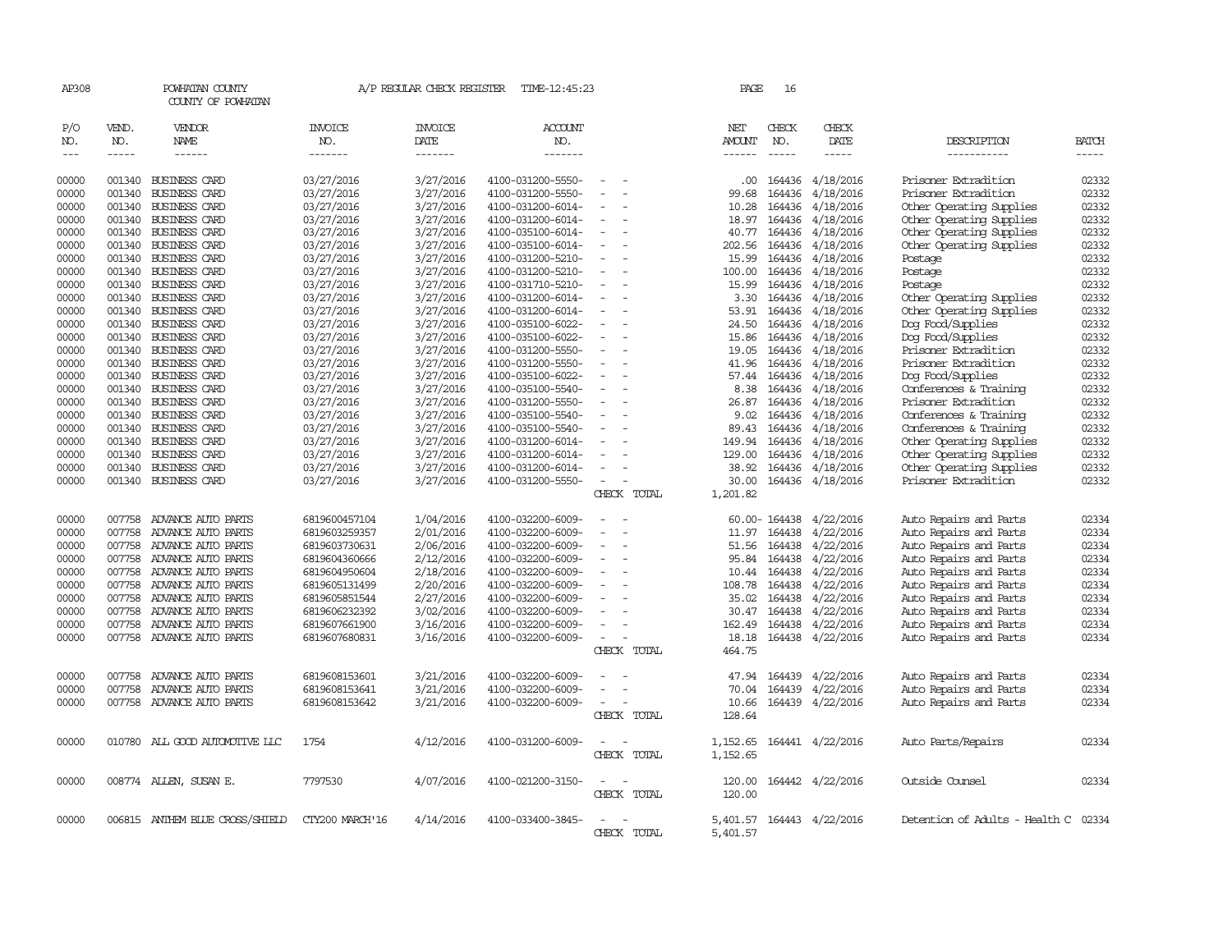| AP308                                                                                                                                                          |                                                                              | POWHATAN COUNTY<br>COUNTY OF POWHATAN                                                                                                                                                                                                                                                                                                                                                                            |                                                                                                                                                                                                                                                          | A/P REGULAR CHECK REGISTER                                                                                                                                                                                                             | TIME-12:45:23                                                                                                                                                                                                                                                                                                                                                                          |                       | PAGE                                                                                                                                                                 | 16                                                                                                                                                           |                                                                                                                                                                                                                                                      |                                                                                                                                                                                                                                                                                                                                                                                                                        |                                                                                                                                                                                                                                                                                                                                                                                                                                                                                                     |
|----------------------------------------------------------------------------------------------------------------------------------------------------------------|------------------------------------------------------------------------------|------------------------------------------------------------------------------------------------------------------------------------------------------------------------------------------------------------------------------------------------------------------------------------------------------------------------------------------------------------------------------------------------------------------|----------------------------------------------------------------------------------------------------------------------------------------------------------------------------------------------------------------------------------------------------------|----------------------------------------------------------------------------------------------------------------------------------------------------------------------------------------------------------------------------------------|----------------------------------------------------------------------------------------------------------------------------------------------------------------------------------------------------------------------------------------------------------------------------------------------------------------------------------------------------------------------------------------|-----------------------|----------------------------------------------------------------------------------------------------------------------------------------------------------------------|--------------------------------------------------------------------------------------------------------------------------------------------------------------|------------------------------------------------------------------------------------------------------------------------------------------------------------------------------------------------------------------------------------------------------|------------------------------------------------------------------------------------------------------------------------------------------------------------------------------------------------------------------------------------------------------------------------------------------------------------------------------------------------------------------------------------------------------------------------|-----------------------------------------------------------------------------------------------------------------------------------------------------------------------------------------------------------------------------------------------------------------------------------------------------------------------------------------------------------------------------------------------------------------------------------------------------------------------------------------------------|
| P/O<br>NO.<br>$\frac{1}{2}$                                                                                                                                    | VEND.<br>NO.<br>$- - - - -$                                                  | VENDOR<br>NAME<br>------                                                                                                                                                                                                                                                                                                                                                                                         | <b>INVOICE</b><br>NO.<br>-------                                                                                                                                                                                                                         | <b>INVOICE</b><br>DATE<br>-------                                                                                                                                                                                                      | <b>ACCOUNT</b><br>NO.<br>-------                                                                                                                                                                                                                                                                                                                                                       |                       | NET<br>AMOUNT<br>------                                                                                                                                              | CHECK<br>NO.<br>$- - - - -$                                                                                                                                  | CHECK<br>DATE<br>-----                                                                                                                                                                                                                               | DESCRIPTION<br>-----------                                                                                                                                                                                                                                                                                                                                                                                             | <b>BATCH</b><br>$\begin{tabular}{ccccc} \multicolumn{2}{c}{} & \multicolumn{2}{c}{} & \multicolumn{2}{c}{} & \multicolumn{2}{c}{} & \multicolumn{2}{c}{} & \multicolumn{2}{c}{} & \multicolumn{2}{c}{} & \multicolumn{2}{c}{} & \multicolumn{2}{c}{} & \multicolumn{2}{c}{} & \multicolumn{2}{c}{} & \multicolumn{2}{c}{} & \multicolumn{2}{c}{} & \multicolumn{2}{c}{} & \multicolumn{2}{c}{} & \multicolumn{2}{c}{} & \multicolumn{2}{c}{} & \multicolumn{2}{c}{} & \multicolumn{2}{c}{} & \mult$ |
| 00000<br>00000<br>00000<br>00000<br>00000<br>00000<br>00000<br>00000<br>00000<br>00000<br>00000<br>00000<br>00000<br>00000<br>00000<br>00000<br>00000<br>00000 | 001340<br>001340<br>001340<br>001340<br>001340<br>001340<br>001340           | BUSINESS CARD<br><b>BUSINESS CARD</b><br>001340 BUSINESS CARD<br>001340 BUSINESS CARD<br>001340 BUSINESS CARD<br>001340 BUSINESS CARD<br><b>BUSINESS CARD</b><br>BUSINESS CARD<br>001340 BUSINESS CARD<br>001340 BUSINESS CARD<br>001340 BUSINESS CARD<br>001340 BUSINESS CARD<br>BUSINESS CARD<br><b>BUSINESS CARD</b><br>BUSINESS CARD<br>001340 BUSINESS CARD<br>001340 BUSINESS CARD<br>001340 BUSINESS CARD | 03/27/2016<br>03/27/2016<br>03/27/2016<br>03/27/2016<br>03/27/2016<br>03/27/2016<br>03/27/2016<br>03/27/2016<br>03/27/2016<br>03/27/2016<br>03/27/2016<br>03/27/2016<br>03/27/2016<br>03/27/2016<br>03/27/2016<br>03/27/2016<br>03/27/2016<br>03/27/2016 | 3/27/2016<br>3/27/2016<br>3/27/2016<br>3/27/2016<br>3/27/2016<br>3/27/2016<br>3/27/2016<br>3/27/2016<br>3/27/2016<br>3/27/2016<br>3/27/2016<br>3/27/2016<br>3/27/2016<br>3/27/2016<br>3/27/2016<br>3/27/2016<br>3/27/2016<br>3/27/2016 | 4100-031200-5550-<br>4100-031200-5550-<br>4100-031200-6014-<br>4100-031200-6014-<br>4100-035100-6014-<br>4100-035100-6014-<br>4100-031200-5210-<br>4100-031200-5210-<br>4100-031710-5210-<br>4100-031200-6014-<br>4100-031200-6014-<br>4100-035100-6022-<br>4100-035100-6022-<br>4100-031200-5550-<br>4100-031200-5550-<br>4100-035100-6022-<br>4100-035100-5540-<br>4100-031200-5550- | $\equiv$              | $.00 \cdot$<br>99.68<br>10.28<br>18.97<br>40.77<br>202.56<br>15.99<br>100.00<br>15.99<br>3.30<br>53.91<br>24.50<br>15.86<br>19.05<br>41.96<br>57.44<br>8.38<br>26.87 | 164436<br>164436<br>164436<br>164436<br>164436<br>164436<br>164436<br>164436<br>164436<br>164436<br>164436<br>164436<br>164436<br>164436<br>164436<br>164436 | 4/18/2016<br>4/18/2016<br>4/18/2016<br>4/18/2016<br>4/18/2016<br>4/18/2016<br>4/18/2016<br>4/18/2016<br>164436 4/18/2016<br>4/18/2016<br>4/18/2016<br>4/18/2016<br>4/18/2016<br>4/18/2016<br>4/18/2016<br>164436 4/18/2016<br>4/18/2016<br>4/18/2016 | Prisoner Extradition<br>Prisoner Extradition<br>Other Operating Supplies<br>Other Operating Supplies<br>Other Operating Supplies<br>Other Operating Supplies<br>Postage<br>Postage<br>Postage<br>Other Operating Supplies<br>Other Operating Supplies<br>Dog Food/Supplies<br>Dog Food/Supplies<br>Prisoner Extradition<br>Prisoner Extradition<br>Dog Food/Supplies<br>Conferences & Training<br>Prisoner Extradition | 02332<br>02332<br>02332<br>02332<br>02332<br>02332<br>02332<br>02332<br>02332<br>02332<br>02332<br>02332<br>02332<br>02332<br>02332<br>02332<br>02332<br>02332                                                                                                                                                                                                                                                                                                                                      |
| 00000<br>00000<br>00000<br>00000<br>00000<br>00000                                                                                                             | 001340<br>001340<br>001340<br>001340                                         | 001340 BUSINESS CARD<br>001340 BUSINESS CARD<br><b>BUSINESS CARD</b><br><b>BUSINESS CARD</b><br><b>BUSINESS CARD</b><br><b>BUSINESS CARD</b>                                                                                                                                                                                                                                                                     | 03/27/2016<br>03/27/2016<br>03/27/2016<br>03/27/2016<br>03/27/2016<br>03/27/2016                                                                                                                                                                         | 3/27/2016<br>3/27/2016<br>3/27/2016<br>3/27/2016<br>3/27/2016<br>3/27/2016                                                                                                                                                             | 4100-035100-5540-<br>4100-035100-5540-<br>4100-031200-6014-<br>4100-031200-6014-<br>4100-031200-6014-<br>4100-031200-5550-                                                                                                                                                                                                                                                             | CHECK TOTAL           | 9.02<br>89.43<br>149.94<br>129.00<br>38.92<br>30.00<br>1,201.82                                                                                                      | 164436<br>164436<br>164436<br>164436                                                                                                                         | 4/18/2016<br>4/18/2016<br>4/18/2016<br>4/18/2016<br>164436 4/18/2016<br>164436 4/18/2016                                                                                                                                                             | Conferences & Training<br>Conferences & Training<br>Other Operating Supplies<br>Other Operating Supplies<br>Other Operating Supplies<br>Prisoner Extradition                                                                                                                                                                                                                                                           | 02332<br>02332<br>02332<br>02332<br>02332<br>02332                                                                                                                                                                                                                                                                                                                                                                                                                                                  |
| 00000<br>00000<br>00000<br>00000<br>00000<br>00000<br>00000<br>00000<br>00000<br>00000                                                                         | 007758<br>007758<br>007758<br>007758<br>007758<br>007758<br>007758<br>007758 | 007758 ADVANCE AUTO PARTS<br>ADVANCE AUTO PARTS<br>ADVANCE AUTO PARTS<br>ADVANCE AUTO PARTS<br>ADVANCE AUTO PARTS<br>ADVANCE AUTO PARTS<br>ADVANCE AUTO PARTS<br>ADVANCE AUTO PARTS<br>ADVANCE AUTO PARTS<br>007758 ADVANCE AUTO PARTS                                                                                                                                                                           | 6819600457104<br>6819603259357<br>6819603730631<br>6819604360666<br>6819604950604<br>6819605131499<br>6819605851544<br>6819606232392<br>6819607661900<br>6819607680831                                                                                   | 1/04/2016<br>2/01/2016<br>2/06/2016<br>2/12/2016<br>2/18/2016<br>2/20/2016<br>2/27/2016<br>3/02/2016<br>3/16/2016<br>3/16/2016                                                                                                         | 4100-032200-6009-<br>4100-032200-6009-<br>4100-032200-6009-<br>4100-032200-6009-<br>4100-032200-6009-<br>4100-032200-6009-<br>4100-032200-6009-<br>4100-032200-6009-<br>4100-032200-6009-<br>4100-032200-6009-                                                                                                                                                                         | CHECK TOTAL           | 11.97<br>51.56<br>95.84<br>10.44<br>108.78<br>35.02<br>30.47<br>162.49<br>18.18<br>464.75                                                                            | 164438<br>164438<br>164438<br>164438<br>164438<br>164438<br>164438                                                                                           | 60.00-164438 4/22/2016<br>4/22/2016<br>4/22/2016<br>164438 4/22/2016<br>4/22/2016<br>4/22/2016<br>4/22/2016<br>4/22/2016<br>4/22/2016<br>164438 4/22/2016                                                                                            | Auto Repairs and Parts<br>Auto Repairs and Parts<br>Auto Repairs and Parts<br>Auto Repairs and Parts<br>Auto Repairs and Parts<br>Auto Repairs and Parts<br>Auto Repairs and Parts<br>Auto Repairs and Parts<br>Auto Repairs and Parts<br>Auto Repairs and Parts                                                                                                                                                       | 02334<br>02334<br>02334<br>02334<br>02334<br>02334<br>02334<br>02334<br>02334<br>02334                                                                                                                                                                                                                                                                                                                                                                                                              |
| 00000<br>00000<br>00000                                                                                                                                        | 007758<br>007758                                                             | ADVANCE AUTO PARTS<br>ADVANCE AUTO PARTS<br>007758 ADVANCE AUTO PARTS                                                                                                                                                                                                                                                                                                                                            | 6819608153601<br>6819608153641<br>6819608153642                                                                                                                                                                                                          | 3/21/2016<br>3/21/2016<br>3/21/2016                                                                                                                                                                                                    | 4100-032200-6009-<br>4100-032200-6009-<br>4100-032200-6009-                                                                                                                                                                                                                                                                                                                            | $\sim$<br>CHECK TOTAL | 47.94<br>70.04<br>10.66<br>128.64                                                                                                                                    | 164439                                                                                                                                                       | 164439 4/22/2016<br>4/22/2016<br>164439 4/22/2016                                                                                                                                                                                                    | Auto Repairs and Parts<br>Auto Repairs and Parts<br>Auto Repairs and Parts                                                                                                                                                                                                                                                                                                                                             | 02334<br>02334<br>02334                                                                                                                                                                                                                                                                                                                                                                                                                                                                             |
| 00000                                                                                                                                                          |                                                                              | 010780 ALL GOOD AUTOMOTTVE LLC                                                                                                                                                                                                                                                                                                                                                                                   | 1754                                                                                                                                                                                                                                                     | 4/12/2016                                                                                                                                                                                                                              | 4100-031200-6009-                                                                                                                                                                                                                                                                                                                                                                      | CHECK TOTAL           | 1,152.65<br>1,152.65                                                                                                                                                 |                                                                                                                                                              | 164441 4/22/2016                                                                                                                                                                                                                                     | Auto Parts/Repairs                                                                                                                                                                                                                                                                                                                                                                                                     | 02334                                                                                                                                                                                                                                                                                                                                                                                                                                                                                               |
| 00000                                                                                                                                                          |                                                                              | 008774 ALLEN, SUSAN E.                                                                                                                                                                                                                                                                                                                                                                                           | 7797530                                                                                                                                                                                                                                                  | 4/07/2016                                                                                                                                                                                                                              | 4100-021200-3150-                                                                                                                                                                                                                                                                                                                                                                      | CHECK TOTAL           | 120.00<br>120.00                                                                                                                                                     |                                                                                                                                                              | 164442 4/22/2016                                                                                                                                                                                                                                     | Outside Counsel                                                                                                                                                                                                                                                                                                                                                                                                        | 02334                                                                                                                                                                                                                                                                                                                                                                                                                                                                                               |
| 00000                                                                                                                                                          |                                                                              | 006815 ANTHEM BLUE CROSS/SHIELD                                                                                                                                                                                                                                                                                                                                                                                  | CTY200 MARCH'16                                                                                                                                                                                                                                          | 4/14/2016                                                                                                                                                                                                                              | 4100-033400-3845-                                                                                                                                                                                                                                                                                                                                                                      | CHECK TOTAL           | 5,401.57                                                                                                                                                             |                                                                                                                                                              | 5,401.57 164443 4/22/2016                                                                                                                                                                                                                            | Detention of Adults - Health C 02334                                                                                                                                                                                                                                                                                                                                                                                   |                                                                                                                                                                                                                                                                                                                                                                                                                                                                                                     |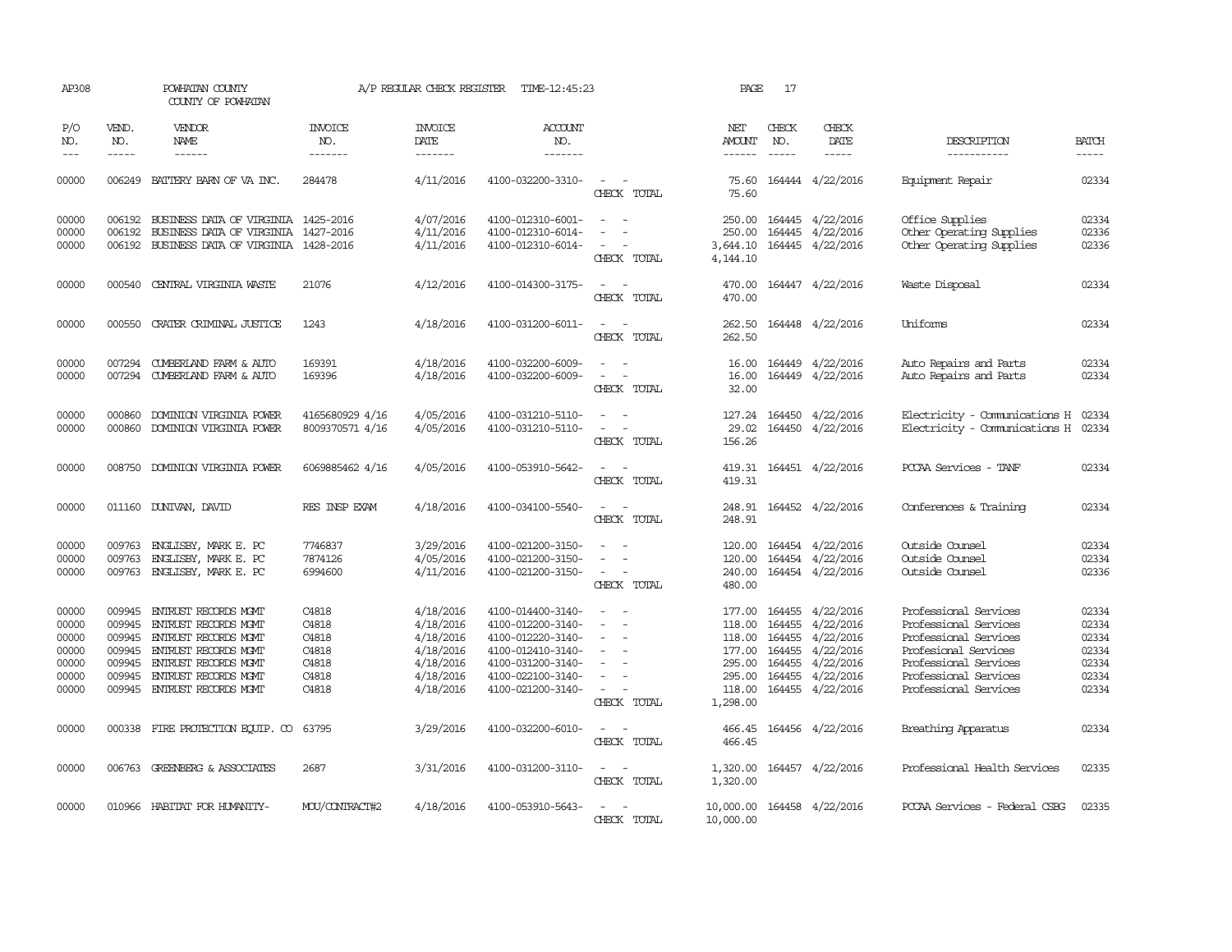| AP308                                     |                                                | POWHATAN COUNTY<br>COUNTY OF POWHATAN                                                                                       |                                           | A/P REGULAR CHECK REGISTER                                    | TIME-12:45:23                                                                                         |                                                                                                                             | PAGE                                           | 17                                             |                                                                 |                                                                                                                          |                                           |
|-------------------------------------------|------------------------------------------------|-----------------------------------------------------------------------------------------------------------------------------|-------------------------------------------|---------------------------------------------------------------|-------------------------------------------------------------------------------------------------------|-----------------------------------------------------------------------------------------------------------------------------|------------------------------------------------|------------------------------------------------|-----------------------------------------------------------------|--------------------------------------------------------------------------------------------------------------------------|-------------------------------------------|
| P/O<br>NO.<br>$\frac{1}{2}$               | VEND.<br>NO.<br>$- - - - -$                    | <b>VENDOR</b><br>NAME<br>$- - - - - -$                                                                                      | <b>INVOICE</b><br>NO.<br>-------          | <b>INVOICE</b><br><b>DATE</b><br>-------                      | <b>ACCOUNT</b><br>NO.<br>-------                                                                      |                                                                                                                             | NET<br><b>AMOUNT</b><br>------                 | CHECK<br>NO.<br>$\frac{1}{2}$                  | CHECK<br>DATE<br>-----                                          | DESCRIPTION<br>-----------                                                                                               | <b>BATCH</b>                              |
| 00000                                     |                                                | 006249 BATTERY BARN OF VA INC.                                                                                              | 284478                                    | 4/11/2016                                                     | 4100-032200-3310-                                                                                     | $\sim$<br>CHECK TOTAL                                                                                                       | 75.60                                          |                                                | 75.60 164444 4/22/2016                                          | Equipment Repair                                                                                                         | 02334                                     |
| 00000<br>00000                            | 006192<br>006192                               | BUSINESS DATA OF VIRGINIA 1425-2016<br>BUSINESS DATA OF VIRGINIA 1427-2016                                                  |                                           | 4/07/2016<br>4/11/2016                                        | 4100-012310-6001-<br>4100-012310-6014-                                                                |                                                                                                                             | 250.00                                         |                                                | 250.00 164445 4/22/2016<br>164445 4/22/2016                     | Office Supplies<br>Other Operating Supplies                                                                              | 02334<br>02336                            |
| 00000                                     |                                                | 006192 BUSINESS DATA OF VIRGINIA 1428-2016                                                                                  |                                           | 4/11/2016                                                     | 4100-012310-6014-                                                                                     | $\overline{\phantom{a}}$<br>CHECK TOTAL                                                                                     | 3,644.10<br>4,144.10                           |                                                | 164445 4/22/2016                                                | Other Operating Supplies                                                                                                 | 02336                                     |
| 00000                                     |                                                | 000540 CENTRAL VIRGINIA WASTE                                                                                               | 21076                                     | 4/12/2016                                                     | 4100-014300-3175-                                                                                     | $\frac{1}{2} \left( \frac{1}{2} \right) \left( \frac{1}{2} \right) = \frac{1}{2} \left( \frac{1}{2} \right)$<br>CHECK TOTAL | 470.00<br>470.00                               |                                                | 164447 4/22/2016                                                | Waste Disposal                                                                                                           | 02334                                     |
| 00000                                     | 000550                                         | CRATER CRIMINAL JUSTICE                                                                                                     | 1243                                      | 4/18/2016                                                     | 4100-031200-6011-                                                                                     | $\sim$ $\sim$<br>CHECK TOTAL                                                                                                | 262.50<br>262.50                               |                                                | 164448 4/22/2016                                                | Uniforms                                                                                                                 | 02334                                     |
| 00000<br>00000                            |                                                | 007294 CUMBERLAND FARM & AUTO<br>007294 CUMBERLAND FARM & AUTO                                                              | 169391<br>169396                          | 4/18/2016<br>4/18/2016                                        | 4100-032200-6009-<br>4100-032200-6009-                                                                | $\overline{\phantom{a}}$<br>$\overline{\phantom{a}}$<br>$\sim$<br>$\sim$<br>CHECK TOTAL                                     | 16.00<br>16.00<br>32.00                        |                                                | 164449 4/22/2016<br>164449 4/22/2016                            | Auto Repairs and Parts<br>Auto Repairs and Parts                                                                         | 02334<br>02334                            |
| 00000<br>00000                            | 000860<br>000860                               | DOMINION VIRGINIA POWER<br>DOMINION VIRGINIA POWER                                                                          | 4165680929 4/16<br>8009370571 4/16        | 4/05/2016<br>4/05/2016                                        | 4100-031210-5110-<br>4100-031210-5110-                                                                | $\sim$ $-$<br>$\overline{\phantom{a}}$<br>$\sim$<br>$\overline{\phantom{a}}$<br>CHECK TOTAL                                 | 29.02<br>156.26                                |                                                | 127.24 164450 4/22/2016<br>164450 4/22/2016                     | Electricity - Comunications H 02334<br>Electricity - Comunications H 02334                                               |                                           |
| 00000                                     |                                                | 008750 DOMINION VIRGINIA POWER                                                                                              | 6069885462 4/16                           | 4/05/2016                                                     | 4100-053910-5642-                                                                                     | CHECK TOTAL                                                                                                                 | 419.31<br>419.31                               |                                                | 164451 4/22/2016                                                | PCCAA Services - TANF                                                                                                    | 02334                                     |
| 00000                                     |                                                | 011160 DUNIVAN, DAVID                                                                                                       | RES INSP EXAM                             | 4/18/2016                                                     | 4100-034100-5540-                                                                                     | $\sim$<br>- -<br>CHECK TOTAL                                                                                                | 248.91<br>248.91                               |                                                | 164452 4/22/2016                                                | Conferences & Training                                                                                                   | 02334                                     |
| 00000<br>00000<br>00000                   | 009763<br>009763                               | ENGLISBY, MARK E. PC<br>ENGLISBY, MARK E. PC<br>009763 ENGLISBY, MARK E. PC                                                 | 7746837<br>7874126<br>6994600             | 3/29/2016<br>4/05/2016<br>4/11/2016                           | 4100-021200-3150-<br>4100-021200-3150-<br>4100-021200-3150-                                           | $\overline{\phantom{a}}$<br>$\sim$<br>$\overline{\phantom{a}}$<br>$\sim$<br>CHECK TOTAL                                     | 120.00<br>240.00<br>480.00                     |                                                | 120.00 164454 4/22/2016<br>164454 4/22/2016<br>164454 4/22/2016 | Outside Counsel<br>Outside Counsel<br>Outside Counsel                                                                    | 02334<br>02334<br>02336                   |
| 00000<br>00000<br>00000<br>00000<br>00000 | 009945<br>009945<br>009945<br>009945<br>009945 | ENTRUST RECORDS MGMT<br>ENTRUST RECORDS MGMT<br>ENTRUST RECORDS MGMT<br>ENTRUST RECORDS MGMT<br><b>ENTRUST RECORDS MGMT</b> | C4818<br>C4818<br>C4818<br>C4818<br>C4818 | 4/18/2016<br>4/18/2016<br>4/18/2016<br>4/18/2016<br>4/18/2016 | 4100-014400-3140-<br>4100-012200-3140-<br>4100-012220-3140-<br>4100-012410-3140-<br>4100-031200-3140- | $\overline{\phantom{a}}$<br>$\overline{\phantom{a}}$<br>$\sim$<br>$\sim$<br>$\equiv$                                        | 177.00<br>118.00<br>118.00<br>177.00<br>295.00 | 164455<br>164455<br>164455<br>164455<br>164455 | 4/22/2016<br>4/22/2016<br>4/22/2016<br>4/22/2016<br>4/22/2016   | Professional Services<br>Professional Services<br>Professional Services<br>Profesional Services<br>Professional Services | 02334<br>02334<br>02334<br>02334<br>02334 |
| 00000<br>00000                            | 009945                                         | ENTRUST RECORDS MGMT<br>009945 ENTRUST RECORDS MGMT                                                                         | C4818<br>C4818                            | 4/18/2016<br>4/18/2016                                        | 4100-022100-3140-<br>4100-021200-3140-                                                                | $\equiv$<br>$\sim$ $ -$<br>CHECK TOTAL                                                                                      | 295.00<br>1,298.00                             | 164455                                         | 4/22/2016<br>118.00 164455 4/22/2016                            | Professional Services<br>Professional Services                                                                           | 02334<br>02334                            |
| 00000                                     |                                                | 000338 FIRE PROTECTION EQUIP. CO                                                                                            | 63795                                     | 3/29/2016                                                     | 4100-032200-6010-                                                                                     | $\sim$ $ \sim$<br>CHECK TOTAL                                                                                               | 466.45                                         |                                                | 466.45 164456 4/22/2016                                         | Breathing Apparatus                                                                                                      | 02334                                     |
| 00000                                     |                                                | 006763 GREENBERG & ASSOCIATES                                                                                               | 2687                                      | 3/31/2016                                                     | 4100-031200-3110-                                                                                     | $\sim$<br>CHECK TOTAL                                                                                                       | 1,320.00<br>1,320.00                           |                                                | 164457 4/22/2016                                                | Professional Health Services                                                                                             | 02335                                     |
| 00000                                     |                                                | 010966 HABITAT FOR HUMANITY-                                                                                                | MOU/CONTRACT#2                            | 4/18/2016                                                     | 4100-053910-5643-                                                                                     | CHECK TOTAL                                                                                                                 | 10,000.00                                      |                                                | 10,000.00 164458 4/22/2016                                      | PCCAA Services - Federal CSBG                                                                                            | 02335                                     |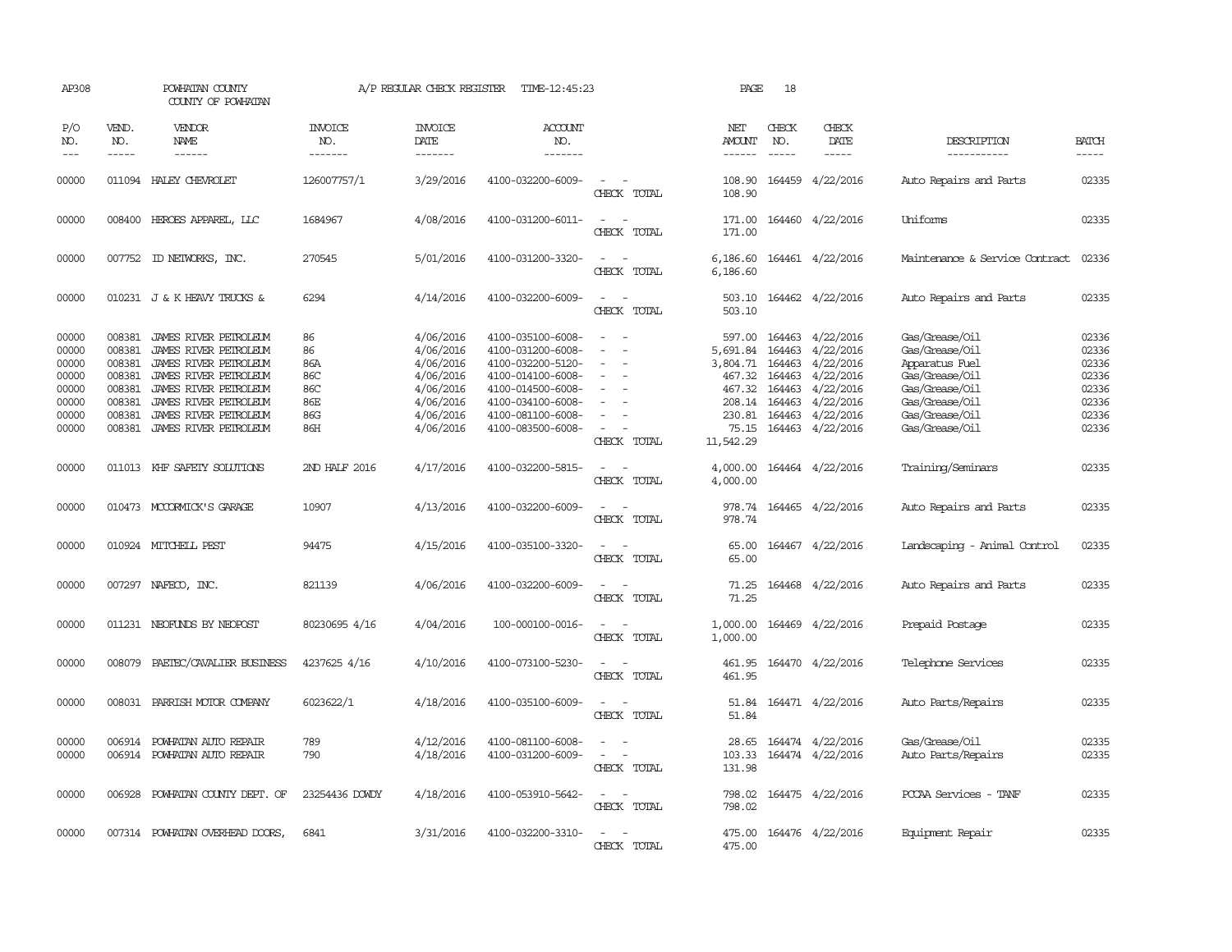| AP308                                                                |                                                                              | POWHATAN COUNTY<br>COUNTY OF POWHATAN                                                                                                                                                                |                                                    | A/P REGULAR CHECK REGISTER                                                                           | TIME-12:45:23                                                                                                                                                        |                                                                                                                             | PAGE                                             | 18                            |                                                                                                                                                                         |                                                                                                                                              |                                                                      |
|----------------------------------------------------------------------|------------------------------------------------------------------------------|------------------------------------------------------------------------------------------------------------------------------------------------------------------------------------------------------|----------------------------------------------------|------------------------------------------------------------------------------------------------------|----------------------------------------------------------------------------------------------------------------------------------------------------------------------|-----------------------------------------------------------------------------------------------------------------------------|--------------------------------------------------|-------------------------------|-------------------------------------------------------------------------------------------------------------------------------------------------------------------------|----------------------------------------------------------------------------------------------------------------------------------------------|----------------------------------------------------------------------|
| P/O<br>NO.<br>$\qquad \qquad - -$                                    | VEND.<br>NO.<br>$- - - - -$                                                  | VENDOR<br>NAME<br>$- - - - - -$                                                                                                                                                                      | <b>INVOICE</b><br>NO.<br>-------                   | <b>INVOICE</b><br>DATE<br>-------                                                                    | <b>ACCOUNT</b><br>NO.<br>-------                                                                                                                                     |                                                                                                                             | NET<br>AMOUNT<br>------                          | CHECK<br>NO.<br>$\frac{1}{2}$ | CHECK<br>DATE                                                                                                                                                           | DESCRIPTION<br>-----------                                                                                                                   | <b>BATCH</b><br>-----                                                |
| 00000                                                                |                                                                              | 011094 HALEY CHEVROLET                                                                                                                                                                               | 126007757/1                                        | 3/29/2016                                                                                            | 4100-032200-6009-                                                                                                                                                    | $\overline{\phantom{a}}$<br>CHECK TOTAL                                                                                     | 108.90<br>108.90                                 |                               | 164459 4/22/2016                                                                                                                                                        | Auto Repairs and Parts                                                                                                                       | 02335                                                                |
| 00000                                                                |                                                                              | 008400 HEROES APPAREL, LLC                                                                                                                                                                           | 1684967                                            | 4/08/2016                                                                                            | 4100-031200-6011-                                                                                                                                                    | $\equiv$<br>CHECK TOTAL                                                                                                     | 171.00<br>171.00                                 |                               | 164460 4/22/2016                                                                                                                                                        | Uniforms                                                                                                                                     | 02335                                                                |
| 00000                                                                |                                                                              | 007752 ID NEIWORKS, INC.                                                                                                                                                                             | 270545                                             | 5/01/2016                                                                                            | 4100-031200-3320-                                                                                                                                                    | $\sim$ 10 $\sim$ 10 $\sim$<br>CHECK TOTAL                                                                                   | 6,186.60<br>6,186.60                             |                               | 164461 4/22/2016                                                                                                                                                        | Maintenance & Service Contract                                                                                                               | 02336                                                                |
| 00000                                                                |                                                                              | 010231 J & K HEAVY TRUCKS &                                                                                                                                                                          | 6294                                               | 4/14/2016                                                                                            | 4100-032200-6009-                                                                                                                                                    | $\sim$<br>$\sim$<br>CHECK TOTAL                                                                                             | 503.10<br>503.10                                 |                               | 164462 4/22/2016                                                                                                                                                        | Auto Repairs and Parts                                                                                                                       | 02335                                                                |
| 00000<br>00000<br>00000<br>00000<br>00000<br>00000<br>00000<br>00000 | 008381<br>008381<br>008381<br>008381<br>008381<br>008381<br>008381<br>008381 | JAMES RIVER PETROLEUM<br>JAMES RIVER PETROLEUM<br>JAMES RIVER PETROLEUM<br>JAMES RIVER PEIROLEUM<br>JAMES RIVER PETROLEUM<br>JAMES RIVER PETROLEUM<br>JAMES RIVER PETROLEUM<br>JAMES RIVER PETROLEUM | 86<br>86<br>86A<br>86C<br>86C<br>86E<br>86G<br>86H | 4/06/2016<br>4/06/2016<br>4/06/2016<br>4/06/2016<br>4/06/2016<br>4/06/2016<br>4/06/2016<br>4/06/2016 | 4100-035100-6008-<br>4100-031200-6008-<br>4100-032200-5120-<br>4100-014100-6008-<br>4100-014500-6008-<br>4100-034100-6008-<br>4100-081100-6008-<br>4100-083500-6008- | $\equiv$<br>$\overline{\phantom{a}}$<br>$\equiv$<br>$\equiv$<br>$\sim$<br>CHECK TOTAL                                       | 597.00<br>467.32<br>208.14<br>75.15<br>11,542.29 | 164463<br>164463<br>164463    | 164463 4/22/2016<br>5,691.84 164463 4/22/2016<br>3,804.71 164463 4/22/2016<br>467.32 164463 4/22/2016<br>4/22/2016<br>4/22/2016<br>230.81 164463 4/22/2016<br>4/22/2016 | Gas/Grease/Oil<br>Gas/Grease/Oil<br>Apparatus Fuel<br>Gas/Grease/Oil<br>Gas/Grease/Oil<br>Gas/Grease/Oil<br>Gas/Grease/Oil<br>Gas/Grease/Oil | 02336<br>02336<br>02336<br>02336<br>02336<br>02336<br>02336<br>02336 |
| 00000                                                                |                                                                              | 011013 KHF SAFETY SOLUTIONS                                                                                                                                                                          | 2ND HALF 2016                                      | 4/17/2016                                                                                            | 4100-032200-5815-                                                                                                                                                    | $\equiv$<br>$\overline{\phantom{a}}$<br>CHECK TOTAL                                                                         | 4,000.00<br>4,000.00                             |                               | 164464 4/22/2016                                                                                                                                                        | Training/Seminars                                                                                                                            | 02335                                                                |
| 00000                                                                |                                                                              | 010473 MCCORMICK'S GARAGE                                                                                                                                                                            | 10907                                              | 4/13/2016                                                                                            | 4100-032200-6009-                                                                                                                                                    | CHECK TOTAL                                                                                                                 | 978.74                                           |                               | 978.74 164465 4/22/2016                                                                                                                                                 | Auto Repairs and Parts                                                                                                                       | 02335                                                                |
| 00000                                                                |                                                                              | 010924 MITCHELL PEST                                                                                                                                                                                 | 94475                                              | 4/15/2016                                                                                            | 4100-035100-3320-                                                                                                                                                    | $\frac{1}{2} \left( \frac{1}{2} \right) \left( \frac{1}{2} \right) = \frac{1}{2} \left( \frac{1}{2} \right)$<br>CHECK TOTAL | 65.00<br>65.00                                   |                               | 164467 4/22/2016                                                                                                                                                        | Landscaping - Animal Control                                                                                                                 | 02335                                                                |
| 00000                                                                |                                                                              | 007297 NAFECO, INC.                                                                                                                                                                                  | 821139                                             | 4/06/2016                                                                                            | 4100-032200-6009-                                                                                                                                                    | $\sim$<br>$\overline{\phantom{a}}$<br>CHECK TOTAL                                                                           | 71.25<br>71.25                                   |                               | 164468 4/22/2016                                                                                                                                                        | Auto Repairs and Parts                                                                                                                       | 02335                                                                |
| 00000                                                                |                                                                              | 011231 NEOFUNDS BY NEOPOST                                                                                                                                                                           | 80230695 4/16                                      | 4/04/2016                                                                                            | 100-000100-0016-                                                                                                                                                     | $\overline{\phantom{a}}$<br>CHECK TOTAL                                                                                     | 1,000.00<br>1,000.00                             |                               | 164469 4/22/2016                                                                                                                                                        | Prepaid Postage                                                                                                                              | 02335                                                                |
| 00000                                                                | 008079                                                                       | PAETEC/CAVALIER BUSINESS                                                                                                                                                                             | 4237625 4/16                                       | 4/10/2016                                                                                            | 4100-073100-5230-                                                                                                                                                    | $\sim$<br>CHECK TOTAL                                                                                                       | 461.95<br>461.95                                 |                               | 164470 4/22/2016                                                                                                                                                        | Telephone Services                                                                                                                           | 02335                                                                |
| 00000                                                                |                                                                              | 008031 PARRISH MOTOR COMPANY                                                                                                                                                                         | 6023622/1                                          | 4/18/2016                                                                                            | 4100-035100-6009-                                                                                                                                                    | $\sim$<br>CHECK TOTAL                                                                                                       | 51.84                                            |                               | 51.84 164471 4/22/2016                                                                                                                                                  | Auto Parts/Repairs                                                                                                                           | 02335                                                                |
| 00000<br>00000                                                       | 006914                                                                       | POWHATAN AUTO REPAIR<br>006914 POWHATAN AUTO REPAIR                                                                                                                                                  | 789<br>790                                         | 4/12/2016<br>4/18/2016                                                                               | 4100-081100-6008-<br>4100-031200-6009-                                                                                                                               | $\sim$<br>CHECK TOTAL                                                                                                       | 28.65<br>103.33<br>131.98                        |                               | 164474 4/22/2016<br>164474 4/22/2016                                                                                                                                    | Gas/Grease/Oil<br>Auto Parts/Repairs                                                                                                         | 02335<br>02335                                                       |
| 00000                                                                |                                                                              | 006928 POWHATAN COUNTY DEPT. OF                                                                                                                                                                      | 23254436 DOWDY                                     | 4/18/2016                                                                                            | 4100-053910-5642-                                                                                                                                                    | $\equiv$<br>$\overline{\phantom{a}}$<br>CHECK TOTAL                                                                         | 798.02<br>798.02                                 |                               | 164475 4/22/2016                                                                                                                                                        | PCCAA Services - TANF                                                                                                                        | 02335                                                                |
| 00000                                                                |                                                                              | 007314 POWHATAN OVERHEAD DOORS,                                                                                                                                                                      | 6841                                               | 3/31/2016                                                                                            | 4100-032200-3310-                                                                                                                                                    | $\sim$<br>CHECK TOTAL                                                                                                       | 475.00<br>475.00                                 |                               | 164476 4/22/2016                                                                                                                                                        | Equipment Repair                                                                                                                             | 02335                                                                |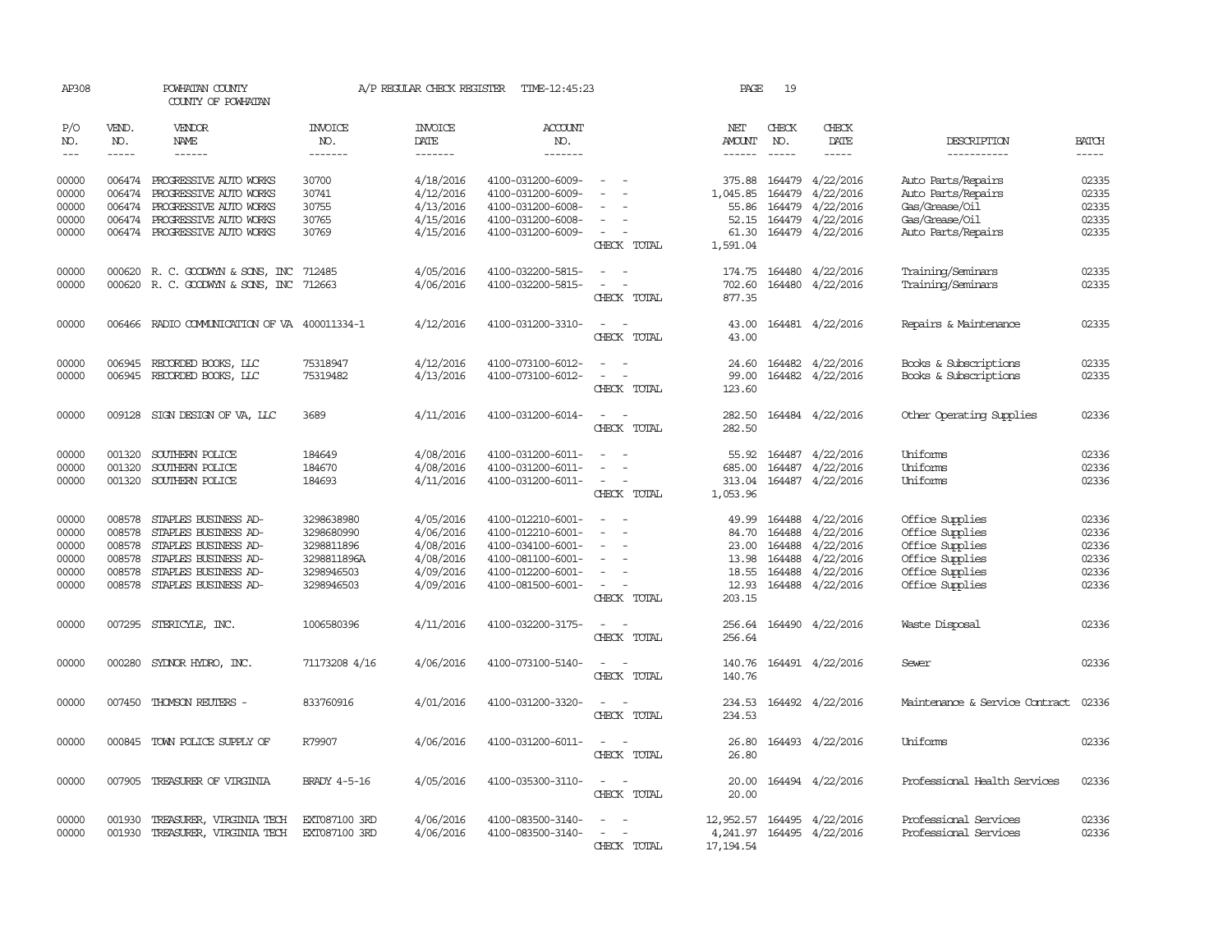| AP308               |                             | POWHATAN COUNTY<br>COUNTY OF POWHATAN                                |                           | A/P REGULAR CHECK REGISTER        | TIME-12:45:23                          |                                                                                                              | PAGE                 | 19               |                         |                                          |                             |
|---------------------|-----------------------------|----------------------------------------------------------------------|---------------------------|-----------------------------------|----------------------------------------|--------------------------------------------------------------------------------------------------------------|----------------------|------------------|-------------------------|------------------------------------------|-----------------------------|
| P/O<br>NO.<br>$---$ | VEND.<br>NO.<br>$- - - - -$ | VENDOR<br>NAME<br>------                                             | INVOICE<br>NO.<br>------- | <b>INVOICE</b><br>DATE<br>------- | <b>ACCOUNT</b><br>NO.<br>-------       |                                                                                                              | NET<br><b>AMOUNT</b> | CHECK<br>NO.     | CHECK<br>DATE<br>-----  | DESCRIPTION<br>-----------               | <b>BATCH</b><br>$- - - - -$ |
| 00000<br>00000      | 006474                      | 006474 PROGRESSIVE AUTO WORKS<br>PROGRESSIVE AUTO WORKS              | 30700<br>30741            | 4/18/2016<br>4/12/2016            | 4100-031200-6009-<br>4100-031200-6009- | $\overline{\phantom{a}}$                                                                                     | 375.88<br>1,045.85   | 164479<br>164479 | 4/22/2016<br>4/22/2016  | Auto Parts/Repairs<br>Auto Parts/Repairs | 02335<br>02335              |
| 00000               |                             | 006474 PROGRESSIVE AUTO WORKS                                        | 30755                     | 4/13/2016                         | 4100-031200-6008-                      |                                                                                                              | 55.86                | 164479           | 4/22/2016               | Gas/Grease/Oil                           | 02335                       |
| 00000               |                             | 006474 PROGRESSIVE AUTO WORKS                                        | 30765                     | 4/15/2016                         | 4100-031200-6008-                      |                                                                                                              | 52.15                | 164479           | 4/22/2016               | Gas/Grease/Oil                           | 02335                       |
| 00000               |                             | 006474 PROGRESSIVE AUTO WORKS                                        | 30769                     | 4/15/2016                         | 4100-031200-6009-                      | $\sim$<br>CHECK TOTAL                                                                                        | 1,591.04             |                  | 61.30 164479 4/22/2016  | Auto Parts/Repairs                       | 02335                       |
| 00000<br>00000      |                             | 000620 R. C. GOODWYN & SONS, INC<br>000620 R. C. GOODWYN & SONS, INC | 712485<br>712663          | 4/05/2016<br>4/06/2016            | 4100-032200-5815-<br>4100-032200-5815- | $\overline{\phantom{a}}$<br>$\overline{\phantom{a}}$<br>$\overline{\phantom{a}}$<br>$\overline{\phantom{a}}$ | 174.75<br>702.60     | 164480<br>164480 | 4/22/2016<br>4/22/2016  | Training/Seminars<br>Training/Seminars   | 02335<br>02335              |
|                     |                             |                                                                      |                           |                                   |                                        | CHECK TOTAL                                                                                                  | 877.35               |                  |                         |                                          |                             |
| 00000               |                             | 006466 RADIO COMMUNICATION OF VA 400011334-1                         |                           | 4/12/2016                         | 4100-031200-3310-                      | $\sim$<br>$\sim$<br>CHECK TOTAL                                                                              | 43.00<br>43.00       |                  | 164481 4/22/2016        | Repairs & Maintenance                    | 02335                       |
| 00000               |                             | 006945 RECORDED BOOKS, LLC                                           | 75318947                  | 4/12/2016                         | 4100-073100-6012-                      |                                                                                                              | 24.60                |                  | 164482 4/22/2016        | Books & Subscriptions                    | 02335                       |
| 00000               |                             | 006945 RECORDED BOOKS, LLC                                           | 75319482                  | 4/13/2016                         | 4100-073100-6012-                      | $\sim$<br>$\overline{\phantom{a}}$                                                                           | 99.00                |                  | 164482 4/22/2016        | Books & Subscriptions                    | 02335                       |
|                     |                             |                                                                      |                           |                                   |                                        | CHECK TOTAL                                                                                                  | 123.60               |                  |                         |                                          |                             |
| 00000               |                             | 009128 SIGN DESIGN OF VA, LLC                                        | 3689                      | 4/11/2016                         | 4100-031200-6014-                      | $\sim$ $  -$<br>CHECK TOTAL                                                                                  | 282.50<br>282.50     |                  | 164484 4/22/2016        | Other Operating Supplies                 | 02336                       |
| 00000               | 001320                      | SOUTHERN POLICE                                                      | 184649                    | 4/08/2016                         | 4100-031200-6011-                      |                                                                                                              |                      |                  | 55.92 164487 4/22/2016  | Uniforms                                 | 02336                       |
| 00000               | 001320                      | SOUTHERN POLICE                                                      | 184670                    | 4/08/2016                         | 4100-031200-6011-                      | $\sim$<br>$\sim$                                                                                             | 685.00               | 164487           | 4/22/2016               | Uniforms                                 | 02336                       |
| 00000               | 001320                      | SOUTHERN POLICE                                                      | 184693                    | 4/11/2016                         | 4100-031200-6011-                      | CHECK TOTAL                                                                                                  | 313.04<br>1,053.96   |                  | 164487 4/22/2016        | Uniforms                                 | 02336                       |
| 00000               | 008578                      | STAPLES BUSINESS AD-                                                 | 3298638980                | 4/05/2016                         | 4100-012210-6001-                      | $\overline{\phantom{a}}$                                                                                     | 49.99                | 164488           | 4/22/2016               | Office Supplies                          | 02336                       |
| 00000               | 008578                      | STAPLES BUSINESS AD-                                                 | 3298680990                | 4/06/2016                         | 4100-012210-6001-                      | $\sim$<br>$\sim$                                                                                             | 84.70                | 164488           | 4/22/2016               | Office Supplies                          | 02336                       |
| 00000               | 008578                      | STAPLES BUSINESS AD-                                                 | 3298811896                | 4/08/2016                         | 4100-034100-6001-                      | $\sim$                                                                                                       | 23.00                | 164488           | 4/22/2016               | Office Supplies                          | 02336                       |
| 00000               | 008578                      | STAPLES BUSINESS AD-                                                 | 3298811896A               | 4/08/2016                         | 4100-081100-6001-                      |                                                                                                              | 13.98                | 164488           | 4/22/2016               | Office Supplies                          | 02336                       |
| 00000<br>00000      | 008578<br>008578            | STAPLES BUSINESS AD-<br>STAPLES BUSINESS AD-                         | 3298946503<br>3298946503  | 4/09/2016<br>4/09/2016            | 4100-012200-6001-<br>4100-081500-6001- | $\sim$<br>$\sim$<br>$\sim$                                                                                   | 18.55<br>12.93       | 164488<br>164488 | 4/22/2016<br>4/22/2016  | Office Supplies<br>Office Supplies       | 02336<br>02336              |
|                     |                             |                                                                      |                           |                                   |                                        | CHECK TOTAL                                                                                                  | 203.15               |                  |                         |                                          |                             |
| 00000               |                             | 007295 STERICYLE, INC.                                               | 1006580396                | 4/11/2016                         | 4100-032200-3175-                      | $\sim$<br>$\sim$<br>CHECK TOTAL                                                                              | 256.64               |                  | 256.64 164490 4/22/2016 | Waste Disposal                           | 02336                       |
| 00000               |                             | 000280 SYDNOR HYDRO, INC.                                            | 71173208 4/16             | 4/06/2016                         | 4100-073100-5140-                      | $\sim$<br>$\sim$<br>CHECK TOTAL                                                                              | 140.76<br>140.76     |                  | 164491 4/22/2016        | Sewer                                    | 02336                       |
| 00000               | 007450                      | THOMSON REUTERS -                                                    | 833760916                 | 4/01/2016                         | 4100-031200-3320-                      | CHECK TOTAL                                                                                                  | 234.53               |                  | 234.53 164492 4/22/2016 | Maintenance & Service Contract           | 02336                       |
| 00000               | 000845                      | TOWN POLICE SUPPLY OF                                                | R79907                    | 4/06/2016                         | 4100-031200-6011-                      | $\overline{\phantom{a}}$<br>CHECK TOTAL                                                                      | 26.80<br>26.80       |                  | 164493 4/22/2016        | Uniforms                                 | 02336                       |
| 00000               | 007905                      | TREASURER OF VIRGINIA                                                | <b>BRADY 4-5-16</b>       | 4/05/2016                         | 4100-035300-3110-                      | $\sim$<br>- -<br>CHECK TOTAL                                                                                 | 20.00<br>20.00       |                  | 164494 4/22/2016        | Professional Health Services             | 02336                       |
| 00000               | 001930                      | TREASURER, VIRGINIA TECH                                             | EXT087100 3RD             | 4/06/2016                         | 4100-083500-3140-                      | $\sim$                                                                                                       | 12,952.57 164495     |                  | 4/22/2016               | Professional Services                    | 02336                       |
| 00000               |                             | 001930 TREASURER, VIRGINIA TECH                                      | EXT087100 3RD             | 4/06/2016                         | 4100-083500-3140-                      | $\sim$<br>$\sim$                                                                                             | 4,241.97             |                  | 164495 4/22/2016        | Professional Services                    | 02336                       |
|                     |                             |                                                                      |                           |                                   |                                        | CHECK TOTAL                                                                                                  | 17, 194.54           |                  |                         |                                          |                             |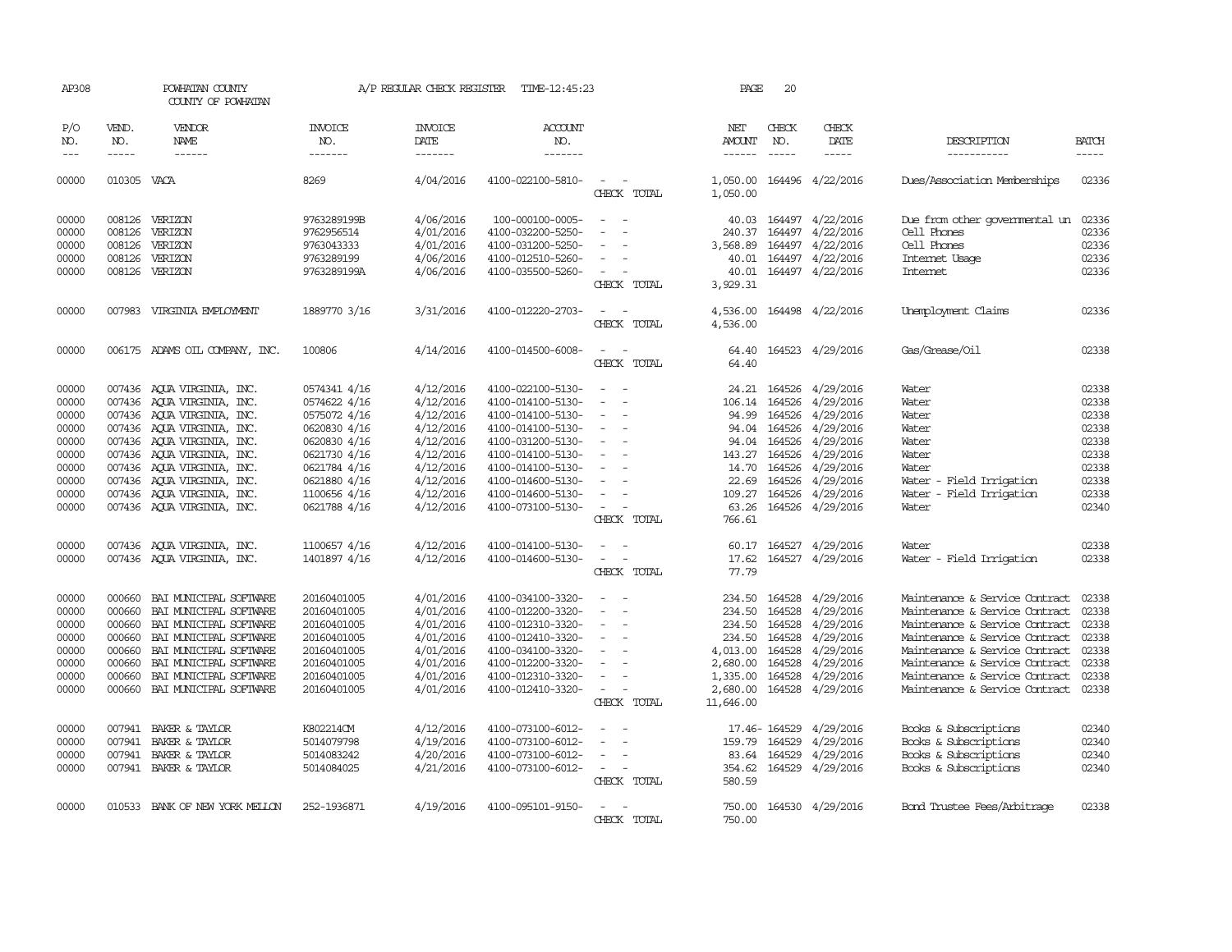| AP308                                                                                  |                                                                    | POWHATAN COUNTY<br>COUNTY OF POWHATAN                                                                                                                                                                                                                                                             |                                                                                                                                                              | A/P REGULAR CHECK REGISTER                                                                                                     | TIME-12:45:23                                                                                                                                                                                                  |                                                                                                           | PAGE                                                                                                | 20                                                                                     |                                                                                                                                       |                                                                                                                                                                                                                                                                              |                                                                                        |
|----------------------------------------------------------------------------------------|--------------------------------------------------------------------|---------------------------------------------------------------------------------------------------------------------------------------------------------------------------------------------------------------------------------------------------------------------------------------------------|--------------------------------------------------------------------------------------------------------------------------------------------------------------|--------------------------------------------------------------------------------------------------------------------------------|----------------------------------------------------------------------------------------------------------------------------------------------------------------------------------------------------------------|-----------------------------------------------------------------------------------------------------------|-----------------------------------------------------------------------------------------------------|----------------------------------------------------------------------------------------|---------------------------------------------------------------------------------------------------------------------------------------|------------------------------------------------------------------------------------------------------------------------------------------------------------------------------------------------------------------------------------------------------------------------------|----------------------------------------------------------------------------------------|
| P/O<br>NO.<br>$\frac{1}{2}$                                                            | VEND.<br>NO.<br>-----                                              | VENDOR<br><b>NAME</b><br>------                                                                                                                                                                                                                                                                   | <b>INVOICE</b><br>NO.<br>-------                                                                                                                             | <b>INVOICE</b><br>DATE<br>$- - - - - - -$                                                                                      | <b>ACCOUNT</b><br>NO.<br>$- - - - - - -$                                                                                                                                                                       |                                                                                                           | NET<br>AMOUNT                                                                                       | CHECK<br>NO.<br>$\frac{1}{2}$                                                          | CHECK<br>DATE<br>-----                                                                                                                | DESCRIPTION<br>-----------                                                                                                                                                                                                                                                   | <b>BATCH</b>                                                                           |
| 00000                                                                                  | 010305 VACA                                                        |                                                                                                                                                                                                                                                                                                   | 8269                                                                                                                                                         | 4/04/2016                                                                                                                      | 4100-022100-5810-                                                                                                                                                                                              | CHECK TOTAL                                                                                               | 1,050.00<br>1,050.00                                                                                |                                                                                        | 164496 4/22/2016                                                                                                                      | Dues/Association Memberships                                                                                                                                                                                                                                                 | 02336                                                                                  |
| 00000<br>00000<br>00000<br>00000<br>00000                                              | 008126<br>008126<br>008126                                         | 008126 VERIZON<br>VERIZON<br>VERIZON<br>VERIZON<br>008126 VERIZON                                                                                                                                                                                                                                 | 9763289199B<br>9762956514<br>9763043333<br>9763289199<br>9763289199A                                                                                         | 4/06/2016<br>4/01/2016<br>4/01/2016<br>4/06/2016<br>4/06/2016                                                                  | 100-000100-0005-<br>4100-032200-5250-<br>4100-031200-5250-<br>4100-012510-5260-<br>4100-035500-5260-                                                                                                           | $\overline{\phantom{a}}$<br>$\sim$<br>$\sim$<br>CHECK TOTAL                                               | 40.03<br>240.37<br>3,568.89<br>40.01<br>40.01<br>3,929.31                                           | 164497                                                                                 | 164497 4/22/2016<br>164497 4/22/2016<br>164497 4/22/2016<br>4/22/2016<br>164497 4/22/2016                                             | Due from other governmental un<br>Cell Phones<br>Cell Phones<br>Internet Usage<br><b>Internet</b>                                                                                                                                                                            | 02336<br>02336<br>02336<br>02336<br>02336                                              |
| 00000                                                                                  |                                                                    | 007983 VIRGINIA EMPLOYMENT                                                                                                                                                                                                                                                                        | 1889770 3/16                                                                                                                                                 | 3/31/2016                                                                                                                      | 4100-012220-2703-                                                                                                                                                                                              | $\overline{\phantom{a}}$<br>CHECK TOTAL                                                                   | 4,536.00<br>4,536.00                                                                                |                                                                                        | 164498 4/22/2016                                                                                                                      | Unemployment Claims                                                                                                                                                                                                                                                          | 02336                                                                                  |
| 00000                                                                                  |                                                                    | 006175 ADAMS OIL COMPANY, INC.                                                                                                                                                                                                                                                                    | 100806                                                                                                                                                       | 4/14/2016                                                                                                                      | 4100-014500-6008-                                                                                                                                                                                              | CHECK TOTAL                                                                                               | 64.40<br>64.40                                                                                      |                                                                                        | 164523 4/29/2016                                                                                                                      | Gas/Grease/Oil                                                                                                                                                                                                                                                               | 02338                                                                                  |
| 00000<br>00000<br>00000<br>00000<br>00000<br>00000<br>00000<br>00000<br>00000<br>00000 | 007436                                                             | 007436 AQUA VIRGINIA, INC.<br>AQUA VIRGINIA, INC.<br>007436 AQUA VIRGINIA, INC.<br>007436 AQUA VIRGINIA, INC.<br>007436 AOUA VIRGINIA, INC.<br>007436 AQUA VIRGINIA, INC.<br>007436 AOUA VIRGINIA, INC.<br>007436 AQUA VIRGINIA, INC.<br>007436 AQUA VIRGINIA, INC.<br>007436 AQUA VIRGINIA, INC. | 0574341 4/16<br>0574622 4/16<br>0575072 4/16<br>0620830 4/16<br>0620830 4/16<br>0621730 4/16<br>0621784 4/16<br>0621880 4/16<br>1100656 4/16<br>0621788 4/16 | 4/12/2016<br>4/12/2016<br>4/12/2016<br>4/12/2016<br>4/12/2016<br>4/12/2016<br>4/12/2016<br>4/12/2016<br>4/12/2016<br>4/12/2016 | 4100-022100-5130-<br>4100-014100-5130-<br>4100-014100-5130-<br>4100-014100-5130-<br>4100-031200-5130-<br>4100-014100-5130-<br>4100-014100-5130-<br>4100-014600-5130-<br>4100-014600-5130-<br>4100-073100-5130- | $\overline{\phantom{a}}$<br>$\overline{\phantom{a}}$<br>$\sim$<br>$\overline{\phantom{a}}$<br>CHECK TOTAL | 24.21<br>106.14<br>94.99<br>94.04<br>94.04<br>143.27<br>14.70<br>22.69<br>109.27<br>63.26<br>766.61 | 164526<br>164526<br>164526<br>164526<br>164526<br>164526<br>164526<br>164526<br>164526 | 164526 4/29/2016<br>4/29/2016<br>4/29/2016<br>4/29/2016<br>4/29/2016<br>4/29/2016<br>4/29/2016<br>4/29/2016<br>4/29/2016<br>4/29/2016 | Water<br>Water<br>Water<br>Water<br>Water<br>Water<br>Water<br>Water - Field Irrigation<br>Water<br>- Field Irrigation<br>Water                                                                                                                                              | 02338<br>02338<br>02338<br>02338<br>02338<br>02338<br>02338<br>02338<br>02338<br>02340 |
| 00000<br>00000                                                                         |                                                                    | 007436 AQUA VIRGINIA, INC.<br>007436 AQUA VIRGINIA, INC.                                                                                                                                                                                                                                          | 1100657 4/16<br>1401897 4/16                                                                                                                                 | 4/12/2016<br>4/12/2016                                                                                                         | 4100-014100-5130-<br>4100-014600-5130-                                                                                                                                                                         | CHECK TOTAL                                                                                               | 60.17<br>17.62<br>77.79                                                                             | 164527                                                                                 | 4/29/2016<br>164527 4/29/2016                                                                                                         | Water<br>Water - Field Irrigation                                                                                                                                                                                                                                            | 02338<br>02338                                                                         |
| 00000<br>00000<br>00000<br>00000<br>00000<br>00000<br>00000<br>00000                   | 000660<br>000660<br>000660<br>000660<br>000660<br>000660<br>000660 | BAI MUNICIPAL SOFTWARE<br>BAI MUNICIPAL SOFTWARE<br>BAI MUNICIPAL SOFTWARE<br>BAI MUNICIPAL SOFTWARE<br>BAI MUNICIPAL SOFTWARE<br>BAI MUNICIPAL SOFTWARE<br>BAI MUNICIPAL SOFTWARE<br>000660 BAI MUNICIPAL SOFTWARE                                                                               | 20160401005<br>20160401005<br>20160401005<br>20160401005<br>20160401005<br>20160401005<br>20160401005<br>20160401005                                         | 4/01/2016<br>4/01/2016<br>4/01/2016<br>4/01/2016<br>4/01/2016<br>4/01/2016<br>4/01/2016<br>4/01/2016                           | 4100-034100-3320-<br>4100-012200-3320-<br>4100-012310-3320-<br>4100-012410-3320-<br>4100-034100-3320-<br>4100-012200-3320-<br>4100-012310-3320-<br>4100-012410-3320-                                           | $\sim$<br>$\sim$ $-$<br>CHECK TOTAL                                                                       | 234.50<br>234.50<br>234.50<br>234.50<br>4,013.00<br>2,680.00<br>1,335.00<br>2,680.00<br>11,646.00   | 164528<br>164528<br>164528<br>164528<br>164528<br>164528<br>164528                     | 4/29/2016<br>4/29/2016<br>4/29/2016<br>4/29/2016<br>4/29/2016<br>4/29/2016<br>4/29/2016<br>164528 4/29/2016                           | Maintenance & Service Contract<br>Maintenance & Service Contract<br>Maintenance & Service Contract<br>Maintenance & Service Contract<br>Maintenance & Service Contract<br>Maintenance & Service Contract<br>Maintenance & Service Contract<br>Maintenance & Service Contract | 02338<br>02338<br>02338<br>02338<br>02338<br>02338<br>02338<br>02338                   |
| 00000<br>00000<br>00000<br>00000                                                       | 007941                                                             | 007941 BAKER & TAYLOR<br>BAKER & TAYLOR<br>007941 BAKER & TAYLOR<br>007941 BAKER & TAYLOR                                                                                                                                                                                                         | K802214CM<br>5014079798<br>5014083242<br>5014084025                                                                                                          | 4/12/2016<br>4/19/2016<br>4/20/2016<br>4/21/2016                                                                               | 4100-073100-6012-<br>4100-073100-6012-<br>4100-073100-6012-<br>4100-073100-6012-                                                                                                                               | $\overline{\phantom{a}}$<br>$\overline{\phantom{a}}$<br>CHECK TOTAL                                       | 159.79<br>580.59                                                                                    | 17.46-164529<br>164529<br>83.64 164529                                                 | 4/29/2016<br>4/29/2016<br>4/29/2016<br>354.62 164529 4/29/2016                                                                        | Books & Subscriptions<br>Books & Subscriptions<br>Books & Subscriptions<br>Books & Subscriptions                                                                                                                                                                             | 02340<br>02340<br>02340<br>02340                                                       |
| 00000                                                                                  |                                                                    | 010533 BANK OF NEW YORK MELLON                                                                                                                                                                                                                                                                    | 252-1936871                                                                                                                                                  | 4/19/2016                                                                                                                      | 4100-095101-9150-                                                                                                                                                                                              | CHECK TOTAL                                                                                               | 750.00<br>750.00                                                                                    |                                                                                        | 164530 4/29/2016                                                                                                                      | Bond Trustee Fees/Arbitrage                                                                                                                                                                                                                                                  | 02338                                                                                  |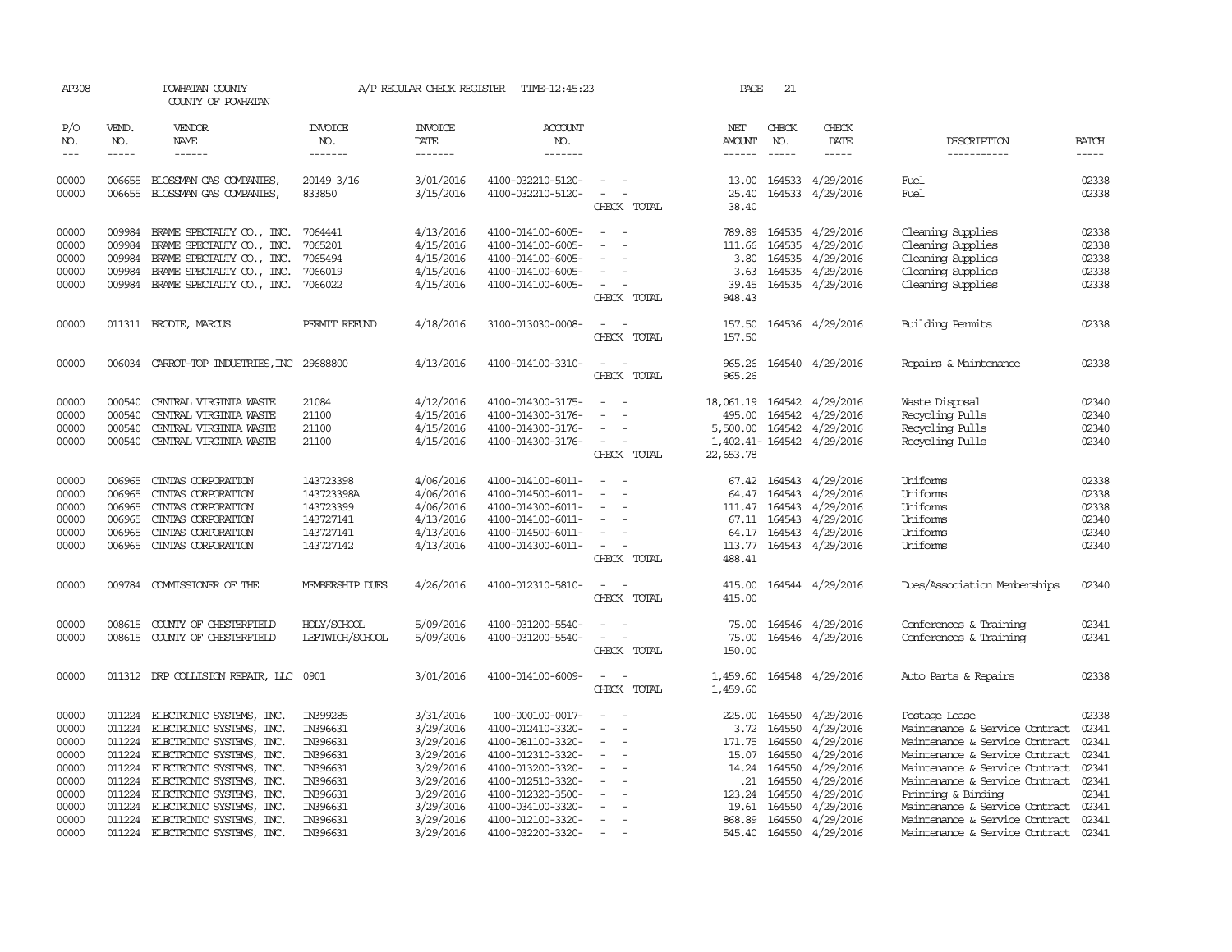| AP308               |                               | POWHATAN COUNTY<br>COUNTY OF POWHATAN              |                                   | A/P REGULAR CHECK REGISTER | TIME-12:45:23                          |                                                                     | PAGE                    | 21                            |                           |                                |                |
|---------------------|-------------------------------|----------------------------------------------------|-----------------------------------|----------------------------|----------------------------------------|---------------------------------------------------------------------|-------------------------|-------------------------------|---------------------------|--------------------------------|----------------|
| P/O<br>NO.<br>$---$ | VEND.<br>NO.<br>$\frac{1}{2}$ | VENDOR<br>NAME<br>$- - - - - -$                    | <b>INVOICE</b><br>NO.<br>-------- | <b>INVOICE</b><br>DATE     | <b>ACCOUNT</b><br>NO.<br>-------       |                                                                     | NET<br>AMOUNT           | CHECK<br>NO.<br>$\frac{1}{2}$ | CHECK<br>DATE             | DESCRIPTION                    | <b>BATCH</b>   |
|                     |                               |                                                    |                                   | -------                    |                                        |                                                                     |                         |                               | -----                     | -----------                    |                |
| 00000<br>00000      | 006655<br>006655              | BLOSSMAN GAS COMPANIES,<br>BLOSSMAN GAS COMPANIES, | 20149 3/16<br>833850              | 3/01/2016<br>3/15/2016     | 4100-032210-5120-<br>4100-032210-5120- | $\overline{\phantom{a}}$<br>$\overline{\phantom{a}}$<br>CHECK TOTAL | 13.00<br>25.40<br>38.40 | 164533<br>164533              | 4/29/2016<br>4/29/2016    | Fuel<br>Fuel                   | 02338<br>02338 |
| 00000               | 009984                        | BRAME SPECIALITY CO., INC.                         | 7064441                           | 4/13/2016                  | 4100-014100-6005-                      |                                                                     | 789.89                  | 164535                        | 4/29/2016                 | Cleaning Supplies              | 02338          |
| 00000               | 009984                        | BRAME SPECIALITY CO., INC.                         | 7065201                           | 4/15/2016                  | 4100-014100-6005-                      |                                                                     | 111.66                  | 164535                        | 4/29/2016                 | Cleaning Supplies              | 02338          |
| 00000               | 009984                        | BRAME SPECIALITY CO., INC.                         | 7065494                           | 4/15/2016                  | 4100-014100-6005-                      |                                                                     | 3.80                    |                               | 164535 4/29/2016          | Cleaning Supplies              | 02338          |
| 00000               | 009984                        | BRAME SPECIALITY CO., INC.                         | 7066019                           | 4/15/2016                  | 4100-014100-6005-                      |                                                                     | 3.63                    |                               | 164535 4/29/2016          | Cleaning Supplies              | 02338          |
| 00000               |                               | 009984 BRAME SPECIALIY CO., INC.                   | 7066022                           | 4/15/2016                  | 4100-014100-6005-                      | CHECK TOTAL                                                         | 39.45<br>948.43         |                               | 164535 4/29/2016          | Cleaning Supplies              | 02338          |
| 00000               |                               | 011311 BRODIE, MARCUS                              | PERMIT REFUND                     | 4/18/2016                  | 3100-013030-0008-                      | CHECK TOTAL                                                         | 157.50<br>157.50        |                               | 164536 4/29/2016          | Building Permits               | 02338          |
| 00000               |                               | 006034 CARROT-TOP INDUSTRIES, INC 29688800         |                                   | 4/13/2016                  | 4100-014100-3310-                      | CHECK TOTAL                                                         | 965.26<br>965.26        |                               | 164540 4/29/2016          | Repairs & Maintenance          | 02338          |
|                     |                               |                                                    |                                   |                            |                                        |                                                                     |                         |                               |                           |                                |                |
| 00000               | 000540                        | CENTRAL VIRGINIA WASTE                             | 21084                             | 4/12/2016                  | 4100-014300-3175-                      | $\overline{\phantom{a}}$<br>$\overline{\phantom{a}}$                | 18,061.19 164542        |                               | 4/29/2016                 | Waste Disposal                 | 02340          |
| 00000               | 000540                        | CENTRAL VIRGINIA WASTE                             | 21100                             | 4/15/2016                  | 4100-014300-3176-                      |                                                                     | 495.00                  | 164542                        | 4/29/2016                 | Recycling Pulls                | 02340          |
| 00000               | 000540                        | CENTRAL VIRGINIA WASTE                             | 21100                             | 4/15/2016                  | 4100-014300-3176-                      |                                                                     | 5,500.00                | 164542                        | 4/29/2016                 | Recycling Pulls                | 02340          |
| 00000               |                               | 000540 CENTRAL VIRGINIA WASTE                      | 21100                             | 4/15/2016                  | 4100-014300-3176-                      | $\sim$<br>$\overline{\phantom{a}}$<br>CHECK TOTAL                   | 22, 653.78              |                               | 1,402.41-164542 4/29/2016 | Recycling Pulls                | 02340          |
| 00000               | 006965                        | CINIAS CORPORATION                                 | 143723398                         | 4/06/2016                  | 4100-014100-6011-                      | $\sim$<br>$\overline{\phantom{a}}$                                  |                         |                               | 67.42 164543 4/29/2016    | Uniforms                       | 02338          |
| 00000               | 006965                        | CINIAS CORPORATION                                 | 143723398A                        | 4/06/2016                  | 4100-014500-6011-                      | $\overline{\phantom{a}}$<br>$\overline{\phantom{a}}$                |                         | 64.47 164543                  | 4/29/2016                 | Uniforms                       | 02338          |
| 00000               | 006965                        | CINIAS CORPORATION                                 | 143723399                         | 4/06/2016                  | 4100-014300-6011-                      |                                                                     | 111.47                  | 164543                        | 4/29/2016                 | Uniforms                       | 02338          |
| 00000               | 006965                        | CINIAS CORPORATION                                 | 143727141                         | 4/13/2016                  | 4100-014100-6011-                      |                                                                     |                         | 67.11 164543                  | 4/29/2016                 | Uniforms                       | 02340          |
| 00000               | 006965                        | CINIAS CORPORATION                                 | 143727141                         | 4/13/2016                  | 4100-014500-6011-                      | $\overline{\phantom{a}}$                                            |                         |                               | 64.17 164543 4/29/2016    | Uniforms                       | 02340          |
| 00000               | 006965                        | CINIAS CORPORATION                                 | 143727142                         | 4/13/2016                  | 4100-014300-6011-                      | $\overline{\phantom{a}}$<br>CHECK TOTAL                             | 113.77<br>488.41        |                               | 164543 4/29/2016          | Uniforms                       | 02340          |
| 00000               |                               | 009784 COMMISSIONER OF THE                         | MEMBERSHIP DUES                   | 4/26/2016                  | 4100-012310-5810-                      | CHECK TOTAL                                                         | 415.00<br>415.00        |                               | 164544 4/29/2016          | Dues/Association Memberships   | 02340          |
|                     |                               |                                                    |                                   |                            |                                        |                                                                     |                         |                               |                           |                                |                |
| 00000               |                               | 008615 COUNTY OF CHESTERFIELD                      | HOLY/SCHOOL                       | 5/09/2016                  | 4100-031200-5540-                      |                                                                     |                         | 75.00 164546                  | 4/29/2016                 | Conferences & Training         | 02341          |
| 00000               |                               | 008615 COUNTY OF CHESTERFIELD                      | LEFTWICH/SCHOOL                   | 5/09/2016                  | 4100-031200-5540-                      | $\overline{\phantom{a}}$<br>$\overline{\phantom{a}}$<br>CHECK TOTAL | 75.00<br>150.00         | 164546                        | 4/29/2016                 | Conferences & Training         | 02341          |
| 00000               |                               | 011312 DRP COLLISION REPAIR, LLC                   | 0901                              | 3/01/2016                  | 4100-014100-6009-                      | $\overline{\phantom{a}}$<br>$\overline{\phantom{a}}$                | 1,459.60                |                               | 164548 4/29/2016          | Auto Parts & Repairs           | 02338          |
|                     |                               |                                                    |                                   |                            |                                        | CHECK TOTAL                                                         | 1,459.60                |                               |                           |                                |                |
| 00000               | 011224                        | ELECTRONIC SYSTEMS, INC.                           | IN399285                          | 3/31/2016                  | 100-000100-0017-                       | $\overline{\phantom{a}}$                                            | 225.00                  | 164550                        | 4/29/2016                 | Postage Lease                  | 02338          |
| 00000               | 011224                        | ELECTRONIC SYSTEMS, INC.                           | IN396631                          | 3/29/2016                  | 4100-012410-3320-                      |                                                                     | 3.72                    | 164550                        | 4/29/2016                 | Maintenance & Service Contract | 02341          |
| 00000               | 011224                        | ELECTRONIC SYSTEMS, INC.                           | IN396631                          | 3/29/2016                  | 4100-081100-3320-                      |                                                                     | 171.75                  | 164550                        | 4/29/2016                 | Maintenance & Service Contract | 02341          |
| 00000               | 011224                        | ELECTRONIC SYSTEMS, INC.                           | IN396631                          | 3/29/2016                  | 4100-012310-3320-                      | $\overline{\phantom{a}}$<br>$\overline{\phantom{a}}$                | 15.07                   | 164550                        | 4/29/2016                 | Maintenance & Service Contract | 02341          |
| 00000               |                               | 011224 ELECTRONIC SYSTEMS, INC.                    | IN396631                          | 3/29/2016                  | 4100-013200-3320-                      |                                                                     | 14.24                   | 164550                        | 4/29/2016                 | Maintenance & Service Contract | 02341          |
| 00000               | 011224                        | ELECTRONIC SYSTEMS, INC.                           | IN396631                          | 3/29/2016                  | 4100-012510-3320-                      |                                                                     | .21                     | 164550                        | 4/29/2016                 | Maintenance & Service Contract | 02341          |
| 00000               | 011224                        | ELECTRONIC SYSTEMS, INC.                           | IN396631                          | 3/29/2016                  | 4100-012320-3500-                      |                                                                     | 123.24                  | 164550                        | 4/29/2016                 | Printing & Binding             | 02341          |
| 00000               | 011224                        | ELECTRONIC SYSTEMS, INC.                           | IN396631                          | 3/29/2016                  | 4100-034100-3320-                      |                                                                     | 19.61                   | 164550                        | 4/29/2016                 | Maintenance & Service Contract | 02341          |
| 00000               | 011224                        | ELECTRONIC SYSTEMS, INC.                           | IN396631                          | 3/29/2016                  | 4100-012100-3320-                      |                                                                     | 868.89                  | 164550                        | 4/29/2016                 | Maintenance & Service Contract | 02341          |
| 00000               | 011224                        | ELECTRONIC SYSTEMS, INC.                           | IN396631                          | 3/29/2016                  | 4100-032200-3320-                      |                                                                     |                         |                               | 545.40 164550 4/29/2016   | Maintenance & Service Contract | 02341          |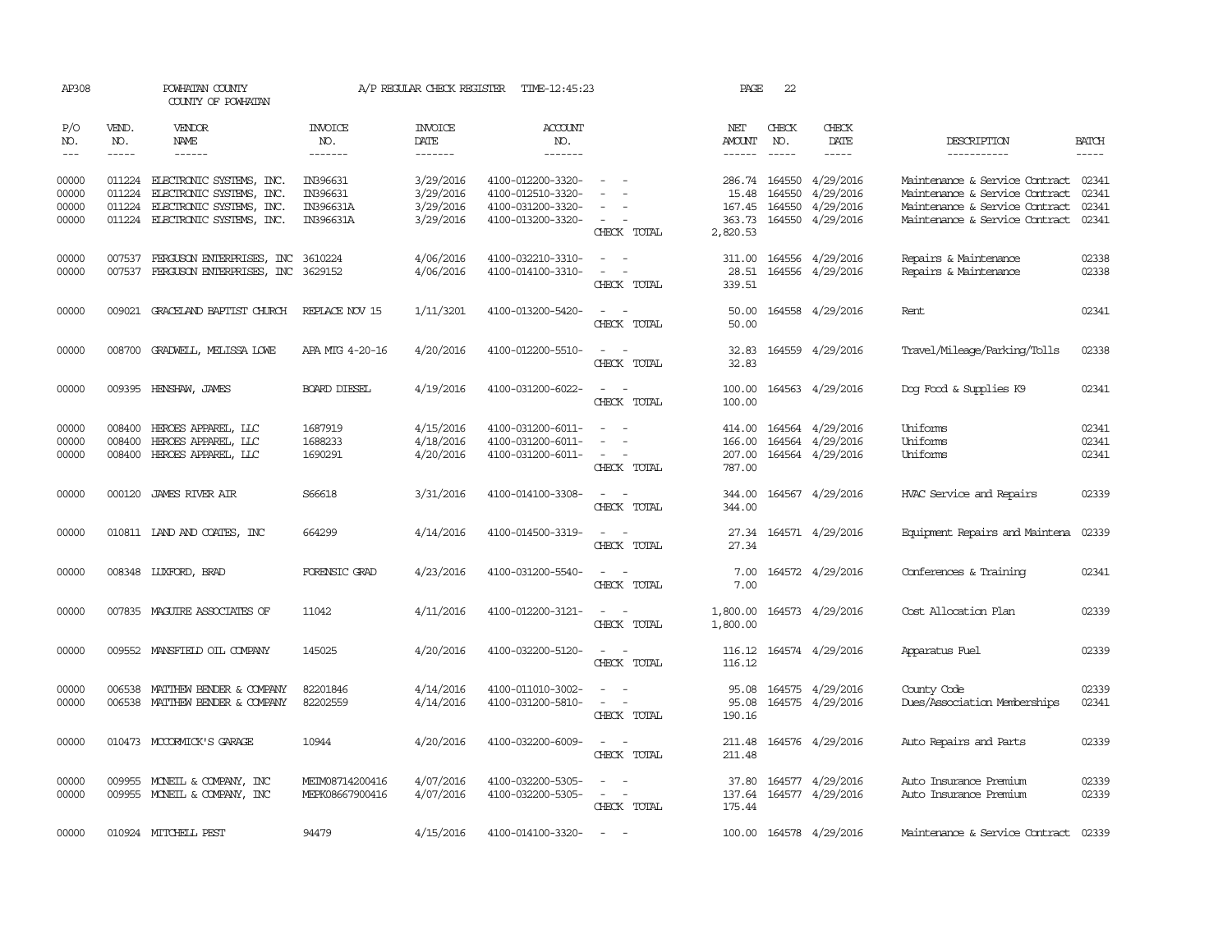| AP308                            |                                                                                                                                                                                                                                                                                                                                                                                                                                                                         | POWHATAN COUNTY<br>COUNTY OF POWHATAN                                                                               |                                                | A/P REGULAR CHECK REGISTER                       | TIME-12:45:23                                                                    |                                                                                                                             | PAGE                                            | 22                                   |                                                   |                                                                                                                                      |                                  |
|----------------------------------|-------------------------------------------------------------------------------------------------------------------------------------------------------------------------------------------------------------------------------------------------------------------------------------------------------------------------------------------------------------------------------------------------------------------------------------------------------------------------|---------------------------------------------------------------------------------------------------------------------|------------------------------------------------|--------------------------------------------------|----------------------------------------------------------------------------------|-----------------------------------------------------------------------------------------------------------------------------|-------------------------------------------------|--------------------------------------|---------------------------------------------------|--------------------------------------------------------------------------------------------------------------------------------------|----------------------------------|
| P/O<br>NO.<br>$---$              | VEND.<br>NO.<br>$\begin{tabular}{ccccc} \multicolumn{2}{c }{\multicolumn{2}{c }{\multicolumn{2}{c }{\multicolumn{2}{c}}{\hspace{-2.2cm}}}} \multicolumn{2}{c }{\multicolumn{2}{c }{\hspace{-2.2cm}}\hline} \multicolumn{2}{c }{\hspace{-2.2cm}}\hline \multicolumn{2}{c }{\hspace{-2.2cm}}\hline \multicolumn{2}{c }{\hspace{-2.2cm}}\hline \multicolumn{2}{c }{\hspace{-2.2cm}}\hline \multicolumn{2}{c }{\hspace{-2.2cm}}\hline \multicolumn{2}{c }{\hspace{-2.2cm}}$ | <b>VENDOR</b><br>NAME<br>------                                                                                     | <b>INVOICE</b><br>NO.<br>-------               | <b>INVOICE</b><br>DATE<br>-------                | <b>ACCOUNT</b><br>NO.<br>-------                                                 |                                                                                                                             | NET<br>AMOUNT                                   | CHECK<br>NO.<br>$\frac{1}{2}$        | CHECK<br>DATE<br>-----                            | DESCRIPTION<br>-----------                                                                                                           | <b>BATCH</b>                     |
| 00000<br>00000<br>00000<br>00000 | 011224<br>011224<br>011224                                                                                                                                                                                                                                                                                                                                                                                                                                              | ELECTRONIC SYSTEMS, INC.<br>ELECTRONIC SYSTEMS, INC.<br>ELECTRONIC SYSTEMS, INC.<br>011224 ELECTRONIC SYSTEMS, INC. | IN396631<br>IN396631<br>IN396631A<br>IN396631A | 3/29/2016<br>3/29/2016<br>3/29/2016<br>3/29/2016 | 4100-012200-3320-<br>4100-012510-3320-<br>4100-031200-3320-<br>4100-013200-3320- | $\sim$<br>$\equiv$<br>CHECK TOTAL                                                                                           | 286.74<br>15.48<br>167.45<br>363.73<br>2,820.53 | 164550<br>164550<br>164550<br>164550 | 4/29/2016<br>4/29/2016<br>4/29/2016<br>4/29/2016  | Maintenance & Service Contract<br>Maintenance & Service Contract<br>Maintenance & Service Contract<br>Maintenance & Service Contract | 02341<br>02341<br>02341<br>02341 |
| 00000<br>00000                   | 007537<br>007537                                                                                                                                                                                                                                                                                                                                                                                                                                                        | FERGUSON ENTERPRISES, INC<br>FERGUSON ENTERPRISES, INC                                                              | 3610224<br>3629152                             | 4/06/2016<br>4/06/2016                           | 4100-032210-3310-<br>4100-014100-3310-                                           | $\sim$ $-$<br>$\sim$<br>$\overline{\phantom{a}}$<br>$\overline{\phantom{a}}$<br>CHECK TOTAL                                 | 311.00<br>28.51<br>339.51                       |                                      | 164556 4/29/2016<br>164556 4/29/2016              | Repairs & Maintenance<br>Repairs & Maintenance                                                                                       | 02338<br>02338                   |
| 00000                            |                                                                                                                                                                                                                                                                                                                                                                                                                                                                         | 009021 GRACELAND BAPTIST CHURCH                                                                                     | REPLACE NOV 15                                 | 1/11/3201                                        | 4100-013200-5420-                                                                | $\overline{\phantom{a}}$<br>$\sim$<br>CHECK TOTAL                                                                           | 50.00<br>50.00                                  |                                      | 164558 4/29/2016                                  | Rent                                                                                                                                 | 02341                            |
| 00000                            |                                                                                                                                                                                                                                                                                                                                                                                                                                                                         | 008700 GRADWELL, MELISSA LOWE                                                                                       | APA MTG 4-20-16                                | 4/20/2016                                        | 4100-012200-5510-                                                                | $\sim$<br>CHECK TOTAL                                                                                                       | 32.83<br>32.83                                  |                                      | 164559 4/29/2016                                  | Travel/Mileage/Parking/Tolls                                                                                                         | 02338                            |
| 00000                            |                                                                                                                                                                                                                                                                                                                                                                                                                                                                         | 009395 HENSHAW, JAMES                                                                                               | BOARD DIESEL                                   | 4/19/2016                                        | 4100-031200-6022-                                                                | $\overline{\phantom{a}}$<br>$\overline{\phantom{a}}$<br>CHECK TOTAL                                                         | 100.00<br>100.00                                |                                      | 164563 4/29/2016                                  | Dog Food & Supplies K9                                                                                                               | 02341                            |
| 00000<br>00000<br>00000          | 008400<br>008400<br>008400                                                                                                                                                                                                                                                                                                                                                                                                                                              | HEROES APPAREL, LLC<br>HEROES APPAREL, LLC<br>HEROES APPAREL, LLC                                                   | 1687919<br>1688233<br>1690291                  | 4/15/2016<br>4/18/2016<br>4/20/2016              | 4100-031200-6011-<br>4100-031200-6011-<br>4100-031200-6011-                      | $\sim$<br>$\overline{\phantom{a}}$<br>$\sim$<br>CHECK TOTAL                                                                 | 414.00<br>166.00<br>207.00<br>787.00            | 164564                               | 164564 4/29/2016<br>4/29/2016<br>164564 4/29/2016 | Uniforms<br>Uniforms<br>Uniforms                                                                                                     | 02341<br>02341<br>02341          |
| 00000                            | 000120                                                                                                                                                                                                                                                                                                                                                                                                                                                                  | JAMES RIVER AIR                                                                                                     | S66618                                         | 3/31/2016                                        | 4100-014100-3308-                                                                | CHECK TOTAL                                                                                                                 | 344.00<br>344.00                                |                                      | 164567 4/29/2016                                  | HVAC Service and Repairs                                                                                                             | 02339                            |
| 00000                            |                                                                                                                                                                                                                                                                                                                                                                                                                                                                         | 010811 LAND AND COATES, INC                                                                                         | 664299                                         | 4/14/2016                                        | 4100-014500-3319-                                                                | $\equiv$<br>$\sim$<br>CHECK TOTAL                                                                                           | 27.34<br>27.34                                  |                                      | 164571 4/29/2016                                  | Equipment Repairs and Maintena                                                                                                       | 02339                            |
| 00000                            |                                                                                                                                                                                                                                                                                                                                                                                                                                                                         | 008348 LUXFORD, BRAD                                                                                                | FORENSIC GRAD                                  | 4/23/2016                                        | 4100-031200-5540-                                                                | CHECK TOTAL                                                                                                                 | 7.00<br>7.00                                    |                                      | 164572 4/29/2016                                  | Conferences & Training                                                                                                               | 02341                            |
| 00000                            |                                                                                                                                                                                                                                                                                                                                                                                                                                                                         | 007835 MAGUIRE ASSOCIATES OF                                                                                        | 11042                                          | 4/11/2016                                        | 4100-012200-3121-                                                                | $\frac{1}{2} \left( \frac{1}{2} \right) \left( \frac{1}{2} \right) = \frac{1}{2} \left( \frac{1}{2} \right)$<br>CHECK TOTAL | 1,800.00<br>1,800.00                            |                                      | 164573 4/29/2016                                  | Cost Allocation Plan                                                                                                                 | 02339                            |
| 00000                            |                                                                                                                                                                                                                                                                                                                                                                                                                                                                         | 009552 MANSFIELD OIL COMPANY                                                                                        | 145025                                         | 4/20/2016                                        | 4100-032200-5120-                                                                | $\sim$<br>CHECK TOTAL                                                                                                       | 116.12<br>116.12                                |                                      | 164574 4/29/2016                                  | Apparatus Fuel                                                                                                                       | 02339                            |
| 00000<br>00000                   | 006538                                                                                                                                                                                                                                                                                                                                                                                                                                                                  | MATTHEW BENDER & COMPANY<br>006538 MATTHEW BENDER & COMPANY                                                         | 82201846<br>82202559                           | 4/14/2016<br>4/14/2016                           | 4100-011010-3002-<br>4100-031200-5810-                                           | $\sim$ 100 $\sim$<br>CHECK TOTAL                                                                                            | 95.08<br>95.08<br>190.16                        |                                      | 164575 4/29/2016<br>164575 4/29/2016              | County Code<br>Dues/Association Memberships                                                                                          | 02339<br>02341                   |
| 00000                            |                                                                                                                                                                                                                                                                                                                                                                                                                                                                         | 010473 MCCORMICK'S GARAGE                                                                                           | 10944                                          | 4/20/2016                                        | 4100-032200-6009-                                                                | $\sim$<br>CHECK TOTAL                                                                                                       | 211.48<br>211.48                                |                                      | 164576 4/29/2016                                  | Auto Repairs and Parts                                                                                                               | 02339                            |
| 00000<br>00000                   |                                                                                                                                                                                                                                                                                                                                                                                                                                                                         | 009955 MONEIL & COMPANY, INC<br>009955 MONEIL & COMPANY, INC                                                        | MEIM08714200416<br>MEPK08667900416             | 4/07/2016<br>4/07/2016                           | 4100-032200-5305-<br>4100-032200-5305-                                           | $\overline{\phantom{a}}$<br>$\overline{\phantom{a}}$<br>CHECK TOTAL                                                         | 37.80<br>137.64<br>175.44                       |                                      | 164577 4/29/2016<br>164577 4/29/2016              | Auto Insurance Premium<br>Auto Insurance Premium                                                                                     | 02339<br>02339                   |
| 00000                            |                                                                                                                                                                                                                                                                                                                                                                                                                                                                         | 010924 MITCHELL PEST                                                                                                | 94479                                          | 4/15/2016                                        | 4100-014100-3320-                                                                |                                                                                                                             |                                                 |                                      | 100.00 164578 4/29/2016                           | Maintenance & Service Contract                                                                                                       | 02339                            |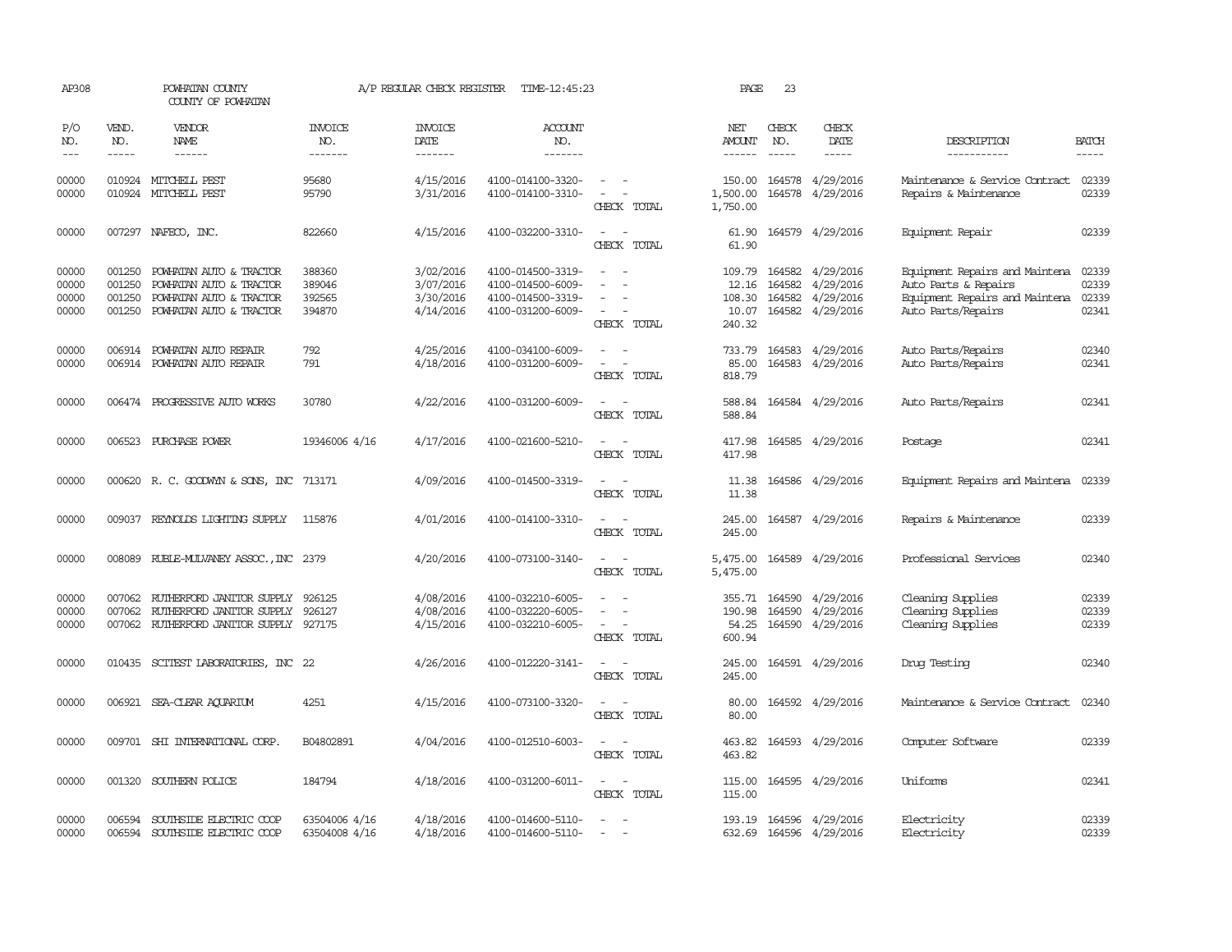| AP308                            |                                      | POWHATAN COUNTY<br>COUNTY OF POWHATAN                                                                    |                                      | A/P REGULAR CHECK REGISTER                       | TIME-12:45:23                                                                    |                                                                                                                             | PAGE                                         | 23                            |                                                                       |                                                                                                                |                                  |
|----------------------------------|--------------------------------------|----------------------------------------------------------------------------------------------------------|--------------------------------------|--------------------------------------------------|----------------------------------------------------------------------------------|-----------------------------------------------------------------------------------------------------------------------------|----------------------------------------------|-------------------------------|-----------------------------------------------------------------------|----------------------------------------------------------------------------------------------------------------|----------------------------------|
| P/O<br>NO.<br>$\frac{1}{2}$      | VEND.<br>NO.<br>$- - - - -$          | <b>VENDOR</b><br><b>NAME</b><br>------                                                                   | <b>INVOICE</b><br>NO.<br>-------     | <b>INVOICE</b><br><b>DATE</b><br>-------         | <b>ACCOUNT</b><br>NO.<br>-------                                                 |                                                                                                                             | NET<br><b>AMOUNT</b><br>------               | CHECK<br>NO.<br>$\frac{1}{2}$ | CHECK<br>DATE<br>$- - - - -$                                          | DESCRIPTION<br>-----------                                                                                     | <b>BATCH</b><br>-----            |
| 00000<br>00000                   | 010924                               | 010924 MITCHELL PEST<br>MITCHELL PEST                                                                    | 95680<br>95790                       | 4/15/2016<br>3/31/2016                           | 4100-014100-3320-<br>4100-014100-3310-                                           | $\sim$<br>$\equiv$<br>CHECK TOTAL                                                                                           | 150.00<br>1,500.00<br>1,750.00               | 164578                        | 164578 4/29/2016<br>4/29/2016                                         | Maintenance & Service Contract<br>Repairs & Maintenance                                                        | 02339<br>02339                   |
| 00000                            |                                      | 007297 NAFECO, INC.                                                                                      | 822660                               | 4/15/2016                                        | 4100-032200-3310-                                                                | CHECK TOTAL                                                                                                                 | 61.90<br>61.90                               |                               | 164579 4/29/2016                                                      | Equipment Repair                                                                                               | 02339                            |
| 00000<br>00000<br>00000<br>00000 | 001250<br>001250<br>001250<br>001250 | POWHATAN AUTO & TRACTOR<br>POWHATAN AUTO & TRACTOR<br>POWHATAN AUTO & TRACTOR<br>POWHATAN AUTO & TRACTOR | 388360<br>389046<br>392565<br>394870 | 3/02/2016<br>3/07/2016<br>3/30/2016<br>4/14/2016 | 4100-014500-3319-<br>4100-014500-6009-<br>4100-014500-3319-<br>4100-031200-6009- | $\equiv$<br>CHECK TOTAL                                                                                                     | 109.79<br>12.16<br>108.30<br>10.07<br>240.32 | 164582                        | 164582 4/29/2016<br>4/29/2016<br>164582 4/29/2016<br>164582 4/29/2016 | Equipment Repairs and Maintena<br>Auto Parts & Repairs<br>Equipment Repairs and Maintena<br>Auto Parts/Repairs | 02339<br>02339<br>02339<br>02341 |
| 00000<br>00000                   | 006914                               | POWHATAN AUTO REPAIR<br>006914 POWHATAN AUTO REPAIR                                                      | 792<br>791                           | 4/25/2016<br>4/18/2016                           | 4100-034100-6009-<br>4100-031200-6009-                                           | $\sim$<br>CHECK TOTAL                                                                                                       | 733.79<br>85.00<br>818.79                    |                               | 164583 4/29/2016<br>164583 4/29/2016                                  | Auto Parts/Repairs<br>Auto Parts/Repairs                                                                       | 02340<br>02341                   |
| 00000                            |                                      | 006474 PROGRESSIVE AUTO WORKS                                                                            | 30780                                | 4/22/2016                                        | 4100-031200-6009-                                                                | $\sim$ $\sim$<br>CHECK TOTAL                                                                                                | 588.84<br>588.84                             |                               | 164584 4/29/2016                                                      | Auto Parts/Repairs                                                                                             | 02341                            |
| 00000                            | 006523                               | PURCHASE POWER                                                                                           | 19346006 4/16                        | 4/17/2016                                        | 4100-021600-5210-                                                                | $\sim$<br>- -<br>CHECK TOTAL                                                                                                | 417.98<br>417.98                             |                               | 164585 4/29/2016                                                      | Postage                                                                                                        | 02341                            |
| 00000                            |                                      | 000620 R. C. GOODWYN & SONS, INC 713171                                                                  |                                      | 4/09/2016                                        | 4100-014500-3319-                                                                | CHECK TOTAL                                                                                                                 | 11.38<br>11.38                               |                               | 164586 4/29/2016                                                      | Equipment Repairs and Maintena 02339                                                                           |                                  |
| 00000                            | 009037                               | REYNOLDS LIGHTING SUPPLY                                                                                 | 115876                               | 4/01/2016                                        | 4100-014100-3310-                                                                | $\equiv$<br>CHECK TOTAL                                                                                                     | 245.00<br>245.00                             |                               | 164587 4/29/2016                                                      | Repairs & Maintenance                                                                                          | 02339                            |
| 00000                            | 008089                               | RUBLE-MULVANEY ASSOC., INC 2379                                                                          |                                      | 4/20/2016                                        | 4100-073100-3140-                                                                | $\equiv$<br>CHECK TOTAL                                                                                                     | 5,475.00<br>5,475.00                         |                               | 164589 4/29/2016                                                      | Professional Services                                                                                          | 02340                            |
| 00000<br>00000<br>00000          | 007062<br>007062                     | RUIHERFORD JANITOR SUPPLY<br>RUIHERFORD JANITOR SUPPLY<br>007062 RUIHERFORD JANITOR SUPPLY 927175        | 926125<br>926127                     | 4/08/2016<br>4/08/2016<br>4/15/2016              | 4100-032210-6005-<br>4100-032220-6005-<br>4100-032210-6005-                      | $\equiv$<br>$\sim$<br>CHECK TOTAL                                                                                           | 355.71<br>190.98<br>54.25<br>600.94          | 164590<br>164590<br>164590    | 4/29/2016<br>4/29/2016<br>4/29/2016                                   | Cleaning Supplies<br>Cleaning Supplies<br>Cleaning Supplies                                                    | 02339<br>02339<br>02339          |
| 00000                            |                                      | 010435 SCITEST LABORATORIES, INC 22                                                                      |                                      | 4/26/2016                                        | 4100-012220-3141-                                                                | $\equiv$<br>$\sim$<br>CHECK TOTAL                                                                                           | 245.00<br>245.00                             |                               | 164591 4/29/2016                                                      | Drug Testing                                                                                                   | 02340                            |
| 00000                            |                                      | 006921 SEA-CLEAR AOUARIUM                                                                                | 4251                                 | 4/15/2016                                        | 4100-073100-3320-                                                                | $\overline{\phantom{a}}$<br>CHECK TOTAL                                                                                     | 80.00<br>80.00                               |                               | 164592 4/29/2016                                                      | Maintenance & Service Contract                                                                                 | 02340                            |
| 00000                            |                                      | 009701 SHI INTERNATIONAL CORP.                                                                           | B04802891                            | 4/04/2016                                        | 4100-012510-6003-                                                                | $\sim$<br>CHECK TOTAL                                                                                                       | 463.82<br>463.82                             |                               | 164593 4/29/2016                                                      | Computer Software                                                                                              | 02339                            |
| 00000                            | 001320                               | SOUTHERN POLICE                                                                                          | 184794                               | 4/18/2016                                        | 4100-031200-6011-                                                                | $\frac{1}{2} \left( \frac{1}{2} \right) \left( \frac{1}{2} \right) = \frac{1}{2} \left( \frac{1}{2} \right)$<br>CHECK TOTAL | 115.00<br>115.00                             |                               | 164595 4/29/2016                                                      | Uniforms                                                                                                       | 02341                            |
| 00000<br>00000                   | 006594                               | SOUTHSIDE ELECTRIC COOP<br>006594 SOUTHSIDE ELECTRIC COOP                                                | 63504006 4/16<br>63504008 4/16       | 4/18/2016<br>4/18/2016                           | 4100-014600-5110-<br>4100-014600-5110-                                           | $\sim$                                                                                                                      | 193.19                                       |                               | 164596 4/29/2016<br>632.69 164596 4/29/2016                           | Electricity<br>Electricity                                                                                     | 02339<br>02339                   |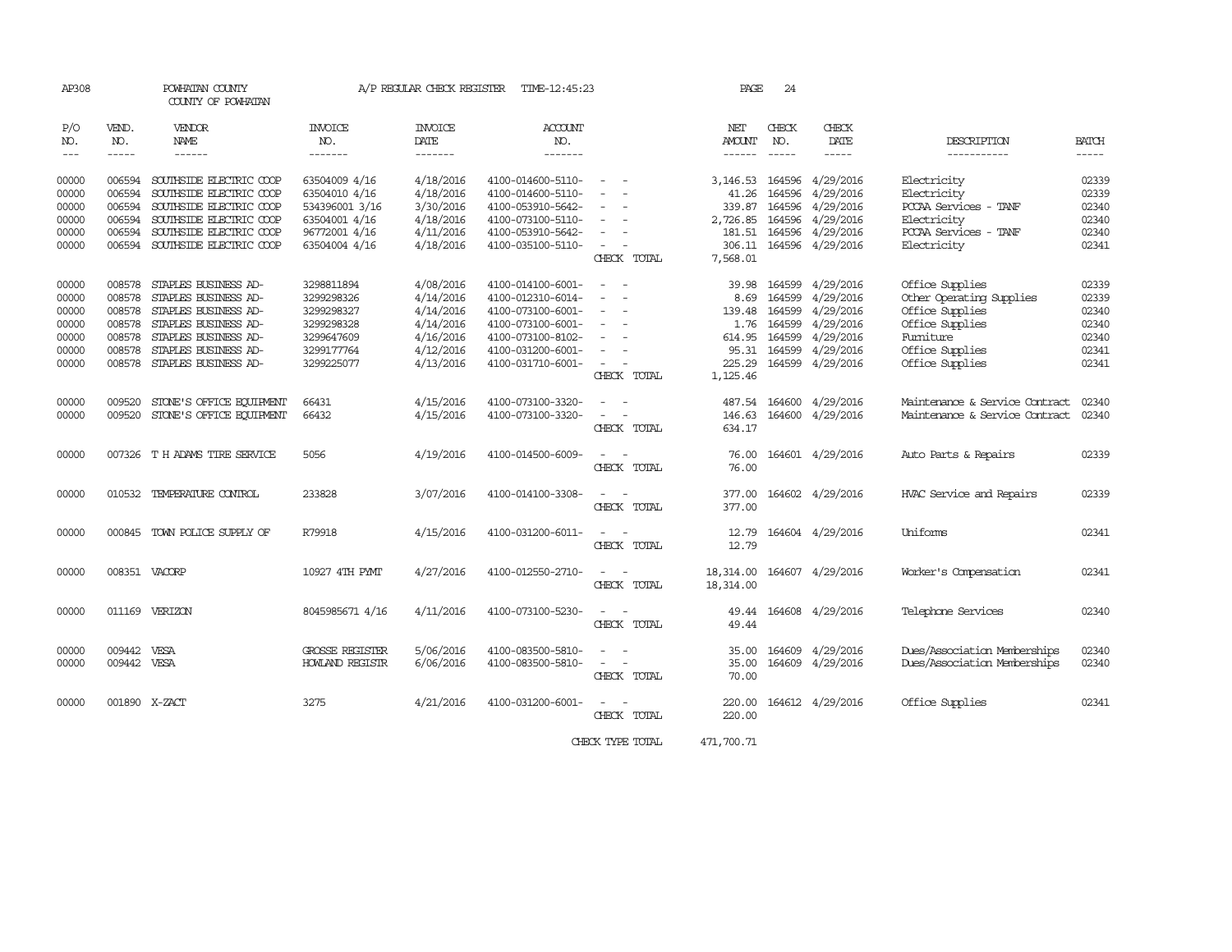| AP308               |                         | POWHATAN COUNTY<br>COUNTY OF POWHATAN |                        | A/P REGULAR CHECK REGISTER | TIME-12:45:23         |                                                                                                              | PAGE          | 24           |                  |                                |                                                                                                                                                                                                                                                                                                                                                                                                                                                                                     |
|---------------------|-------------------------|---------------------------------------|------------------------|----------------------------|-----------------------|--------------------------------------------------------------------------------------------------------------|---------------|--------------|------------------|--------------------------------|-------------------------------------------------------------------------------------------------------------------------------------------------------------------------------------------------------------------------------------------------------------------------------------------------------------------------------------------------------------------------------------------------------------------------------------------------------------------------------------|
| P/O<br>NO.          | VEND.<br>NO.            | VENDOR<br>NAME                        | <b>INVOICE</b><br>NO.  | <b>INVOICE</b><br>DATE     | <b>ACCOUNT</b><br>NO. |                                                                                                              | NET<br>AMOUNT | CHECK<br>NO. | CHECK<br>DATE    | DESCRIPTION                    | BATCH                                                                                                                                                                                                                                                                                                                                                                                                                                                                               |
| $\qquad \qquad - -$ | $\qquad \qquad - - - -$ | ------                                | -------                | -------                    | -------               |                                                                                                              | ------        |              | $- - - - -$      | -----------                    | $\begin{tabular}{ccccc} \multicolumn{2}{c}{} & \multicolumn{2}{c}{} & \multicolumn{2}{c}{} & \multicolumn{2}{c}{} & \multicolumn{2}{c}{} & \multicolumn{2}{c}{} & \multicolumn{2}{c}{} & \multicolumn{2}{c}{} & \multicolumn{2}{c}{} & \multicolumn{2}{c}{} & \multicolumn{2}{c}{} & \multicolumn{2}{c}{} & \multicolumn{2}{c}{} & \multicolumn{2}{c}{} & \multicolumn{2}{c}{} & \multicolumn{2}{c}{} & \multicolumn{2}{c}{} & \multicolumn{2}{c}{} & \multicolumn{2}{c}{} & \mult$ |
| 00000               | 006594                  | SOUTHSIDE ELECTRIC COOP               | 63504009 4/16          | 4/18/2016                  | 4100-014600-5110-     |                                                                                                              | 3,146.53      | 164596       | 4/29/2016        | Electricity                    | 02339                                                                                                                                                                                                                                                                                                                                                                                                                                                                               |
| 00000               | 006594                  | SOUTHSIDE ELECTRIC COOP               | 63504010 4/16          | 4/18/2016                  | 4100-014600-5110-     |                                                                                                              | 41.26         | 164596       | 4/29/2016        | Electricity                    | 02339                                                                                                                                                                                                                                                                                                                                                                                                                                                                               |
| 00000               | 006594                  | SOUTHSIDE ELECTRIC COOP               | 534396001 3/16         | 3/30/2016                  | 4100-053910-5642-     |                                                                                                              | 339.87        | 164596       | 4/29/2016        | PCCAA Services - TANF          | 02340                                                                                                                                                                                                                                                                                                                                                                                                                                                                               |
| 00000               | 006594                  | SOUTHSIDE ELECTRIC COOP               | 63504001 4/16          | 4/18/2016                  | 4100-073100-5110-     |                                                                                                              | 2,726.85      |              | 164596 4/29/2016 | Electricity                    | 02340                                                                                                                                                                                                                                                                                                                                                                                                                                                                               |
| 00000               | 006594                  | SOUTHSIDE ELECTRIC COOP               | 96772001 4/16          | 4/11/2016                  | 4100-053910-5642-     |                                                                                                              | 181.51        |              | 164596 4/29/2016 | PCCAA Services - TANF          | 02340                                                                                                                                                                                                                                                                                                                                                                                                                                                                               |
| 00000               |                         | 006594 SOUTHSIDE ELECTRIC COOP        | 63504004 4/16          | 4/18/2016                  | 4100-035100-5110-     |                                                                                                              | 306.11        |              | 164596 4/29/2016 | Electricity                    | 02341                                                                                                                                                                                                                                                                                                                                                                                                                                                                               |
|                     |                         |                                       |                        |                            |                       | CHECK TOTAL                                                                                                  | 7,568.01      |              |                  |                                |                                                                                                                                                                                                                                                                                                                                                                                                                                                                                     |
| 00000               | 008578                  | STAPLES BUSINESS AD-                  | 3298811894             | 4/08/2016                  | 4100-014100-6001-     | $\overline{\phantom{a}}$                                                                                     | 39.98         | 164599       | 4/29/2016        | Office Supplies                | 02339                                                                                                                                                                                                                                                                                                                                                                                                                                                                               |
| 00000               | 008578                  | STAPLES BUSINESS AD-                  | 3299298326             | 4/14/2016                  | 4100-012310-6014-     |                                                                                                              | 8.69          | 164599       | 4/29/2016        | Other Operating Supplies       | 02339                                                                                                                                                                                                                                                                                                                                                                                                                                                                               |
| 00000               | 008578                  | STAPLES BUSINESS AD-                  | 3299298327             | 4/14/2016                  | 4100-073100-6001-     | $\sim$<br>$\overline{\phantom{a}}$                                                                           | 139.48        | 164599       | 4/29/2016        | Office Supplies                | 02340                                                                                                                                                                                                                                                                                                                                                                                                                                                                               |
| 00000               | 008578                  | STAPLES BUSINESS AD-                  | 3299298328             | 4/14/2016                  | 4100-073100-6001-     | $\sim$                                                                                                       | 1.76          | 164599       | 4/29/2016        | Office Supplies                | 02340                                                                                                                                                                                                                                                                                                                                                                                                                                                                               |
| 00000               | 008578                  | STAPLES BUSINESS AD-                  | 3299647609             | 4/16/2016                  | 4100-073100-8102-     | $\sim$<br>$\overline{\phantom{a}}$                                                                           | 614.95        | 164599       | 4/29/2016        | Furniture                      | 02340                                                                                                                                                                                                                                                                                                                                                                                                                                                                               |
| 00000               | 008578                  | STAPLES BUSINESS AD-                  | 3299177764             | 4/12/2016                  | 4100-031200-6001-     | $\overline{\phantom{a}}$                                                                                     | 95.31         |              | 164599 4/29/2016 | Office Supplies                | 02341                                                                                                                                                                                                                                                                                                                                                                                                                                                                               |
| 00000               |                         | 008578 STAPLES BUSINESS AD-           | 3299225077             | 4/13/2016                  | 4100-031710-6001-     | $\overline{\phantom{a}}$                                                                                     | 225.29        |              | 164599 4/29/2016 | Office Supplies                | 02341                                                                                                                                                                                                                                                                                                                                                                                                                                                                               |
|                     |                         |                                       |                        |                            |                       | CHECK TOTAL                                                                                                  | 1,125.46      |              |                  |                                |                                                                                                                                                                                                                                                                                                                                                                                                                                                                                     |
| 00000               | 009520                  | STONE'S OFFICE EQUIPMENT              | 66431                  | 4/15/2016                  | 4100-073100-3320-     |                                                                                                              | 487.54        |              | 164600 4/29/2016 | Maintenance & Service Contract | 02340                                                                                                                                                                                                                                                                                                                                                                                                                                                                               |
| 00000               | 009520                  | STONE'S OFFICE EQUIPMENT              | 66432                  | 4/15/2016                  | 4100-073100-3320-     | $\sim$                                                                                                       | 146.63        |              | 164600 4/29/2016 | Maintenance & Service Contract | 02340                                                                                                                                                                                                                                                                                                                                                                                                                                                                               |
|                     |                         |                                       |                        |                            |                       | CHECK TOTAL                                                                                                  | 634.17        |              |                  |                                |                                                                                                                                                                                                                                                                                                                                                                                                                                                                                     |
| 00000               |                         | 007326 T H ADAMS TIRE SERVICE         | 5056                   | 4/19/2016                  | 4100-014500-6009-     |                                                                                                              | 76.00         |              | 164601 4/29/2016 | Auto Parts & Repairs           | 02339                                                                                                                                                                                                                                                                                                                                                                                                                                                                               |
|                     |                         |                                       |                        |                            |                       | CHECK TOTAL                                                                                                  | 76.00         |              |                  |                                |                                                                                                                                                                                                                                                                                                                                                                                                                                                                                     |
| 00000               |                         | 010532 TEMPERATURE CONTROL            | 233828                 | 3/07/2016                  | 4100-014100-3308-     |                                                                                                              | 377.00        |              | 164602 4/29/2016 | HVAC Service and Repairs       | 02339                                                                                                                                                                                                                                                                                                                                                                                                                                                                               |
|                     |                         |                                       |                        |                            |                       | CHECK TOTAL                                                                                                  | 377.00        |              |                  |                                |                                                                                                                                                                                                                                                                                                                                                                                                                                                                                     |
| 00000               |                         | 000845 TOWN POLICE SUPPLY OF          | R79918                 | 4/15/2016                  | 4100-031200-6011-     | $\frac{1}{2} \left( \frac{1}{2} \right) \left( \frac{1}{2} \right) = \frac{1}{2} \left( \frac{1}{2} \right)$ | 12.79         |              | 164604 4/29/2016 | Uniforms                       | 02341                                                                                                                                                                                                                                                                                                                                                                                                                                                                               |
|                     |                         |                                       |                        |                            |                       | CHECK TOTAL                                                                                                  | 12.79         |              |                  |                                |                                                                                                                                                                                                                                                                                                                                                                                                                                                                                     |
| 00000               |                         | 008351 VACORP                         | 10927 4TH PYMT         | 4/27/2016                  | 4100-012550-2710-     | $\sim$ $\sim$                                                                                                | 18,314.00     |              | 164607 4/29/2016 | Worker's Compensation          | 02341                                                                                                                                                                                                                                                                                                                                                                                                                                                                               |
|                     |                         |                                       |                        |                            |                       | CHECK TOTAL                                                                                                  | 18,314.00     |              |                  |                                |                                                                                                                                                                                                                                                                                                                                                                                                                                                                                     |
| 00000               |                         | 011169 VERIZON                        | 8045985671 4/16        | 4/11/2016                  | 4100-073100-5230-     |                                                                                                              | 49.44         |              | 164608 4/29/2016 | Telephone Services             | 02340                                                                                                                                                                                                                                                                                                                                                                                                                                                                               |
|                     |                         |                                       |                        |                            |                       | CHECK TOTAL                                                                                                  | 49.44         |              |                  |                                |                                                                                                                                                                                                                                                                                                                                                                                                                                                                                     |
| 00000               | 009442                  | VESA                                  | <b>GROSSE REGISTER</b> | 5/06/2016                  | 4100-083500-5810-     |                                                                                                              | 35.00         | 164609       | 4/29/2016        | Dues/Association Memberships   | 02340                                                                                                                                                                                                                                                                                                                                                                                                                                                                               |
| 00000               | 009442 VESA             |                                       | <b>HOWLAND REGISTR</b> | 6/06/2016                  | 4100-083500-5810-     | $\equiv$                                                                                                     | 35.00         |              | 164609 4/29/2016 | Dues/Association Memberships   | 02340                                                                                                                                                                                                                                                                                                                                                                                                                                                                               |
|                     |                         |                                       |                        |                            |                       | CHECK TOTAL                                                                                                  | 70.00         |              |                  |                                |                                                                                                                                                                                                                                                                                                                                                                                                                                                                                     |
| 00000               |                         | 001890 X-ZACT                         | 3275                   | 4/21/2016                  | 4100-031200-6001-     |                                                                                                              | 220.00        |              | 164612 4/29/2016 | Office Supplies                | 02341                                                                                                                                                                                                                                                                                                                                                                                                                                                                               |
|                     |                         |                                       |                        |                            |                       | CHECK TOTAL                                                                                                  | 220.00        |              |                  |                                |                                                                                                                                                                                                                                                                                                                                                                                                                                                                                     |
|                     |                         |                                       |                        |                            |                       | CHECK TYPE TOTAL                                                                                             | 471,700.71    |              |                  |                                |                                                                                                                                                                                                                                                                                                                                                                                                                                                                                     |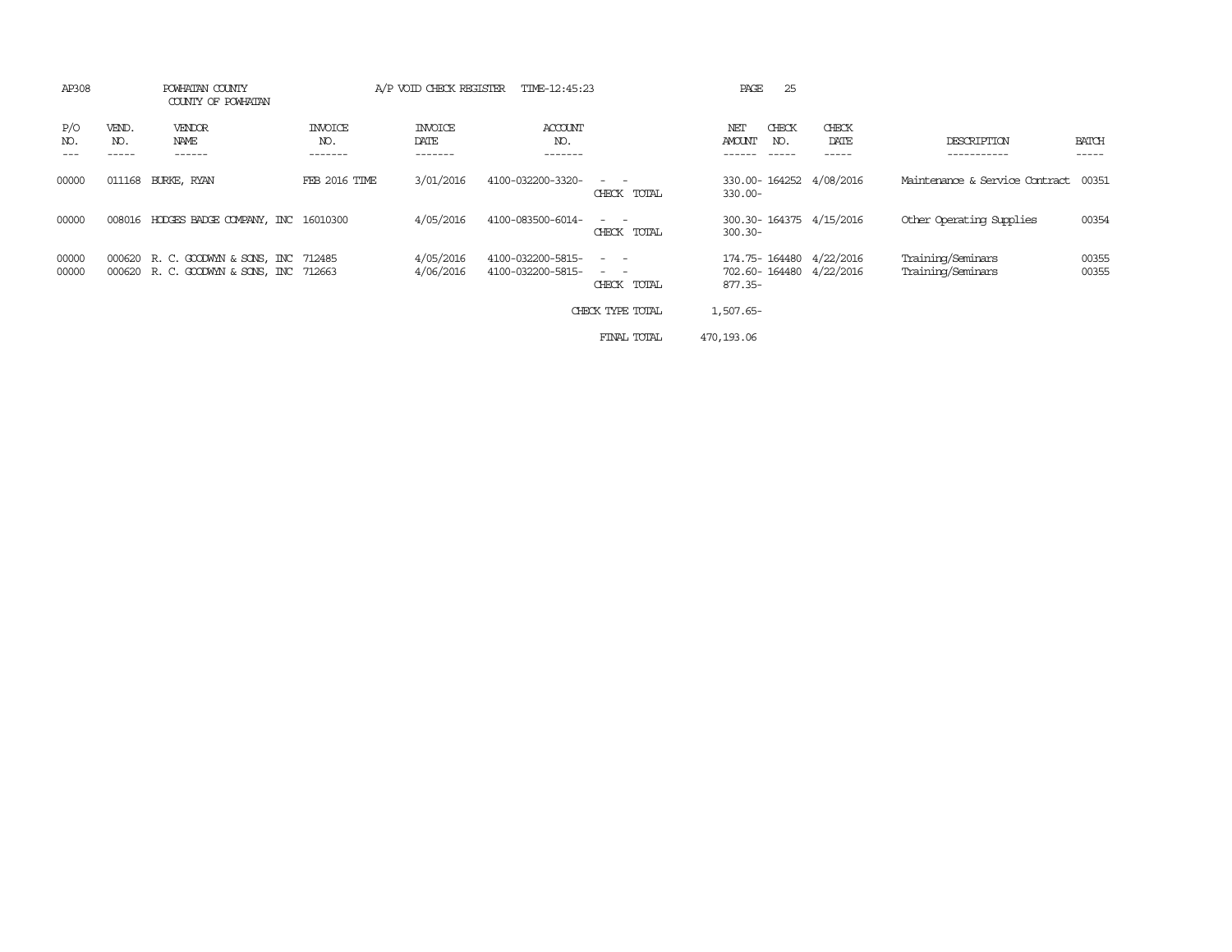| AP308          |              | POWHATAN COUNTY<br>COUNTY OF POWHATAN                                              |                           | A/P VOID CHECK REGISTER    | TIME-12:45:23                          |                                                                                                                             | 25<br>PAGE                                                       |               |                                        |                       |
|----------------|--------------|------------------------------------------------------------------------------------|---------------------------|----------------------------|----------------------------------------|-----------------------------------------------------------------------------------------------------------------------------|------------------------------------------------------------------|---------------|----------------------------------------|-----------------------|
| P/O<br>NO.     | VEND.<br>NO. | VENDOR<br>NAME<br>------                                                           | INVOICE<br>NO.<br>------- | INVOICE<br>DATE<br>------- | <b>ACCOUNT</b><br>NO.<br>-------       |                                                                                                                             | CHECK<br>NET<br><b>AMOUNT</b><br>NO.                             | CHECK<br>DATE | DESCRIPTION                            | <b>BATCH</b><br>----- |
| 00000          | 011168       | BURKE, RYAN                                                                        | <b>FEB 2016 TIME</b>      | 3/01/2016                  | 4100-032200-3320-                      | $\frac{1}{2} \left( \frac{1}{2} \right) \left( \frac{1}{2} \right) = \frac{1}{2} \left( \frac{1}{2} \right)$<br>CHECK TOTAL | 330.00-164252 4/08/2016<br>$330.00 -$                            |               | Maintenance & Service Contract         | 00351                 |
| 00000          |              | 008016 HODGES BADGE COMPANY, INC 16010300                                          |                           | 4/05/2016                  | 4100-083500-6014-                      | $\sim$ $\sim$<br>CHECK TOTAL                                                                                                | 300.30-164375 4/15/2016<br>$300.30 -$                            |               | Other Operating Supplies               | 00354                 |
| 00000<br>00000 |              | 000620 R. C. GOODWYN & SONS, INC 712485<br>000620 R. C. GOODWYN & SONS, INC 712663 |                           | 4/05/2016<br>4/06/2016     | 4100-032200-5815-<br>4100-032200-5815- | $ -$<br>$\sim$ $-$<br>CHECK TOTAL                                                                                           | 174.75-164480 4/22/2016<br>702.60-164480 4/22/2016<br>$877.35 -$ |               | Training/Seminars<br>Training/Seminars | 00355<br>00355        |
|                |              |                                                                                    |                           |                            |                                        | CHECK TYPE TOTAL                                                                                                            | 1,507.65-                                                        |               |                                        |                       |
|                |              |                                                                                    |                           |                            |                                        | FINAL TOTAL                                                                                                                 | 470, 193, 06                                                     |               |                                        |                       |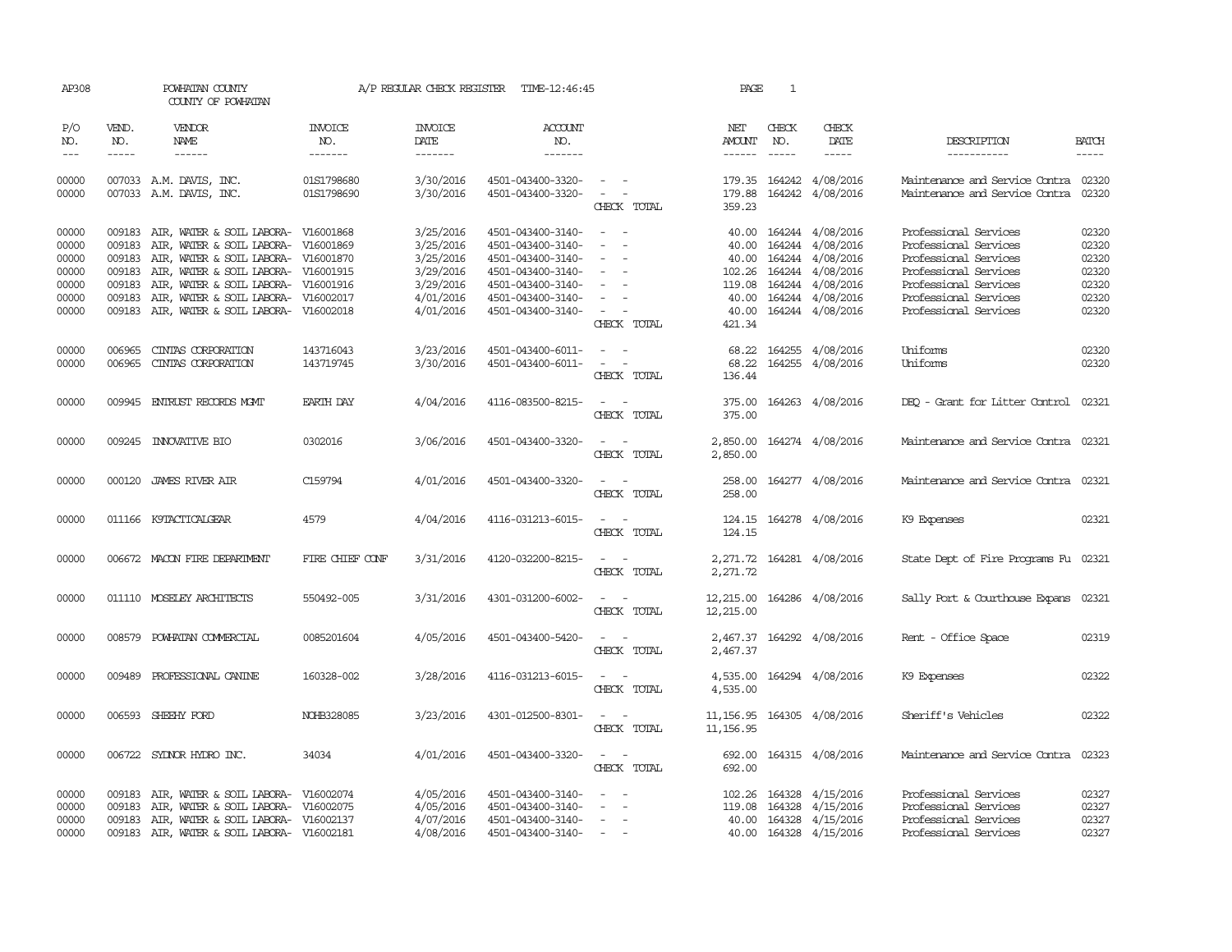| AP308               |              | POWHATAN COUNTY<br>COUNTY OF POWHATAN              |                                  | A/P REGULAR CHECK REGISTER        | TIME-12:46:45                          |                                    | PAGE                           | <sup>1</sup> |                                             |                                                                        |                             |
|---------------------|--------------|----------------------------------------------------|----------------------------------|-----------------------------------|----------------------------------------|------------------------------------|--------------------------------|--------------|---------------------------------------------|------------------------------------------------------------------------|-----------------------------|
| P/O<br>NO.<br>$---$ | VEND.<br>NO. | <b>VENDOR</b><br>NAME<br>$- - - - - -$             | <b>INVOICE</b><br>NO.<br>------- | <b>INVOICE</b><br>DATE<br>------- | <b>ACCOUNT</b><br>NO.<br>-------       |                                    | NET<br><b>AMOUNT</b><br>------ | CHECK<br>NO. | CHECK<br>DATE<br>$- - - - -$                | DESCRIPTION<br>-----------                                             | <b>BATCH</b><br>$- - - - -$ |
| 00000<br>00000      |              | 007033 A.M. DAVIS, INC.<br>007033 A.M. DAVIS, INC. | 01S1798680<br>01S1798690         | 3/30/2016<br>3/30/2016            | 4501-043400-3320-<br>4501-043400-3320- | $\sim$ $  -$                       | 179.88                         |              | 179.35 164242 4/08/2016<br>164242 4/08/2016 | Maintenance and Service Contra 02320<br>Maintenance and Service Contra | 02320                       |
|                     |              |                                                    |                                  |                                   |                                        | CHECK TOTAL                        | 359.23                         |              |                                             |                                                                        |                             |
| 00000               | 009183       | AIR, WATER & SOIL LABORA- V16001868                |                                  | 3/25/2016                         | 4501-043400-3140-                      | $\sim$                             | 40.00                          |              | 164244 4/08/2016                            | Professional Services                                                  | 02320                       |
| 00000               | 009183       | AIR, WATER & SOIL LABORA-                          | V16001869                        | 3/25/2016                         | 4501-043400-3140-                      |                                    | 40.00                          | 164244       | 4/08/2016                                   | Professional Services                                                  | 02320                       |
| 00000               | 009183       | AIR, WATER & SOIL LABORA-                          | V16001870                        | 3/25/2016                         | 4501-043400-3140-                      | $\overline{\phantom{a}}$           | 40.00                          | 164244       | 4/08/2016                                   | Professional Services                                                  | 02320                       |
| 00000               | 009183       | AIR, WATER & SOIL LABORA- V16001915                |                                  | 3/29/2016                         | 4501-043400-3140-                      | $\overline{\phantom{a}}$           | 102.26                         |              | 164244 4/08/2016                            | Professional Services                                                  | 02320                       |
| 00000               | 009183       | AIR, WATER & SOIL LABORA-                          | V16001916                        | 3/29/2016                         | 4501-043400-3140-                      |                                    | 119.08                         |              | 164244 4/08/2016                            | Professional Services                                                  | 02320                       |
| 00000               | 009183       | AIR, WATER & SOIL LABORA- V16002017                |                                  | 4/01/2016                         | 4501-043400-3140-                      |                                    | 40.00                          |              | 164244 4/08/2016                            | Professional Services                                                  | 02320                       |
| 00000               |              | 009183 AIR, WATER & SOIL LABORA- V16002018         |                                  | 4/01/2016                         | 4501-043400-3140-                      | $\sim$<br>CHECK TOTAL              | 40.00<br>421.34                |              | 164244 4/08/2016                            | Professional Services                                                  | 02320                       |
|                     |              |                                                    |                                  |                                   |                                        |                                    |                                |              |                                             |                                                                        |                             |
| 00000               | 006965       | CINIAS CORPORATION                                 | 143716043                        | 3/23/2016                         | 4501-043400-6011-                      | $\equiv$<br>$\sim$                 | 68.22                          |              | 164255 4/08/2016                            | Uniforms                                                               | 02320                       |
| 00000               | 006965       | CINIAS CORPORATION                                 | 143719745                        | 3/30/2016                         | 4501-043400-6011-                      | $\sim$                             | 68.22                          |              | 164255 4/08/2016                            | Uniforms                                                               | 02320                       |
|                     |              |                                                    |                                  |                                   |                                        | CHECK TOTAL                        | 136.44                         |              |                                             |                                                                        |                             |
| 00000               |              | 009945 ENTRUST RECORDS MGMT                        | EARTH DAY                        | 4/04/2016                         | 4116-083500-8215-                      | $\sim$<br>$\sim$ 100 $\mu$         |                                |              | 375.00 164263 4/08/2016                     | DEQ - Grant for Litter Control 02321                                   |                             |
|                     |              |                                                    |                                  |                                   |                                        | CHECK TOTAL                        | 375.00                         |              |                                             |                                                                        |                             |
| 00000               |              | 009245 INNOVATIVE BIO                              | 0302016                          | 3/06/2016                         | 4501-043400-3320-                      | $\sim$                             |                                |              | 2,850.00 164274 4/08/2016                   | Maintenance and Service Contra 02321                                   |                             |
|                     |              |                                                    |                                  |                                   |                                        | CHECK TOTAL                        | 2,850.00                       |              |                                             |                                                                        |                             |
| 00000               |              | 000120 JAMES RIVER AIR                             | C159794                          | 4/01/2016                         | 4501-043400-3320-                      | $\sim$ $ \sim$                     | 258.00                         |              | 164277 4/08/2016                            | Maintenance and Service Contra 02321                                   |                             |
|                     |              |                                                    |                                  |                                   |                                        | CHECK TOTAL                        | 258.00                         |              |                                             |                                                                        |                             |
| 00000               |              | 011166 K9TACTICALGEAR                              | 4579                             | 4/04/2016                         | 4116-031213-6015-                      | $\sim$ $ \sim$                     |                                |              | 124.15 164278 4/08/2016                     | K9 Expenses                                                            | 02321                       |
|                     |              |                                                    |                                  |                                   |                                        | CHECK TOTAL                        | 124.15                         |              |                                             |                                                                        |                             |
| 00000               |              | 006672 MACON FIRE DEPARTMENT                       | FIRE CHIEF CONF                  | 3/31/2016                         | 4120-032200-8215-                      | $\sim$ $ -$                        |                                |              | 2,271.72 164281 4/08/2016                   | State Dept of Fire Programs Fu 02321                                   |                             |
|                     |              |                                                    |                                  |                                   |                                        | CHECK TOTAL                        | 2,271.72                       |              |                                             |                                                                        |                             |
| 00000               |              | 011110 MOSELEY ARCHITECTS                          | 550492-005                       | 3/31/2016                         | 4301-031200-6002-                      |                                    |                                |              | 164286 4/08/2016                            |                                                                        |                             |
|                     |              |                                                    |                                  |                                   |                                        | CHECK TOTAL                        | 12,215.00<br>12,215.00         |              |                                             | Sally Port & Courthouse Expans 02321                                   |                             |
|                     |              |                                                    |                                  |                                   |                                        |                                    |                                |              |                                             |                                                                        |                             |
| 00000               |              | 008579 POWHATAN COMMERCIAL                         | 0085201604                       | 4/05/2016                         | 4501-043400-5420-                      | $\overline{a}$<br>CHECK TOTAL      | 2,467.37                       |              | 2,467.37 164292 4/08/2016                   | Rent - Office Space                                                    | 02319                       |
|                     |              |                                                    |                                  |                                   |                                        |                                    |                                |              |                                             |                                                                        |                             |
| 00000               |              | 009489 PROFESSIONAL CANINE                         | 160328-002                       | 3/28/2016                         | 4116-031213-6015-                      | $\sim$ $ -$                        | 4,535.00                       |              | 164294 4/08/2016                            | K9 Expenses                                                            | 02322                       |
|                     |              |                                                    |                                  |                                   |                                        | CHECK TOTAL                        | 4,535.00                       |              |                                             |                                                                        |                             |
| 00000               |              | 006593 SHEEHY FORD                                 | NOHB328085                       | 3/23/2016                         | 4301-012500-8301-                      | $\sim$ $ \sim$                     | 11, 156.95                     |              | 164305 4/08/2016                            | Sheriff's Vehicles                                                     | 02322                       |
|                     |              |                                                    |                                  |                                   |                                        | CHECK TOTAL                        | 11, 156.95                     |              |                                             |                                                                        |                             |
| 00000               |              | 006722 SYDNOR HYDRO INC.                           | 34034                            | 4/01/2016                         | 4501-043400-3320-                      | $\sim$ $ -$                        | 692.00                         |              | 164315 4/08/2016                            | Maintenance and Service Contra                                         | 02323                       |
|                     |              |                                                    |                                  |                                   |                                        | CHECK TOTAL                        | 692.00                         |              |                                             |                                                                        |                             |
| 00000               | 009183       | AIR, WATER & SOIL LABORA- V16002074                |                                  | 4/05/2016                         | 4501-043400-3140-                      |                                    | 102.26                         | 164328       | 4/15/2016                                   | Professional Services                                                  | 02327                       |
| 00000               | 009183       | AIR, WATER & SOIL LABORA- V16002075                |                                  | 4/05/2016                         | 4501-043400-3140-                      | $\sim$<br>$\overline{\phantom{a}}$ | 119.08                         | 164328       | 4/15/2016                                   | Professional Services                                                  | 02327                       |
| 00000               |              | 009183 AIR, WATER & SOIL LABORA- V16002137         |                                  | 4/07/2016                         | 4501-043400-3140-                      | $\sim$                             | 40.00                          |              | 164328 4/15/2016                            | Professional Services                                                  | 02327                       |
| 00000               |              | 009183 AIR, WATER & SOIL LABORA- V16002181         |                                  | 4/08/2016                         | 4501-043400-3140-                      | $\sim$<br>$\overline{\phantom{a}}$ |                                |              | 40.00 164328 4/15/2016                      | Professional Services                                                  | 02327                       |
|                     |              |                                                    |                                  |                                   |                                        |                                    |                                |              |                                             |                                                                        |                             |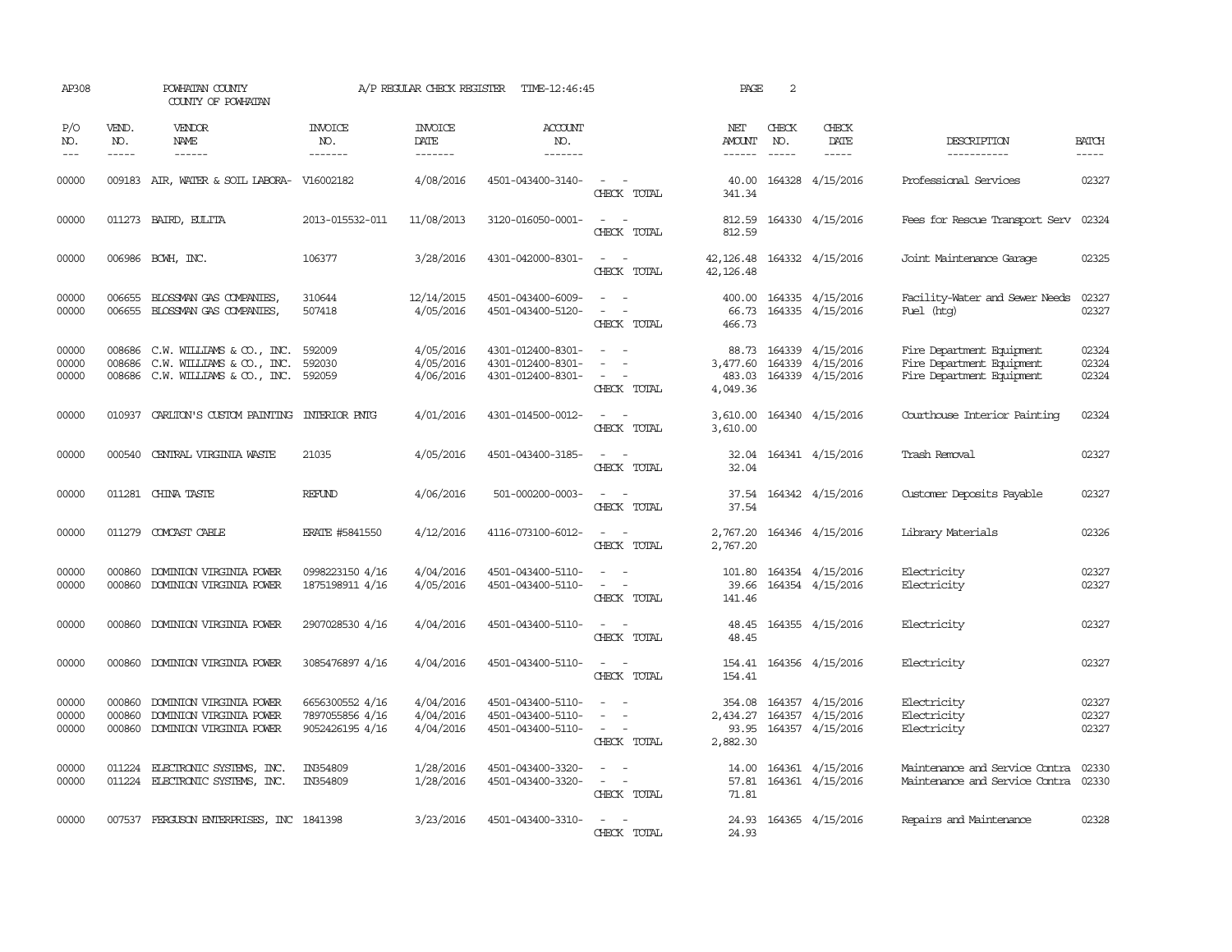| AP308                   |                       | POWHATAN COUNTY<br>COUNTY OF POWHATAN                                                      |                                                       | A/P REGULAR CHECK REGISTER          | TIME-12:46:45                                               |                                                                                                                             | PAGE                                      | 2            |                                                                       |                                                                                     |                             |
|-------------------------|-----------------------|--------------------------------------------------------------------------------------------|-------------------------------------------------------|-------------------------------------|-------------------------------------------------------------|-----------------------------------------------------------------------------------------------------------------------------|-------------------------------------------|--------------|-----------------------------------------------------------------------|-------------------------------------------------------------------------------------|-----------------------------|
| P/O<br>NO.<br>$---$     | VEND.<br>NO.<br>----- | <b>VENDOR</b><br>NAME<br>$- - - - - -$                                                     | <b>INVOICE</b><br>NO.<br>-------                      | <b>INVOICE</b><br>DATE<br>-------   | <b>ACCOUNT</b><br>NO.<br>-------                            |                                                                                                                             | NET<br>AMOUNT<br>------                   | CHECK<br>NO. | CHECK<br>DATE<br>-----                                                | DESCRIPTION<br>-----------                                                          | <b>BATCH</b><br>$- - - - -$ |
| 00000                   |                       | 009183 AIR, WATER & SOIL LABORA- V16002182                                                 |                                                       | 4/08/2016                           | 4501-043400-3140-                                           | $\sim$ $\sim$<br>CHECK TOTAL                                                                                                | 40.00<br>341.34                           |              | 164328 4/15/2016                                                      | Professional Services                                                               | 02327                       |
| 00000                   |                       | 011273 BAIRD, EULITA                                                                       | 2013-015532-011                                       | 11/08/2013                          | 3120-016050-0001-                                           | $\overline{\phantom{a}}$<br>$\sim$<br>CHECK TOTAL                                                                           | 812.59<br>812.59                          |              | 164330 4/15/2016                                                      | Fees for Rescue Transport Serv 02324                                                |                             |
| 00000                   |                       | 006986 BCWH, INC.                                                                          | 106377                                                | 3/28/2016                           | 4301-042000-8301-                                           | $\sim$ 10 $\sim$ 10 $\sim$<br>CHECK TOTAL                                                                                   | 42, 126.48 164332 4/15/2016<br>42, 126.48 |              |                                                                       | Joint Maintenance Garage                                                            | 02325                       |
| 00000<br>00000          | 006655<br>006655      | BLOSSMAN GAS COMPANIES<br>BLOSSMAN GAS COMPANIES,                                          | 310644<br>507418                                      | 12/14/2015<br>4/05/2016             | 4501-043400-6009-<br>4501-043400-5120-                      | $\sim$<br>$\sim$<br>$\equiv$<br>$\sim$<br>CHECK TOTAL                                                                       | 400.00<br>66.73<br>466.73                 |              | 164335 4/15/2016<br>164335 4/15/2016                                  | Facility-Water and Sewer Needs<br>Fuel (htg)                                        | 02327<br>02327              |
| 00000<br>00000<br>00000 | 008686<br>008686      | C.W. WILLIAMS & CO., INC.<br>C.W. WILLIAMS & CO., INC.<br>008686 C.W. WILLIAMS & CO., INC. | 592009<br>592030<br>592059                            | 4/05/2016<br>4/05/2016<br>4/06/2016 | 4301-012400-8301-<br>4301-012400-8301-<br>4301-012400-8301- | $\sim$ $ \sim$<br>$\overline{\phantom{a}}$<br><b><i><u>ALCO</u></i></b><br>CHECK TOTAL                                      | 88.73<br>3,477.60<br>483.03<br>4,049.36   |              | 164339 4/15/2016<br>164339 4/15/2016<br>164339 4/15/2016              | Fire Department Equipment<br>Fire Department Equipment<br>Fire Department Equipment | 02324<br>02324<br>02324     |
| 00000                   |                       | 010937 CARLION'S CUSTOM PAINTING INTERIOR PNTG                                             |                                                       | 4/01/2016                           | 4301-014500-0012-                                           | $\sim$ $\sim$<br>CHECK TOTAL                                                                                                | 3,610.00                                  |              | 3,610.00 164340 4/15/2016                                             | Courthouse Interior Painting                                                        | 02324                       |
| 00000                   |                       | 000540 CENTRAL VIRGINIA WASTE                                                              | 21035                                                 | 4/05/2016                           | 4501-043400-3185-                                           | CHECK TOTAL                                                                                                                 | 32.04<br>32.04                            |              | 164341 4/15/2016                                                      | Trash Removal                                                                       | 02327                       |
| 00000                   |                       | 011281 CHINA TASTE                                                                         | <b>REFUND</b>                                         | 4/06/2016                           | 501-000200-0003-                                            | $\frac{1}{2} \left( \frac{1}{2} \right) \left( \frac{1}{2} \right) = \frac{1}{2} \left( \frac{1}{2} \right)$<br>CHECK TOTAL | 37.54                                     |              | 37.54 164342 4/15/2016                                                | Customer Deposits Payable                                                           | 02327                       |
| 00000                   |                       | 011279 COMCAST CABLE                                                                       | <b>ERATE #5841550</b>                                 | 4/12/2016                           | 4116-073100-6012-                                           | $\sim$<br>CHECK TOTAL                                                                                                       | 2,767.20<br>2,767.20                      |              | 164346 4/15/2016                                                      | Library Materials                                                                   | 02326                       |
| 00000<br>00000          | 000860<br>000860      | DOMINION VIRGINIA POWER<br>DOMINION VIRGINIA POWER                                         | 0998223150 4/16<br>1875198911 4/16                    | 4/04/2016<br>4/05/2016              | 4501-043400-5110-<br>4501-043400-5110-                      | $\overline{\phantom{a}}$<br>CHECK TOTAL                                                                                     | 101.80<br>39.66<br>141.46                 |              | 164354 4/15/2016<br>164354 4/15/2016                                  | Electricity<br>Electricity                                                          | 02327<br>02327              |
| 00000                   | 000860                | DOMINION VIRGINIA POWER                                                                    | 2907028530 4/16                                       | 4/04/2016                           | 4501-043400-5110-                                           | CHECK TOTAL                                                                                                                 | 48.45<br>48.45                            |              | 164355 4/15/2016                                                      | Electricity                                                                         | 02327                       |
| 00000                   |                       | 000860 DOMINION VIRGINIA POWER                                                             | 3085476897 4/16                                       | 4/04/2016                           | 4501-043400-5110-                                           | $\equiv$<br>CHECK TOTAL                                                                                                     | 154.41                                    |              | 154.41 164356 4/15/2016                                               | Electricity                                                                         | 02327                       |
| 00000<br>00000<br>00000 | 000860<br>000860      | DOMINION VIRGINIA POWER<br>DOMINION VIRGINIA POWER<br>000860 DOMINION VIRGINIA POWER       | 6656300552 4/16<br>7897055856 4/16<br>9052426195 4/16 | 4/04/2016<br>4/04/2016<br>4/04/2016 | 4501-043400-5110-<br>4501-043400-5110-<br>4501-043400-5110- | $\sim$ $-$<br>$\sim$ 100 $\mu$<br>CHECK TOTAL                                                                               | 2,434.27<br>2,882.30                      |              | 354.08 164357 4/15/2016<br>164357 4/15/2016<br>93.95 164357 4/15/2016 | Electricity<br>Electricity<br>Electricity                                           | 02327<br>02327<br>02327     |
| 00000<br>00000          |                       | 011224 ELECTRONIC SYSTEMS, INC.<br>011224 ELECTRONIC SYSTEMS, INC.                         | IN354809<br>IN354809                                  | 1/28/2016<br>1/28/2016              | 4501-043400-3320-<br>4501-043400-3320-                      | $\frac{1}{2} \left( \frac{1}{2} \right) \left( \frac{1}{2} \right) = \frac{1}{2} \left( \frac{1}{2} \right)$<br>CHECK TOTAL | 57.81<br>71.81                            |              | 14.00 164361 4/15/2016<br>164361 4/15/2016                            | Maintenance and Service Contra<br>Maintenance and Service Contra                    | 02330<br>02330              |
| 00000                   |                       | 007537 FERGUSON ENTERPRISES, INC 1841398                                                   |                                                       | 3/23/2016                           | 4501-043400-3310-                                           | $\sim$ $  -$<br>CHECK TOTAL                                                                                                 | 24.93                                     |              | 24.93 164365 4/15/2016                                                | Repairs and Maintenance                                                             | 02328                       |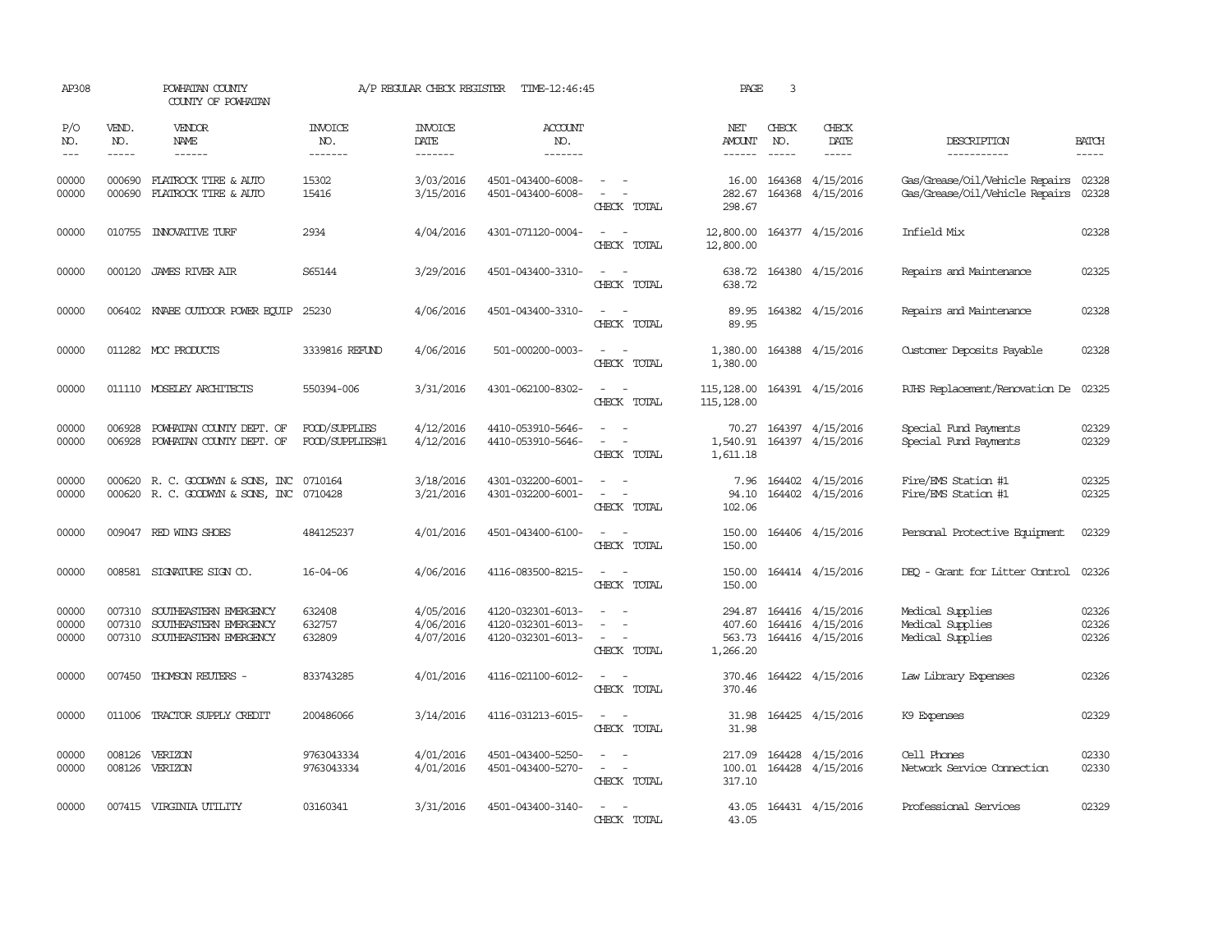| AP308                       |                             | POWHATAN COUNTY<br>COUNTY OF POWHATAN                                                |                                  | A/P REGULAR CHECK REGISTER          | TIME-12:46:45                                               |                                                                                                                             | PAGE                                    | 3                             |                                                          |                                                                              |                         |
|-----------------------------|-----------------------------|--------------------------------------------------------------------------------------|----------------------------------|-------------------------------------|-------------------------------------------------------------|-----------------------------------------------------------------------------------------------------------------------------|-----------------------------------------|-------------------------------|----------------------------------------------------------|------------------------------------------------------------------------------|-------------------------|
| P/O<br>NO.<br>$\frac{1}{2}$ | VEND.<br>NO.<br>$- - - - -$ | VENDOR<br>NAME<br>$- - - - - -$                                                      | <b>INVOICE</b><br>NO.<br>------- | <b>INVOICE</b><br>DATE<br>-------   | ACCOUNT<br>NO.<br>$- - - - - - -$                           |                                                                                                                             | NET<br>AMOUNT<br>$- - - - - -$          | CHECK<br>NO.<br>$\frac{1}{2}$ | CHECK<br>DATE<br>$- - - - -$                             | DESCRIPTION<br>-----------                                                   | <b>BATCH</b><br>-----   |
| 00000<br>00000              | 000690<br>000690            | FLATROCK TIRE & AUTO<br>FLATROCK TIRE & AUTO                                         | 15302<br>15416                   | 3/03/2016<br>3/15/2016              | 4501-043400-6008-<br>4501-043400-6008-                      | $\overline{\phantom{a}}$<br>$\sim$<br>CHECK TOTAL                                                                           | 16.00<br>282.67<br>298.67               |                               | 164368 4/15/2016<br>164368 4/15/2016                     | Gas/Grease/Oil/Vehicle Repairs 02328<br>Gas/Grease/Oil/Vehicle Repairs 02328 |                         |
| 00000                       |                             | 010755 INNOVATIVE TURF                                                               | 2934                             | 4/04/2016                           | 4301-071120-0004-                                           | $\sim$ $ \sim$<br>CHECK TOTAL                                                                                               | 12,800.00 164377 4/15/2016<br>12,800.00 |                               |                                                          | Infield Mix                                                                  | 02328                   |
| 00000                       |                             | 000120 JAMES RIVER AIR                                                               | S65144                           | 3/29/2016                           | 4501-043400-3310-                                           | $\sim$ $ \sim$<br>CHECK TOTAL                                                                                               | 638.72                                  |                               | 638.72 164380 4/15/2016                                  | Repairs and Maintenance                                                      | 02325                   |
| 00000                       |                             | 006402 KNABE OUIDOOR POWER EQUIP 25230                                               |                                  | 4/06/2016                           | 4501-043400-3310-                                           | $\frac{1}{2} \left( \frac{1}{2} \right) \left( \frac{1}{2} \right) = \frac{1}{2} \left( \frac{1}{2} \right)$<br>CHECK TOTAL | 89.95                                   |                               | 89.95 164382 4/15/2016                                   | Repairs and Maintenance                                                      | 02328                   |
| 00000                       |                             | 011282 MOC PRODUCTS                                                                  | 3339816 REFUND                   | 4/06/2016                           | 501-000200-0003-                                            | $\frac{1}{2} \left( \frac{1}{2} \right) \left( \frac{1}{2} \right) = \frac{1}{2} \left( \frac{1}{2} \right)$<br>CHECK TOTAL | 1,380.00<br>1,380.00                    |                               | 164388 4/15/2016                                         | Customer Deposits Payable                                                    | 02328                   |
| 00000                       |                             | 011110 MOSELEY ARCHITECTS                                                            | 550394-006                       | 3/31/2016                           | 4301-062100-8302-                                           | $\sim$<br>CHECK TOTAL                                                                                                       | 115, 128.00<br>115, 128.00              |                               | 164391 4/15/2016                                         | RJHS Replacement/Renovation De                                               | 02325                   |
| 00000<br>00000              | 006928<br>006928            | POWHATAN COUNTY DEPT. OF<br>POWHATAN COUNTY DEPT. OF                                 | FOOD/SUPPLIES<br>FOOD/SUPPLIES#1 | 4/12/2016<br>4/12/2016              | 4410-053910-5646-<br>4410-053910-5646-                      | CHECK TOTAL                                                                                                                 | 70.27<br>1,540.91<br>1,611.18           |                               | 164397 4/15/2016<br>164397 4/15/2016                     | Special Fund Payments<br>Special Fund Payments                               | 02329<br>02329          |
| 00000<br>00000              |                             | 000620 R. C. GOODWYN & SONS, INC 0710164<br>000620 R. C. GOODWYN & SONS, INC 0710428 |                                  | 3/18/2016<br>3/21/2016              | 4301-032200-6001-<br>4301-032200-6001-                      | $\sim$ $-$<br>$\overline{\phantom{a}}$<br>CHECK TOTAL                                                                       | 7.96<br>94.10<br>102.06                 |                               | 164402 4/15/2016<br>164402 4/15/2016                     | Fire/EMS Station #1<br>Fire/EMS Station #1                                   | 02325<br>02325          |
| 00000                       |                             | 009047 RED WING SHOES                                                                | 484125237                        | 4/01/2016                           | 4501-043400-6100-                                           | $\sim$ $\sim$<br>CHECK TOTAL                                                                                                | 150.00<br>150.00                        |                               | 164406 4/15/2016                                         | Personal Protective Equipment                                                | 02329                   |
| 00000                       |                             | 008581 SIGNATURE SIGN CO.                                                            | $16 - 04 - 06$                   | 4/06/2016                           | 4116-083500-8215-                                           | $\overline{\phantom{a}}$<br>$\overline{\phantom{a}}$<br>CHECK TOTAL                                                         | 150.00<br>150.00                        |                               | 164414 4/15/2016                                         | DEO - Grant for Litter Control                                               | 02326                   |
| 00000<br>00000<br>00000     | 007310<br>007310<br>007310  | SOUTHEASTERN EMERGENCY<br>SOUTHEASTERN EMERGENCY<br>SOUTHEASTERN EMERGENCY           | 632408<br>632757<br>632809       | 4/05/2016<br>4/06/2016<br>4/07/2016 | 4120-032301-6013-<br>4120-032301-6013-<br>4120-032301-6013- | $\equiv$<br>$\sim$<br>CHECK TOTAL                                                                                           | 294.87<br>407.60<br>563.73<br>1,266.20  |                               | 164416 4/15/2016<br>164416 4/15/2016<br>164416 4/15/2016 | Medical Supplies<br>Medical Supplies<br>Medical Supplies                     | 02326<br>02326<br>02326 |
| 00000                       | 007450                      | THOMSON REUTERS -                                                                    | 833743285                        | 4/01/2016                           | 4116-021100-6012-                                           | CHECK TOTAL                                                                                                                 | 370.46<br>370.46                        |                               | 164422 4/15/2016                                         | Law Library Expenses                                                         | 02326                   |
| 00000                       | 011006                      | TRACTOR SUPPLY CREDIT                                                                | 200486066                        | 3/14/2016                           | 4116-031213-6015-                                           | CHECK TOTAL                                                                                                                 | 31.98<br>31.98                          |                               | 164425 4/15/2016                                         | K9 Expenses                                                                  | 02329                   |
| 00000<br>00000              |                             | 008126 VERIZON<br>008126 VERIZON                                                     | 9763043334<br>9763043334         | 4/01/2016<br>4/01/2016              | 4501-043400-5250-<br>4501-043400-5270-                      | $\frac{1}{2} \left( \frac{1}{2} \right) \left( \frac{1}{2} \right) = \frac{1}{2} \left( \frac{1}{2} \right)$<br>CHECK TOTAL | 217.09<br>100.01<br>317.10              |                               | 164428 4/15/2016<br>164428 4/15/2016                     | Cell Phones<br>Network Service Connection                                    | 02330<br>02330          |
| 00000                       |                             | 007415 VIRGINIA UTILITY                                                              | 03160341                         | 3/31/2016                           | 4501-043400-3140-                                           | $\sim$<br>CHECK TOTAL                                                                                                       | 43.05<br>43.05                          |                               | 164431 4/15/2016                                         | Professional Services                                                        | 02329                   |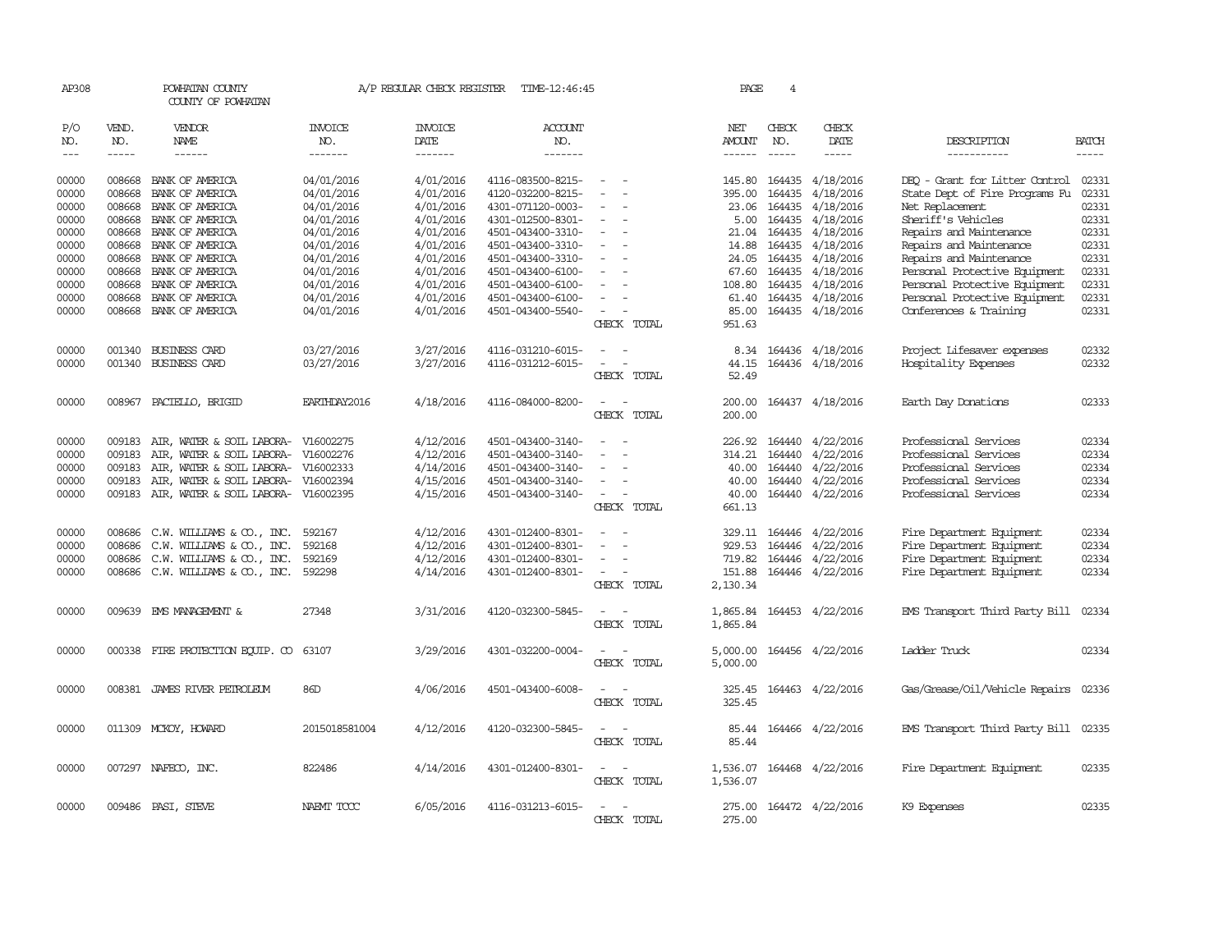| AP308                                              |                                                | POWHATAN COUNTY<br>COUNTY OF POWHATAN                                                                                                                   |                                                                                  | A/P REGULAR CHECK REGISTER                                                 | TIME-12:46:45                                                                                                              |                                                                     | PAGE                                                          | $\overline{4}$                                      |                                                                                          |                                                                                                                                                                                 |                                                    |
|----------------------------------------------------|------------------------------------------------|---------------------------------------------------------------------------------------------------------------------------------------------------------|----------------------------------------------------------------------------------|----------------------------------------------------------------------------|----------------------------------------------------------------------------------------------------------------------------|---------------------------------------------------------------------|---------------------------------------------------------------|-----------------------------------------------------|------------------------------------------------------------------------------------------|---------------------------------------------------------------------------------------------------------------------------------------------------------------------------------|----------------------------------------------------|
| P/O<br>NO.<br>$- - -$                              | VEND.<br>NO.<br>$- - - - -$                    | VENDOR<br>NAME<br>$- - - - - -$                                                                                                                         | <b>INVOICE</b><br>NO.<br>--------                                                | <b>INVOICE</b><br>DATE<br>--------                                         | ACCOUNT<br>NO.<br>-------                                                                                                  |                                                                     | NET<br>AMOUNT<br>$- - - - - -$                                | CHECK<br>NO.<br>$\frac{1}{2}$                       | CHECK<br>DATE<br>$- - - - -$                                                             | DESCRIPTION<br>-----------                                                                                                                                                      | <b>BATCH</b><br>$\frac{1}{2}$                      |
| 00000<br>00000<br>00000<br>00000<br>00000          | 008668<br>008668<br>008668                     | BANK OF AMERICA<br>BANK OF AMERICA<br>BANK OF AMERICA<br>008668 BANK OF AMERICA<br>008668 BANK OF AMERICA                                               | 04/01/2016<br>04/01/2016<br>04/01/2016<br>04/01/2016<br>04/01/2016               | 4/01/2016<br>4/01/2016<br>4/01/2016<br>4/01/2016<br>4/01/2016              | 4116-083500-8215-<br>4120-032200-8215-<br>4301-071120-0003-<br>4301-012500-8301-<br>4501-043400-3310-                      | $\equiv$                                                            | 145.80<br>395.00<br>23.06<br>21.04                            | 164435<br>164435<br>164435<br>5.00 164435<br>164435 | 4/18/2016<br>4/18/2016<br>4/18/2016<br>4/18/2016<br>4/18/2016                            | DEO - Grant for Litter Control<br>State Dept of Fire Programs Fu<br>Net Replacement<br>Sheriff's Vehicles<br>Repairs and Maintenance                                            | 02331<br>02331<br>02331<br>02331<br>02331          |
| 00000<br>00000<br>00000<br>00000<br>00000<br>00000 | 008668<br>008668<br>008668<br>008668<br>008668 | BANK OF AMERICA<br>BANK OF AMERICA<br>BANK OF AMERICA<br>BANK OF AMERICA<br>BANK OF AMERICA<br>008668 BANK OF AMERICA                                   | 04/01/2016<br>04/01/2016<br>04/01/2016<br>04/01/2016<br>04/01/2016<br>04/01/2016 | 4/01/2016<br>4/01/2016<br>4/01/2016<br>4/01/2016<br>4/01/2016<br>4/01/2016 | 4501-043400-3310-<br>4501-043400-3310-<br>4501-043400-6100-<br>4501-043400-6100-<br>4501-043400-6100-<br>4501-043400-5540- | $\equiv$<br>CHECK TOTAL                                             | 14.88<br>24.05<br>67.60<br>108.80<br>61.40<br>85.00<br>951.63 | 164435<br>164435<br>164435<br>164435                | 4/18/2016<br>4/18/2016<br>4/18/2016<br>4/18/2016<br>164435 4/18/2016<br>164435 4/18/2016 | Repairs and Maintenance<br>Repairs and Maintenance<br>Personal Protective Equipment<br>Personal Protective Equipment<br>Personal Protective Equipment<br>Conferences & Training | 02331<br>02331<br>02331<br>02331<br>02331<br>02331 |
| 00000<br>00000                                     | 001340                                         | 001340 BUSINESS CARD<br>BUSINESS CARD                                                                                                                   | 03/27/2016<br>03/27/2016                                                         | 3/27/2016<br>3/27/2016                                                     | 4116-031210-6015-<br>4116-031212-6015-                                                                                     | $\equiv$<br>$\sim$<br>CHECK TOTAL                                   | 44.15<br>52.49                                                |                                                     | 8.34 164436 4/18/2016<br>164436 4/18/2016                                                | Project Lifesaver expenses<br>Hospitality Expenses                                                                                                                              | 02332<br>02332                                     |
| 00000                                              | 008967                                         | PACIELLO, BRIGID                                                                                                                                        | EARTHDAY2016                                                                     | 4/18/2016                                                                  | 4116-084000-8200-                                                                                                          | CHECK TOTAL                                                         | 200.00<br>200.00                                              |                                                     | 164437 4/18/2016                                                                         | Earth Day Donations                                                                                                                                                             | 02333                                              |
| 00000<br>00000<br>00000<br>00000<br>00000          | 009183<br>009183<br>009183<br>009183<br>009183 | AIR, WATER & SOIL LABORA-<br>AIR, WATER & SOIL LABORA-<br>AIR, WATER & SOIL LABORA-<br>AIR, WATER & SOIL LABORA-<br>AIR, WATER & SOIL LABORA- V16002395 | V16002275<br>V16002276<br>V16002333<br>V16002394                                 | 4/12/2016<br>4/12/2016<br>4/14/2016<br>4/15/2016<br>4/15/2016              | 4501-043400-3140-<br>4501-043400-3140-<br>4501-043400-3140-<br>4501-043400-3140-<br>4501-043400-3140-                      | $\overline{\phantom{a}}$<br>$\equiv$<br>CHECK TOTAL                 | 226.92<br>314.21<br>40.00<br>40.00<br>40.00<br>661.13         | 164440<br>164440<br>164440<br>164440<br>164440      | 4/22/2016<br>4/22/2016<br>4/22/2016<br>4/22/2016<br>4/22/2016                            | Professional Services<br>Professional Services<br>Professional Services<br>Professional Services<br>Professional Services                                                       | 02334<br>02334<br>02334<br>02334<br>02334          |
| 00000<br>00000<br>00000<br>00000                   | 008686<br>008686<br>008686                     | C.W. WILLIAMS & CO., INC.<br>C.W. WILLIAMS & CO., INC.<br>C.W. WILLIAMS & CO., INC.<br>008686 C.W. WILLIAMS & CO., INC.                                 | 592167<br>592168<br>592169<br>592298                                             | 4/12/2016<br>4/12/2016<br>4/12/2016<br>4/14/2016                           | 4301-012400-8301-<br>4301-012400-8301-<br>4301-012400-8301-<br>4301-012400-8301-                                           | $\overline{\phantom{a}}$<br>$\overline{\phantom{a}}$<br>CHECK TOTAL | 329.11 164446<br>929.53<br>719.82<br>151.88<br>2,130.34       | 164446<br>164446                                    | 4/22/2016<br>4/22/2016<br>4/22/2016<br>164446 4/22/2016                                  | Fire Department Equipment<br>Fire Department Equipment<br>Fire Department Equipment<br>Fire Department Equipment                                                                | 02334<br>02334<br>02334<br>02334                   |
| 00000                                              |                                                | 009639 EMS MANAGEMENT &                                                                                                                                 | 27348                                                                            | 3/31/2016                                                                  | 4120-032300-5845-                                                                                                          | $\sim$<br>CHECK TOTAL                                               | 1,865.84<br>1,865.84                                          |                                                     | 164453 4/22/2016                                                                         | EMS Transport Third Party Bill                                                                                                                                                  | 02334                                              |
| 00000                                              |                                                | 000338 FIRE PROTECTION EQUIP. CO 63107                                                                                                                  |                                                                                  | 3/29/2016                                                                  | 4301-032200-0004-                                                                                                          | CHECK TOTAL                                                         | 5,000.00<br>5,000.00                                          |                                                     | 164456 4/22/2016                                                                         | Ladder Truck                                                                                                                                                                    | 02334                                              |
| 00000                                              |                                                | 008381 JAMES RIVER PETROLEUM                                                                                                                            | 86D                                                                              | 4/06/2016                                                                  | 4501-043400-6008-                                                                                                          | $\sim$<br>CHECK TOTAL                                               | 325.45<br>325.45                                              |                                                     | 164463 4/22/2016                                                                         | Gas/Grease/Oil/Vehicle Repairs                                                                                                                                                  | 02336                                              |
| 00000                                              |                                                | 011309 MCKOY, HOWARD                                                                                                                                    | 2015018581004                                                                    | 4/12/2016                                                                  | 4120-032300-5845-                                                                                                          | CHECK TOTAL                                                         | 85.44                                                         |                                                     | 85.44 164466 4/22/2016                                                                   | EMS Transport Third Party Bill 02335                                                                                                                                            |                                                    |
| 00000                                              |                                                | 007297 NAFECO, INC.                                                                                                                                     | 822486                                                                           | 4/14/2016                                                                  | 4301-012400-8301-                                                                                                          | CHECK TOTAL                                                         | 1,536.07<br>1,536.07                                          |                                                     | 164468 4/22/2016                                                                         | Fire Department Equipment                                                                                                                                                       | 02335                                              |
| 00000                                              |                                                | 009486 PASI, STEVE                                                                                                                                      | NAEMT TCCC                                                                       | 6/05/2016                                                                  | 4116-031213-6015-                                                                                                          | $\sim$<br>CHECK TOTAL                                               | 275.00<br>275.00                                              |                                                     | 164472 4/22/2016                                                                         | K9 Expenses                                                                                                                                                                     | 02335                                              |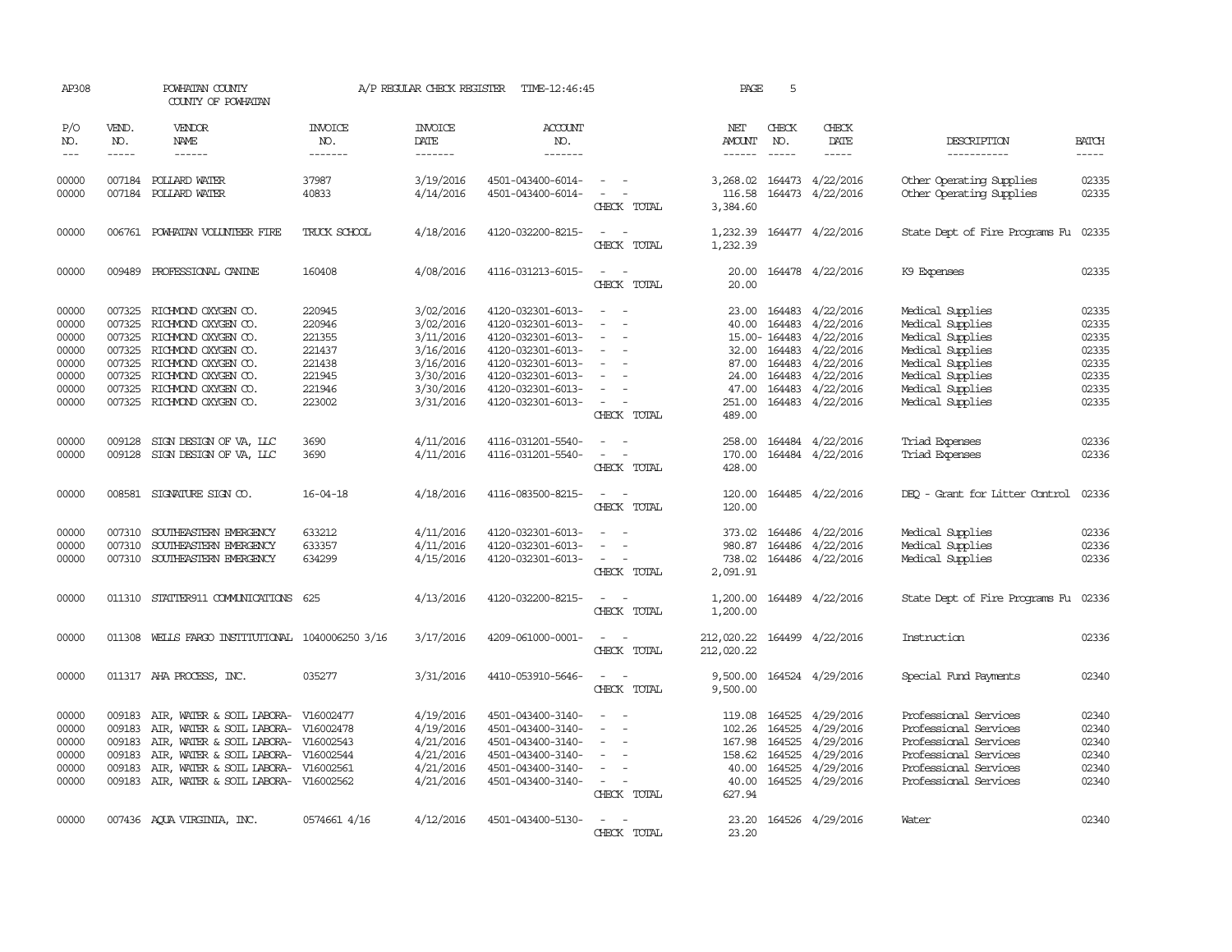| AP308                                                                |                                                | POWHATAN COUNTY<br>COUNTY OF POWHATAN                                                                                                                                                                            |                                                                              | A/P REGULAR CHECK REGISTER                                                                           | TIME-12:46:45                                                                                                                                                        |                                                                                                                             | PAGE                                                             | 5                             |                                                                                                                                                                  |                                                                                                                                                              |                                                                      |
|----------------------------------------------------------------------|------------------------------------------------|------------------------------------------------------------------------------------------------------------------------------------------------------------------------------------------------------------------|------------------------------------------------------------------------------|------------------------------------------------------------------------------------------------------|----------------------------------------------------------------------------------------------------------------------------------------------------------------------|-----------------------------------------------------------------------------------------------------------------------------|------------------------------------------------------------------|-------------------------------|------------------------------------------------------------------------------------------------------------------------------------------------------------------|--------------------------------------------------------------------------------------------------------------------------------------------------------------|----------------------------------------------------------------------|
| P/O<br>NO.<br>$\qquad \qquad - -$                                    | VEND.<br>NO.<br>$- - - - -$                    | <b>VENDOR</b><br><b>NAME</b><br>$- - - - - -$                                                                                                                                                                    | <b>INVOICE</b><br>NO.<br>-------                                             | <b>INVOICE</b><br>DATE<br>-------                                                                    | <b>ACCOUNT</b><br>NO.<br>-------                                                                                                                                     |                                                                                                                             | NET<br><b>AMOUNT</b><br>------                                   | CHECK<br>NO.<br>$\frac{1}{2}$ | CHECK<br>DATE<br>-----                                                                                                                                           | DESCRIPTION<br>-----------                                                                                                                                   | <b>BATCH</b><br>-----                                                |
| 00000<br>00000                                                       |                                                | 007184 POLLARD WATER<br>007184 POLLARD WATER                                                                                                                                                                     | 37987<br>40833                                                               | 3/19/2016<br>4/14/2016                                                                               | 4501-043400-6014-<br>4501-043400-6014-                                                                                                                               | $\sim$ $ \sim$<br>$\sim$ $ -$<br>CHECK TOTAL                                                                                | 116.58<br>3,384.60                                               |                               | 3,268.02 164473 4/22/2016<br>164473 4/22/2016                                                                                                                    | Other Operating Supplies<br>Other Operating Supplies                                                                                                         | 02335<br>02335                                                       |
| 00000                                                                | 006761                                         | POWHATAN VOLUNTEER FIRE                                                                                                                                                                                          | TRUCK SCHOOL                                                                 | 4/18/2016                                                                                            | 4120-032200-8215-                                                                                                                                                    | $\overline{\phantom{a}}$<br>CHECK TOTAL                                                                                     | 1,232.39<br>1,232.39                                             |                               | 164477 4/22/2016                                                                                                                                                 | State Dept of Fire Programs Fu                                                                                                                               | 02335                                                                |
| 00000                                                                | 009489                                         | PROFESSIONAL CANINE                                                                                                                                                                                              | 160408                                                                       | 4/08/2016                                                                                            | 4116-031213-6015-                                                                                                                                                    | $\equiv$<br>CHECK TOTAL                                                                                                     | 20.00<br>20.00                                                   |                               | 164478 4/22/2016                                                                                                                                                 | K9 Expenses                                                                                                                                                  | 02335                                                                |
| 00000<br>00000<br>00000<br>00000<br>00000<br>00000<br>00000<br>00000 | 007325<br>007325<br>007325<br>007325           | RICHMOND OXYGEN CO.<br>RICHMOND OXYGEN CO.<br>RICHMOND OXYGEN CO.<br>007325 RICHMOND OXYGEN CO.<br>007325 RICHMOND OXYGEN CO.<br>007325 RICHMOND OXYGEN CO.<br>RICHMOND OXYGEN CO.<br>007325 RICHMOND OXYGEN CO. | 220945<br>220946<br>221355<br>221437<br>221438<br>221945<br>221946<br>223002 | 3/02/2016<br>3/02/2016<br>3/11/2016<br>3/16/2016<br>3/16/2016<br>3/30/2016<br>3/30/2016<br>3/31/2016 | 4120-032301-6013-<br>4120-032301-6013-<br>4120-032301-6013-<br>4120-032301-6013-<br>4120-032301-6013-<br>4120-032301-6013-<br>4120-032301-6013-<br>4120-032301-6013- | $\sim$<br>$\overline{\phantom{a}}$<br>$\equiv$<br>$\equiv$<br>$\overline{\phantom{a}}$<br>CHECK TOTAL                       | 23.00<br>40.00<br>47.00<br>251.00<br>489.00                      | 164483<br>32.00 164483        | 164483 4/22/2016<br>4/22/2016<br>15.00-164483 4/22/2016<br>4/22/2016<br>87.00 164483 4/22/2016<br>24.00 164483 4/22/2016<br>164483 4/22/2016<br>164483 4/22/2016 | Medical Supplies<br>Medical Supplies<br>Medical Supplies<br>Medical Supplies<br>Medical Supplies<br>Medical Supplies<br>Medical Supplies<br>Medical Supplies | 02335<br>02335<br>02335<br>02335<br>02335<br>02335<br>02335<br>02335 |
| 00000<br>00000                                                       | 009128<br>009128                               | SIGN DESIGN OF VA, LLC<br>SIGN DESIGN OF VA, LLC                                                                                                                                                                 | 3690<br>3690                                                                 | 4/11/2016<br>4/11/2016                                                                               | 4116-031201-5540-<br>4116-031201-5540-                                                                                                                               | $\omega_{\rm{max}}$ and $\omega_{\rm{max}}$<br>$\sim$ 100 $\mu$<br>$\sim$<br>CHECK TOTAL                                    | 170.00<br>428.00                                                 |                               | 258.00 164484 4/22/2016<br>164484 4/22/2016                                                                                                                      | Triad Expenses<br>Triad Expenses                                                                                                                             | 02336<br>02336                                                       |
| 00000                                                                | 008581                                         | SIGNATURE SIGN CO.                                                                                                                                                                                               | $16 - 04 - 18$                                                               | 4/18/2016                                                                                            | 4116-083500-8215-                                                                                                                                                    | $\frac{1}{2} \left( \frac{1}{2} \right) \left( \frac{1}{2} \right) = \frac{1}{2} \left( \frac{1}{2} \right)$<br>CHECK TOTAL | 120.00<br>120.00                                                 |                               | 164485 4/22/2016                                                                                                                                                 | DEO - Grant for Litter Control                                                                                                                               | 02336                                                                |
| 00000<br>00000<br>00000                                              | 007310<br>007310                               | SOUTHEASTERN EMERGENCY<br>SOUTHEASTERN EMERGENCY<br>007310 SOUTHEASTERN EMERGENCY                                                                                                                                | 633212<br>633357<br>634299                                                   | 4/11/2016<br>4/11/2016<br>4/15/2016                                                                  | 4120-032301-6013-<br>4120-032301-6013-<br>4120-032301-6013-                                                                                                          | $\sim$ 10 $\,$<br>$\sim$<br>$\sim$ $ -$<br>CHECK TOTAL                                                                      | 373.02<br>2,091.91                                               |                               | 164486 4/22/2016<br>980.87 164486 4/22/2016<br>738.02 164486 4/22/2016                                                                                           | Medical Supplies<br>Medical Supplies<br>Medical Supplies                                                                                                     | 02336<br>02336<br>02336                                              |
| 00000                                                                |                                                | 011310 STATTER911 COMUNICATIONS 625                                                                                                                                                                              |                                                                              | 4/13/2016                                                                                            | 4120-032200-8215-                                                                                                                                                    | $\overline{\phantom{a}}$<br>CHECK TOTAL                                                                                     | 1,200.00<br>1,200.00                                             |                               | 164489 4/22/2016                                                                                                                                                 | State Dept of Fire Programs Fu 02336                                                                                                                         |                                                                      |
| 00000                                                                |                                                | 011308 WELLS FARGO INSTITUTIONAL 1040006250 3/16                                                                                                                                                                 |                                                                              | 3/17/2016                                                                                            | 4209-061000-0001-                                                                                                                                                    | $\sim$<br>CHECK TOTAL                                                                                                       | 212,020.22<br>212,020.22                                         |                               | 164499 4/22/2016                                                                                                                                                 | Instruction                                                                                                                                                  | 02336                                                                |
| 00000                                                                |                                                | 011317 AHA PROCESS, INC.                                                                                                                                                                                         | 035277                                                                       | 3/31/2016                                                                                            | 4410-053910-5646-                                                                                                                                                    | $\overline{\phantom{a}}$<br>CHECK TOTAL                                                                                     | 9,500.00<br>9,500.00                                             |                               | 164524 4/29/2016                                                                                                                                                 | Special Fund Payments                                                                                                                                        | 02340                                                                |
| 00000<br>00000<br>00000<br>00000<br>00000<br>00000                   | 009183<br>009183<br>009183<br>009183<br>009183 | AIR, WATER & SOIL LABORA-<br>AIR, WATER & SOIL LABORA-<br>AIR, WATER & SOIL LABORA-<br>AIR, WATER & SOIL LABORA-<br>AIR, WATER & SOIL LABORA- V16002561<br>009183 AIR, WATER & SOIL LABORA- V16002562            | V16002477<br>V16002478<br>V16002543<br>V16002544                             | 4/19/2016<br>4/19/2016<br>4/21/2016<br>4/21/2016<br>4/21/2016<br>4/21/2016                           | 4501-043400-3140-<br>4501-043400-3140-<br>4501-043400-3140-<br>4501-043400-3140-<br>4501-043400-3140-<br>4501-043400-3140-                                           | $\sim$<br>$\sim$<br>$\equiv$<br>$\sim$ $ -$<br>CHECK TOTAL                                                                  | 119.08<br>102.26<br>167.98<br>158.62<br>40.00<br>40.00<br>627.94 | 164525<br>164525<br>164525    | 164525 4/29/2016<br>4/29/2016<br>4/29/2016<br>4/29/2016<br>164525 4/29/2016<br>164525 4/29/2016                                                                  | Professional Services<br>Professional Services<br>Professional Services<br>Professional Services<br>Professional Services<br>Professional Services           | 02340<br>02340<br>02340<br>02340<br>02340<br>02340                   |
| 00000                                                                |                                                | 007436 AQUA VIRGINIA, INC.                                                                                                                                                                                       | 0574661 4/16                                                                 | 4/12/2016                                                                                            | 4501-043400-5130-                                                                                                                                                    | $\overline{\phantom{a}}$<br>CHECK TOTAL                                                                                     | 23.20<br>23.20                                                   |                               | 164526 4/29/2016                                                                                                                                                 | Water                                                                                                                                                        | 02340                                                                |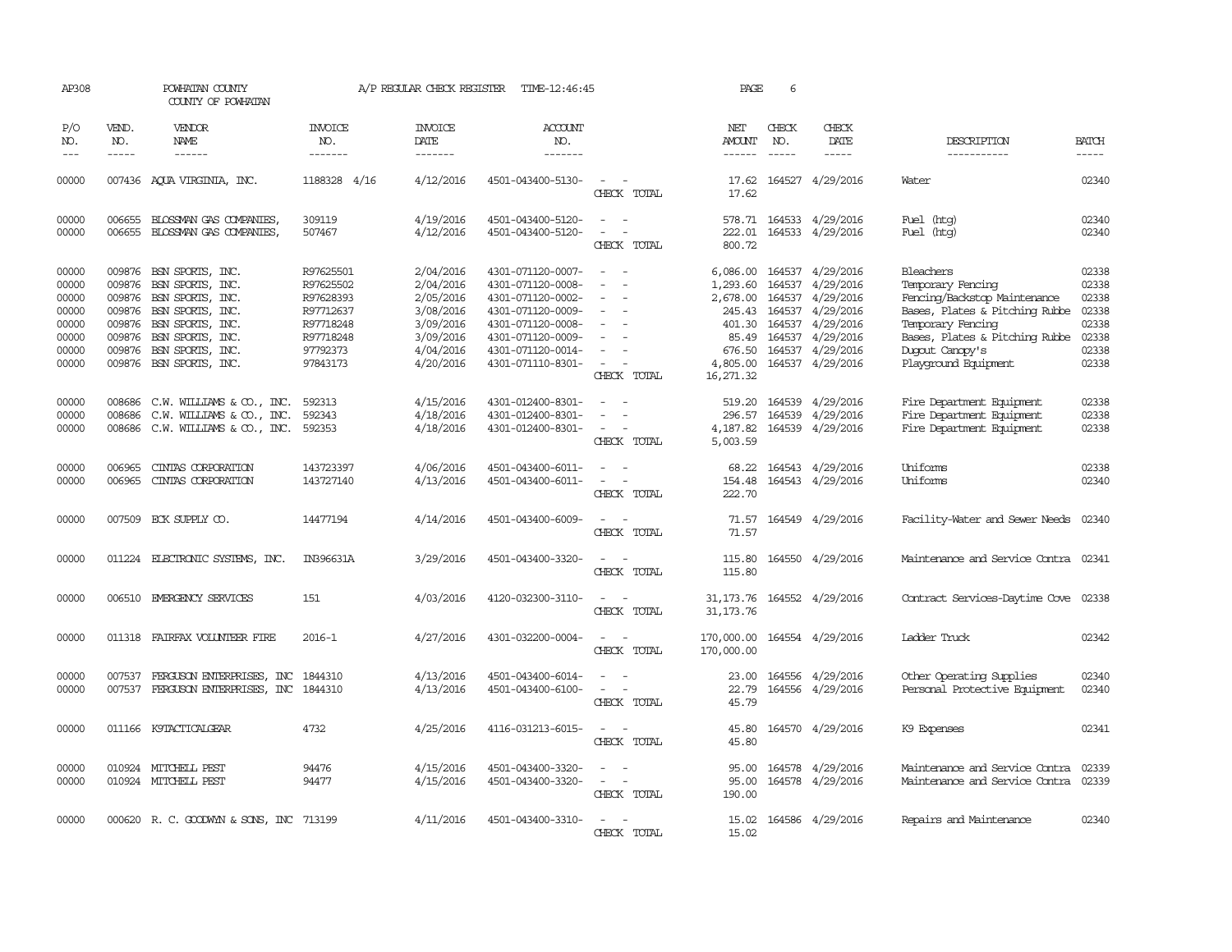| AP308                                                                |                             | POWHATAN COUNTY<br>COUNTY OF POWHATAN                                                                                                                                                                  |                                                                                                    | A/P REGULAR CHECK REGISTER                                                                           | TIME-12:46:45                                                                                                                                                        |                                                                                                                             | PAGE                                                                                   | 6                                                     |                                                                                                                           |                                                                                                                                                                                                    |                                                                      |
|----------------------------------------------------------------------|-----------------------------|--------------------------------------------------------------------------------------------------------------------------------------------------------------------------------------------------------|----------------------------------------------------------------------------------------------------|------------------------------------------------------------------------------------------------------|----------------------------------------------------------------------------------------------------------------------------------------------------------------------|-----------------------------------------------------------------------------------------------------------------------------|----------------------------------------------------------------------------------------|-------------------------------------------------------|---------------------------------------------------------------------------------------------------------------------------|----------------------------------------------------------------------------------------------------------------------------------------------------------------------------------------------------|----------------------------------------------------------------------|
| P/O<br>NO.<br>$---$                                                  | VEND.<br>NO.<br>$- - - - -$ | <b>VENDOR</b><br><b>NAME</b><br>------                                                                                                                                                                 | <b>INVOICE</b><br>NO.<br>-------                                                                   | <b>INVOICE</b><br><b>DATE</b><br>-------                                                             | ACCOUNT<br>NO.<br>-------                                                                                                                                            |                                                                                                                             | NET<br>AMOUNT<br>$- - - - - -$                                                         | CHECK<br>NO.<br>$- - - - -$                           | CHECK<br><b>DATE</b><br>-----                                                                                             | DESCRIPTION<br>-----------                                                                                                                                                                         | <b>BATCH</b><br>$- - - - -$                                          |
| 00000                                                                |                             | 007436 AQUA VIRGINIA, INC.                                                                                                                                                                             | 1188328 4/16                                                                                       | 4/12/2016                                                                                            | 4501-043400-5130-                                                                                                                                                    | $\sim$<br>CHECK TOTAL                                                                                                       | 17.62<br>17.62                                                                         |                                                       | 164527 4/29/2016                                                                                                          | Water                                                                                                                                                                                              | 02340                                                                |
| 00000<br>00000                                                       | 006655                      | BLOSSMAN GAS COMPANIES<br>006655 BLOSSMAN GAS COMPANIES,                                                                                                                                               | 309119<br>507467                                                                                   | 4/19/2016<br>4/12/2016                                                                               | 4501-043400-5120-<br>4501-043400-5120-                                                                                                                               | $\sim$ $ \sim$<br>$\sim$<br>$\sim$<br>CHECK TOTAL                                                                           | 222.01<br>800.72                                                                       |                                                       | 578.71 164533 4/29/2016<br>164533 4/29/2016                                                                               | Fuel (htg)<br>Fuel (htg)                                                                                                                                                                           | 02340<br>02340                                                       |
| 00000<br>00000<br>00000<br>00000<br>00000<br>00000<br>00000<br>00000 | 009876<br>009876            | 009876 BSN SPORTS, INC.<br>009876 BSN SPORTS, INC.<br>009876 BSN SPORTS, INC.<br>009876 BSN SPORTS, INC.<br>009876 BSN SPORTS, INC.<br>BSN SPORTS, INC.<br>BSN SPORTS, INC.<br>009876 BSN SPORTS, INC. | R97625501<br>R97625502<br>R97628393<br>R97712637<br>R97718248<br>R97718248<br>97792373<br>97843173 | 2/04/2016<br>2/04/2016<br>2/05/2016<br>3/08/2016<br>3/09/2016<br>3/09/2016<br>4/04/2016<br>4/20/2016 | 4301-071120-0007-<br>4301-071120-0008-<br>4301-071120-0002-<br>4301-071120-0009-<br>4301-071120-0008-<br>4301-071120-0009-<br>4301-071120-0014-<br>4301-071110-8301- | $\sim$<br>$\overline{\phantom{a}}$<br>$\overline{\phantom{a}}$<br>$\overline{\phantom{a}}$<br>CHECK TOTAL                   | 6,086.00<br>1,293.60<br>2,678.00<br>401.30<br>85.49<br>676.50<br>4,805.00<br>16,271.32 | 164537<br>164537<br>245.43 164537<br>164537<br>164537 | 4/29/2016<br>4/29/2016<br>164537 4/29/2016<br>4/29/2016<br>4/29/2016<br>4/29/2016<br>164537 4/29/2016<br>164537 4/29/2016 | Bleachers<br>Temporary Fencing<br>Fencing/Backstop Maintenance<br>Bases, Plates & Pitching Rubbe<br>Temporary Fencing<br>Bases, Plates & Pitching Rubbe<br>Dugout Canopy's<br>Playground Equipment | 02338<br>02338<br>02338<br>02338<br>02338<br>02338<br>02338<br>02338 |
| 00000<br>00000<br>00000                                              | 008686                      | 008686 C.W. WILLIAMS & CO., INC.<br>C.W. WILLIAMS & CO., INC.<br>008686 C.W. WILLIAMS & CO., INC.                                                                                                      | 592313<br>592343<br>592353                                                                         | 4/15/2016<br>4/18/2016<br>4/18/2016                                                                  | 4301-012400-8301-<br>4301-012400-8301-<br>4301-012400-8301-                                                                                                          | $\sim$<br>$\sim$<br>$\sim$<br>CHECK TOTAL                                                                                   | 296.57<br>4,187.82<br>5,003.59                                                         | 164539                                                | 519.20 164539 4/29/2016<br>4/29/2016<br>164539 4/29/2016                                                                  | Fire Department Equipment<br>Fire Department Equipment<br>Fire Department Equipment                                                                                                                | 02338<br>02338<br>02338                                              |
| 00000<br>00000                                                       | 006965<br>006965            | CINIAS CORPORATION<br>CINIAS CORPORATION                                                                                                                                                               | 143723397<br>143727140                                                                             | 4/06/2016<br>4/13/2016                                                                               | 4501-043400-6011-<br>4501-043400-6011-                                                                                                                               | $\overline{\phantom{a}}$<br>$\sim$ $ \sim$<br>CHECK TOTAL                                                                   | 68.22<br>222.70                                                                        |                                                       | 164543 4/29/2016<br>154.48 164543 4/29/2016                                                                               | Uniforms<br>Uniforms                                                                                                                                                                               | 02338<br>02340                                                       |
| 00000                                                                |                             | 007509 ECK SUPPLY CO.                                                                                                                                                                                  | 14477194                                                                                           | 4/14/2016                                                                                            | 4501-043400-6009-                                                                                                                                                    | CHECK TOTAL                                                                                                                 | 71.57<br>71.57                                                                         |                                                       | 164549 4/29/2016                                                                                                          | Facility-Water and Sewer Needs 02340                                                                                                                                                               |                                                                      |
| 00000                                                                |                             | 011224 ELECTRONIC SYSTEMS, INC.                                                                                                                                                                        | IN396631A                                                                                          | 3/29/2016                                                                                            | 4501-043400-3320-                                                                                                                                                    | $\sim$<br>CHECK TOTAL                                                                                                       | 115.80<br>115.80                                                                       |                                                       | 164550 4/29/2016                                                                                                          | Maintenance and Service Contra 02341                                                                                                                                                               |                                                                      |
| 00000                                                                |                             | 006510 EMERGENCY SERVICES                                                                                                                                                                              | 151                                                                                                | 4/03/2016                                                                                            | 4120-032300-3110-                                                                                                                                                    | $\frac{1}{2} \left( \frac{1}{2} \right) \left( \frac{1}{2} \right) = \frac{1}{2} \left( \frac{1}{2} \right)$<br>CHECK TOTAL | 31, 173.76<br>31, 173.76                                                               |                                                       | 164552 4/29/2016                                                                                                          | Contract Services-Daytime Cove                                                                                                                                                                     | 02338                                                                |
| 00000                                                                |                             | 011318 FAIRFAX VOLUNIEER FIRE                                                                                                                                                                          | $2016 - 1$                                                                                         | 4/27/2016                                                                                            | 4301-032200-0004-                                                                                                                                                    | CHECK TOTAL                                                                                                                 | 170,000.00<br>170,000.00                                                               |                                                       | 164554 4/29/2016                                                                                                          | Ladder Truck                                                                                                                                                                                       | 02342                                                                |
| 00000<br>00000                                                       | 007537                      | FERGUSON ENTERPRISES, INC<br>007537 FERGUSON ENTERPRISES, INC 1844310                                                                                                                                  | 1844310                                                                                            | 4/13/2016<br>4/13/2016                                                                               | 4501-043400-6014-<br>4501-043400-6100-                                                                                                                               | $\omega_{\rm{max}}$ and $\omega_{\rm{max}}$<br>CHECK TOTAL                                                                  | 23.00<br>22.79<br>45.79                                                                | 164556                                                | 4/29/2016<br>164556 4/29/2016                                                                                             | Other Operating Supplies<br>Personal Protective Equipment                                                                                                                                          | 02340<br>02340                                                       |
| 00000                                                                |                             | 011166 K9TACTICALGEAR                                                                                                                                                                                  | 4732                                                                                               | 4/25/2016                                                                                            | 4116-031213-6015-                                                                                                                                                    | $\sim$ $ \sim$<br>CHECK TOTAL                                                                                               | 45.80<br>45.80                                                                         |                                                       | 164570 4/29/2016                                                                                                          | K9 Expenses                                                                                                                                                                                        | 02341                                                                |
| 00000<br>00000                                                       |                             | 010924 MITCHELL PEST<br>010924 MITCHELL PEST                                                                                                                                                           | 94476<br>94477                                                                                     | 4/15/2016<br>4/15/2016                                                                               | 4501-043400-3320-<br>4501-043400-3320-                                                                                                                               | $\overline{\phantom{a}}$<br>CHECK TOTAL                                                                                     | 95.00<br>95.00<br>190.00                                                               |                                                       | 164578 4/29/2016<br>164578 4/29/2016                                                                                      | Maintenance and Service Contra<br>Maintenance and Service Contra                                                                                                                                   | 02339<br>02339                                                       |
| 00000                                                                |                             | 000620 R.C. GOODWYN & SONS, INC 713199                                                                                                                                                                 |                                                                                                    | 4/11/2016                                                                                            | 4501-043400-3310-                                                                                                                                                    | $\sim$ $ -$<br>CHECK TOTAL                                                                                                  | 15.02                                                                                  |                                                       | 15.02 164586 4/29/2016                                                                                                    | Repairs and Maintenance                                                                                                                                                                            | 02340                                                                |